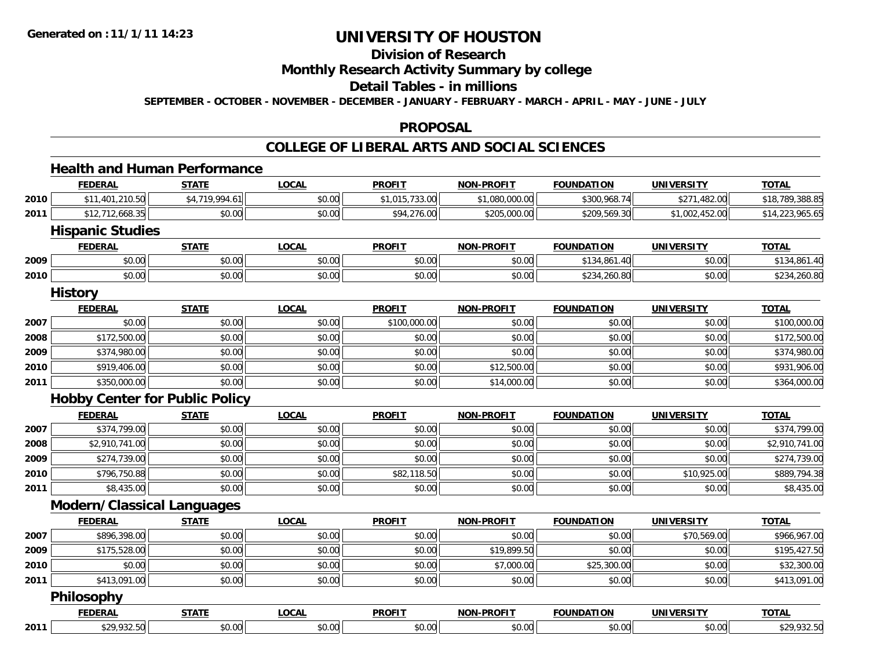### **Division of Research Monthly Research Activity Summary by college Detail Tables - in millions SEPTEMBER - OCTOBER - NOVEMBER - DECEMBER - JANUARY - FEBRUARY - MARCH - APRIL - MAY - JUNE - JULY**

### **PROPOSAL**

# **COLLEGE OF LIBERAL ARTS AND SOCIAL SCIENCES**

### **Health and Human Performance**

|      | <b>FEDERAL</b>          | <b>STATE</b>   | <b>LOCAL</b> | <b>PROFIT</b>  | <b>NON-PROFIT</b> | <b>FOUNDATION</b> | <b>UNIVERSITY</b> | <b>TOTAL</b>    |
|------|-------------------------|----------------|--------------|----------------|-------------------|-------------------|-------------------|-----------------|
| 2010 | \$11,401,210.50         | \$4,719,994.61 | \$0.00       | \$1,015,733.00 | \$1,080,000.00    | \$300,968.74      | \$271,482.00      | \$18,789,388.85 |
| 2011 | \$12,712,668.35         | \$0.00         | \$0.00       | \$94,276.00    | \$205,000.00      | \$209,569.30      | \$1,002,452.00    | \$14,223,965.65 |
|      | <b>Hispanic Studies</b> |                |              |                |                   |                   |                   |                 |
|      | <b>FEDERAL</b>          | <b>STATE</b>   | <b>LOCAL</b> | <b>PROFIT</b>  | <b>NON-PROFIT</b> | <b>FOUNDATION</b> | <b>UNIVERSITY</b> | <b>TOTAL</b>    |
| 2009 | \$0.00                  | \$0.00         | \$0.00       | \$0.00         | \$0.00            | \$134,861.40      | \$0.00            | \$134,861.40    |
| 2010 | \$0.00                  | \$0.00         | \$0.00       | \$0.00         | \$0.00            | \$234,260.80      | \$0.00            | \$234,260.80    |
|      | <b>History</b>          |                |              |                |                   |                   |                   |                 |
|      | <b>FEDERAL</b>          | <b>STATE</b>   | <b>LOCAL</b> | <b>PROFIT</b>  | <b>NON-PROFIT</b> | <b>FOUNDATION</b> | <b>UNIVERSITY</b> | <b>TOTAL</b>    |
| 2007 | \$0.00                  | \$0.00         | \$0.00       | \$100,000.00   | \$0.00            | \$0.00            | \$0.00            | \$100,000.00    |
| 2008 | \$172,500.00            | \$0.00         | \$0.00       | \$0.00         | \$0.00            | \$0.00            | \$0.00            | \$172,500.00    |

| 2009 | \$374,980.00 | \$0.00 | mn na<br>DU.UU | \$0.00 | \$0.00      | \$0.00 | \$0.00 | 1.980.00<br>30.UU         |
|------|--------------|--------|----------------|--------|-------------|--------|--------|---------------------------|
| 2010 | \$919,406.00 | \$0.00 | \$0.00         | \$0.00 | \$12,500.00 | \$0.00 | \$0.00 | \$931,906.00              |
| 2011 | \$350,000.00 | \$0.00 | \$0.00         | \$0.00 | 00.000      | \$0.00 | \$0.00 | 00000<br>\$364<br>,uuu.uu |

# **Hobby Center for Public Policy**

|      | <b>FEDERAL</b> | <b>STATE</b> | <b>LOCAL</b> | <b>PROFIT</b> | <b>NON-PROFIT</b> | <b>FOUNDATION</b> | <b>UNIVERSITY</b> | <b>TOTAL</b>   |
|------|----------------|--------------|--------------|---------------|-------------------|-------------------|-------------------|----------------|
| 2007 | \$374,799.00   | \$0.00       | \$0.00       | \$0.00        | \$0.00            | \$0.00            | \$0.00            | \$374,799.00   |
| 2008 | \$2,910,741.00 | \$0.00       | \$0.00       | \$0.00        | \$0.00            | \$0.00            | \$0.00            | \$2,910,741.00 |
| 2009 | \$274,739.00   | \$0.00       | \$0.00       | \$0.00        | \$0.00            | \$0.00            | \$0.00            | \$274,739.00   |
| 2010 | \$796,750.88   | \$0.00       | \$0.00       | \$82,118.50   | \$0.00            | \$0.00            | \$10,925.00       | \$889,794.38   |
| 2011 | \$8,435.00     | \$0.00       | \$0.00       | \$0.00        | \$0.00            | \$0.00            | \$0.00            | \$8,435.00     |

# **Modern/Classical Languages**

|      | <b>FEDERAL</b>    | <b>STATE</b> | <b>LOCAL</b> | <b>PROFIT</b> | <b>NON-PROFIT</b> | <b>FOUNDATION</b> | <b>UNIVERSITY</b> | <b>TOTAL</b> |
|------|-------------------|--------------|--------------|---------------|-------------------|-------------------|-------------------|--------------|
| 2007 | \$896,398.00      | \$0.00       | \$0.00       | \$0.00        | \$0.00            | \$0.00            | \$70,569.00       | \$966,967.00 |
| 2009 | \$175,528.00      | \$0.00       | \$0.00       | \$0.00        | \$19,899.50       | \$0.00            | \$0.00            | \$195,427.50 |
| 2010 | \$0.00            | \$0.00       | \$0.00       | \$0.00        | \$7,000.00        | \$25,300.00       | \$0.00            | \$32,300.00  |
| 2011 | \$413,091.00      | \$0.00       | \$0.00       | \$0.00        | \$0.00            | \$0.00            | \$0.00            | \$413,091.00 |
|      | <b>Philosophy</b> |              |              |               |                   |                   |                   |              |
|      | <b>FEDERAL</b>    | <b>STATE</b> | <b>LOCAL</b> | <b>PROFIT</b> | <b>NON-PROFIT</b> | <b>FOUNDATION</b> | <b>UNIVERSITY</b> | <b>TOTAL</b> |
| 2011 | \$29,932.50       | \$0.00       | \$0.00       | \$0.00        | \$0.00            | \$0.00            | \$0.00            | \$29,932.50  |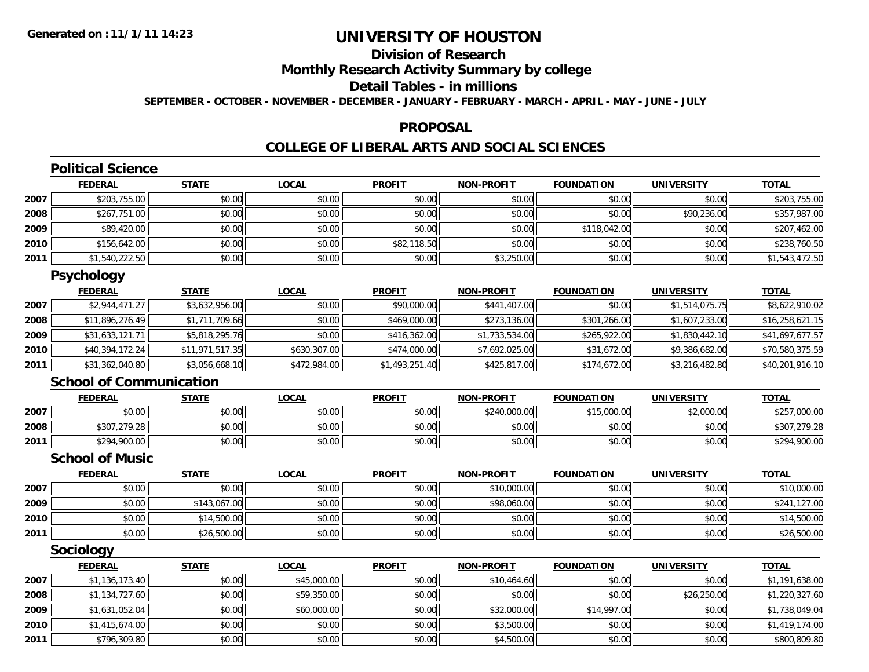# **Division of Research Monthly Research Activity Summary by college Detail Tables - in millions SEPTEMBER - OCTOBER - NOVEMBER - DECEMBER - JANUARY - FEBRUARY - MARCH - APRIL - MAY - JUNE - JULY**

### **PROPOSAL**

# **COLLEGE OF LIBERAL ARTS AND SOCIAL SCIENCES**

|      | <b>Political Science</b>       |                 |              |                |                   |                   |                   |                 |
|------|--------------------------------|-----------------|--------------|----------------|-------------------|-------------------|-------------------|-----------------|
|      | <b>FEDERAL</b>                 | <b>STATE</b>    | <b>LOCAL</b> | <b>PROFIT</b>  | <b>NON-PROFIT</b> | <b>FOUNDATION</b> | <b>UNIVERSITY</b> | <b>TOTAL</b>    |
| 2007 | \$203,755.00                   | \$0.00          | \$0.00       | \$0.00         | \$0.00            | \$0.00            | \$0.00            | \$203,755.00    |
| 2008 | \$267.751.00                   | \$0.00          | \$0.00       | \$0.00         | \$0.00            | \$0.00            | \$90,236.00       | \$357,987.00    |
| 2009 | \$89,420.00                    | \$0.00          | \$0.00       | \$0.00         | \$0.00            | \$118,042.00      | \$0.00            | \$207,462.00    |
| 2010 | \$156,642.00                   | \$0.00          | \$0.00       | \$82,118.50    | \$0.00            | \$0.00            | \$0.00            | \$238,760.50    |
| 2011 | \$1,540,222.50                 | \$0.00          | \$0.00       | \$0.00         | \$3,250.00        | \$0.00            | \$0.00            | \$1,543,472.50  |
|      | <b>Psychology</b>              |                 |              |                |                   |                   |                   |                 |
|      | <b>FEDERAL</b>                 | <b>STATE</b>    | <b>LOCAL</b> | <b>PROFIT</b>  | <b>NON-PROFIT</b> | <b>FOUNDATION</b> | <b>UNIVERSITY</b> | <b>TOTAL</b>    |
| 2007 | \$2,944,471.27                 | \$3,632,956.00  | \$0.00       | \$90,000.00    | \$441,407.00      | \$0.00            | \$1,514,075.75    | \$8,622,910.02  |
| 2008 | \$11,896,276.49                | \$1,711,709.66  | \$0.00       | \$469,000.00   | \$273,136.00      | \$301,266.00      | \$1,607,233.00    | \$16,258,621.15 |
| 2009 | \$31,633,121.71                | \$5,818,295.76  | \$0.00       | \$416,362.00   | \$1,733,534.00    | \$265,922.00      | \$1,830,442.10    | \$41,697,677.57 |
| 2010 | \$40,394,172.24                | \$11,971,517.35 | \$630,307.00 | \$474,000.00   | \$7,692,025.00    | \$31,672.00       | \$9,386,682.00    | \$70,580,375.59 |
| 2011 | \$31,362,040.80                | \$3,056,668.10  | \$472,984.00 | \$1,493,251.40 | \$425,817.00      | \$174,672.00      | \$3,216,482.80    | \$40,201,916.10 |
|      | <b>School of Communication</b> |                 |              |                |                   |                   |                   |                 |
|      | <b>FEDERAL</b>                 | <b>STATE</b>    | <b>LOCAL</b> | <b>PROFIT</b>  | <b>NON-PROFIT</b> | <b>FOUNDATION</b> | <b>UNIVERSITY</b> | <b>TOTAL</b>    |
| 2007 | \$0.00                         | \$0.00          | \$0.00       | \$0.00         | \$240,000.00      | \$15,000.00       | \$2,000.00        | \$257,000.00    |
| 2008 | \$307,279.28                   | \$0.00          | \$0.00       | \$0.00         | \$0.00            | \$0.00            | \$0.00            | \$307,279.28    |
| 2011 | \$294,900.00                   | \$0.00          | \$0.00       | \$0.00         | \$0.00            | \$0.00            | \$0.00            | \$294,900.00    |
|      | <b>School of Music</b>         |                 |              |                |                   |                   |                   |                 |
|      | <b>FEDERAL</b>                 | <b>STATE</b>    | <b>LOCAL</b> | <b>PROFIT</b>  | <b>NON-PROFIT</b> | <b>FOUNDATION</b> | <b>UNIVERSITY</b> | <b>TOTAL</b>    |
| 2007 | \$0.00                         | \$0.00          | \$0.00       | \$0.00         | \$10,000.00       | \$0.00            | \$0.00            | \$10,000.00     |
| 2009 | \$0.00                         | \$143,067.00    | \$0.00       | \$0.00         | \$98,060.00       | \$0.00            | \$0.00            | \$241,127.00    |
| 2010 | \$0.00                         | \$14,500.00     | \$0.00       | \$0.00         | \$0.00            | \$0.00            | \$0.00            | \$14,500.00     |
| 2011 | \$0.00                         | \$26,500.00     | \$0.00       | \$0.00         | \$0.00            | \$0.00            | \$0.00            | \$26,500.00     |
|      | <b>Sociology</b>               |                 |              |                |                   |                   |                   |                 |
|      | <b>FEDERAL</b>                 | <b>STATE</b>    | <b>LOCAL</b> | <b>PROFIT</b>  | <b>NON-PROFIT</b> | <b>FOUNDATION</b> | <b>UNIVERSITY</b> | <b>TOTAL</b>    |
| 2007 | \$1,136,173.40                 | \$0.00          | \$45,000.00  | \$0.00         | \$10,464.60       | \$0.00            | \$0.00            | \$1,191,638.00  |
| 2008 | \$1,134,727.60                 | \$0.00          | \$59,350.00  | \$0.00         | \$0.00            | \$0.00            | \$26,250.00       | \$1,220,327.60  |
| 2009 | \$1,631,052.04                 | \$0.00          | \$60,000.00  | \$0.00         | \$32,000.00       | \$14,997.00       | \$0.00            | \$1,738,049.04  |
| 2010 | \$1,415,674.00                 | \$0.00          | \$0.00       | \$0.00         | \$3,500.00        | \$0.00            | \$0.00            | \$1,419,174.00  |

 $\textbf{1} \hspace{14mm} \text{$3796,309.80} \hspace{14mm} \text{$800,809.80}$ 

**2011**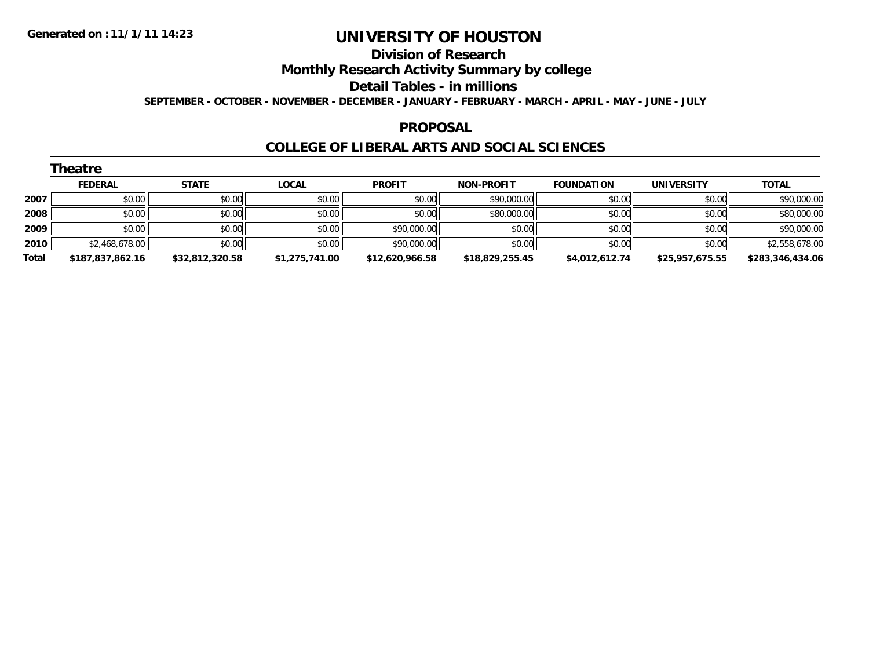## **Division of Research Monthly Research Activity Summary by college Detail Tables - in millions SEPTEMBER - OCTOBER - NOVEMBER - DECEMBER - JANUARY - FEBRUARY - MARCH - APRIL - MAY - JUNE - JULY**

### **PROPOSAL**

### **COLLEGE OF LIBERAL ARTS AND SOCIAL SCIENCES**

|       | <b>Theatre</b>   |                 |                |                 |                   |                   |                   |                  |  |  |  |
|-------|------------------|-----------------|----------------|-----------------|-------------------|-------------------|-------------------|------------------|--|--|--|
|       | <b>FEDERAL</b>   | <b>STATE</b>    | <b>LOCAL</b>   | <b>PROFIT</b>   | <b>NON-PROFIT</b> | <b>FOUNDATION</b> | <b>UNIVERSITY</b> | <b>TOTAL</b>     |  |  |  |
| 2007  | \$0.00           | \$0.00          | \$0.00         | \$0.00          | \$90,000.00       | \$0.00            | \$0.00            | \$90,000.00      |  |  |  |
| 2008  | \$0.00           | \$0.00          | \$0.00         | \$0.00          | \$80,000.00       | \$0.00            | \$0.00            | \$80,000.00      |  |  |  |
| 2009  | \$0.00           | \$0.00          | \$0.00         | \$90,000.00     | \$0.00            | \$0.00            | \$0.00            | \$90,000.00      |  |  |  |
| 2010  | \$2,468,678.00   | \$0.00          | \$0.00         | \$90,000.00     | \$0.00            | \$0.00            | \$0.00            | \$2,558,678.00   |  |  |  |
| Total | \$187,837,862.16 | \$32,812,320.58 | \$1,275,741.00 | \$12,620,966.58 | \$18,829,255.45   | \$4,012,612.74    | \$25,957,675.55   | \$283,346,434.06 |  |  |  |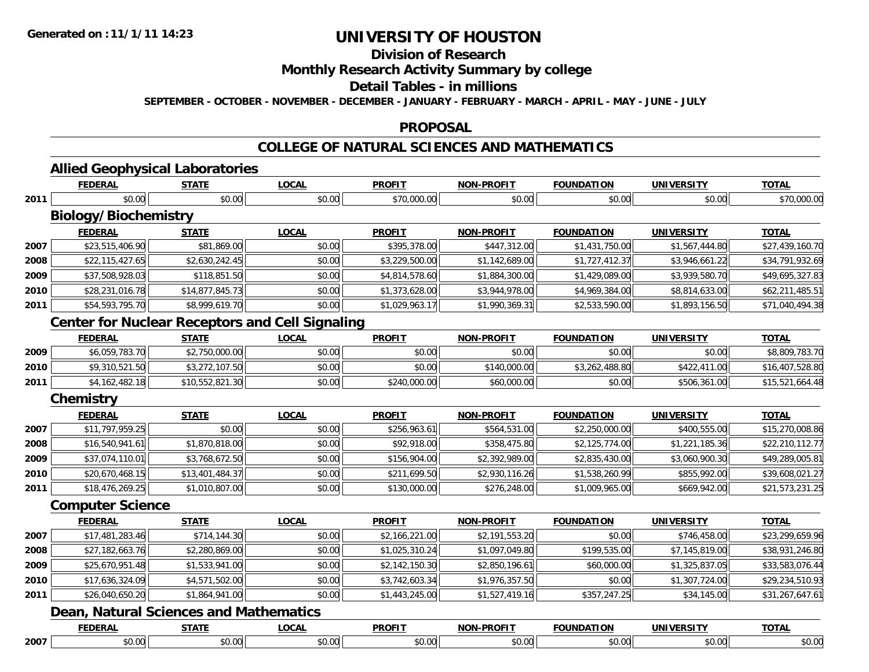### **Division of Research Monthly Research Activity Summary by college Detail Tables - in millions SEPTEMBER - OCTOBER - NOVEMBER - DECEMBER - JANUARY - FEBRUARY - MARCH - APRIL - MAY - JUNE - JULY**

### **PROPOSAL**

# **COLLEGE OF NATURAL SCIENCES AND MATHEMATICS**

|      | <b>FEDERAL</b>                                         | <b>STATE</b>    | <b>LOCAL</b> | <b>PROFIT</b>  | <b>NON-PROFIT</b> | <b>FOUNDATION</b> | <b>UNIVERSITY</b> | <b>TOTAL</b>    |
|------|--------------------------------------------------------|-----------------|--------------|----------------|-------------------|-------------------|-------------------|-----------------|
| 2011 | \$0.00                                                 | \$0.00          | \$0.00       | \$70,000.00    | \$0.00            | \$0.00            | \$0.00            | \$70,000.00     |
|      | <b>Biology/Biochemistry</b>                            |                 |              |                |                   |                   |                   |                 |
|      | <b>FEDERAL</b>                                         | <b>STATE</b>    | <b>LOCAL</b> | <b>PROFIT</b>  | <b>NON-PROFIT</b> | <b>FOUNDATION</b> | <b>UNIVERSITY</b> | <b>TOTAL</b>    |
| 2007 | \$23,515,406.90                                        | \$81,869.00     | \$0.00       | \$395,378.00   | \$447,312.00      | \$1,431,750.00    | \$1,567,444.80    | \$27,439,160.70 |
| 2008 | \$22,115,427.65                                        | \$2,630,242.45  | \$0.00       | \$3,229,500.00 | \$1,142,689.00    | \$1,727,412.37    | \$3,946,661.22    | \$34,791,932.69 |
| 2009 | \$37,508,928.03                                        | \$118,851.50    | \$0.00       | \$4,814,578.60 | \$1,884,300.00    | \$1,429,089.00    | \$3,939,580.70    | \$49,695,327.83 |
| 2010 | \$28,231,016.78                                        | \$14,877,845.73 | \$0.00       | \$1,373,628.00 | \$3,944,978.00    | \$4,969,384.00    | \$8,814,633.00    | \$62,211,485.51 |
| 2011 | \$54,593,795.70                                        | \$8,999,619.70  | \$0.00       | \$1,029,963.17 | \$1,990,369.31    | \$2,533,590.00    | \$1,893,156.50    | \$71,040,494.38 |
|      | <b>Center for Nuclear Receptors and Cell Signaling</b> |                 |              |                |                   |                   |                   |                 |
|      | <b>FEDERAL</b>                                         | <b>STATE</b>    | <b>LOCAL</b> | <b>PROFIT</b>  | <b>NON-PROFIT</b> | <b>FOUNDATION</b> | <b>UNIVERSITY</b> | <b>TOTAL</b>    |
| 2009 | \$6,059,783.70                                         | \$2,750,000.00  | \$0.00       | \$0.00         | \$0.00            | \$0.00            | \$0.00            | \$8,809,783.70  |
| 2010 | \$9,310,521.50                                         | \$3,272,107.50  | \$0.00       | \$0.00         | \$140,000.00      | \$3,262,488.80    | \$422,411.00      | \$16,407,528.80 |
| 2011 | \$4,162,482.18                                         | \$10,552,821.30 | \$0.00       | \$240,000.00   | \$60,000.00       | \$0.00            | \$506,361.00      | \$15,521,664.48 |
|      | <b>Chemistry</b>                                       |                 |              |                |                   |                   |                   |                 |
|      | <b>FEDERAL</b>                                         | <b>STATE</b>    | <b>LOCAL</b> | <b>PROFIT</b>  | <b>NON-PROFIT</b> | <b>FOUNDATION</b> | <b>UNIVERSITY</b> | <b>TOTAL</b>    |
| 2007 | \$11,797,959.25                                        | \$0.00          | \$0.00       | \$256,963.61   | \$564,531.00      | \$2,250,000.00    | \$400,555.00      | \$15,270,008.86 |
| 2008 | \$16,540,941.61                                        | \$1,870,818.00  | \$0.00       | \$92,918.00    | \$358,475.80      | \$2,125,774.00    | \$1,221,185.36    | \$22,210,112.77 |
| 2009 | \$37,074,110.01                                        | \$3,768,672.50  | \$0.00       | \$156,904.00   | \$2,392,989.00    | \$2,835,430.00    | \$3,060,900.30    | \$49,289,005.81 |
| 2010 | \$20,670,468.15                                        | \$13,401,484.37 | \$0.00       | \$211,699.50   | \$2,930,116.26    | \$1,538,260.99    | \$855,992.00      | \$39,608,021.27 |
| 2011 | \$18,476,269.25                                        | \$1,010,807.00  | \$0.00       | \$130,000.00   | \$276,248.00      | \$1,009,965.00    | \$669,942.00      | \$21,573,231.25 |
|      | <b>Computer Science</b>                                |                 |              |                |                   |                   |                   |                 |
|      | <b>FEDERAL</b>                                         | <b>STATE</b>    | <b>LOCAL</b> | <b>PROFIT</b>  | <b>NON-PROFIT</b> | <b>FOUNDATION</b> | <b>UNIVERSITY</b> | <b>TOTAL</b>    |
| 2007 | \$17,481,283.46                                        | \$714,144.30    | \$0.00       | \$2,166,221.00 | \$2,191,553.20    | \$0.00            | \$746,458.00      | \$23,299,659.96 |
| 2008 | \$27,182,663.76                                        | \$2,280,869.00  | \$0.00       | \$1,025,310.24 | \$1,097,049.80    | \$199,535.00      | \$7,145,819.00    | \$38,931,246.80 |
| 2009 | \$25,670,951.48                                        | \$1,533,941.00  | \$0.00       | \$2,142,150.30 | \$2,850,196.61    | \$60,000.00       | \$1,325,837.05    | \$33,583,076.44 |
| 2010 | \$17,636,324.09                                        | \$4,571,502.00  | \$0.00       | \$3,742,603.34 | \$1,976,357.50    | \$0.00            | \$1,307,724.00    | \$29,234,510.93 |
| 2011 | \$26,040,650.20                                        | \$1,864,941.00  | \$0.00       | \$1,443,245.00 | \$1,527,419.16    | \$357,247.25      | \$34,145.00       | \$31,267,647.61 |
|      | <b>Dean, Natural Sciences and Mathematics</b>          |                 |              |                |                   |                   |                   |                 |
|      | <b>FEDERAL</b>                                         | <b>STATE</b>    | <b>LOCAL</b> | <b>PROFIT</b>  | <b>NON-PROFIT</b> | <b>FOUNDATION</b> | <b>UNIVERSITY</b> | <b>TOTAL</b>    |

7 | \$0.00 \$0.00 \$0.00 \$0.00 \$0.00 \$0.00 \$0.00 \$0.00 \$0.00 \$0.00 \$0.00 \$0.00 \$0.00 \$0.00 \$0.00 \$0.00 \$0.00 \$0.00

**2007**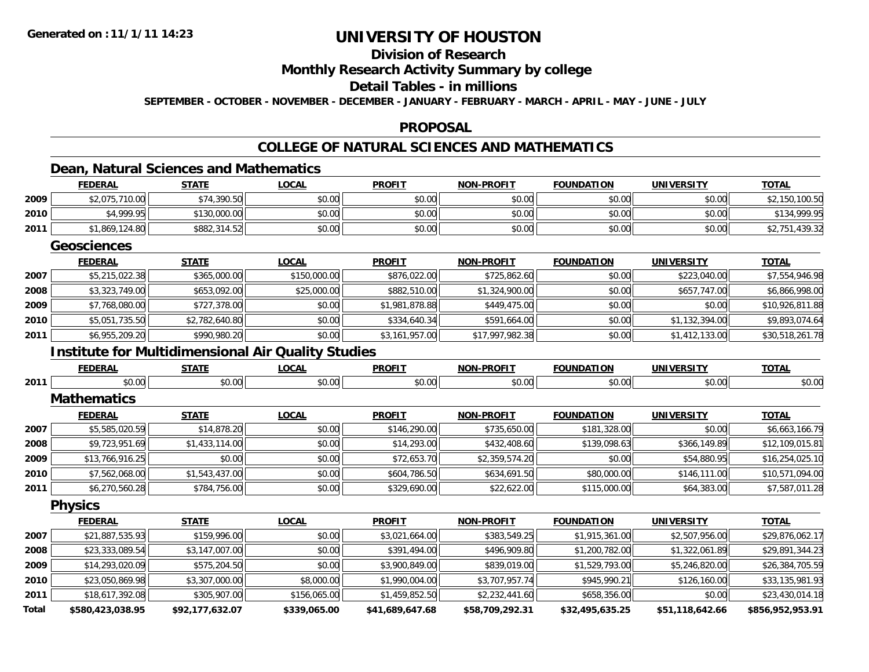### **Division of Research Monthly Research Activity Summary by college Detail Tables - in millions SEPTEMBER - OCTOBER - NOVEMBER - DECEMBER - JANUARY - FEBRUARY - MARCH - APRIL - MAY - JUNE - JULY**

#### **PROPOSAL**

### **COLLEGE OF NATURAL SCIENCES AND MATHEMATICS**

# **Dean, Natural Sciences and Mathematics**

|              | <b>FEDERAL</b>                                            | <b>STATE</b>    | <b>LOCAL</b> | <b>PROFIT</b>   | <b>NON-PROFIT</b> | <b>FOUNDATION</b> | <b>UNIVERSITY</b> | <b>TOTAL</b>     |
|--------------|-----------------------------------------------------------|-----------------|--------------|-----------------|-------------------|-------------------|-------------------|------------------|
| 2009         | \$2,075,710.00                                            | \$74,390.50     | \$0.00       | \$0.00          | \$0.00            | \$0.00            | \$0.00            | \$2,150,100.50   |
| 2010         | \$4,999.95                                                | \$130,000.00    | \$0.00       | \$0.00          | \$0.00            | \$0.00            | \$0.00            | \$134,999.95     |
| 2011         | \$1,869,124.80                                            | \$882,314.52    | \$0.00       | \$0.00          | \$0.00            | \$0.00            | \$0.00            | \$2,751,439.32   |
|              | <b>Geosciences</b>                                        |                 |              |                 |                   |                   |                   |                  |
|              | <b>FEDERAL</b>                                            | <b>STATE</b>    | <b>LOCAL</b> | <b>PROFIT</b>   | <b>NON-PROFIT</b> | <b>FOUNDATION</b> | <b>UNIVERSITY</b> | <b>TOTAL</b>     |
| 2007         | \$5,215,022.38                                            | \$365,000.00    | \$150,000.00 | \$876,022.00    | \$725,862.60      | \$0.00            | \$223,040.00      | \$7,554,946.98   |
| 2008         | \$3,323,749.00                                            | \$653,092.00    | \$25,000.00  | \$882,510.00    | \$1,324,900.00    | \$0.00            | \$657,747.00      | \$6,866,998.00   |
| 2009         | \$7,768,080.00                                            | \$727,378.00    | \$0.00       | \$1,981,878.88  | \$449,475.00      | \$0.00            | \$0.00            | \$10,926,811.88  |
| 2010         | \$5,051,735.50                                            | \$2,782,640.80  | \$0.00       | \$334,640.34    | \$591,664.00      | \$0.00            | \$1,132,394.00    | \$9,893,074.64   |
| 2011         | \$6,955,209.20                                            | \$990,980.20    | \$0.00       | \$3,161,957.00  | \$17,997,982.38   | \$0.00            | \$1,412,133.00    | \$30,518,261.78  |
|              | <b>Institute for Multidimensional Air Quality Studies</b> |                 |              |                 |                   |                   |                   |                  |
|              | <b>FEDERAL</b>                                            | <b>STATE</b>    | <b>LOCAL</b> | <b>PROFIT</b>   | <b>NON-PROFIT</b> | <b>FOUNDATION</b> | <b>UNIVERSITY</b> | <b>TOTAL</b>     |
| 2011         | \$0.00                                                    | \$0.00          | \$0.00       | \$0.00          | \$0.00            | \$0.00            | \$0.00            | \$0.00           |
|              | <b>Mathematics</b>                                        |                 |              |                 |                   |                   |                   |                  |
|              | <b>FEDERAL</b>                                            | <b>STATE</b>    | <b>LOCAL</b> | <b>PROFIT</b>   | <b>NON-PROFIT</b> | <b>FOUNDATION</b> | <b>UNIVERSITY</b> | <b>TOTAL</b>     |
| 2007         | \$5,585,020.59                                            | \$14,878.20     | \$0.00       | \$146,290.00    | \$735,650.00      | \$181,328.00      | \$0.00            | \$6,663,166.79   |
| 2008         | \$9,723,951.69                                            | \$1,433,114.00  | \$0.00       | \$14,293.00     | \$432,408.60      | \$139,098.63      | \$366,149.89      | \$12,109,015.81  |
| 2009         | \$13,766,916.25                                           | \$0.00          | \$0.00       | \$72,653.70     | \$2,359,574.20    | \$0.00            | \$54,880.95       | \$16,254,025.10  |
| 2010         | \$7,562,068.00                                            | \$1,543,437.00  | \$0.00       | \$604,786.50    | \$634,691.50      | \$80,000.00       | \$146,111.00      | \$10,571,094.00  |
| 2011         | \$6,270,560.28                                            | \$784,756.00    | \$0.00       | \$329,690.00    | \$22,622.00       | \$115,000.00      | \$64,383.00       | \$7,587,011.28   |
|              | <b>Physics</b>                                            |                 |              |                 |                   |                   |                   |                  |
|              | <b>FEDERAL</b>                                            | <b>STATE</b>    | <b>LOCAL</b> | <b>PROFIT</b>   | <b>NON-PROFIT</b> | <b>FOUNDATION</b> | <b>UNIVERSITY</b> | <b>TOTAL</b>     |
| 2007         | \$21,887,535.93                                           | \$159,996.00    | \$0.00       | \$3,021,664.00  | \$383,549.25      | \$1,915,361.00    | \$2,507,956.00    | \$29,876,062.17  |
| 2008         | \$23,333,089.54                                           | \$3,147,007.00  | \$0.00       | \$391,494.00    | \$496,909.80      | \$1,200,782.00    | \$1,322,061.89    | \$29,891,344.23  |
| 2009         | \$14,293,020.09                                           | \$575,204.50    | \$0.00       | \$3,900,849.00  | \$839,019.00      | \$1,529,793.00    | \$5,246,820.00    | \$26,384,705.59  |
| 2010         | \$23,050,869.98                                           | \$3,307,000.00  | \$8,000.00   | \$1,990,004.00  | \$3,707,957.74    | \$945,990.21      | \$126,160.00      | \$33,135,981.93  |
| 2011         | \$18,617,392.08                                           | \$305,907.00    | \$156,065.00 | \$1,459,852.50  | \$2,232,441.60    | \$658,356.00      | \$0.00            | \$23,430,014.18  |
| <b>Total</b> | \$580,423,038.95                                          | \$92,177,632.07 | \$339,065.00 | \$41,689,647.68 | \$58,709,292.31   | \$32,495,635.25   | \$51,118,642.66   | \$856,952,953.91 |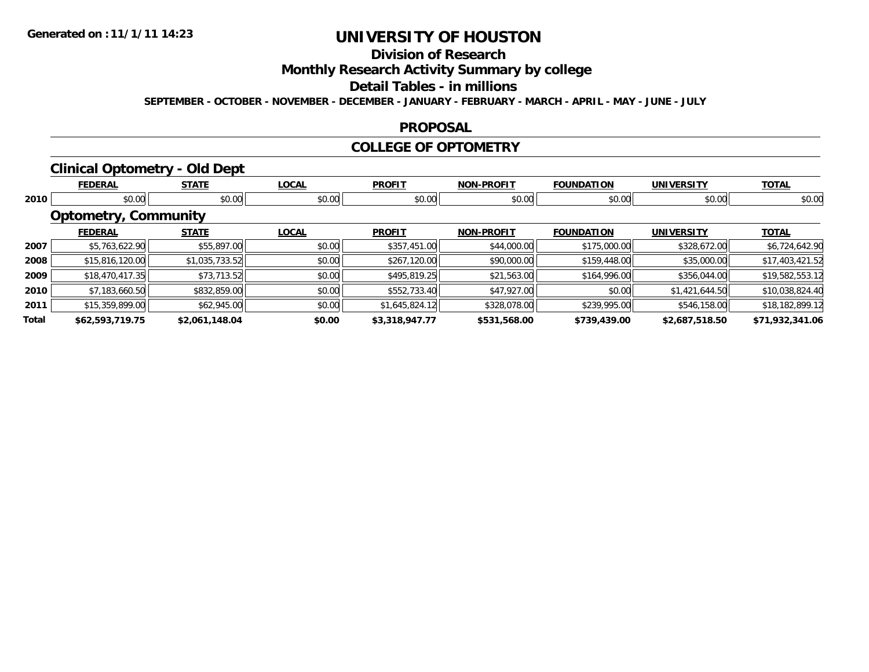# **Division of Research Monthly Research Activity Summary by college Detail Tables - in millions**

**SEPTEMBER - OCTOBER - NOVEMBER - DECEMBER - JANUARY - FEBRUARY - MARCH - APRIL - MAY - JUNE - JULY** 

### **PROPOSAL**

### **COLLEGE OF OPTOMETRY**

# **Clinical Optometry - Old Dept**

|       | <b>FEDERAL</b>              | <b>STATE</b>   | <b>LOCAL</b> | <b>PROFIT</b>  | <b>NON-PROFIT</b> | <b>FOUNDATION</b> | <b>UNIVERSITY</b> | <b>TOTAL</b>    |  |  |  |
|-------|-----------------------------|----------------|--------------|----------------|-------------------|-------------------|-------------------|-----------------|--|--|--|
| 2010  | \$0.00                      | \$0.00         | \$0.00       | \$0.00         | \$0.00            | \$0.00            | \$0.00            | \$0.00          |  |  |  |
|       | <b>Optometry, Community</b> |                |              |                |                   |                   |                   |                 |  |  |  |
|       | <b>FEDERAL</b>              | <b>STATE</b>   | <b>LOCAL</b> | <b>PROFIT</b>  | <b>NON-PROFIT</b> | <b>FOUNDATION</b> | <b>UNIVERSITY</b> | <b>TOTAL</b>    |  |  |  |
| 2007  | \$5,763,622.90              | \$55,897.00    | \$0.00       | \$357,451.00   | \$44,000.00       | \$175,000.00      | \$328,672.00      | \$6,724,642.90  |  |  |  |
| 2008  | \$15,816,120.00             | \$1,035,733.52 | \$0.00       | \$267,120.00   | \$90,000.00       | \$159,448.00      | \$35,000.00       | \$17,403,421.52 |  |  |  |
| 2009  | \$18,470,417.35             | \$73,713.52    | \$0.00       | \$495,819.25   | \$21,563.00       | \$164,996.00      | \$356,044.00      | \$19,582,553.12 |  |  |  |
| 2010  | \$7,183,660.50              | \$832,859.00   | \$0.00       | \$552,733.40   | \$47,927.00       | \$0.00            | \$1,421,644.50    | \$10,038,824.40 |  |  |  |
| 2011  | \$15,359,899.00             | \$62,945.00    | \$0.00       | \$1,645,824.12 | \$328,078.00      | \$239,995.00      | \$546,158.00      | \$18,182,899.12 |  |  |  |
| Total | \$62,593,719.75             | \$2,061,148.04 | \$0.00       | \$3,318,947.77 | \$531,568.00      | \$739,439.00      | \$2,687,518.50    | \$71,932,341.06 |  |  |  |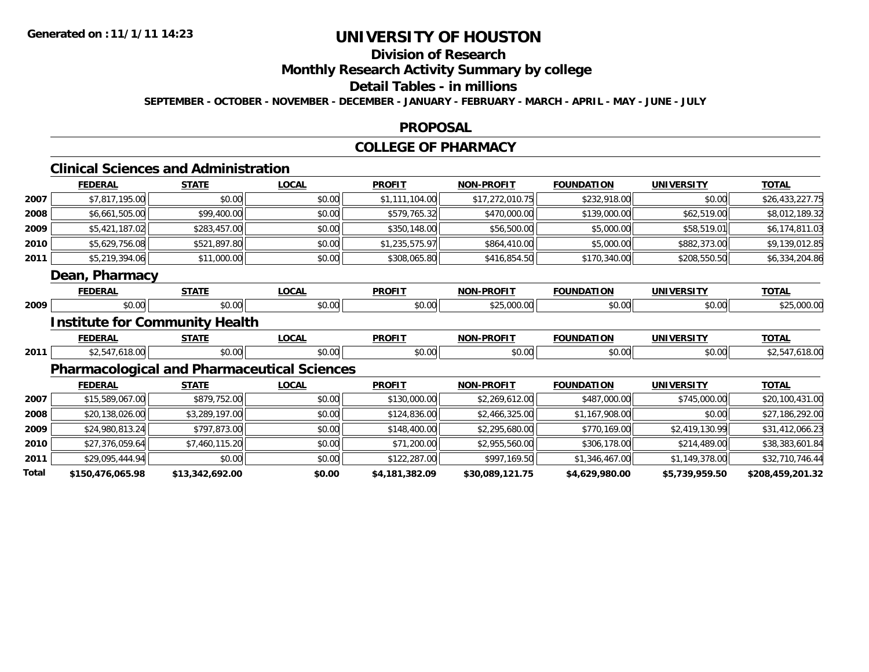### **Division of Research Monthly Research Activity Summary by college Detail Tables - in millions SEPTEMBER - OCTOBER - NOVEMBER - DECEMBER - JANUARY - FEBRUARY - MARCH - APRIL - MAY - JUNE - JULY**

#### **PROPOSAL**

# **COLLEGE OF PHARMACY**

# **Clinical Sciences and Administration**

|      | <b>FEDERAL</b>                                     | <b>STATE</b>   | <b>LOCAL</b> | <b>PROFIT</b>  | <b>NON-PROFIT</b> | <b>FOUNDATION</b> | <b>UNIVERSITY</b> | <b>TOTAL</b>    |
|------|----------------------------------------------------|----------------|--------------|----------------|-------------------|-------------------|-------------------|-----------------|
| 2007 | \$7,817,195.00                                     | \$0.00         | \$0.00       | \$1,111,104.00 | \$17,272,010.75   | \$232,918.00      | \$0.00            | \$26,433,227.75 |
| 2008 | \$6,661,505.00                                     | \$99,400.00    | \$0.00       | \$579,765.32   | \$470,000.00      | \$139,000.00      | \$62,519.00       | \$8,012,189.32  |
| 2009 | \$5,421,187.02                                     | \$283,457.00   | \$0.00       | \$350,148.00   | \$56,500.00       | \$5,000.00        | \$58,519.01       | \$6,174,811.03  |
| 2010 | \$5,629,756.08                                     | \$521,897.80   | \$0.00       | \$1,235,575.97 | \$864,410.00      | \$5,000.00        | \$882,373.00      | \$9,139,012.85  |
| 2011 | \$5,219,394.06                                     | \$11,000.00    | \$0.00       | \$308,065.80   | \$416,854.50      | \$170,340.00      | \$208,550.50      | \$6,334,204.86  |
|      | <b>Dean, Pharmacy</b>                              |                |              |                |                   |                   |                   |                 |
|      | <b>FEDERAL</b>                                     | <b>STATE</b>   | <b>LOCAL</b> | <b>PROFIT</b>  | <b>NON-PROFIT</b> | <b>FOUNDATION</b> | <b>UNIVERSITY</b> | <b>TOTAL</b>    |
| 2009 | \$0.00                                             | \$0.00         | \$0.00       | \$0.00         | \$25,000.00       | \$0.00            | \$0.00            | \$25,000.00     |
|      | <b>Institute for Community Health</b>              |                |              |                |                   |                   |                   |                 |
|      |                                                    |                |              |                |                   |                   |                   |                 |
|      | <b>FEDERAL</b>                                     | <b>STATE</b>   | <b>LOCAL</b> | <b>PROFIT</b>  | <b>NON-PROFIT</b> | <b>FOUNDATION</b> | <b>UNIVERSITY</b> | <b>TOTAL</b>    |
| 2011 | \$2,547,618.00                                     | \$0.00         | \$0.00       | \$0.00         | \$0.00            | \$0.00            | \$0.00            | \$2,547,618.00  |
|      | <b>Pharmacological and Pharmaceutical Sciences</b> |                |              |                |                   |                   |                   |                 |
|      | <b>FEDERAL</b>                                     | <b>STATE</b>   | <b>LOCAL</b> | <b>PROFIT</b>  | <b>NON-PROFIT</b> | <b>FOUNDATION</b> | <b>UNIVERSITY</b> | <b>TOTAL</b>    |
| 2007 | \$15,589,067.00                                    | \$879,752.00   | \$0.00       | \$130,000.00   | \$2,269,612.00    | \$487,000.00      | \$745,000.00      | \$20,100,431.00 |
| 2008 | \$20,138,026.00                                    | \$3,289,197.00 | \$0.00       | \$124,836.00   | \$2,466,325.00    | \$1,167,908.00    | \$0.00            | \$27,186,292.00 |
| 2009 | \$24,980,813.24                                    | \$797,873.00   | \$0.00       | \$148,400.00   | \$2,295,680.00    | \$770,169.00      | \$2,419,130.99    | \$31,412,066.23 |
| 2010 | \$27,376,059.64                                    | \$7,460,115.20 | \$0.00       | \$71,200.00    | \$2,955,560.00    | \$306,178.00      | \$214,489.00      | \$38,383,601.84 |
| 2011 | \$29,095,444.94                                    | \$0.00         | \$0.00       | \$122,287.00   | \$997,169.50      | \$1,346,467.00    | \$1,149,378.00    | \$32,710,746.44 |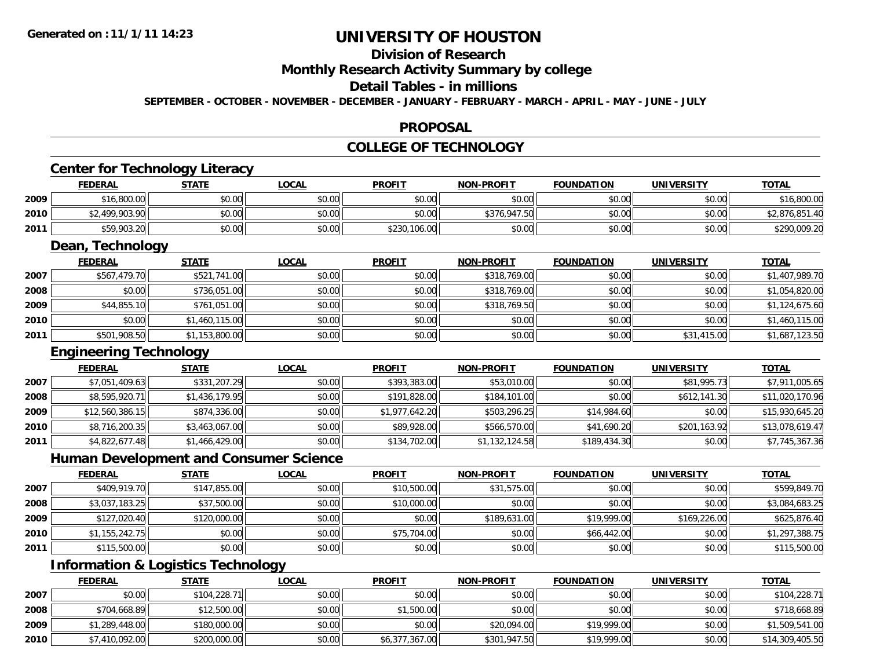### **Division of Research Monthly Research Activity Summary by college Detail Tables - in millions SEPTEMBER - OCTOBER - NOVEMBER - DECEMBER - JANUARY - FEBRUARY - MARCH - APRIL - MAY - JUNE - JULY**

### **PROPOSAL**

### **COLLEGE OF TECHNOLOGY**

# **Center for Technology Literacy**

|      | <b>FEDERAL</b> | STATE  | <b>LOCAL</b> | <b>PROFIT</b> | <b>NON-PROFIT</b> | <b>FOUNDATION</b> | <b>UNIVERSITY</b> | <b>TOTAL</b>   |
|------|----------------|--------|--------------|---------------|-------------------|-------------------|-------------------|----------------|
| 2009 | \$16,800.00    | \$0.00 | \$0.00       | \$0.00        | \$0.00            | \$0.00            | \$0.00            | \$16,800.00    |
| 2010 | \$2,499,903.90 | \$0.00 | \$0.00       | \$0.00        | \$376,947.50      | \$0.00            | \$0.00            | \$2,876,851.40 |
| 2011 | \$59,903.20    | \$0.00 | \$0.00       | \$230,106.00  | \$0.00            | \$0.00            | \$0.00            | \$290,009.20   |

# **Dean, Technology**

|      | <b>FEDERAL</b> | <b>STATE</b>   | <b>LOCAL</b> | <b>PROFIT</b> | <b>NON-PROFIT</b> | <b>FOUNDATION</b> | <b>UNIVERSITY</b> | <b>TOTAL</b>   |
|------|----------------|----------------|--------------|---------------|-------------------|-------------------|-------------------|----------------|
| 2007 | \$567,479.70   | \$521,741.00   | \$0.00       | \$0.00        | \$318,769.00      | \$0.00            | \$0.00            | \$1,407,989.70 |
| 2008 | \$0.00         | \$736,051.00   | \$0.00       | \$0.00        | \$318,769.00      | \$0.00            | \$0.00            | \$1,054,820.00 |
| 2009 | \$44,855.10    | \$761,051.00   | \$0.00       | \$0.00        | \$318,769.50      | \$0.00            | \$0.00            | \$1,124,675.60 |
| 2010 | \$0.00         | \$1,460,115.00 | \$0.00       | \$0.00        | \$0.00            | \$0.00            | \$0.00            | \$1,460,115.00 |
| 2011 | \$501,908.50   | \$1,153,800.00 | \$0.00       | \$0.00        | \$0.00            | \$0.00            | \$31,415.00       | \$1,687,123.50 |

### **Engineering Technology**

|      | <b>FEDERAL</b>  | <b>STATE</b>   | <b>LOCAL</b> | <b>PROFIT</b>  | <b>NON-PROFIT</b> | <b>FOUNDATION</b> | <b>UNIVERSITY</b> | <b>TOTAL</b>    |
|------|-----------------|----------------|--------------|----------------|-------------------|-------------------|-------------------|-----------------|
| 2007 | \$7,051,409.63  | \$331,207.29   | \$0.00       | \$393,383.00   | \$53,010.00       | \$0.00            | \$81,995.73       | \$7,911,005.65  |
| 2008 | \$8,595,920.71  | \$1,436,179.95 | \$0.00       | \$191,828.00   | \$184,101.00      | \$0.00            | \$612,141.30      | \$11,020,170.96 |
| 2009 | \$12,560,386.15 | \$874,336.00   | \$0.00       | \$1,977,642.20 | \$503,296.25      | \$14,984.60       | \$0.00            | \$15,930,645.20 |
| 2010 | \$8,716,200.35  | \$3,463,067.00 | \$0.00       | \$89,928.00    | \$566,570.00      | \$41,690.20       | \$201,163.92      | \$13,078,619.47 |
| 2011 | \$4,822,677.48  | \$1,466,429.00 | \$0.00       | \$134,702.00   | \$1,132,124.58    | \$189,434.30      | \$0.00            | \$7,745,367.36  |

# **Human Development and Consumer Science**

|      | <b>FEDERAL</b> | <b>STATE</b> | <b>LOCAL</b> | <b>PROFIT</b> | <b>NON-PROFIT</b> | <b>FOUNDATION</b> | <b>UNIVERSITY</b> | <b>TOTAL</b>   |
|------|----------------|--------------|--------------|---------------|-------------------|-------------------|-------------------|----------------|
| 2007 | \$409,919.70   | \$147,855.00 | \$0.00       | \$10,500.00   | \$31,575.00       | \$0.00            | \$0.00            | \$599,849.70   |
| 2008 | \$3,037,183.25 | \$37,500.00  | \$0.00       | \$10,000.00   | \$0.00            | \$0.00            | \$0.00            | \$3,084,683.25 |
| 2009 | \$127,020.40   | \$120,000.00 | \$0.00       | \$0.00        | \$189,631.00      | \$19,999.00       | \$169,226.00      | \$625,876.40   |
| 2010 | \$1,155,242.75 | \$0.00       | \$0.00       | \$75,704.00   | \$0.00            | \$66,442.00       | \$0.00            | \$1,297,388.75 |
| 2011 | \$115,500.00   | \$0.00       | \$0.00       | \$0.00        | \$0.00            | \$0.00            | \$0.00            | \$115,500.00   |

# **Information & Logistics Technology**

|      | <b>FEDERAL</b> | <b>STATE</b> | <b>LOCAL</b> | <b>PROFIT</b>  | <b>NON-PROFIT</b> | <b>FOUNDATION</b> | <b>UNIVERSITY</b> | <b>TOTAL</b>    |
|------|----------------|--------------|--------------|----------------|-------------------|-------------------|-------------------|-----------------|
| 2007 | $$0.00$        | \$104,228.71 | \$0.00       | \$0.00         | \$0.00            | \$0.00            | \$0.00            | \$104,228.71    |
| 2008 | \$704,668.89   | \$12,500.00  | \$0.00       | \$1,500.00     | \$0.00            | \$0.00            | \$0.00            | \$718,668.89    |
| 2009 | \$1,289,448.00 | \$180,000.00 | \$0.00       | \$0.00         | \$20,094.00       | \$19,999.00       | \$0.00            | \$1,509,541.00  |
| 2010 | \$7,410,092.00 | \$200,000.00 | \$0.00       | \$6,377,367.00 | \$301,947.50      | \$19,999.00       | \$0.00            | \$14,309,405.50 |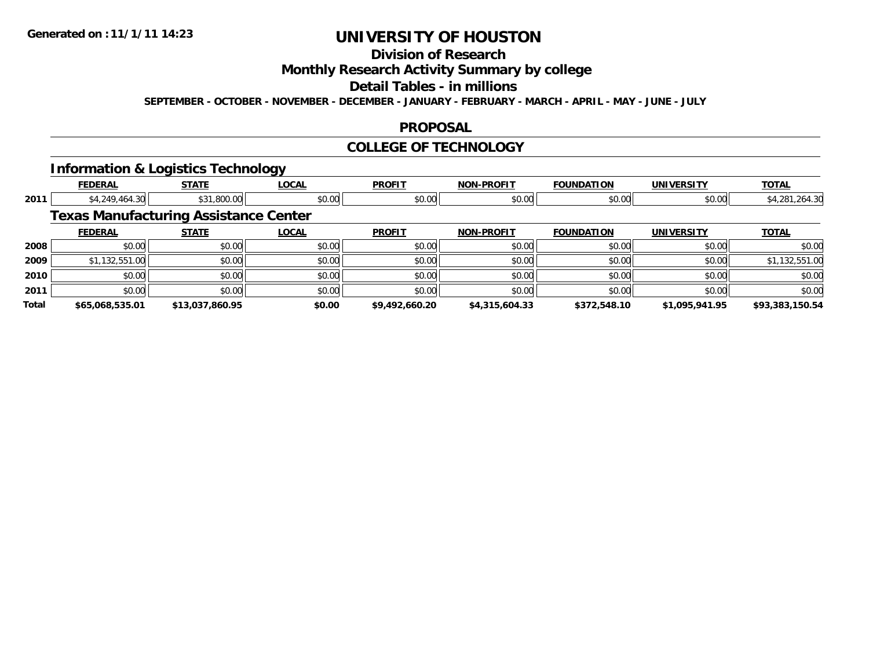# **Division of Research Monthly Research Activity Summary by college Detail Tables - in millions**

**SEPTEMBER - OCTOBER - NOVEMBER - DECEMBER - JANUARY - FEBRUARY - MARCH - APRIL - MAY - JUNE - JULY** 

### **PROPOSAL**

### **COLLEGE OF TECHNOLOGY**

# **Information & Logistics Technology**

|       | <b>FEDERAL</b>                               | <b>STATE</b>    | <b>LOCAL</b> | <b>PROFIT</b>  | <b>NON-PROFIT</b> | <b>FOUNDATION</b> | <b>UNIVERSITY</b> | <b>TOTAL</b>    |
|-------|----------------------------------------------|-----------------|--------------|----------------|-------------------|-------------------|-------------------|-----------------|
| 2011  | \$4,249,464.30                               | \$31,800.00     | \$0.00       | \$0.00         | \$0.00            | \$0.00            | \$0.00            | \$4,281,264.30  |
|       | <b>Texas Manufacturing Assistance Center</b> |                 |              |                |                   |                   |                   |                 |
|       | <b>FEDERAL</b>                               | <b>STATE</b>    | <b>LOCAL</b> | <b>PROFIT</b>  | <b>NON-PROFIT</b> | <b>FOUNDATION</b> | <b>UNIVERSITY</b> | <b>TOTAL</b>    |
| 2008  | \$0.00                                       | \$0.00          | \$0.00       | \$0.00         | \$0.00            | \$0.00            | \$0.00            | \$0.00          |
| 2009  | \$1,132,551.00                               | \$0.00          | \$0.00       | \$0.00         | \$0.00            | \$0.00            | \$0.00            | \$1,132,551.00  |
| 2010  | \$0.00                                       | \$0.00          | \$0.00       | \$0.00         | \$0.00            | \$0.00            | \$0.00            | \$0.00          |
| 2011  | \$0.00                                       | \$0.00          | \$0.00       | \$0.00         | \$0.00            | \$0.00            | \$0.00            | \$0.00          |
| Total | \$65,068,535.01                              | \$13,037,860.95 | \$0.00       | \$9,492,660.20 | \$4,315,604.33    | \$372,548.10      | \$1,095,941.95    | \$93,383,150.54 |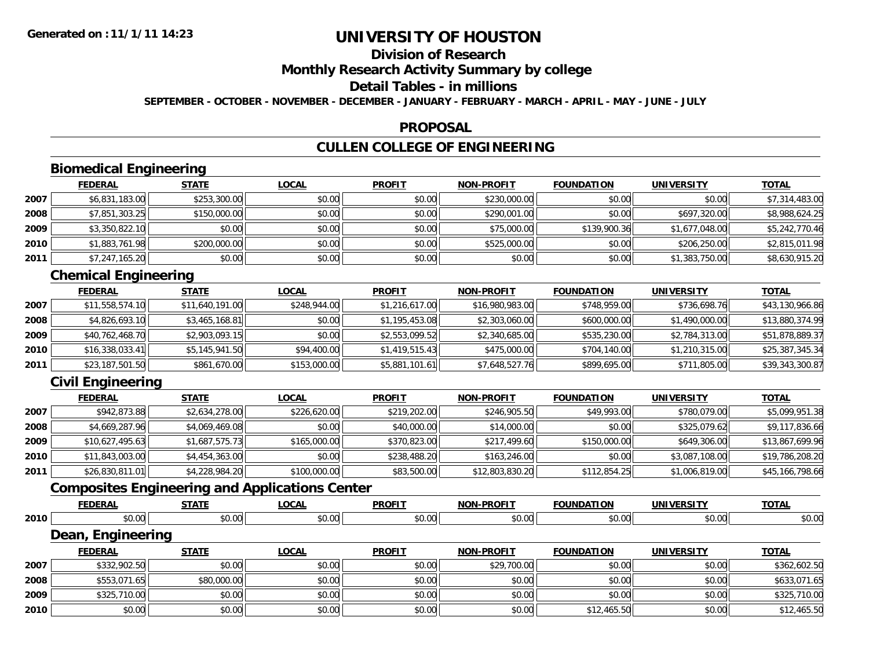## **Division of Research Monthly Research Activity Summary by college Detail Tables - in millions SEPTEMBER - OCTOBER - NOVEMBER - DECEMBER - JANUARY - FEBRUARY - MARCH - APRIL - MAY - JUNE - JULY**

#### **PROPOSAL**

# **CULLEN COLLEGE OF ENGINEERING**

# **Biomedical Engineering**

|      | <b>FEDERAL</b> | <b>STATE</b> | <b>LOCAL</b> | <b>PROFIT</b> | <b>NON-PROFIT</b> | <b>FOUNDATION</b> | <b>UNIVERSITY</b> | <b>TOTAL</b>   |
|------|----------------|--------------|--------------|---------------|-------------------|-------------------|-------------------|----------------|
| 2007 | \$6,831,183.00 | \$253,300.00 | \$0.00       | \$0.00        | \$230,000.00      | \$0.00            | \$0.00            | \$7,314,483.00 |
| 2008 | \$7,851,303.25 | \$150,000.00 | \$0.00       | \$0.00        | \$290,001.00      | \$0.00            | \$697,320.00      | \$8,988,624.25 |
| 2009 | \$3,350,822.10 | \$0.00       | \$0.00       | \$0.00        | \$75,000.00       | \$139,900.36      | \$1,677,048.00    | \$5,242,770.46 |
| 2010 | \$1,883,761.98 | \$200,000.00 | \$0.00       | \$0.00        | \$525,000.00      | \$0.00            | \$206,250.00      | \$2,815,011.98 |
| 2011 | \$7,247,165.20 | \$0.00       | \$0.00       | \$0.00        | \$0.00            | \$0.00            | \$1,383,750.00    | \$8,630,915.20 |

# **Chemical Engineering**

|      | <b>FEDERAL</b>  | <b>STATE</b>    | <b>LOCAL</b> | <b>PROFIT</b>  | <b>NON-PROFIT</b> | <b>FOUNDATION</b> | <b>UNIVERSITY</b> | <b>TOTAL</b>    |
|------|-----------------|-----------------|--------------|----------------|-------------------|-------------------|-------------------|-----------------|
| 2007 | \$11,558,574.10 | \$11,640,191.00 | \$248,944.00 | \$1,216,617.00 | \$16,980,983.00   | \$748,959.00      | \$736,698.76      | \$43,130,966.86 |
| 2008 | \$4,826,693.10  | \$3,465,168.81  | \$0.00       | \$1,195,453.08 | \$2,303,060.00    | \$600,000.00      | \$1,490,000.00    | \$13,880,374.99 |
| 2009 | \$40,762,468.70 | \$2,903,093.15  | \$0.00       | \$2,553,099.52 | \$2,340,685.00    | \$535,230.00      | \$2,784,313.00    | \$51,878,889.37 |
| 2010 | \$16,338,033.41 | \$5,145,941.50  | \$94,400.00  | \$1,419,515.43 | \$475,000.00      | \$704,140.00      | \$1,210,315.00    | \$25,387,345.34 |
| 2011 | \$23,187,501.50 | \$861,670.00    | \$153,000.00 | \$5,881,101.61 | \$7,648,527.76    | \$899,695.00      | \$711,805.00      | \$39,343,300.87 |

# **Civil Engineering**

|      | <b>FEDERAL</b>  | <b>STATE</b>   | <b>LOCAL</b> | <b>PROFIT</b> | <b>NON-PROFIT</b> | <b>FOUNDATION</b> | <b>UNIVERSITY</b> | <b>TOTAL</b>    |
|------|-----------------|----------------|--------------|---------------|-------------------|-------------------|-------------------|-----------------|
| 2007 | \$942,873.88    | \$2,634,278.00 | \$226,620.00 | \$219,202.00  | \$246,905.50      | \$49,993.00       | \$780,079.00      | \$5,099,951.38  |
| 2008 | \$4,669,287.96  | \$4,069,469.08 | \$0.00       | \$40,000.00   | \$14,000.00       | \$0.00            | \$325,079.62      | \$9,117,836.66  |
| 2009 | \$10,627,495.63 | \$1,687,575.73 | \$165,000.00 | \$370,823.00  | \$217,499.60      | \$150,000.00      | \$649,306.00      | \$13,867,699.96 |
| 2010 | \$11,843,003.00 | \$4,454,363.00 | \$0.00       | \$238,488.20  | \$163,246.00      | \$0.00            | \$3,087,108.00    | \$19,786,208.20 |
| 2011 | \$26,830,811.01 | \$4,228,984.20 | \$100,000.00 | \$83,500.00   | \$12,803,830.20   | \$112,854.25      | \$1,006,819.00    | \$45,166,798.66 |

# **Composites Engineering and Applications Center**

|      | <b>FEDERAL</b>    | <b>STATE</b> | <b>LOCAL</b> | <b>PROFIT</b> | <b>NON-PROFIT</b> | <b>FOUNDATION</b> | <b>UNIVERSITY</b> | <b>TOTAL</b> |
|------|-------------------|--------------|--------------|---------------|-------------------|-------------------|-------------------|--------------|
| 2010 | \$0.00            | \$0.00       | \$0.00       | \$0.00        | \$0.00            | \$0.00            | \$0.00            | \$0.00       |
|      | Dean, Engineering |              |              |               |                   |                   |                   |              |
|      | <b>FEDERAL</b>    | <b>STATE</b> | <b>LOCAL</b> | <b>PROFIT</b> | <b>NON-PROFIT</b> | <b>FOUNDATION</b> | <b>UNIVERSITY</b> | <b>TOTAL</b> |
| 2007 | \$332,902.50      | \$0.00       | \$0.00       | \$0.00        | \$29,700.00       | \$0.00            | \$0.00            | \$362,602.50 |
| 2008 | \$553,071.65      | \$80,000.00  | \$0.00       | \$0.00        | \$0.00            | \$0.00            | \$0.00            | \$633,071.65 |
| 2009 | \$325,710.00      | \$0.00       | \$0.00       | \$0.00        | \$0.00            | \$0.00            | \$0.00            | \$325,710.00 |
| 2010 | \$0.00            | \$0.00       | \$0.00       | \$0.00        | \$0.00            | \$12,465.50       | \$0.00            | \$12,465.50  |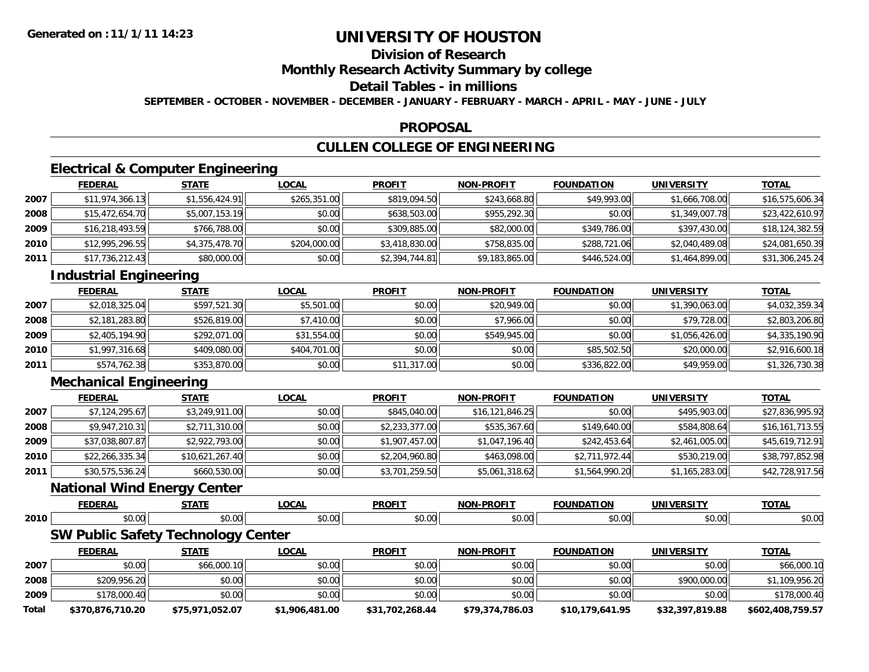### **Division of Research Monthly Research Activity Summary by college Detail Tables - in millions SEPTEMBER - OCTOBER - NOVEMBER - DECEMBER - JANUARY - FEBRUARY - MARCH - APRIL - MAY - JUNE - JULY**

#### **PROPOSAL**

# **CULLEN COLLEGE OF ENGINEERING**

# **Electrical & Computer Engineering**

|      | <b>FEDERAL</b>  | <b>STATE</b>   | <b>LOCAL</b> | <b>PROFIT</b>  | <b>NON-PROFIT</b> | <b>FOUNDATION</b> | <b>UNIVERSITY</b> | <u>TOTAL</u>    |
|------|-----------------|----------------|--------------|----------------|-------------------|-------------------|-------------------|-----------------|
| 2007 | \$11,974,366.13 | \$1,556,424.91 | \$265,351.00 | \$819,094.50   | \$243,668.80      | \$49,993.00       | \$1,666,708.00    | \$16,575,606.34 |
| 2008 | \$15,472,654.70 | \$5,007,153.19 | \$0.00       | \$638,503.00   | \$955,292.30      | \$0.00            | \$1,349,007.78    | \$23,422,610.97 |
| 2009 | \$16,218,493.59 | \$766,788.00   | \$0.00       | \$309,885.00   | \$82,000.00       | \$349,786.00      | \$397,430.00      | \$18,124,382.59 |
| 2010 | \$12,995,296.55 | \$4,375,478.70 | \$204,000.00 | \$3,418,830.00 | \$758,835.00      | \$288,721.06      | \$2,040,489.08    | \$24,081,650.39 |
| 2011 | \$17,736,212.43 | \$80,000.00    | \$0.00       | \$2,394,744.81 | \$9,183,865.00    | \$446,524.00      | \$1,464,899.00    | \$31,306,245.24 |

# **Industrial Engineering**

|      | <b>FEDERAL</b> | <b>STATE</b> | <b>LOCAL</b> | <b>PROFIT</b> | <b>NON-PROFIT</b> | <b>FOUNDATION</b> | <b>UNIVERSITY</b> | <b>TOTAL</b>   |
|------|----------------|--------------|--------------|---------------|-------------------|-------------------|-------------------|----------------|
| 2007 | \$2,018,325.04 | \$597,521.30 | \$5,501.00   | \$0.00        | \$20,949.00       | \$0.00            | \$1,390,063.00    | \$4,032,359.34 |
| 2008 | \$2,181,283.80 | \$526,819.00 | \$7,410.00   | \$0.00        | \$7,966.00        | \$0.00            | \$79,728.00       | \$2,803,206.80 |
| 2009 | \$2,405,194.90 | \$292,071.00 | \$31,554.00  | \$0.00        | \$549,945,00      | \$0.00            | \$1,056,426,00    | \$4,335,190.90 |
| 2010 | \$1,997,316.68 | \$409,080.00 | \$404,701.00 | \$0.00        | \$0.00            | \$85,502.50       | \$20,000.00       | \$2,916,600.18 |
| 2011 | \$574,762.38   | \$353,870.00 | \$0.00       | \$11,317.00   | \$0.00            | \$336,822.00      | \$49,959.00       | \$1,326,730.38 |

# **Mechanical Engineering**

|      | <b>FEDERAL</b>  | <b>STATE</b>    | <b>LOCAL</b> | <b>PROFIT</b>  | <b>NON-PROFIT</b> | <b>FOUNDATION</b> | <b>UNIVERSITY</b> | <u>TOTAL</u>    |
|------|-----------------|-----------------|--------------|----------------|-------------------|-------------------|-------------------|-----------------|
| 2007 | \$7,124,295.67  | \$3,249,911.00  | \$0.00       | \$845,040.00   | \$16,121,846.25   | \$0.00            | \$495,903.00      | \$27,836,995.92 |
| 2008 | \$9,947,210.31  | \$2,711,310.00  | \$0.00       | \$2,233,377.00 | \$535,367.60      | \$149,640.00      | \$584,808.64      | \$16,161,713.55 |
| 2009 | \$37,038,807.87 | \$2,922,793.00  | \$0.00       | \$1,907,457.00 | \$1,047,196.40    | \$242,453.64      | \$2,461,005.00    | \$45,619,712.91 |
| 2010 | \$22,266,335.34 | \$10,621,267.40 | \$0.00       | \$2,204,960.80 | \$463,098.00      | \$2,711,972.44    | \$530,219.00      | \$38,797,852.98 |
| 2011 | \$30,575,536.24 | \$660,530.00    | \$0.00       | \$3,701,259.50 | \$5,061,318.62    | \$1,564,990.20    | \$1,165,283.00    | \$42,728,917.56 |

### **National Wind Energy Center**

|      | .      | $-1$<br>.            | $\sim$        | <b>PROFIT</b>                            | -DROFT <sup>*</sup><br><b>NON</b> | .     | <b>UNI</b> | <b>TOTA</b><br>.      |
|------|--------|----------------------|---------------|------------------------------------------|-----------------------------------|-------|------------|-----------------------|
| 2010 | $\sim$ | - - -<br>$\sim$<br>. | $\sim$ $\sim$ | $\sim$ 00<br>$\mathbf{v}$ . $\mathbf{v}$ | $\sim$ 00<br>וש.טע                | $  -$ | \$0.00     | $\sim$ $\sim$<br>J.UU |

# **SW Public Safety Technology Center**

|       | <b>FEDERAL</b>   | <b>STATE</b>    | <u>LOCAL</u>   | <b>PROFIT</b>   | <b>NON-PROFIT</b> | <b>FOUNDATION</b> | <b>UNIVERSITY</b> | <b>TOTAL</b>     |
|-------|------------------|-----------------|----------------|-----------------|-------------------|-------------------|-------------------|------------------|
| 2007  | \$0.00           | \$66,000.10     | \$0.00         | \$0.00          | \$0.00            | \$0.00            | \$0.00            | \$66,000.10      |
| 2008  | \$209,956.20     | \$0.00          | \$0.00         | \$0.00          | \$0.00            | \$0.00            | \$900,000.00      | \$1,109,956.20   |
| 2009  | \$178,000.40     | \$0.00          | \$0.00         | \$0.00          | \$0.00            | \$0.00            | \$0.00            | \$178,000.40     |
| Total | \$370,876,710.20 | \$75,971,052.07 | \$1,906,481.00 | \$31,702,268.44 | \$79,374,786.03   | \$10,179,641.95   | \$32,397,819.88   | \$602,408,759.57 |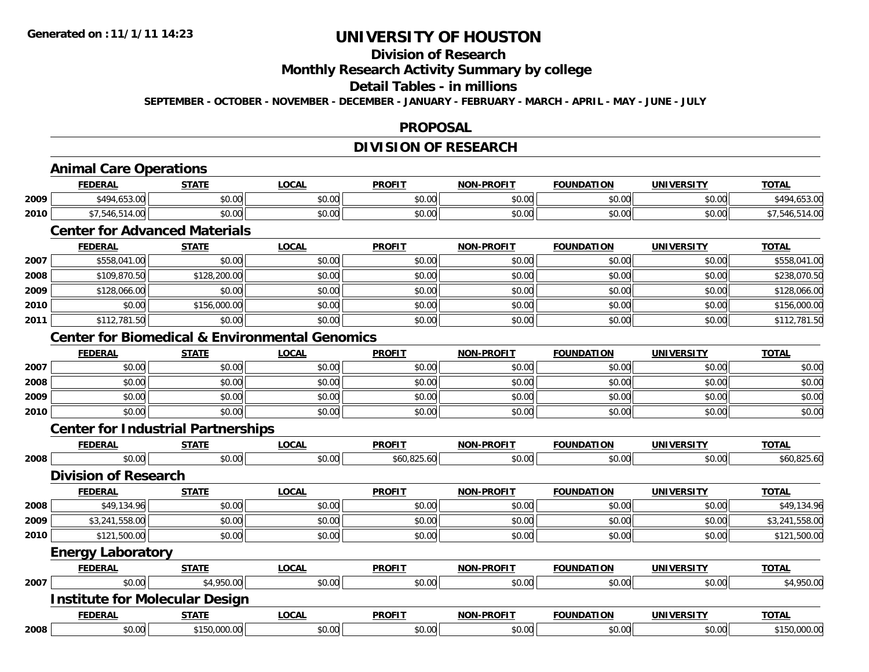### **Division of Research Monthly Research Activity Summary by college Detail Tables - in millions SEPTEMBER - OCTOBER - NOVEMBER - DECEMBER - JANUARY - FEBRUARY - MARCH - APRIL - MAY - JUNE - JULY**

### **PROPOSAL**

### **DIVISION OF RESEARCH**

# **Animal Care Operations**

|      | <b>FEDERAL</b>                             | <b>STATE</b>           | LOCAL              | <b>PROFIT</b>        | <b>NON-PROFIT</b> | <b>FOUNDATION</b> | <b>UNIVERSITY</b> | <b>TOTAL</b>             |
|------|--------------------------------------------|------------------------|--------------------|----------------------|-------------------|-------------------|-------------------|--------------------------|
| 2009 | $\sim$ $\sim$ $\sim$ $\sim$<br>$*AOA$<br>. | ሖ へ<br>$\sim$<br>DU.UU | $\sim$ 00<br>JU.UU | 0.00<br><b>JU.UU</b> | 0000<br>ง∪.∪บ     | \$0.00            | \$0.00            | $\sim$<br>$\cdot$ $\sim$ |
| 2010 | $\sim$ $\sim$<br>14.01                     | 0000<br>vu.vu          | $\sim$ 00<br>JU.UU | 0.00<br><b>JU.UU</b> | \$0.00            | \$0.00            | \$0.00            |                          |

# **Center for Advanced Materials**

|      | <b>FEDERAL</b> | <b>STATE</b> | <b>LOCAL</b> | <b>PROFIT</b> | <b>NON-PROFIT</b> | <b>FOUNDATION</b> | <b>UNIVERSITY</b> | <b>TOTAL</b> |
|------|----------------|--------------|--------------|---------------|-------------------|-------------------|-------------------|--------------|
| 2007 | \$558,041.00   | \$0.00       | \$0.00       | \$0.00        | \$0.00            | \$0.00            | \$0.00            | \$558,041.00 |
| 2008 | \$109,870.50   | \$128,200.00 | \$0.00       | \$0.00        | \$0.00            | \$0.00            | \$0.00            | \$238,070.50 |
| 2009 | \$128,066.00   | \$0.00       | \$0.00       | \$0.00        | \$0.00            | \$0.00            | \$0.00            | \$128,066.00 |
| 2010 | \$0.00         | \$156,000.00 | \$0.00       | \$0.00        | \$0.00            | \$0.00            | \$0.00            | \$156,000.00 |
| 2011 | \$112,781.50   | \$0.00       | \$0.00       | \$0.00        | \$0.00            | \$0.00            | \$0.00            | \$112,781.50 |

# **Center for Biomedical & Environmental Genomics**

|      | <b>FEDERAL</b> | <b>STATE</b> | <b>LOCAL</b> | <b>PROFIT</b> | <b>NON-PROFIT</b> | <b>FOUNDATION</b> | <b>UNIVERSITY</b> | <b>TOTAL</b> |
|------|----------------|--------------|--------------|---------------|-------------------|-------------------|-------------------|--------------|
| 2007 | \$0.00         | \$0.00       | \$0.00       | \$0.00        | \$0.00            | \$0.00            | \$0.00            | \$0.00       |
| 2008 | \$0.00         | \$0.00       | \$0.00       | \$0.00        | \$0.00            | \$0.00            | \$0.00            | \$0.00       |
| 2009 | \$0.00         | \$0.00       | \$0.00       | \$0.00        | \$0.00            | \$0.00            | \$0.00            | \$0.00       |
| 2010 | \$0.00         | \$0.00       | \$0.00       | \$0.00        | \$0.00            | \$0.00            | \$0.00            | \$0.00       |

#### **Center for Industrial Partnerships**

|      | <b>FEDERAL</b>              | <b>STATE</b> | <b>LOCAL</b> | <b>PROFIT</b> | <b>NON-PROFIT</b> | <b>FOUNDATION</b> | <b>UNIVERSITY</b> | <b>TOTAL</b>   |
|------|-----------------------------|--------------|--------------|---------------|-------------------|-------------------|-------------------|----------------|
| 2008 | \$0.00                      | \$0.00       | \$0.00       | \$60,825.60   | \$0.00            | \$0.00            | \$0.00            | \$60,825.60    |
|      | <b>Division of Research</b> |              |              |               |                   |                   |                   |                |
|      | <b>FEDERAL</b>              | <b>STATE</b> | <b>LOCAL</b> | <b>PROFIT</b> | <b>NON-PROFIT</b> | <b>FOUNDATION</b> | <b>UNIVERSITY</b> | <b>TOTAL</b>   |
| 2008 | \$49,134.96                 | \$0.00       | \$0.00       | \$0.00        | \$0.00            | \$0.00            | \$0.00            | \$49,134.96    |
| 2009 | \$3,241,558.00              | \$0.00       | \$0.00       | \$0.00        | \$0.00            | \$0.00            | \$0.00            | \$3,241,558.00 |
| 2010 | \$121,500.00                | \$0.00       | \$0.00       | \$0.00        | \$0.00            | \$0.00            | \$0.00            | \$121,500.00   |
|      | Frances Laborators          |              |              |               |                   |                   |                   |                |

#### **Energy Laboratory**

|      | <b>FEDERAL</b> | <u>STATE</u>                          | <u>LOCAL</u> | <b>PROFIT</b> | <b>NON-PROFIT</b> | <b>FOUNDATION</b> | <b>UNIVERSITY</b> | <b>TOTAL</b> |
|------|----------------|---------------------------------------|--------------|---------------|-------------------|-------------------|-------------------|--------------|
| 2007 | \$0.00         | \$4,950.00                            | \$0.00       | \$0.00        | \$0.00            | \$0.00            | \$0.00            | \$4,950.00   |
|      |                | <b>Institute for Molecular Design</b> |              |               |                   |                   |                   |              |
|      | <b>FEDERAL</b> | <u>STATE</u>                          | <b>LOCAL</b> | <b>PROFIT</b> | <b>NON-PROFIT</b> | <b>FOUNDATION</b> | <b>UNIVERSITY</b> | <b>TOTAL</b> |
| 2008 | \$0.00         | \$150,000.00                          | \$0.00       | \$0.00        | \$0.00            | \$0.00            | \$0.00            | \$150,000.00 |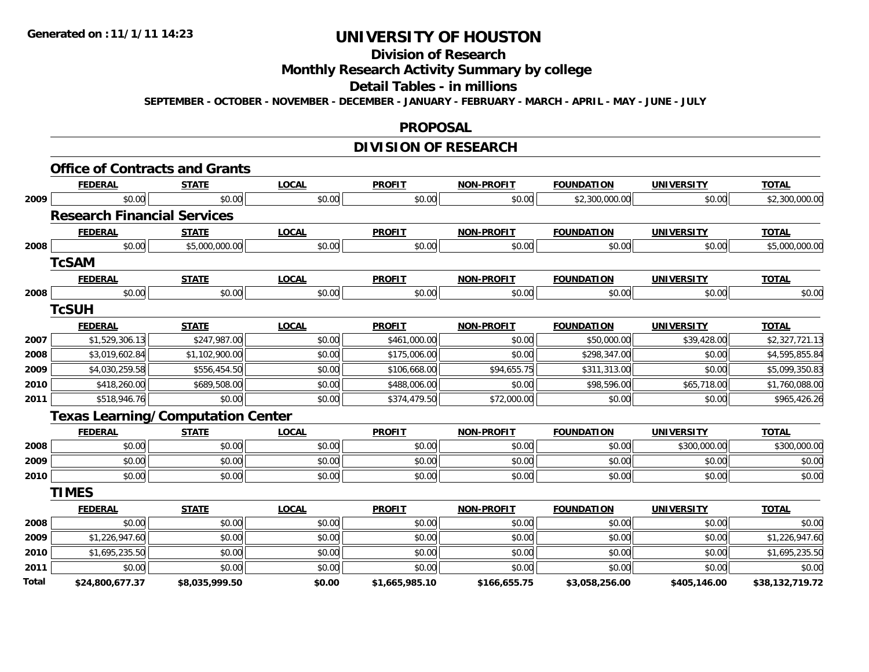### **Division of Research Monthly Research Activity Summary by college Detail Tables - in millions SEPTEMBER - OCTOBER - NOVEMBER - DECEMBER - JANUARY - FEBRUARY - MARCH - APRIL - MAY - JUNE - JULY**

#### **PROPOSAL**

# **DIVISION OF RESEARCH**

|       | <b>FEDERAL</b>                     | <b>STATE</b>                             | <b>LOCAL</b> | <b>PROFIT</b>  | <b>NON-PROFIT</b> | <b>FOUNDATION</b> | <b>UNIVERSITY</b> | <b>TOTAL</b>    |
|-------|------------------------------------|------------------------------------------|--------------|----------------|-------------------|-------------------|-------------------|-----------------|
| 2009  | \$0.00                             | \$0.00                                   | \$0.00       | \$0.00         | \$0.00            | \$2,300,000.00    | \$0.00            | \$2,300,000.00  |
|       | <b>Research Financial Services</b> |                                          |              |                |                   |                   |                   |                 |
|       | <b>FEDERAL</b>                     | <b>STATE</b>                             | <b>LOCAL</b> | <b>PROFIT</b>  | <b>NON-PROFIT</b> | <b>FOUNDATION</b> | <b>UNIVERSITY</b> | <b>TOTAL</b>    |
| 2008  | \$0.00                             | \$5,000,000.00                           | \$0.00       | \$0.00         | \$0.00            | \$0.00            | \$0.00            | \$5,000,000.00  |
|       | <b>TcSAM</b>                       |                                          |              |                |                   |                   |                   |                 |
|       | <b>FEDERAL</b>                     | <b>STATE</b>                             | <b>LOCAL</b> | <b>PROFIT</b>  | <b>NON-PROFIT</b> | <b>FOUNDATION</b> | <b>UNIVERSITY</b> | <b>TOTAL</b>    |
| 2008  | \$0.00                             | \$0.00                                   | \$0.00       | \$0.00         | \$0.00            | \$0.00            | \$0.00            | \$0.00          |
|       | <b>TCSUH</b>                       |                                          |              |                |                   |                   |                   |                 |
|       | <b>FEDERAL</b>                     | <b>STATE</b>                             | <b>LOCAL</b> | <b>PROFIT</b>  | <b>NON-PROFIT</b> | <b>FOUNDATION</b> | <b>UNIVERSITY</b> | <b>TOTAL</b>    |
| 2007  | \$1,529,306.13                     | \$247,987.00                             | \$0.00       | \$461,000.00   | \$0.00            | \$50,000.00       | \$39,428.00       | \$2,327,721.13  |
| 2008  | \$3,019,602.84                     | \$1,102,900.00                           | \$0.00       | \$175,006.00   | \$0.00            | \$298,347.00      | \$0.00            | \$4,595,855.84  |
| 2009  | \$4,030,259.58                     | \$556,454.50                             | \$0.00       | \$106,668.00   | \$94,655.75       | \$311,313.00      | \$0.00            | \$5,099,350.83  |
| 2010  | \$418,260.00                       | \$689,508.00                             | \$0.00       | \$488,006.00   | \$0.00            | \$98,596.00       | \$65,718.00       | \$1,760,088.00  |
| 2011  | \$518,946.76                       | \$0.00                                   | \$0.00       | \$374,479.50   | \$72,000.00       | \$0.00            | \$0.00            | \$965,426.26    |
|       |                                    | <b>Texas Learning/Computation Center</b> |              |                |                   |                   |                   |                 |
|       | <b>FEDERAL</b>                     | <b>STATE</b>                             | <b>LOCAL</b> | <b>PROFIT</b>  | <b>NON-PROFIT</b> | <b>FOUNDATION</b> | <b>UNIVERSITY</b> | <b>TOTAL</b>    |
| 2008  | \$0.00                             | \$0.00                                   | \$0.00       | \$0.00         | \$0.00            | \$0.00            | \$300,000.00      | \$300,000.00    |
| 2009  | \$0.00                             | \$0.00                                   | \$0.00       | \$0.00         | \$0.00            | \$0.00            | \$0.00            | \$0.00          |
| 2010  | \$0.00                             | \$0.00                                   | \$0.00       | \$0.00         | \$0.00            | \$0.00            | \$0.00            | \$0.00          |
|       | <b>TIMES</b>                       |                                          |              |                |                   |                   |                   |                 |
|       | <b>FEDERAL</b>                     | <b>STATE</b>                             | <b>LOCAL</b> | <b>PROFIT</b>  | <b>NON-PROFIT</b> | <b>FOUNDATION</b> | <b>UNIVERSITY</b> | <b>TOTAL</b>    |
| 2008  | \$0.00                             | \$0.00                                   | \$0.00       | \$0.00         | \$0.00            | \$0.00            | \$0.00            | \$0.00          |
| 2009  | \$1,226,947.60                     | \$0.00                                   | \$0.00       | \$0.00         | \$0.00            | \$0.00            | \$0.00            | \$1,226,947.60  |
| 2010  | \$1,695,235.50                     | \$0.00                                   | \$0.00       | \$0.00         | \$0.00            | \$0.00            | \$0.00            | \$1,695,235.50  |
| 2011  | \$0.00                             | \$0.00                                   | \$0.00       | \$0.00         | \$0.00            | \$0.00            | \$0.00            | \$0.00          |
| Total | \$24,800,677.37                    | \$8,035,999.50                           | \$0.00       | \$1,665,985.10 | \$166,655.75      | \$3,058,256.00    | \$405,146.00      | \$38,132,719.72 |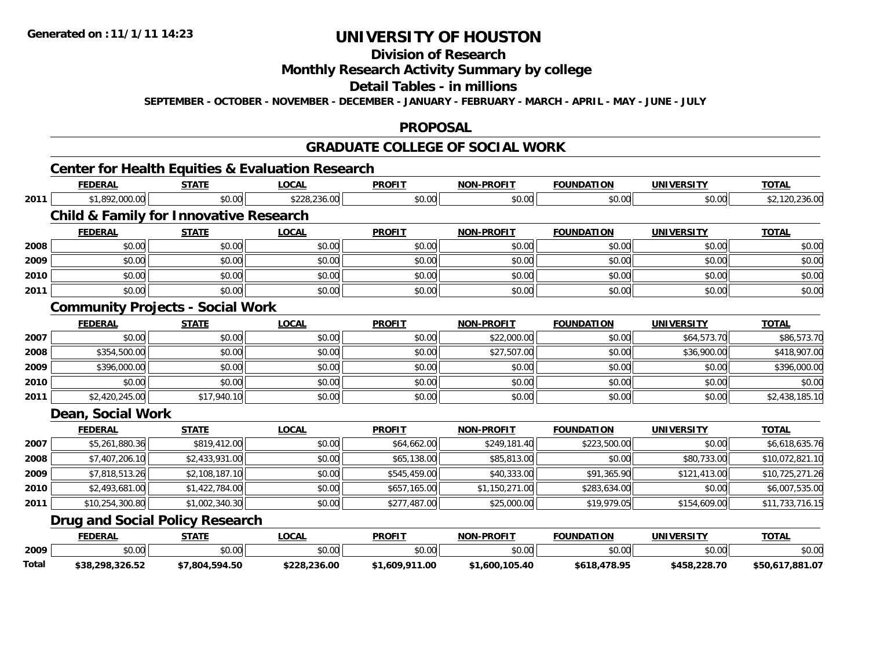# **Division of Research Monthly Research Activity Summary by college Detail Tables - in millions**

**SEPTEMBER - OCTOBER - NOVEMBER - DECEMBER - JANUARY - FEBRUARY - MARCH - APRIL - MAY - JUNE - JULY** 

### **PROPOSAL**

### **GRADUATE COLLEGE OF SOCIAL WORK**

# **Center for Health Equities & Evaluation Research**

**Total**

|      | <b>FEDERAL</b>                                    | <b>STATE</b>   | <b>LOCAL</b> | <b>PROFIT</b> | <b>NON-PROFIT</b> | <b>FOUNDATION</b> | <b>UNIVERSITY</b> | <b>TOTAL</b>    |
|------|---------------------------------------------------|----------------|--------------|---------------|-------------------|-------------------|-------------------|-----------------|
| 2011 | \$1,892,000.00                                    | \$0.00         | \$228,236.00 | \$0.00        | \$0.00            | \$0.00            | \$0.00            | \$2,120,236.00  |
|      | <b>Child &amp; Family for Innovative Research</b> |                |              |               |                   |                   |                   |                 |
|      | <b>FEDERAL</b>                                    | <b>STATE</b>   | <b>LOCAL</b> | <b>PROFIT</b> | <b>NON-PROFIT</b> | <b>FOUNDATION</b> | <b>UNIVERSITY</b> | <b>TOTAL</b>    |
| 2008 | \$0.00                                            | \$0.00         | \$0.00       | \$0.00        | \$0.00            | \$0.00            | \$0.00            | \$0.00          |
| 2009 | \$0.00                                            | \$0.00         | \$0.00       | \$0.00        | \$0.00            | \$0.00            | \$0.00            | \$0.00          |
| 2010 | \$0.00                                            | \$0.00         | \$0.00       | \$0.00        | \$0.00            | \$0.00            | \$0.00            | \$0.00          |
| 2011 | \$0.00                                            | \$0.00         | \$0.00       | \$0.00        | \$0.00            | \$0.00            | \$0.00            | \$0.00          |
|      | <b>Community Projects - Social Work</b>           |                |              |               |                   |                   |                   |                 |
|      | <b>FEDERAL</b>                                    | <b>STATE</b>   | <b>LOCAL</b> | <b>PROFIT</b> | <b>NON-PROFIT</b> | <b>FOUNDATION</b> | <b>UNIVERSITY</b> | <b>TOTAL</b>    |
| 2007 | \$0.00                                            | \$0.00         | \$0.00       | \$0.00        | \$22,000.00       | \$0.00            | \$64,573.70       | \$86,573.70     |
| 2008 | \$354,500.00                                      | \$0.00         | \$0.00       | \$0.00        | \$27,507.00       | \$0.00            | \$36,900.00       | \$418,907.00    |
| 2009 | \$396,000.00                                      | \$0.00         | \$0.00       | \$0.00        | \$0.00            | \$0.00            | \$0.00            | \$396,000.00    |
| 2010 | \$0.00                                            | \$0.00         | \$0.00       | \$0.00        | \$0.00            | \$0.00            | \$0.00            | \$0.00          |
| 2011 | \$2,420,245.00                                    | \$17,940.10    | \$0.00       | \$0.00        | \$0.00            | \$0.00            | \$0.00            | \$2,438,185.10  |
|      | <b>Dean, Social Work</b>                          |                |              |               |                   |                   |                   |                 |
|      | <b>FEDERAL</b>                                    | <b>STATE</b>   | <b>LOCAL</b> | <b>PROFIT</b> | <b>NON-PROFIT</b> | <b>FOUNDATION</b> | <b>UNIVERSITY</b> | <b>TOTAL</b>    |
| 2007 | \$5,261,880.36                                    | \$819,412.00   | \$0.00       | \$64,662.00   | \$249,181.40      | \$223,500.00      | \$0.00            | \$6,618,635.76  |
| 2008 | \$7,407,206.10                                    | \$2,433,931.00 | \$0.00       | \$65,138.00   | \$85,813.00       | \$0.00            | \$80,733.00       | \$10,072,821.10 |
| 2009 | \$7,818,513.26                                    | \$2,108,187.10 | \$0.00       | \$545,459.00  | \$40,333.00       | \$91,365.90       | \$121,413.00      | \$10,725,271.26 |
| 2010 | \$2,493,681.00                                    | \$1,422,784.00 | \$0.00       | \$657,165.00  | \$1,150,271.00    | \$283,634.00      | \$0.00            | \$6,007,535.00  |
| 2011 | \$10,254,300.80                                   | \$1,002,340.30 | \$0.00       | \$277,487.00  | \$25,000.00       | \$19,979.05       | \$154,609.00      | \$11,733,716.15 |
|      | <b>Drug and Social Policy Research</b>            |                |              |               |                   |                   |                   |                 |
|      | <b>FEDERAL</b>                                    | <b>STATE</b>   | <b>LOCAL</b> | <b>PROFIT</b> | <b>NON-PROFIT</b> | <b>FOUNDATION</b> | <b>UNIVERSITY</b> | <b>TOTAL</b>    |
| 2009 | \$0.00                                            | \$0.00         | \$0.00       | \$0.00        | \$0.00            | \$0.00            | \$0.00            | \$0.00          |

 $\bullet$  \$0.00 \$0.00 \$0.00 \$0.00 \$0.00 \$0.00 \$0.00 \$0.00 \$0.00 \$0.00 \$0.00 \$0.00 \$0.00 \$0.00 \$0.00 \$0.00 \$0.00

**\$38,298,326.52 \$7,804,594.50 \$228,236.00 \$1,609,911.00 \$1,600,105.40 \$618,478.95 \$458,228.70 \$50,617,881.07**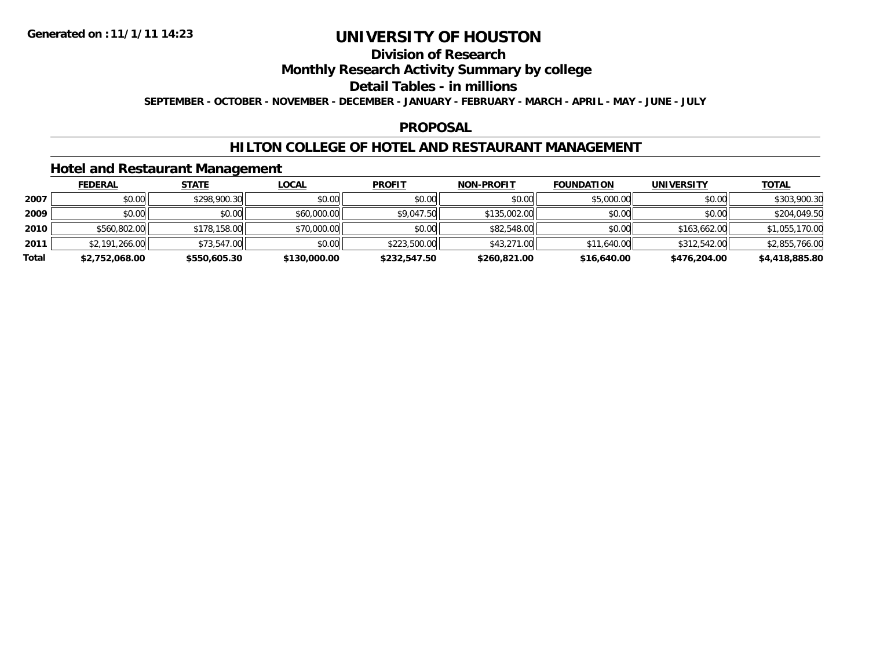### **Division of Research Monthly Research Activity Summary by college Detail Tables - in millions SEPTEMBER - OCTOBER - NOVEMBER - DECEMBER - JANUARY - FEBRUARY - MARCH - APRIL - MAY - JUNE - JULY**

### **PROPOSAL**

### **HILTON COLLEGE OF HOTEL AND RESTAURANT MANAGEMENT**

### **Hotel and Restaurant Management**

|       | <b>FEDERAL</b> | <u>STATE</u> | <u>LOCAL</u> | <b>PROFIT</b> | <b>NON-PROFIT</b> | <b>FOUNDATION</b> | <b>UNIVERSITY</b> | <b>TOTAL</b>   |
|-------|----------------|--------------|--------------|---------------|-------------------|-------------------|-------------------|----------------|
| 2007  | \$0.00         | \$298,900.30 | \$0.00       | \$0.00        | \$0.00            | \$5,000.00        | \$0.00            | \$303,900.30   |
| 2009  | \$0.00         | \$0.00       | \$60,000.00  | \$9,047.50    | \$135,002.00      | \$0.00            | \$0.00            | \$204,049.50   |
| 2010  | \$560,802.00   | \$178,158,00 | \$70,000.00  | \$0.00        | \$82,548,00       | \$0.00            | \$163,662,00      | \$1,055,170.00 |
| 2011  | \$2,191,266.00 | \$73,547.00  | \$0.00       | \$223,500.00  | \$43,271.00       | \$11,640.00       | \$312,542.00      | \$2,855,766.00 |
| Total | \$2,752,068.00 | \$550,605.30 | \$130,000.00 | \$232,547.50  | \$260,821.00      | \$16,640.00       | \$476,204.00      | \$4,418,885.80 |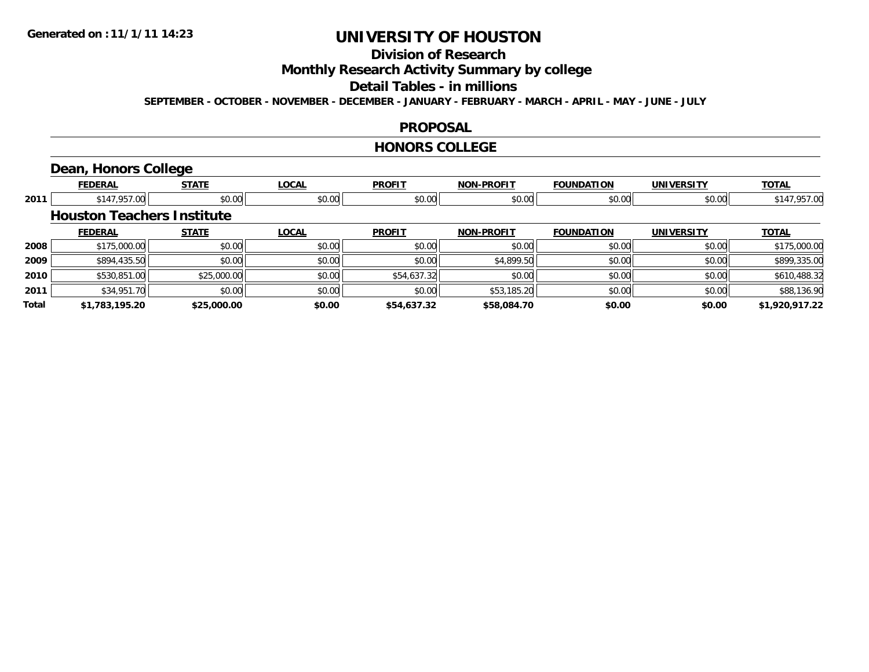# **Division of Research Monthly Research Activity Summary by college Detail Tables - in millions**

**SEPTEMBER - OCTOBER - NOVEMBER - DECEMBER - JANUARY - FEBRUARY - MARCH - APRIL - MAY - JUNE - JULY** 

### **PROPOSAL**

#### **HONORS COLLEGE**

# **Dean, Honors College**

|       | <b>FEDERAL</b>                    | <b>STATE</b> | <b>LOCAL</b> | <b>PROFIT</b> | <b>NON-PROFIT</b> | <b>FOUNDATION</b> | <b>UNIVERSITY</b> | <b>TOTAL</b>   |
|-------|-----------------------------------|--------------|--------------|---------------|-------------------|-------------------|-------------------|----------------|
| 2011  | \$147,957.00                      | \$0.00       | \$0.00       | \$0.00        | \$0.00            | \$0.00            | \$0.00            | \$147,957.00   |
|       | <b>Houston Teachers Institute</b> |              |              |               |                   |                   |                   |                |
|       | <b>FEDERAL</b>                    | <b>STATE</b> | <b>LOCAL</b> | <b>PROFIT</b> | <b>NON-PROFIT</b> | <b>FOUNDATION</b> | <b>UNIVERSITY</b> | <b>TOTAL</b>   |
| 2008  | \$175,000.00                      | \$0.00       | \$0.00       | \$0.00        | \$0.00            | \$0.00            | \$0.00            | \$175,000.00   |
| 2009  | \$894,435.50                      | \$0.00       | \$0.00       | \$0.00        | \$4,899.50        | \$0.00            | \$0.00            | \$899,335.00   |
| 2010  | \$530,851.00                      | \$25,000.00  | \$0.00       | \$54,637.32   | \$0.00            | \$0.00            | \$0.00            | \$610,488.32   |
| 2011  | \$34,951.70                       | \$0.00       | \$0.00       | \$0.00        | \$53,185.20       | \$0.00            | \$0.00            | \$88,136.90    |
| Total | \$1,783,195.20                    | \$25,000.00  | \$0.00       | \$54,637.32   | \$58,084.70       | \$0.00            | \$0.00            | \$1,920,917.22 |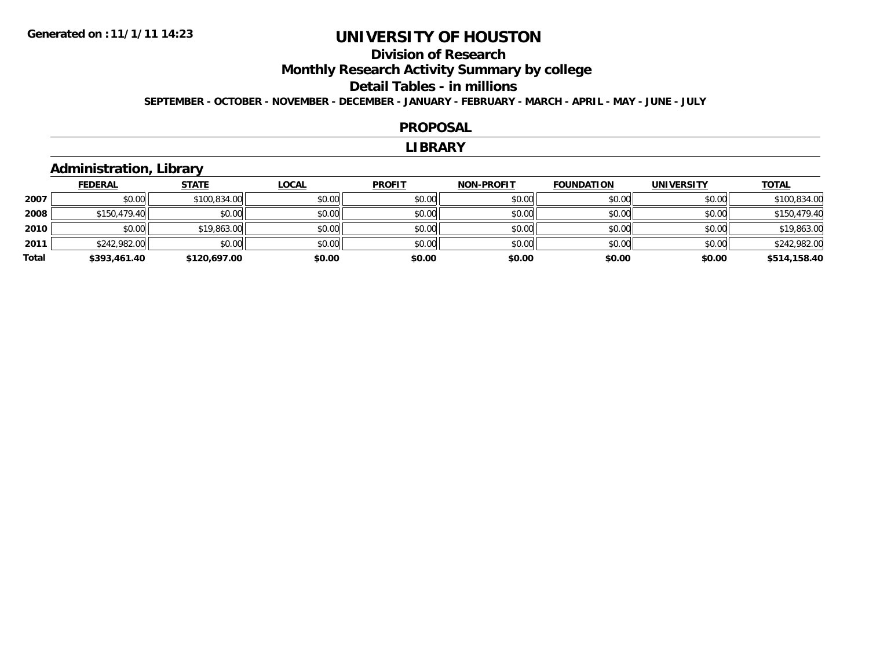### **Division of Research Monthly Research Activity Summary by college Detail Tables - in millions SEPTEMBER - OCTOBER - NOVEMBER - DECEMBER - JANUARY - FEBRUARY - MARCH - APRIL - MAY - JUNE - JULY**

#### **PROPOSAL**

#### **LIBRARY**

# **Administration, Library**

|       | <b>FEDERAL</b> | <b>STATE</b> | <b>LOCAL</b> | <b>PROFIT</b> | <b>NON-PROFIT</b> | <b>FOUNDATION</b> | <b>UNIVERSITY</b> | <b>TOTAL</b> |
|-------|----------------|--------------|--------------|---------------|-------------------|-------------------|-------------------|--------------|
| 2007  | \$0.00         | \$100,834,00 | \$0.00       | \$0.00        | \$0.00            | \$0.00            | \$0.00            | \$100,834.00 |
| 2008  | \$150,479.40   | \$0.00       | \$0.00       | \$0.00        | \$0.00            | \$0.00            | \$0.00            | \$150,479.40 |
| 2010  | \$0.00         | \$19,863.00  | \$0.00       | \$0.00        | \$0.00            | \$0.00            | \$0.00            | \$19,863.00  |
| 2011  | \$242,982.00   | \$0.00       | \$0.00       | \$0.00        | \$0.00            | \$0.00            | \$0.00            | \$242,982.00 |
| Total | \$393,461.40   | \$120,697.00 | \$0.00       | \$0.00        | \$0.00            | \$0.00            | \$0.00            | \$514,158.40 |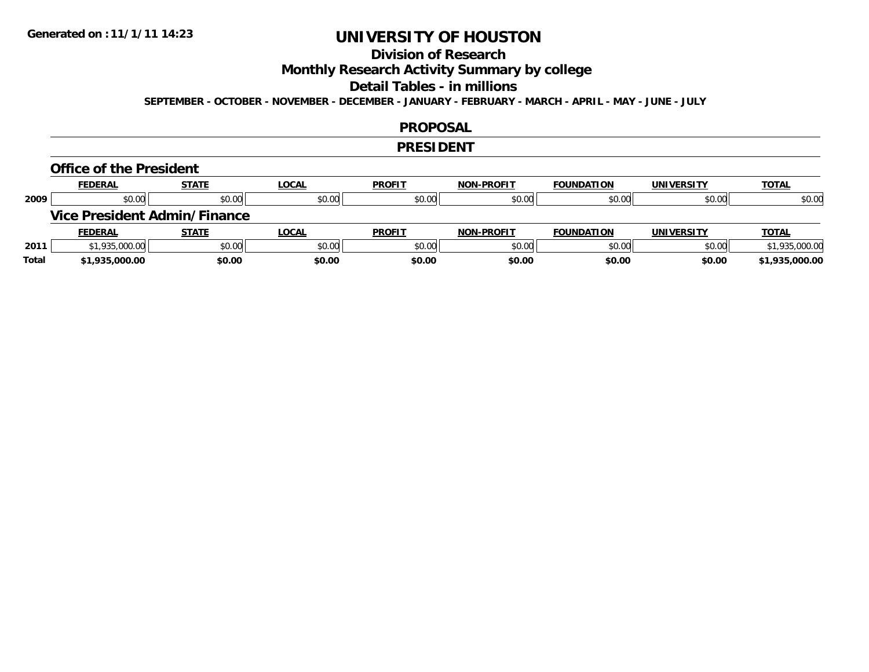### **Division of Research Monthly Research Activity Summary by college Detail Tables - in millions SEPTEMBER - OCTOBER - NOVEMBER - DECEMBER - JANUARY - FEBRUARY - MARCH - APRIL - MAY - JUNE - JULY**

### **PROPOSAL**

#### **PRESIDENT**

#### **Office of the President**

|      | <b>FEDERAL</b> | <b>STATE</b>                        | <b>LOCAL</b> | <b>PROFIT</b> | <b>NON-PROFIT</b> | <b>FOUNDATION</b> | <b>UNIVERSITY</b> | <b>TOTAL</b>   |
|------|----------------|-------------------------------------|--------------|---------------|-------------------|-------------------|-------------------|----------------|
| 2009 | \$0.00         | \$0.00                              | \$0.00       | \$0.00        | \$0.00            | \$0.00            | \$0.00            | \$0.00         |
|      |                | <b>Vice President Admin/Finance</b> |              |               |                   |                   |                   |                |
|      |                |                                     |              |               |                   |                   |                   |                |
|      | <b>FEDERAL</b> | <b>STATE</b>                        | <b>LOCAL</b> | <b>PROFIT</b> | <b>NON-PROFIT</b> | <b>FOUNDATION</b> | <b>UNIVERSITY</b> | <b>TOTAL</b>   |
| 2011 | \$1,935,000.00 | \$0.00                              | \$0.00       | \$0.00        | \$0.00            | \$0.00            | \$0.00            | \$1,935,000.00 |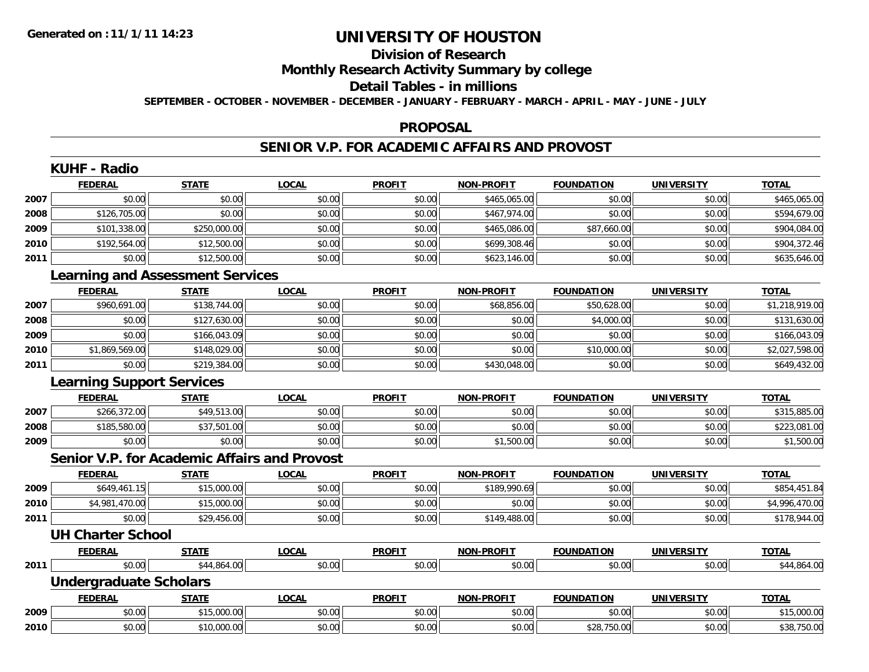## **Division of Research Monthly Research Activity Summary by college Detail Tables - in millions SEPTEMBER - OCTOBER - NOVEMBER - DECEMBER - JANUARY - FEBRUARY - MARCH - APRIL - MAY - JUNE - JULY**

#### **PROPOSAL**

# **SENIOR V.P. FOR ACADEMIC AFFAIRS AND PROVOST**

|      | <b>KUHF - Radio</b>                                 |              |              |               |                   |                   |                   |                |
|------|-----------------------------------------------------|--------------|--------------|---------------|-------------------|-------------------|-------------------|----------------|
|      | <b>FEDERAL</b>                                      | <b>STATE</b> | <b>LOCAL</b> | <b>PROFIT</b> | <b>NON-PROFIT</b> | <b>FOUNDATION</b> | <b>UNIVERSITY</b> | <b>TOTAL</b>   |
| 2007 | \$0.00                                              | \$0.00       | \$0.00       | \$0.00        | \$465,065.00      | \$0.00            | \$0.00            | \$465,065.00   |
| 2008 | \$126,705.00                                        | \$0.00       | \$0.00       | \$0.00        | \$467,974.00      | \$0.00            | \$0.00            | \$594,679.00   |
| 2009 | \$101,338.00                                        | \$250,000.00 | \$0.00       | \$0.00        | \$465,086.00      | \$87,660.00       | \$0.00            | \$904,084.00   |
| 2010 | \$192,564.00                                        | \$12,500.00  | \$0.00       | \$0.00        | \$699,308.46      | \$0.00            | \$0.00            | \$904,372.46   |
| 2011 | \$0.00                                              | \$12,500.00  | \$0.00       | \$0.00        | \$623,146.00      | \$0.00            | \$0.00            | \$635,646.00   |
|      | <b>Learning and Assessment Services</b>             |              |              |               |                   |                   |                   |                |
|      | <b>FEDERAL</b>                                      | <b>STATE</b> | <b>LOCAL</b> | <b>PROFIT</b> | <b>NON-PROFIT</b> | <b>FOUNDATION</b> | <b>UNIVERSITY</b> | <b>TOTAL</b>   |
| 2007 | \$960,691.00                                        | \$138,744.00 | \$0.00       | \$0.00        | \$68,856.00       | \$50,628.00       | \$0.00            | \$1,218,919.00 |
| 2008 | \$0.00                                              | \$127,630.00 | \$0.00       | \$0.00        | \$0.00            | \$4,000.00        | \$0.00            | \$131,630.00   |
| 2009 | \$0.00                                              | \$166,043.09 | \$0.00       | \$0.00        | \$0.00            | \$0.00            | \$0.00            | \$166,043.09   |
| 2010 | \$1,869,569.00                                      | \$148,029.00 | \$0.00       | \$0.00        | \$0.00            | \$10,000.00       | \$0.00            | \$2,027,598.00 |
| 2011 | \$0.00                                              | \$219,384.00 | \$0.00       | \$0.00        | \$430,048.00      | \$0.00            | \$0.00            | \$649,432.00   |
|      | <b>Learning Support Services</b>                    |              |              |               |                   |                   |                   |                |
|      | <b>FEDERAL</b>                                      | <b>STATE</b> | <b>LOCAL</b> | <b>PROFIT</b> | <b>NON-PROFIT</b> | <b>FOUNDATION</b> | <b>UNIVERSITY</b> | <b>TOTAL</b>   |
| 2007 | \$266,372.00                                        | \$49,513.00  | \$0.00       | \$0.00        | \$0.00            | \$0.00            | \$0.00            | \$315,885.00   |
| 2008 | \$185,580.00                                        | \$37,501.00  | \$0.00       | \$0.00        | \$0.00            | \$0.00            | \$0.00            | \$223,081.00   |
| 2009 | \$0.00                                              | \$0.00       | \$0.00       | \$0.00        | \$1,500.00        | \$0.00            | \$0.00            | \$1,500.00     |
|      | <b>Senior V.P. for Academic Affairs and Provost</b> |              |              |               |                   |                   |                   |                |
|      | <b>FEDERAL</b>                                      | <b>STATE</b> | <b>LOCAL</b> | <b>PROFIT</b> | <b>NON-PROFIT</b> | <b>FOUNDATION</b> | <b>UNIVERSITY</b> | <b>TOTAL</b>   |
| 2009 | \$649,461.15                                        | \$15,000.00  | \$0.00       | \$0.00        | \$189,990.69      | \$0.00            | \$0.00            | \$854,451.84   |
| 2010 | \$4,981,470.00                                      | \$15,000.00  | \$0.00       | \$0.00        | \$0.00            | \$0.00            | \$0.00            | \$4,996,470.00 |
| 2011 | \$0.00                                              | \$29,456.00  | \$0.00       | \$0.00        | \$149,488.00      | \$0.00            | \$0.00            | \$178,944.00   |
|      | <b>UH Charter School</b>                            |              |              |               |                   |                   |                   |                |
|      | <b>FEDERAL</b>                                      | <b>STATE</b> | <b>LOCAL</b> | <b>PROFIT</b> | <b>NON-PROFIT</b> | <b>FOUNDATION</b> | <b>UNIVERSITY</b> | <b>TOTAL</b>   |
| 2011 | \$0.00                                              | \$44,864.00  | \$0.00       | \$0.00        | \$0.00            | \$0.00            | \$0.00            | \$44,864.00    |
|      | <b>Undergraduate Scholars</b>                       |              |              |               |                   |                   |                   |                |
|      | <b>FEDERAL</b>                                      | <b>STATE</b> | <b>LOCAL</b> | <b>PROFIT</b> | <b>NON-PROFIT</b> | <b>FOUNDATION</b> | <b>UNIVERSITY</b> | <b>TOTAL</b>   |
| 2009 | \$0.00                                              | \$15,000.00  | \$0.00       | \$0.00        | \$0.00            | \$0.00            | \$0.00            | \$15,000.00    |
| 2010 | \$0.00                                              | \$10,000.00  | \$0.00       | \$0.00        | \$0.00            | \$28,750.00       | \$0.00            | \$38,750.00    |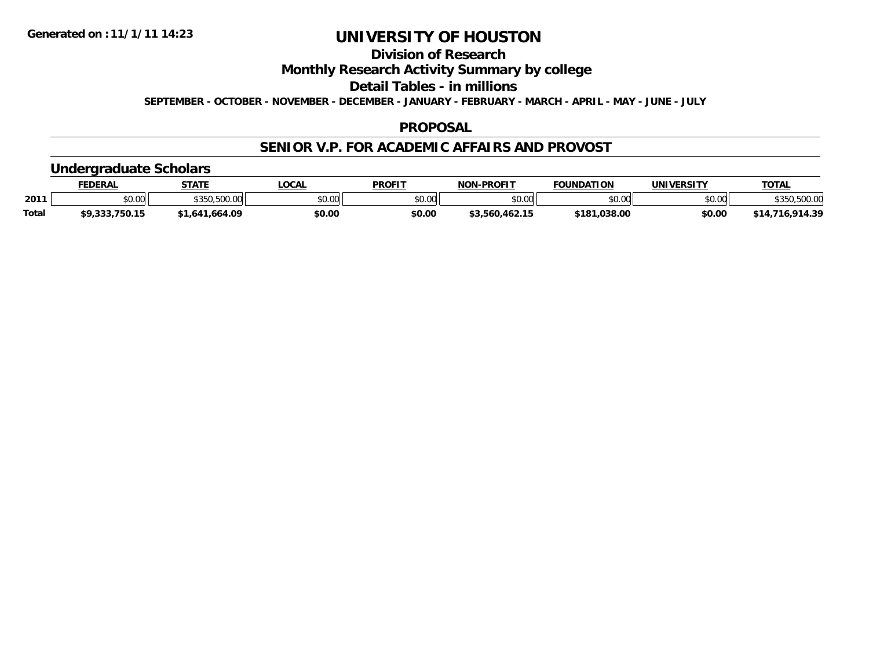### **Division of Research Monthly Research Activity Summary by college Detail Tables - in millions SEPTEMBER - OCTOBER - NOVEMBER - DECEMBER - JANUARY - FEBRUARY - MARCH - APRIL - MAY - JUNE - JULY**

### **PROPOSAL**

### **SENIOR V.P. FOR ACADEMIC AFFAIRS AND PROVOST**

### **Undergraduate Scholars**

|              | <b>FEDERAL</b> | <b>STATF</b>   | <b>LOCAL</b> | <b>PROFIT</b> | <b>NON-PROFIT</b> | <b>FOUNDATION</b> | <b>UNIVERSITY</b> | <b>TOTAL</b>                            |
|--------------|----------------|----------------|--------------|---------------|-------------------|-------------------|-------------------|-----------------------------------------|
| 2011         | \$0.00         | \$350,500.00   | \$0.00       | \$0.00        | \$0.00            | \$0.00            | \$0.00            | <b>EOO OC</b><br>$*350.$<br>,330,300.00 |
| <b>Total</b> | \$9,333,750.15 | \$1,641,664.09 | \$0.00       | \$0.00        | \$3,560,462.15    | \$181,038.00      | \$0.00            | \$14,716,914.39                         |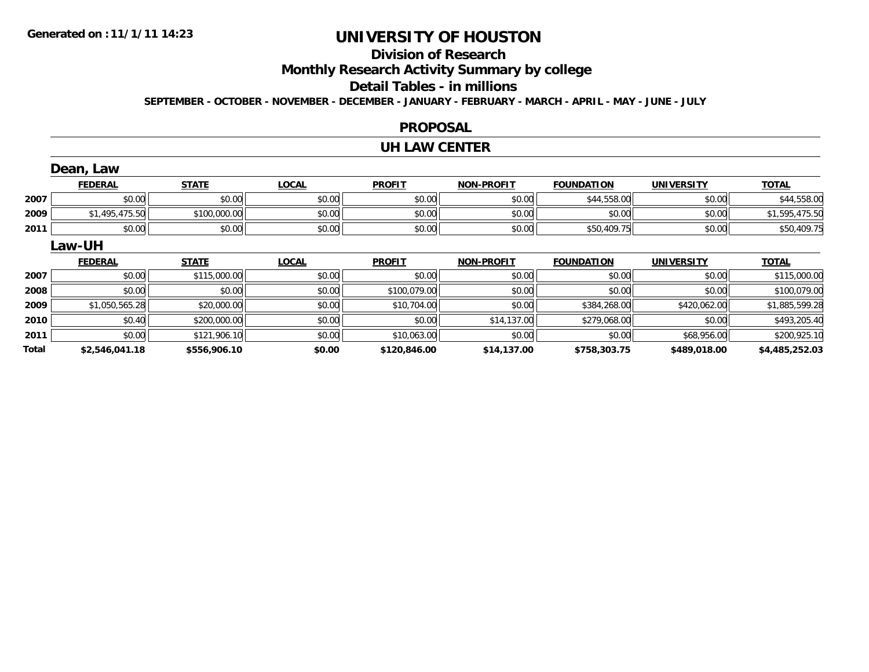### **Division of Research Monthly Research Activity Summary by college Detail Tables - in millions SEPTEMBER - OCTOBER - NOVEMBER - DECEMBER - JANUARY - FEBRUARY - MARCH - APRIL - MAY - JUNE - JULY**

### **PROPOSAL**

#### **UH LAW CENTER**

|       | Dean, Law      |              |              |               |                   |                   |                   |                |
|-------|----------------|--------------|--------------|---------------|-------------------|-------------------|-------------------|----------------|
|       | <b>FEDERAL</b> | <b>STATE</b> | <b>LOCAL</b> | <b>PROFIT</b> | <b>NON-PROFIT</b> | <b>FOUNDATION</b> | <b>UNIVERSITY</b> | <b>TOTAL</b>   |
| 2007  | \$0.00         | \$0.00       | \$0.00       | \$0.00        | \$0.00            | \$44,558.00       | \$0.00            | \$44,558.00    |
| 2009  | \$1,495,475.50 | \$100,000.00 | \$0.00       | \$0.00        | \$0.00            | \$0.00            | \$0.00            | \$1,595,475.50 |
| 2011  | \$0.00         | \$0.00       | \$0.00       | \$0.00        | \$0.00            | \$50,409.75       | \$0.00            | \$50,409.75    |
|       | <b>Law-UH</b>  |              |              |               |                   |                   |                   |                |
|       | <b>FEDERAL</b> | <b>STATE</b> | <b>LOCAL</b> | <b>PROFIT</b> | <b>NON-PROFIT</b> | <b>FOUNDATION</b> | <b>UNIVERSITY</b> | <b>TOTAL</b>   |
| 2007  | \$0.00         | \$115,000.00 | \$0.00       | \$0.00        | \$0.00            | \$0.00            | \$0.00            | \$115,000.00   |
| 2008  | \$0.00         | \$0.00       | \$0.00       | \$100,079.00  | \$0.00            | \$0.00            | \$0.00            | \$100,079.00   |
| 2009  | \$1,050,565.28 | \$20,000.00  | \$0.00       | \$10,704.00   | \$0.00            | \$384,268.00      | \$420,062.00      | \$1,885,599.28 |
| 2010  | \$0.40         | \$200,000.00 | \$0.00       | \$0.00        | \$14,137.00       | \$279,068.00      | \$0.00            | \$493,205.40   |
| 2011  | \$0.00         | \$121,906.10 | \$0.00       | \$10,063.00   | \$0.00            | \$0.00            | \$68,956.00       | \$200,925.10   |
| Total | \$2,546,041.18 | \$556,906.10 | \$0.00       | \$120,846.00  | \$14,137.00       | \$758,303.75      | \$489,018.00      | \$4,485,252.03 |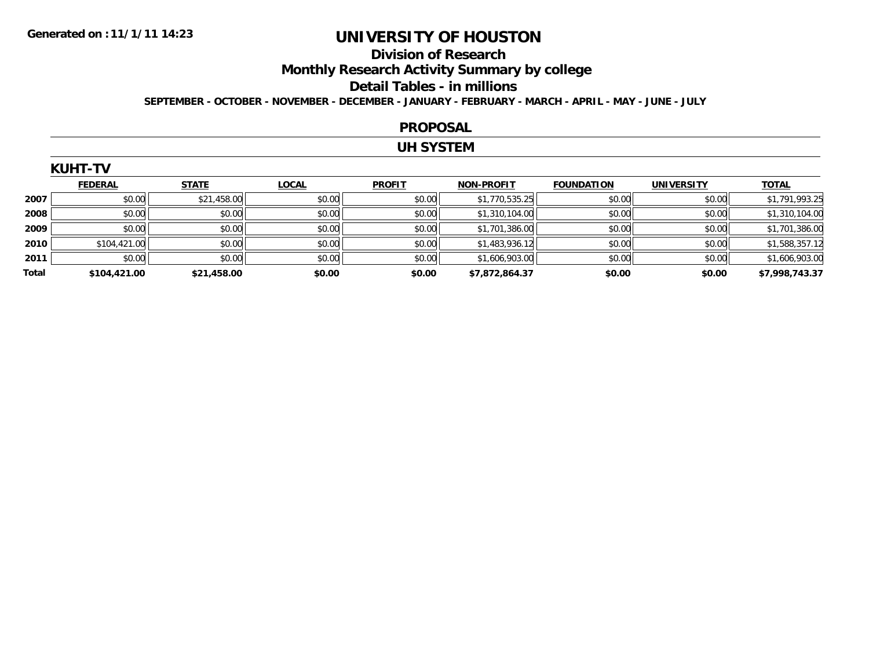### **Division of Research Monthly Research Activity Summary by college Detail Tables - in millions SEPTEMBER - OCTOBER - NOVEMBER - DECEMBER - JANUARY - FEBRUARY - MARCH - APRIL - MAY - JUNE - JULY**

#### **PROPOSAL**

### **UH SYSTEM**

|       | <b>FEDERAL</b> | <b>STATE</b> | <b>LOCAL</b> | <b>PROFIT</b> | <b>NON-PROFIT</b> | <b>FOUNDATION</b> | <b>UNIVERSITY</b> | <b>TOTAL</b>   |
|-------|----------------|--------------|--------------|---------------|-------------------|-------------------|-------------------|----------------|
| 2007  | \$0.00         | \$21,458.00  | \$0.00       | \$0.00        | \$1,770,535.25    | \$0.00            | \$0.00            | \$1,791,993.25 |
| 2008  | \$0.00         | \$0.00       | \$0.00       | \$0.00        | \$1,310,104.00    | \$0.00            | \$0.00            | \$1,310,104.00 |
| 2009  | \$0.00         | \$0.00       | \$0.00       | \$0.00        | \$1,701,386.00    | \$0.00            | \$0.00            | \$1,701,386.00 |
| 2010  | \$104,421.00   | \$0.00       | \$0.00       | \$0.00        | \$1,483,936.12    | \$0.00            | \$0.00            | \$1,588,357.12 |
| 2011  | \$0.00         | \$0.00       | \$0.00       | \$0.00        | \$1,606,903.00    | \$0.00            | \$0.00            | \$1,606,903.00 |
| Total | \$104,421.00   | \$21,458.00  | \$0.00       | \$0.00        | \$7,872,864.37    | \$0.00            | \$0.00            | \$7,998,743.37 |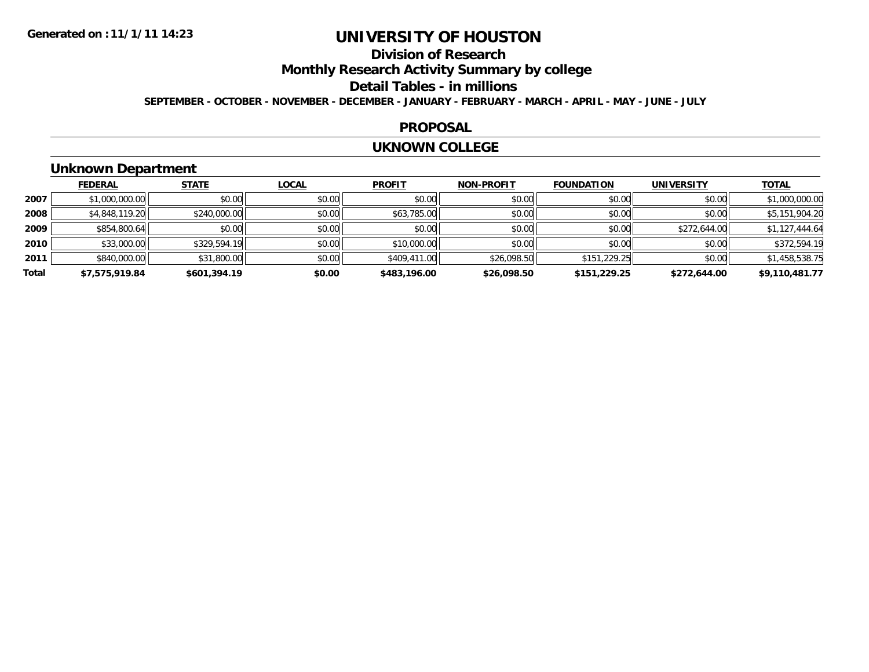### **Division of Research Monthly Research Activity Summary by college Detail Tables - in millions SEPTEMBER - OCTOBER - NOVEMBER - DECEMBER - JANUARY - FEBRUARY - MARCH - APRIL - MAY - JUNE - JULY**

#### **PROPOSAL**

#### **UKNOWN COLLEGE**

# **Unknown Department**

|       | <b>FEDERAL</b> | <b>STATE</b> | <b>LOCAL</b> | <b>PROFIT</b> | <b>NON-PROFIT</b> | <b>FOUNDATION</b> | <b>UNIVERSITY</b> | <b>TOTAL</b>   |
|-------|----------------|--------------|--------------|---------------|-------------------|-------------------|-------------------|----------------|
| 2007  | \$1,000,000.00 | \$0.00       | \$0.00       | \$0.00        | \$0.00            | \$0.00            | \$0.00            | \$1,000,000.00 |
| 2008  | \$4,848,119.20 | \$240,000.00 | \$0.00       | \$63,785.00   | \$0.00            | \$0.00            | \$0.00            | \$5,151,904.20 |
| 2009  | \$854,800.64   | \$0.00       | \$0.00       | \$0.00        | \$0.00            | \$0.00            | \$272,644.00      | \$1,127,444.64 |
| 2010  | \$33,000.00    | \$329,594.19 | \$0.00       | \$10,000.00   | \$0.00            | \$0.00            | \$0.00            | \$372,594.19   |
| 2011  | \$840,000.00   | \$31,800.00  | \$0.00       | \$409,411.00  | \$26,098.50       | \$151,229.25      | \$0.00            | \$1,458,538.75 |
| Total | \$7,575,919.84 | \$601,394.19 | \$0.00       | \$483,196.00  | \$26,098.50       | \$151,229.25      | \$272,644.00      | \$9,110,481.77 |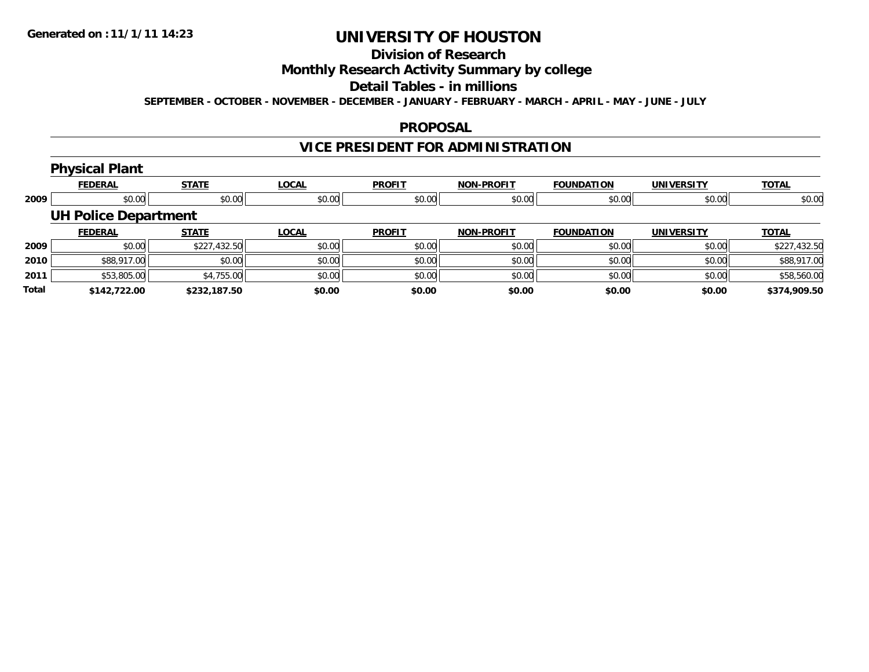### **Division of Research Monthly Research Activity Summary by college Detail Tables - in millions SEPTEMBER - OCTOBER - NOVEMBER - DECEMBER - JANUARY - FEBRUARY - MARCH - APRIL - MAY - JUNE - JULY**

### **PROPOSAL**

# **VICE PRESIDENT FOR ADMINISTRATION**

#### **Physical Plant FEDERAL STATE LOCAL PROFIT NON-PROFIT FOUNDATION UNIVERSITY TOTAL 2009** $\bullet$  \$0.00 \$0.00 \$0.00 \$0.00 \$0.00 \$0.00 \$0.00 \$0.00 \$0.00 \$0.00 \$0.00 \$0.00 \$0.00 \$0.00 \$0.00 \$0.00 \$0.00 **UH Police Department FEDERAL STATE LOCAL PROFIT NON-PROFIT FOUNDATION UNIVERSITY TOTAL 2009** \$0.00 \$227,432.50 \$0.00 \$0.00 \$0.00 \$0.00 \$0.00 \$227,432.50 **2010** \$88,917.00 \$0.00 \$0.00 \$0.00 \$0.00 \$0.00 \$0.00 \$88,917.00 **2011** $\textbf{1} \hspace{14mm} \text{$53,805.00[} \hspace{14mm} \text{$58,560.00cm$}$ **Total\$142,722.00 \$232,187.50 \$0.00 \$0.00 \$0.00 \$0.00 \$0.00 \$374,909.50**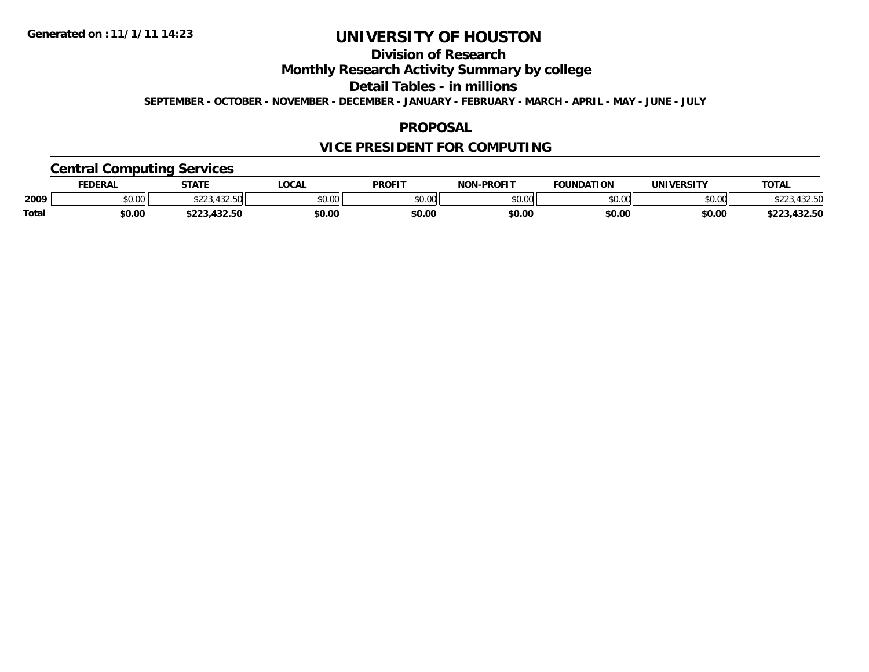### **Division of Research Monthly Research Activity Summary by college Detail Tables - in millions SEPTEMBER - OCTOBER - NOVEMBER - DECEMBER - JANUARY - FEBRUARY - MARCH - APRIL - MAY - JUNE - JULY**

### **PROPOSAL**

# **VICE PRESIDENT FOR COMPUTING**

# **Central Computing Services**

|              | <b>FEDERAL</b> | <b>STATE</b>                                        | <b>LOCAL</b> | <b>PROFIT</b> | -PROFIT<br>NON.                  | <b>FOUNDATION</b> | <b>UNIVERSITY</b> | <b>TOTAL</b>         |
|--------------|----------------|-----------------------------------------------------|--------------|---------------|----------------------------------|-------------------|-------------------|----------------------|
| 2009         | 0.00<br>JU.UU  | 100F<br>$\uparrow$ $\uparrow$ $\uparrow$<br>4.JZ.JU | \$0.00       | \$0.00        | $\circ$ $\circ$ $\circ$<br>ou.uu | \$0.00            | \$0.00            | $\sim$ $\sim$ $\sim$ |
| <b>Total</b> | \$0.00         | 122E<br>-------                                     | \$0.00       | \$0.00        | \$0.00                           | \$0.00            | \$0.00            | 223,432.50           |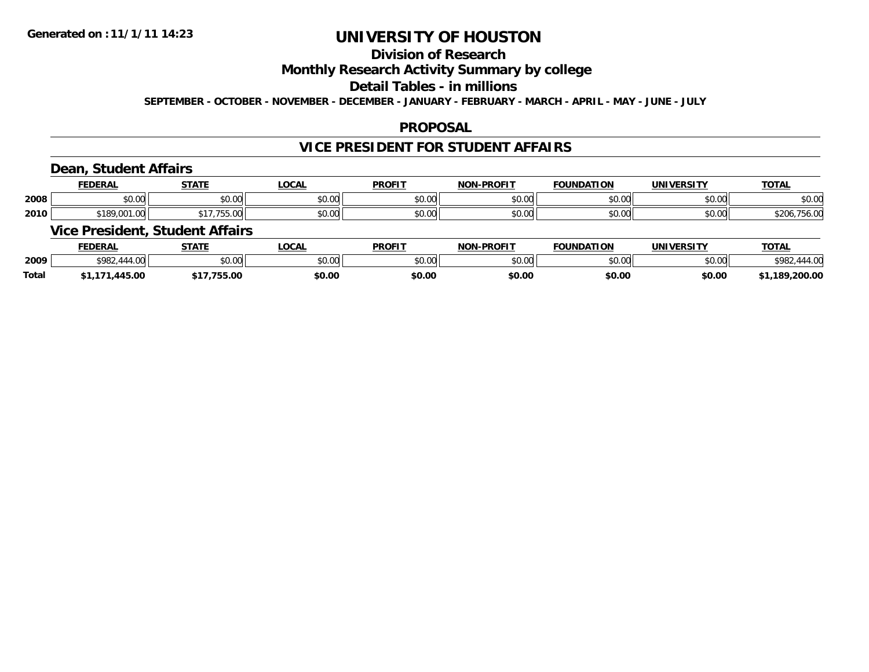### **Division of Research Monthly Research Activity Summary by college Detail Tables - in millions SEPTEMBER - OCTOBER - NOVEMBER - DECEMBER - JANUARY - FEBRUARY - MARCH - APRIL - MAY - JUNE - JULY**

### **PROPOSAL**

# **VICE PRESIDENT FOR STUDENT AFFAIRS**

# **Dean, Student Affairs**

|      | <b>FEDERAL</b>                 | <b>STATE</b>    | <b>OCA</b>     | <b>PROFIT</b>            | <b>NON-PROFIT</b> | <b>FOUNDATION</b>        | <b>UNIVERSITY</b>      | <b>TOTAL</b>                                 |
|------|--------------------------------|-----------------|----------------|--------------------------|-------------------|--------------------------|------------------------|----------------------------------------------|
| 2008 | \$0.00                         | 0.00<br>JU.UU   | nn nn<br>pu.uu | 0.00<br>JU.UU            | \$0.00            | $n \cap \Omega$<br>JU.UU | $n \cap \neg$<br>pu.uu | \$0.00                                       |
| 2010 | <b>¢100 001</b><br>DU.IUU.YÖIC | $\sim$<br>JJ.VU | nn nn<br>DU.UU | $n \cap \Omega$<br>JU.UU | \$0.00            | mn na<br>DU.UU           | \$0.00                 | $\uparrow$ $\uparrow$<br>$H$ $\sim$<br>VU.OC |

# **Vice President, Student Affairs**

|              | <b>FEDERAL</b> | <b>STATE</b>  | <b>LOCAL</b> | <b>PROFIT</b>  | <b>I-PROFIT</b><br><b>NON</b> | <b>FOUNDATION</b> | <b>UNIVERSITY</b> | <b>TOTA.</b> |
|--------------|----------------|---------------|--------------|----------------|-------------------------------|-------------------|-------------------|--------------|
| 2009         | \$982.         | 0000<br>JU.UU | \$0.00       | ≮∩ ∩∩<br>JU.UU | \$0.00                        | 40.00<br>DU.UU    | mn na<br>pu.uu    | <b>¢OQ</b>   |
| <b>Total</b> | 445.00         | \$17,755.00   | \$0.00       | \$0.00         | \$0.00                        | \$0.00            | \$0.00            | 1,189,200.00 |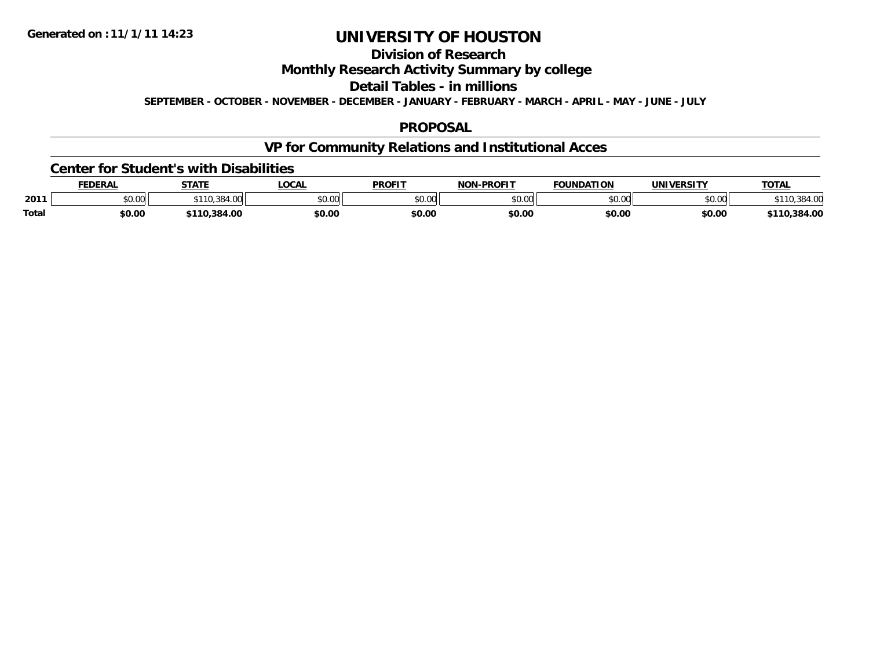### **Division of Research Monthly Research Activity Summary by college Detail Tables - in millions SEPTEMBER - OCTOBER - NOVEMBER - DECEMBER - JANUARY - FEBRUARY - MARCH - APRIL - MAY - JUNE - JULY**

### **PROPOSAL**

# **VP for Community Relations and Institutional Acces**

#### **Center for Student's with Disabilities**

|              | <b>EDERAL</b> | <b>STATE</b>            | <b>LOCAL</b>  | <b>PROFIT</b> | <b>-PROFIT</b><br><b>NON</b> | <b>FOUNDATION</b> | <b>IINTVEDCTTV</b> | <b>TOTAL</b> |
|--------------|---------------|-------------------------|---------------|---------------|------------------------------|-------------------|--------------------|--------------|
| 2011         | \$0.00        | $\sim$ $\sim$<br>$+11.$ | 0000<br>PU.UU | 0000<br>,uu   | \$0.00                       | ስ ለሰ              | 0000<br>DU.UG      |              |
| <b>Total</b> | \$0.00        | 0.384.00.               | \$0.00        | \$0.00        | \$0.00                       | \$0.00            | \$0.00             | 384.00,      |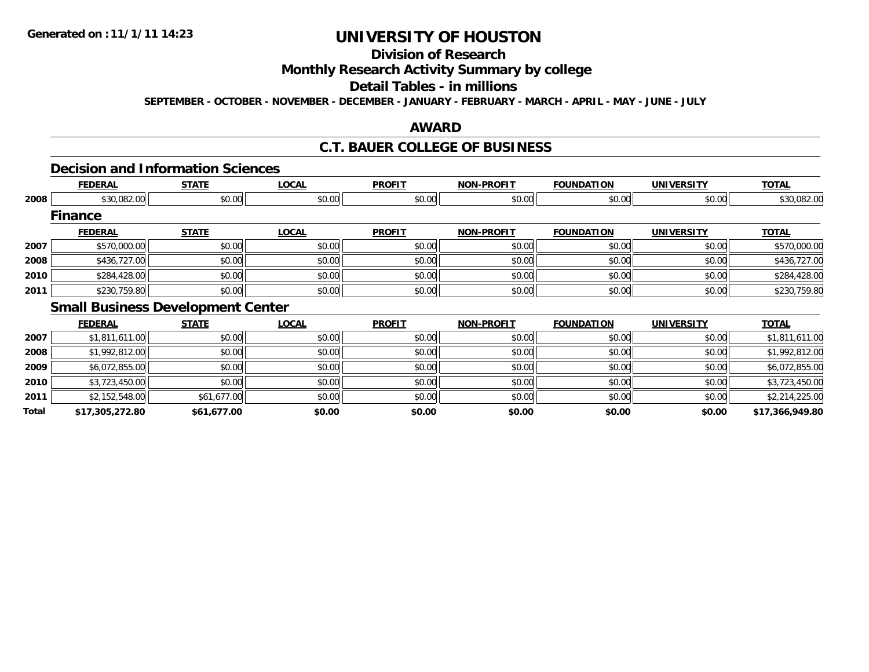# **Division of Research Monthly Research Activity Summary by college Detail Tables - in millions**

**SEPTEMBER - OCTOBER - NOVEMBER - DECEMBER - JANUARY - FEBRUARY - MARCH - APRIL - MAY - JUNE - JULY** 

### **AWARD**

### **C.T. BAUER COLLEGE OF BUSINESS**

#### **Decision and Information Sciences**

|      | <b>FEDERAL</b>                           | <b>STATE</b> | <b>LOCAL</b>         | <b>PROFIT</b> | <b>NON-PROFIT</b> | <b>FOUNDATION</b>   | <b>UNIVERSITY</b> | <b>TOTAL</b> |
|------|------------------------------------------|--------------|----------------------|---------------|-------------------|---------------------|-------------------|--------------|
| 2008 | \$30,082.00                              | \$0.00       | \$0.00               | \$0.00        | \$0.00            | \$0.00              | \$0.00            | \$30,082.00  |
|      | <b>Finance</b>                           |              |                      |               |                   |                     |                   |              |
|      | <b>FEDERAL</b>                           | <b>STATE</b> | <b>LOCAL</b>         | <b>PROFIT</b> | <b>NON-PROFIT</b> | <b>FOUNDATION</b>   | <b>UNIVERSITY</b> | <b>TOTAL</b> |
| 2007 | \$570,000.00                             | \$0.00       | \$0.00               | \$0.00        | \$0.00            | \$0.00              | \$0.00            | \$570,000.00 |
| 2008 | \$436,727.00                             | \$0.00       | \$0.00               | \$0.00        | \$0.00            | \$0.00              | \$0.00            | \$436,727.00 |
| 2010 | \$284,428.00                             | \$0.00       | \$0.00               | \$0.00        | \$0.00            | \$0.00              | \$0.00            | \$284,428.00 |
| 2011 | \$230,759.80                             | \$0.00       | \$0.00               | \$0.00        | \$0.00            | \$0.00              | \$0.00            | \$230,759.80 |
|      | <b>Small Business Development Center</b> |              |                      |               |                   |                     |                   |              |
|      | -------                                  | -----        | $\ddot{\phantom{a}}$ | <b>BBAFFF</b> | <b>MAN BRAFTE</b> | <b>EAUSIBLETANI</b> | 111117112222777   | -----        |

|       | <b>FEDERAL</b>  | <b>STATE</b> | <b>LOCAL</b> | <b>PROFIT</b> | <b>NON-PROFIT</b> | <b>FOUNDATION</b> | <b>UNIVERSITY</b> | <b>TOTAL</b>    |
|-------|-----------------|--------------|--------------|---------------|-------------------|-------------------|-------------------|-----------------|
| 2007  | \$1,811,611.00  | \$0.00       | \$0.00       | \$0.00        | \$0.00            | \$0.00            | \$0.00            | \$1,811,611.00  |
| 2008  | \$1,992,812.00  | \$0.00       | \$0.00       | \$0.00        | \$0.00            | \$0.00            | \$0.00            | \$1,992,812.00  |
| 2009  | \$6,072,855.00  | \$0.00       | \$0.00       | \$0.00        | \$0.00            | \$0.00            | \$0.00            | \$6,072,855.00  |
| 2010  | \$3,723,450.00  | \$0.00       | \$0.00       | \$0.00        | \$0.00            | \$0.00            | \$0.00            | \$3,723,450.00  |
| 2011  | \$2,152,548.00  | \$61,677.00  | \$0.00       | \$0.00        | \$0.00            | \$0.00            | \$0.00            | \$2,214,225.00  |
| Total | \$17,305,272.80 | \$61,677.00  | \$0.00       | \$0.00        | \$0.00            | \$0.00            | \$0.00            | \$17,366,949.80 |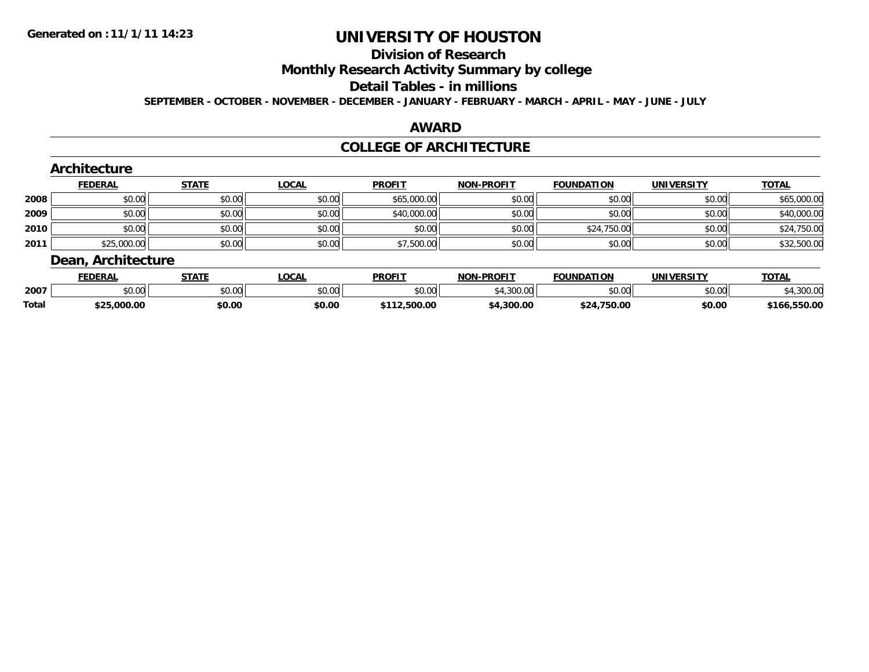### **Division of Research Monthly Research Activity Summary by college Detail Tables - in millions SEPTEMBER - OCTOBER - NOVEMBER - DECEMBER - JANUARY - FEBRUARY - MARCH - APRIL - MAY - JUNE - JULY**

# **AWARD**

### **COLLEGE OF ARCHITECTURE**

|      | <b>FEDERAL</b> | <b>STATE</b> | <b>LOCAL</b> | <b>PROFIT</b> | <b>NON-PROFIT</b> | <b>FOUNDATION</b> | <b>UNIVERSITY</b> | <b>TOTAL</b> |
|------|----------------|--------------|--------------|---------------|-------------------|-------------------|-------------------|--------------|
| 2008 | \$0.00         | \$0.00       | \$0.00       | \$65,000.00   | \$0.00            | \$0.00            | \$0.00            | \$65,000.00  |
| 2009 | \$0.00         | \$0.00       | \$0.00       | \$40,000.00   | \$0.00            | \$0.00            | \$0.00            | \$40,000.00  |
| 2010 | \$0.00         | \$0.00       | \$0.00       | \$0.00        | \$0.00            | \$24,750.00       | \$0.00            | \$24,750.00  |
| 2011 | \$25,000.00    | \$0.00       | \$0.00       | \$7,500.00    | \$0.00            | \$0.00            | \$0.00            | \$32,500.00  |

|              | FEDERAL                | CTATE<br>1 A I                                    | <b>LOCAL</b>  | <b>PROFIT</b> | <b>NON-PROFIT</b> | <b>FOUNDATION</b> | <b>UNIVERSITY</b> | <b>TOTAL</b> |
|--------------|------------------------|---------------------------------------------------|---------------|---------------|-------------------|-------------------|-------------------|--------------|
| 2007         | $\sim$ $\sim$<br>JU.UU | $\mathsf{A}\cap\mathsf{A}\cap\mathsf{A}$<br>JU.UU | 0000<br>JU.UU | 0000<br>,uu   | 200.00            | ሶስ ሰሰ<br>uu.uu    | ሶስ ሰስ<br>JU.UU    |              |
| <b>Total</b> | トつに<br>00.000 ك∠.      | \$0.00                                            | \$0.00        | .500.00       | 4.300.00          | 1,750.00<br>74    | \$0.00            | \$166.550.00 |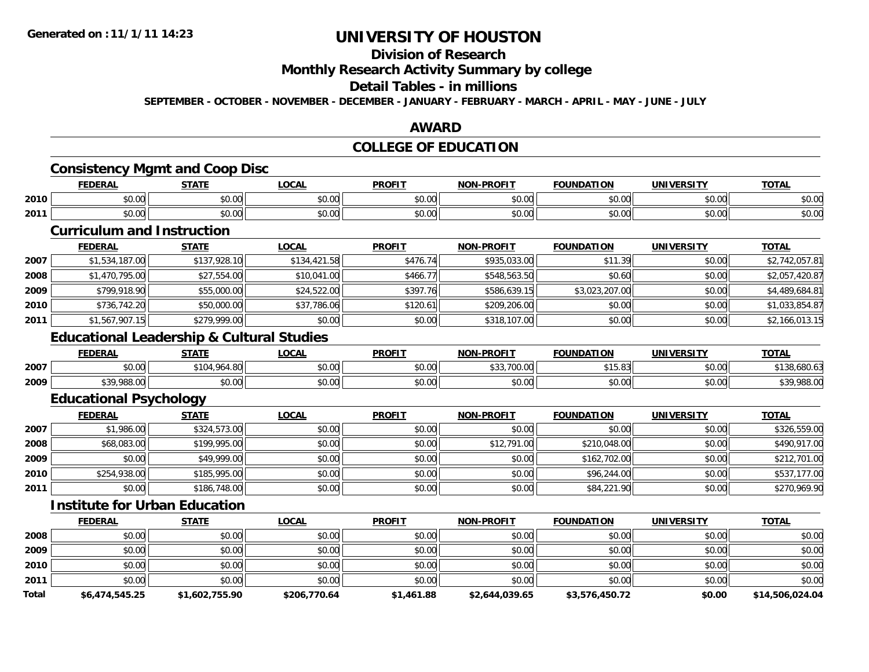### **Division of Research Monthly Research Activity Summary by college Detail Tables - in millions SEPTEMBER - OCTOBER - NOVEMBER - DECEMBER - JANUARY - FEBRUARY - MARCH - APRIL - MAY - JUNE - JULY**

### **AWARD**

### **COLLEGE OF EDUCATION**

### **Consistency Mgmt and Coop Disc**

|      | <b>FEDERAL</b> | CTATI<br>-91A) - | <b>LOCAI</b> | <b>PROFIT</b> | <b>NON-PROFIT</b> | <b>FOUNDATION</b> | <b>UNIVERSITY</b> | <b>TOTAL</b>  |
|------|----------------|------------------|--------------|---------------|-------------------|-------------------|-------------------|---------------|
| 2010 | 0000           | ÷0.              | 0.00         | $\sim$        | 0000              | 0000              | 0000              | $\sim$ $\sim$ |
|      | pu.uu          | JU.U             | vu.vu        | vv.vv         | vv.vv             | NU.UU             | PU.UU             | ง∪.∪บ         |
| 2011 | 0 <sub>0</sub> | 0 t              | 0.00         | $\sim$        | 0000              | 0000              | $\sim$ $\sim$     | $\sim$ $\sim$ |
|      | DU.UU          | JU.UU            | JU.UU        | JU.UU         | vv.vv             | DU.UU             | ง∪.∪บ             | ง∪.∪บ         |

### **Curriculum and Instruction**

|      | <b>FEDERAL</b> | <b>STATE</b> | <b>LOCAL</b> | <b>PROFIT</b> | <b>NON-PROFIT</b> | <b>FOUNDATION</b> | <b>UNIVERSITY</b> | <b>TOTAL</b>   |
|------|----------------|--------------|--------------|---------------|-------------------|-------------------|-------------------|----------------|
| 2007 | \$1,534,187.00 | \$137,928.10 | \$134,421.58 | \$476.74      | \$935,033,00      | \$11.39           | \$0.00            | \$2,742,057.81 |
| 2008 | \$1,470,795.00 | \$27,554.00  | \$10,041.00  | \$466.77      | \$548,563.50      | \$0.60            | \$0.00            | \$2,057,420.87 |
| 2009 | \$799,918.90   | \$55,000.00  | \$24,522.00  | \$397.76      | \$586,639.15      | \$3,023,207.00    | \$0.00            | \$4,489,684.81 |
| 2010 | \$736,742.20   | \$50,000.00  | \$37,786.06  | \$120.61      | \$209,206.00      | \$0.00            | \$0.00            | \$1,033,854.87 |
| 2011 | \$1,567,907.15 | \$279,999.00 | \$0.00       | \$0.00        | \$318,107.00      | \$0.00            | \$0.00            | \$2,166,013.15 |

### **Educational Leadership & Cultural Studies**

|      | <b>FEDERAL</b> | <b>STATE</b> | <b>LOCAL</b>                               | <b>PROFIT</b>            | <b>NON-PROFIT</b> | <b>FOUNDATION</b> | <b>UNIVERSITY</b> | <b>TOTAL</b> |
|------|----------------|--------------|--------------------------------------------|--------------------------|-------------------|-------------------|-------------------|--------------|
| 2007 | \$0.00         | \$104.964.80 | 0.00<br>pu.uu                              | $n \cap \Omega$<br>JU.UU | , uu .uu<br>JJJ,  | AAF<br>15.83      | \$0.00            | 8.680.61     |
| 2009 | \$39,988.00    | \$0.00       | $\theta$ $\theta$ $\theta$<br><b>JU.UU</b> | 0000<br>JU.UU            | 0000<br>vu.vu     | \$0.00            | 0000<br>DU.UG     | ,988.0       |

# **Educational Psychology**

|      | <u>FEDERAL</u> | <b>STATE</b> | <b>LOCAL</b> | <b>PROFIT</b> | <b>NON-PROFIT</b> | <b>FOUNDATION</b> | <b>UNIVERSITY</b> | <b>TOTAL</b> |
|------|----------------|--------------|--------------|---------------|-------------------|-------------------|-------------------|--------------|
| 2007 | \$1,986.00     | \$324,573.00 | \$0.00       | \$0.00        | \$0.00            | \$0.00            | \$0.00            | \$326,559.00 |
| 2008 | \$68,083.00    | \$199,995.00 | \$0.00       | \$0.00        | \$12,791.00       | \$210,048.00      | \$0.00            | \$490,917.00 |
| 2009 | \$0.00         | \$49,999.00  | \$0.00       | \$0.00        | \$0.00            | \$162,702.00      | \$0.00            | \$212,701.00 |
| 2010 | \$254,938.00   | \$185,995.00 | \$0.00       | \$0.00        | \$0.00            | \$96,244.00       | \$0.00            | \$537,177.00 |
| 2011 | \$0.00         | \$186,748.00 | \$0.00       | \$0.00        | \$0.00            | \$84,221.90       | \$0.00            | \$270,969.90 |

# **Institute for Urban Education**

|       | <b>FEDERAL</b> | <b>STATE</b>   | LOCAL        | <b>PROFIT</b> | <b>NON-PROFIT</b> | <b>FOUNDATION</b> | <b>UNIVERSITY</b> | <b>TOTAL</b>    |
|-------|----------------|----------------|--------------|---------------|-------------------|-------------------|-------------------|-----------------|
| 2008  | \$0.00         | \$0.00         | \$0.00       | \$0.00        | \$0.00            | \$0.00            | \$0.00            | \$0.00          |
| 2009  | \$0.00         | \$0.00         | \$0.00       | \$0.00        | \$0.00            | \$0.00            | \$0.00            | \$0.00          |
| 2010  | \$0.00         | \$0.00         | \$0.00       | \$0.00        | \$0.00            | \$0.00            | \$0.00            | \$0.00          |
| 2011  | \$0.00         | \$0.00         | \$0.00       | \$0.00        | \$0.00            | \$0.00            | \$0.00            | \$0.00          |
| Total | \$6,474,545.25 | \$1,602,755.90 | \$206,770.64 | \$1,461.88    | \$2,644,039.65    | \$3,576,450.72    | \$0.00            | \$14,506,024.04 |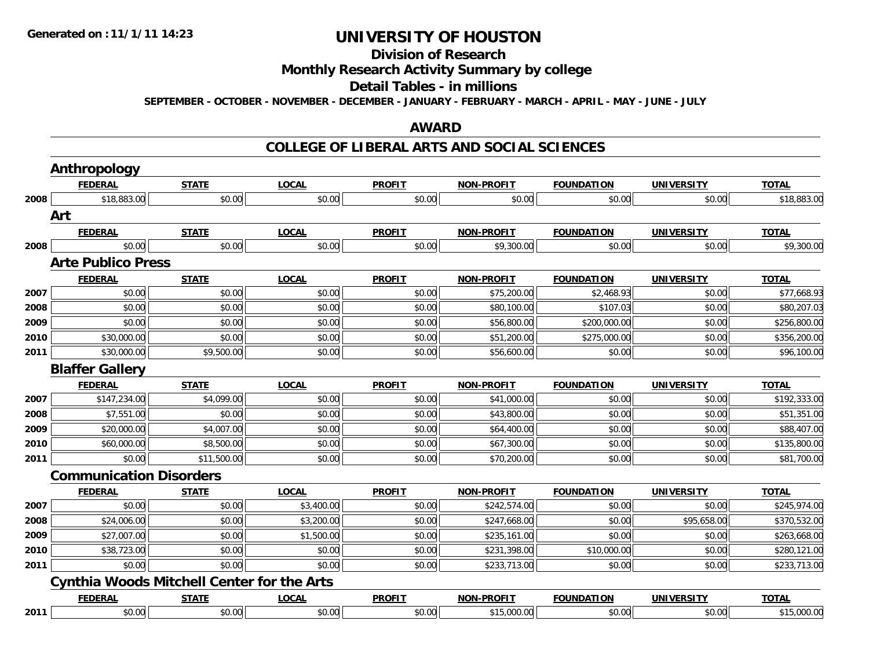### **Division of Research Monthly Research Activity Summary by college Detail Tables - in millions SEPTEMBER - OCTOBER - NOVEMBER - DECEMBER - JANUARY - FEBRUARY - MARCH - APRIL - MAY - JUNE - JULY**

### **AWARD**

### **COLLEGE OF LIBERAL ARTS AND SOCIAL SCIENCES**

| <b>Anthropology</b> |                                       |                                                             |                                                   |                   |                   |                   |              |
|---------------------|---------------------------------------|-------------------------------------------------------------|---------------------------------------------------|-------------------|-------------------|-------------------|--------------|
| <b>FEDERAL</b>      | <b>STATE</b>                          | <b>LOCAL</b>                                                | <b>PROFIT</b>                                     | <b>NON-PROFIT</b> | <b>FOUNDATION</b> | <b>UNIVERSITY</b> | <b>TOTAL</b> |
| \$18,883.00         | \$0.00                                | \$0.00                                                      | \$0.00                                            | \$0.00            | \$0.00            | \$0.00            | \$18,883.00  |
|                     |                                       |                                                             |                                                   |                   |                   |                   |              |
| <b>FEDERAL</b>      | <b>STATE</b>                          | <b>LOCAL</b>                                                | <b>PROFIT</b>                                     | <b>NON-PROFIT</b> | <b>FOUNDATION</b> | <b>UNIVERSITY</b> | <b>TOTAL</b> |
| \$0.00              | \$0.00                                | \$0.00                                                      | \$0.00                                            | \$9,300.00        | \$0.00            | \$0.00            | \$9,300.00   |
|                     |                                       |                                                             |                                                   |                   |                   |                   |              |
| <b>FEDERAL</b>      | <b>STATE</b>                          | <b>LOCAL</b>                                                | <b>PROFIT</b>                                     | <b>NON-PROFIT</b> | <b>FOUNDATION</b> | <b>UNIVERSITY</b> | <b>TOTAL</b> |
| \$0.00              | \$0.00                                | \$0.00                                                      | \$0.00                                            | \$75,200.00       | \$2,468.93        | \$0.00            | \$77,668.93  |
| \$0.00              | \$0.00                                | \$0.00                                                      | \$0.00                                            | \$80,100.00       | \$107.03          | \$0.00            | \$80,207.03  |
| \$0.00              | \$0.00                                | \$0.00                                                      | \$0.00                                            | \$56,800.00       | \$200,000.00      | \$0.00            | \$256,800.00 |
| \$30,000.00         | \$0.00                                | \$0.00                                                      | \$0.00                                            | \$51,200.00       | \$275,000.00      | \$0.00            | \$356,200.00 |
| \$30,000.00         | \$9,500.00                            | \$0.00                                                      | \$0.00                                            | \$56,600.00       | \$0.00            | \$0.00            | \$96,100.00  |
|                     |                                       |                                                             |                                                   |                   |                   |                   |              |
| <b>FEDERAL</b>      | <b>STATE</b>                          | <b>LOCAL</b>                                                | <b>PROFIT</b>                                     | <b>NON-PROFIT</b> | <b>FOUNDATION</b> | <b>UNIVERSITY</b> | <b>TOTAL</b> |
| \$147,234.00        | \$4,099.00                            | \$0.00                                                      | \$0.00                                            | \$41,000.00       | \$0.00            | \$0.00            | \$192,333.00 |
| \$7,551.00          | \$0.00                                | \$0.00                                                      | \$0.00                                            | \$43,800.00       | \$0.00            | \$0.00            | \$51,351.00  |
| \$20,000.00         | \$4,007.00                            | \$0.00                                                      | \$0.00                                            | \$64,400.00       | \$0.00            | \$0.00            | \$88,407.00  |
| \$60,000.00         | \$8,500.00                            | \$0.00                                                      | \$0.00                                            | \$67,300.00       | \$0.00            | \$0.00            | \$135,800.00 |
| \$0.00              | \$11,500.00                           | \$0.00                                                      | \$0.00                                            | \$70,200.00       | \$0.00            | \$0.00            | \$81,700.00  |
|                     |                                       |                                                             |                                                   |                   |                   |                   |              |
| <b>FEDERAL</b>      | <b>STATE</b>                          | <b>LOCAL</b>                                                | <b>PROFIT</b>                                     | <b>NON-PROFIT</b> | <b>FOUNDATION</b> | <b>UNIVERSITY</b> | <b>TOTAL</b> |
| \$0.00              | \$0.00                                | \$3,400.00                                                  | \$0.00                                            | \$242,574.00      | \$0.00            | \$0.00            | \$245,974.00 |
| \$24,006.00         | \$0.00                                | \$3,200.00                                                  | \$0.00                                            | \$247,668.00      | \$0.00            | \$95,658.00       | \$370,532.00 |
| \$27,007.00         | \$0.00                                | \$1,500.00                                                  | \$0.00                                            | \$235,161.00      | \$0.00            | \$0.00            | \$263,668.00 |
| \$38,723.00         | \$0.00                                | \$0.00                                                      | \$0.00                                            | \$231,398.00      | \$10,000.00       | \$0.00            | \$280,121.00 |
| \$0.00              | \$0.00                                | \$0.00                                                      | \$0.00                                            | \$233,713.00      | \$0.00            | \$0.00            | \$233,713.00 |
|                     |                                       |                                                             |                                                   |                   |                   |                   |              |
| <b>FEDERAL</b>      | <b>STATE</b>                          | <b>LOCAL</b>                                                | <b>PROFIT</b>                                     | <b>NON-PROFIT</b> | <b>FOUNDATION</b> | <b>UNIVERSITY</b> | <b>TOTAL</b> |
| \$0.00              | \$0.00                                | \$0.00                                                      | \$0.00                                            | \$15,000.00       | \$0.00            | \$0.00            | \$15,000.00  |
|                     | Art<br><b>Blaffer Gallery</b><br>2011 | <b>Arte Publico Press</b><br><b>Communication Disorders</b> | <b>Cynthia Woods Mitchell Center for the Arts</b> |                   |                   |                   |              |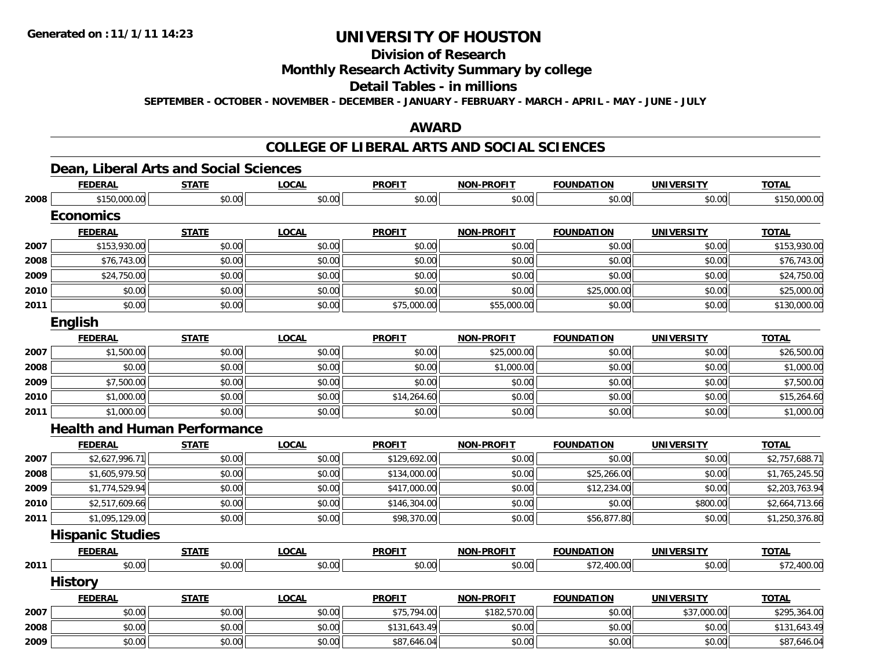### **Division of Research Monthly Research Activity Summary by college Detail Tables - in millions SEPTEMBER - OCTOBER - NOVEMBER - DECEMBER - JANUARY - FEBRUARY - MARCH - APRIL - MAY - JUNE - JULY**

#### **AWARD**

#### **COLLEGE OF LIBERAL ARTS AND SOCIAL SCIENCES**

### **Dean, Liberal Arts and Social Sciences**

|      | <b>FEDERAL</b>                      | <b>STATE</b> | <b>LOCAL</b> | <b>PROFIT</b> | <b>NON-PROFIT</b> | <b>FOUNDATION</b> | <b>UNIVERSITY</b> | <b>TOTAL</b>   |
|------|-------------------------------------|--------------|--------------|---------------|-------------------|-------------------|-------------------|----------------|
| 2008 | \$150,000.00                        | \$0.00       | \$0.00       | \$0.00        | \$0.00            | \$0.00            | \$0.00            | \$150,000.00   |
|      | <b>Economics</b>                    |              |              |               |                   |                   |                   |                |
|      | <b>FEDERAL</b>                      | <b>STATE</b> | <b>LOCAL</b> | <b>PROFIT</b> | <b>NON-PROFIT</b> | <b>FOUNDATION</b> | <b>UNIVERSITY</b> | <b>TOTAL</b>   |
| 2007 | \$153,930.00                        | \$0.00       | \$0.00       | \$0.00        | \$0.00            | \$0.00            | \$0.00            | \$153,930.00   |
| 2008 | \$76,743.00                         | \$0.00       | \$0.00       | \$0.00        | \$0.00            | \$0.00            | \$0.00            | \$76,743.00    |
| 2009 | \$24,750.00                         | \$0.00       | \$0.00       | \$0.00        | \$0.00            | \$0.00            | \$0.00            | \$24,750.00    |
| 2010 | \$0.00                              | \$0.00       | \$0.00       | \$0.00        | \$0.00            | \$25,000.00       | \$0.00            | \$25,000.00    |
| 2011 | \$0.00                              | \$0.00       | \$0.00       | \$75,000.00   | \$55,000.00       | \$0.00            | \$0.00            | \$130,000.00   |
|      | <b>English</b>                      |              |              |               |                   |                   |                   |                |
|      | <b>FEDERAL</b>                      | <b>STATE</b> | <b>LOCAL</b> | <b>PROFIT</b> | <b>NON-PROFIT</b> | <b>FOUNDATION</b> | <b>UNIVERSITY</b> | <b>TOTAL</b>   |
| 2007 | \$1,500.00                          | \$0.00       | \$0.00       | \$0.00        | \$25,000.00       | \$0.00            | \$0.00            | \$26,500.00    |
| 2008 | \$0.00                              | \$0.00       | \$0.00       | \$0.00        | \$1,000.00        | \$0.00            | \$0.00            | \$1,000.00     |
| 2009 | \$7,500.00                          | \$0.00       | \$0.00       | \$0.00        | \$0.00            | \$0.00            | \$0.00            | \$7,500.00     |
| 2010 | \$1,000.00                          | \$0.00       | \$0.00       | \$14,264.60   | \$0.00            | \$0.00            | \$0.00            | \$15,264.60    |
| 2011 | \$1,000.00                          | \$0.00       | \$0.00       | \$0.00        | \$0.00            | \$0.00            | \$0.00            | \$1,000.00     |
|      | <b>Health and Human Performance</b> |              |              |               |                   |                   |                   |                |
|      | <b>FEDERAL</b>                      | <b>STATE</b> | <b>LOCAL</b> | <b>PROFIT</b> | <b>NON-PROFIT</b> | <b>FOUNDATION</b> | <b>UNIVERSITY</b> | <b>TOTAL</b>   |
| 2007 | \$2,627,996.71                      | \$0.00       | \$0.00       | \$129,692.00  | \$0.00            | \$0.00            | \$0.00            | \$2,757,688.71 |
| 2008 | \$1,605,979.50                      | \$0.00       | \$0.00       | \$134,000.00  | \$0.00            | \$25,266.00       | \$0.00            | \$1,765,245.50 |
| 2009 | \$1,774,529.94                      | \$0.00       | \$0.00       | \$417,000.00  | \$0.00            | \$12,234.00       | \$0.00            | \$2,203,763.94 |
| 2010 | \$2,517,609.66                      | \$0.00       | \$0.00       | \$146,304.00  | \$0.00            | \$0.00            | \$800.00          | \$2,664,713.66 |
| 2011 | \$1,095,129.00                      | \$0.00       | \$0.00       | \$98,370.00   | \$0.00            | \$56,877.80       | \$0.00            | \$1,250,376.80 |
|      | <b>Hispanic Studies</b>             |              |              |               |                   |                   |                   |                |
|      | <b>FEDERAL</b>                      | <b>STATE</b> | <b>LOCAL</b> | <b>PROFIT</b> | <b>NON-PROFIT</b> | <b>FOUNDATION</b> | <b>UNIVERSITY</b> | <b>TOTAL</b>   |
| 2011 | \$0.00                              | \$0.00       | \$0.00       | \$0.00        | \$0.00            | \$72,400.00       | \$0.00            | \$72,400.00    |
|      | <b>History</b>                      |              |              |               |                   |                   |                   |                |
|      | <b>FEDERAL</b>                      | <b>STATE</b> | <b>LOCAL</b> | <b>PROFIT</b> | <b>NON-PROFIT</b> | <b>FOUNDATION</b> | <b>UNIVERSITY</b> | <b>TOTAL</b>   |
| 2007 | \$0.00                              | \$0.00       | \$0.00       | \$75,794.00   | \$182,570.00      | \$0.00            | \$37,000.00       | \$295,364.00   |
| 2008 | \$0.00                              | \$0.00       | \$0.00       | \$131,643.49  | \$0.00            | \$0.00            | \$0.00            | \$131,643.49   |
| 2009 | \$0.00                              | \$0.00       | \$0.00       | \$87,646.04   | \$0.00            | \$0.00            | \$0.00            | \$87,646.04    |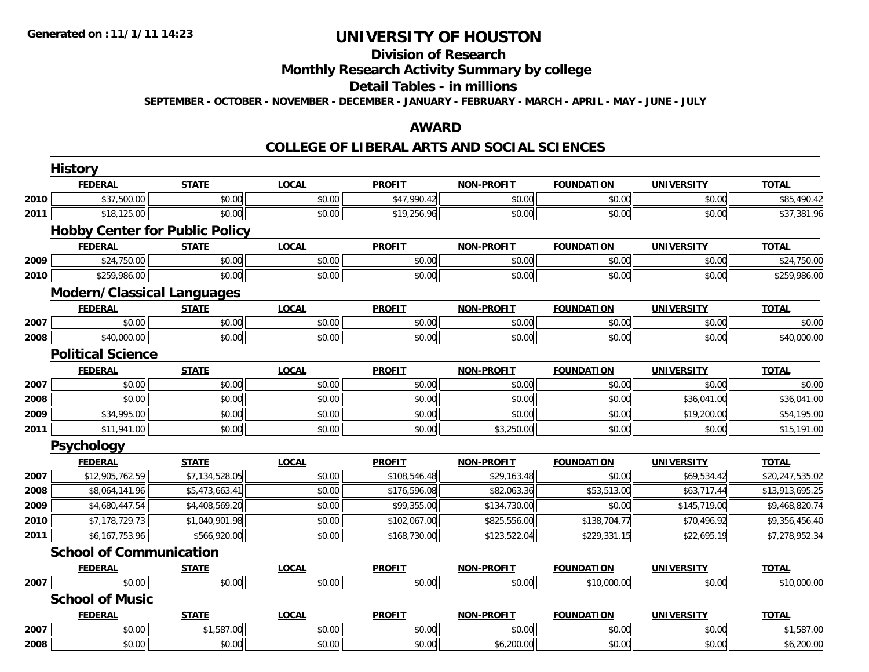### **Division of Research Monthly Research Activity Summary by college Detail Tables - in millions SEPTEMBER - OCTOBER - NOVEMBER - DECEMBER - JANUARY - FEBRUARY - MARCH - APRIL - MAY - JUNE - JULY**

#### **AWARD**

#### **COLLEGE OF LIBERAL ARTS AND SOCIAL SCIENCES**

|      | <b>History</b>                        |                |              |               |                   |                   |                   |                 |  |  |
|------|---------------------------------------|----------------|--------------|---------------|-------------------|-------------------|-------------------|-----------------|--|--|
|      | <b>FEDERAL</b>                        | <b>STATE</b>   | <b>LOCAL</b> | <b>PROFIT</b> | <b>NON-PROFIT</b> | <b>FOUNDATION</b> | <b>UNIVERSITY</b> | <b>TOTAL</b>    |  |  |
| 2010 | \$37,500.00                           | \$0.00         | \$0.00       | \$47,990.42   | \$0.00            | \$0.00            | \$0.00            | \$85,490.42     |  |  |
| 2011 | \$18,125.00                           | \$0.00         | \$0.00       | \$19,256.96   | \$0.00            | \$0.00            | \$0.00            | \$37,381.96     |  |  |
|      | <b>Hobby Center for Public Policy</b> |                |              |               |                   |                   |                   |                 |  |  |
|      | <b>FEDERAL</b>                        | <b>STATE</b>   | <b>LOCAL</b> | <b>PROFIT</b> | <b>NON-PROFIT</b> | <b>FOUNDATION</b> | <b>UNIVERSITY</b> | <b>TOTAL</b>    |  |  |
| 2009 | \$24,750.00                           | \$0.00         | \$0.00       | \$0.00        | \$0.00            | \$0.00            | \$0.00            | \$24,750.00     |  |  |
| 2010 | \$259,986.00                          | \$0.00         | \$0.00       | \$0.00        | \$0.00            | \$0.00            | \$0.00            | \$259,986.00    |  |  |
|      | <b>Modern/Classical Languages</b>     |                |              |               |                   |                   |                   |                 |  |  |
|      | <b>FEDERAL</b>                        | <b>STATE</b>   | <b>LOCAL</b> | <b>PROFIT</b> | <b>NON-PROFIT</b> | <b>FOUNDATION</b> | <b>UNIVERSITY</b> | <b>TOTAL</b>    |  |  |
| 2007 | \$0.00                                | \$0.00         | \$0.00       | \$0.00        | \$0.00            | \$0.00            | \$0.00            | \$0.00          |  |  |
| 2008 | \$40,000.00                           | \$0.00         | \$0.00       | \$0.00        | \$0.00            | \$0.00            | \$0.00            | \$40,000.00     |  |  |
|      | <b>Political Science</b>              |                |              |               |                   |                   |                   |                 |  |  |
|      | <b>FEDERAL</b>                        | <b>STATE</b>   | <b>LOCAL</b> | <b>PROFIT</b> | <b>NON-PROFIT</b> | <b>FOUNDATION</b> | <b>UNIVERSITY</b> | <b>TOTAL</b>    |  |  |
| 2007 | \$0.00                                | \$0.00         | \$0.00       | \$0.00        | \$0.00            | \$0.00            | \$0.00            | \$0.00          |  |  |
| 2008 | \$0.00                                | \$0.00         | \$0.00       | \$0.00        | \$0.00            | \$0.00            | \$36,041.00       | \$36,041.00     |  |  |
| 2009 | \$34,995.00                           | \$0.00         | \$0.00       | \$0.00        | \$0.00            | \$0.00            | \$19,200.00       | \$54,195.00     |  |  |
| 2011 | \$11,941.00                           | \$0.00         | \$0.00       | \$0.00        | \$3,250.00        | \$0.00            | \$0.00            | \$15,191.00     |  |  |
|      | <b>Psychology</b>                     |                |              |               |                   |                   |                   |                 |  |  |
|      | <b>FEDERAL</b>                        | <b>STATE</b>   | <b>LOCAL</b> | <b>PROFIT</b> | <b>NON-PROFIT</b> | <b>FOUNDATION</b> | <b>UNIVERSITY</b> | <b>TOTAL</b>    |  |  |
| 2007 | \$12,905,762.59                       | \$7,134,528.05 | \$0.00       | \$108,546.48  | \$29,163.48       | \$0.00            | \$69,534.42       | \$20,247,535.02 |  |  |
| 2008 | \$8,064,141.96                        | \$5,473,663.41 | \$0.00       | \$176,596.08  | \$82,063.36       | \$53,513.00       | \$63,717.44       | \$13,913,695.25 |  |  |
| 2009 | \$4,680,447.54                        | \$4,408,569.20 | \$0.00       | \$99,355.00   | \$134,730.00      | \$0.00            | \$145,719.00      | \$9,468,820.74  |  |  |
| 2010 | \$7,178,729.73                        | \$1,040,901.98 | \$0.00       | \$102,067.00  | \$825,556.00      | \$138,704.77      | \$70,496.92       | \$9,356,456.40  |  |  |
| 2011 | \$6,167,753.96                        | \$566,920.00   | \$0.00       | \$168,730.00  | \$123,522.04      | \$229,331.15      | \$22,695.19       | \$7,278,952.34  |  |  |
|      | <b>School of Communication</b>        |                |              |               |                   |                   |                   |                 |  |  |
|      | <b>FEDERAL</b>                        | <b>STATE</b>   | <b>LOCAL</b> | <b>PROFIT</b> | <b>NON-PROFIT</b> | <b>FOUNDATION</b> | <b>UNIVERSITY</b> | <b>TOTAL</b>    |  |  |
| 2007 | \$0.00                                | \$0.00         | \$0.00       | \$0.00        | \$0.00            | \$10,000.00       | \$0.00            | \$10,000.00     |  |  |
|      | <b>School of Music</b>                |                |              |               |                   |                   |                   |                 |  |  |
|      | <b>FEDERAL</b>                        | <b>STATE</b>   | <b>LOCAL</b> | <b>PROFIT</b> | <b>NON-PROFIT</b> | <b>FOUNDATION</b> | <b>UNIVERSITY</b> | <b>TOTAL</b>    |  |  |
| 2007 | \$0.00                                | \$1,587.00     | \$0.00       | \$0.00        | \$0.00            | \$0.00            | \$0.00            | \$1,587.00      |  |  |
| 2008 | \$0.00                                | \$0.00         | \$0.00       | \$0.00        | \$6,200.00        | \$0.00            | \$0.00            | \$6,200.00      |  |  |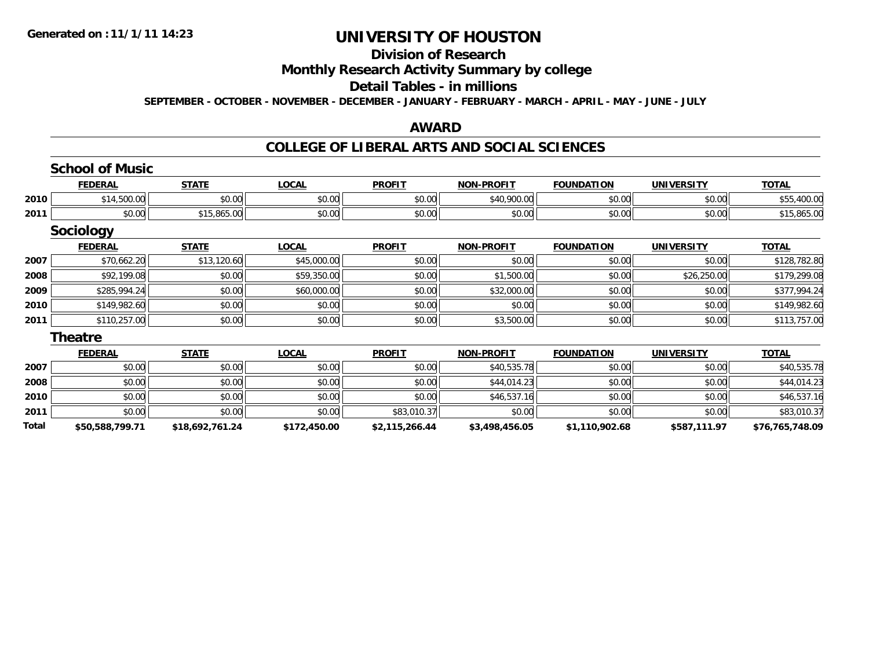### **Division of Research Monthly Research Activity Summary by college Detail Tables - in millions SEPTEMBER - OCTOBER - NOVEMBER - DECEMBER - JANUARY - FEBRUARY - MARCH - APRIL - MAY - JUNE - JULY**

#### **AWARD**

#### **COLLEGE OF LIBERAL ARTS AND SOCIAL SCIENCES**

|       | <b>School of Music</b> |                 |              |                |                   |                   |                   |                 |
|-------|------------------------|-----------------|--------------|----------------|-------------------|-------------------|-------------------|-----------------|
|       | <b>FEDERAL</b>         | <b>STATE</b>    | <b>LOCAL</b> | <b>PROFIT</b>  | <b>NON-PROFIT</b> | <b>FOUNDATION</b> | <b>UNIVERSITY</b> | <b>TOTAL</b>    |
| 2010  | \$14,500.00            | \$0.00          | \$0.00       | \$0.00         | \$40,900.00       | \$0.00            | \$0.00            | \$55,400.00     |
| 2011  | \$0.00                 | \$15,865.00     | \$0.00       | \$0.00         | \$0.00            | \$0.00            | \$0.00            | \$15,865.00     |
|       | <b>Sociology</b>       |                 |              |                |                   |                   |                   |                 |
|       | <b>FEDERAL</b>         | <b>STATE</b>    | <b>LOCAL</b> | <b>PROFIT</b>  | <b>NON-PROFIT</b> | <b>FOUNDATION</b> | <b>UNIVERSITY</b> | <b>TOTAL</b>    |
| 2007  | \$70,662.20            | \$13,120.60     | \$45,000.00  | \$0.00         | \$0.00            | \$0.00            | \$0.00            | \$128,782.80    |
| 2008  | \$92,199.08            | \$0.00          | \$59,350.00  | \$0.00         | \$1,500.00        | \$0.00            | \$26,250.00       | \$179,299.08    |
| 2009  | \$285,994.24           | \$0.00          | \$60,000.00  | \$0.00         | \$32,000.00       | \$0.00            | \$0.00            | \$377,994.24    |
| 2010  | \$149,982.60           | \$0.00          | \$0.00       | \$0.00         | \$0.00            | \$0.00            | \$0.00            | \$149,982.60    |
| 2011  | \$110,257.00           | \$0.00          | \$0.00       | \$0.00         | \$3,500.00        | \$0.00            | \$0.00            | \$113,757.00    |
|       | <b>Theatre</b>         |                 |              |                |                   |                   |                   |                 |
|       | <b>FEDERAL</b>         | <b>STATE</b>    | <b>LOCAL</b> | <b>PROFIT</b>  | <b>NON-PROFIT</b> | <b>FOUNDATION</b> | <b>UNIVERSITY</b> | <b>TOTAL</b>    |
| 2007  | \$0.00                 | \$0.00          | \$0.00       | \$0.00         | \$40,535.78       | \$0.00            | \$0.00            | \$40,535.78     |
| 2008  | \$0.00                 | \$0.00          | \$0.00       | \$0.00         | \$44,014.23       | \$0.00            | \$0.00            | \$44,014.23     |
| 2010  | \$0.00                 | \$0.00          | \$0.00       | \$0.00         | \$46,537.16       | \$0.00            | \$0.00            | \$46,537.16     |
| 2011  | \$0.00                 | \$0.00          | \$0.00       | \$83,010.37    | \$0.00            | \$0.00            | \$0.00            | \$83,010.37     |
| Total | \$50,588,799.71        | \$18,692,761.24 | \$172,450.00 | \$2,115,266.44 | \$3,498,456.05    | \$1,110,902.68    | \$587,111.97      | \$76,765,748.09 |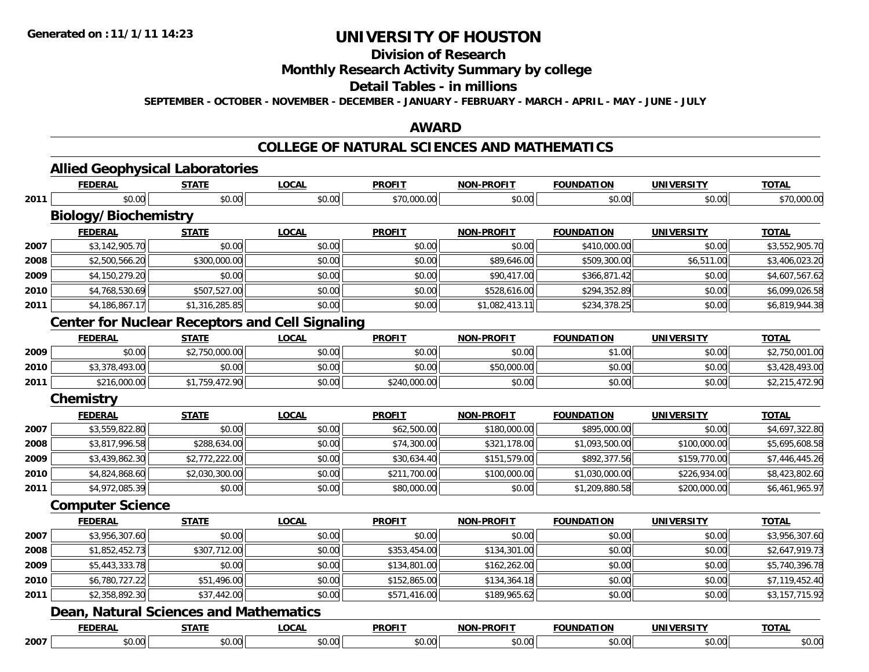# **Division of Research Monthly Research Activity Summary by college Detail Tables - in millions**

**SEPTEMBER - OCTOBER - NOVEMBER - DECEMBER - JANUARY - FEBRUARY - MARCH - APRIL - MAY - JUNE - JULY** 

### **AWARD**

### **COLLEGE OF NATURAL SCIENCES AND MATHEMATICS**

|      | <b>FEDERAL</b>                                         | <b>STATE</b>   | <b>LOCAL</b> | <b>PROFIT</b> | <b>NON-PROFIT</b> | <b>FOUNDATION</b> | <b>UNIVERSITY</b> | <b>TOTAL</b>   |
|------|--------------------------------------------------------|----------------|--------------|---------------|-------------------|-------------------|-------------------|----------------|
| 2011 | \$0.00                                                 | \$0.00         | \$0.00       | \$70,000.00   | \$0.00            | \$0.00            | \$0.00            | \$70,000.00    |
|      | <b>Biology/Biochemistry</b>                            |                |              |               |                   |                   |                   |                |
|      | <b>FEDERAL</b>                                         | <b>STATE</b>   | <b>LOCAL</b> | <b>PROFIT</b> | <b>NON-PROFIT</b> | <b>FOUNDATION</b> | <b>UNIVERSITY</b> | <b>TOTAL</b>   |
| 2007 | \$3,142,905.70                                         | \$0.00         | \$0.00       | \$0.00        | \$0.00            | \$410,000.00      | \$0.00            | \$3,552,905.70 |
| 2008 | \$2,500,566.20                                         | \$300,000.00   | \$0.00       | \$0.00        | \$89,646.00       | \$509,300.00      | \$6,511.00        | \$3,406,023.20 |
| 2009 | \$4,150,279.20                                         | \$0.00         | \$0.00       | \$0.00        | \$90,417.00       | \$366,871.42      | \$0.00            | \$4,607,567.62 |
| 2010 | \$4,768,530.69                                         | \$507,527.00   | \$0.00       | \$0.00        | \$528,616.00      | \$294,352.89      | \$0.00            | \$6,099,026.58 |
| 2011 | \$4,186,867.17                                         | \$1,316,285.85 | \$0.00       | \$0.00        | \$1,082,413.11    | \$234,378.25      | \$0.00            | \$6,819,944.38 |
|      | <b>Center for Nuclear Receptors and Cell Signaling</b> |                |              |               |                   |                   |                   |                |
|      | <b>FEDERAL</b>                                         | <b>STATE</b>   | <b>LOCAL</b> | <b>PROFIT</b> | <b>NON-PROFIT</b> | <b>FOUNDATION</b> | <b>UNIVERSITY</b> | <b>TOTAL</b>   |
| 2009 | \$0.00                                                 | \$2,750,000.00 | \$0.00       | \$0.00        | \$0.00            | \$1.00            | \$0.00            | \$2,750,001.00 |
| 2010 | \$3,378,493.00                                         | \$0.00         | \$0.00       | \$0.00        | \$50,000.00       | \$0.00            | \$0.00            | \$3,428,493.00 |
| 2011 | \$216,000.00                                           | \$1,759,472.90 | \$0.00       | \$240,000.00  | \$0.00            | \$0.00            | \$0.00            | \$2,215,472.90 |
|      | <b>Chemistry</b>                                       |                |              |               |                   |                   |                   |                |
|      | <b>FEDERAL</b>                                         | <b>STATE</b>   | <b>LOCAL</b> | <b>PROFIT</b> | <b>NON-PROFIT</b> | <b>FOUNDATION</b> | <b>UNIVERSITY</b> | TOTAL          |
| 2007 | \$3,559,822.80                                         | \$0.00         | \$0.00       | \$62,500.00   | \$180,000.00      | \$895,000.00      | \$0.00            | \$4,697,322.80 |
| 2008 | \$3,817,996.58                                         | \$288,634.00   | \$0.00       | \$74,300.00   | \$321,178.00      | \$1,093,500.00    | \$100,000.00      | \$5,695,608.58 |
| 2009 | \$3,439,862.30                                         | \$2,772,222.00 | \$0.00       | \$30,634.40   | \$151,579.00      | \$892,377.56      | \$159,770.00      | \$7,446,445.26 |
| 2010 | \$4,824,868.60                                         | \$2,030,300.00 | \$0.00       | \$211,700.00  | \$100,000.00      | \$1,030,000.00    | \$226,934.00      | \$8,423,802.60 |
| 2011 | \$4,972,085.39                                         | \$0.00         | \$0.00       | \$80,000.00   | \$0.00            | \$1,209,880.58    | \$200,000.00      | \$6,461,965.97 |
|      | <b>Computer Science</b>                                |                |              |               |                   |                   |                   |                |
|      | <b>FEDERAL</b>                                         | <b>STATE</b>   | <b>LOCAL</b> | <b>PROFIT</b> | <b>NON-PROFIT</b> | <b>FOUNDATION</b> | <b>UNIVERSITY</b> | <b>TOTAL</b>   |
| 2007 | \$3,956,307.60                                         | \$0.00         | \$0.00       | \$0.00        | \$0.00            | \$0.00            | \$0.00            | \$3,956,307.60 |
| 2008 | \$1,852,452.73                                         | \$307,712.00   | \$0.00       | \$353,454.00  | \$134,301.00      | \$0.00            | \$0.00            | \$2,647,919.73 |
| 2009 | \$5,443,333.78                                         | \$0.00         | \$0.00       | \$134,801.00  | \$162,262.00      | \$0.00            | \$0.00            | \$5,740,396.78 |
| 2010 | \$6,780,727.22                                         | \$51,496.00    | \$0.00       | \$152,865.00  | \$134,364.18      | \$0.00            | \$0.00            | \$7,119,452.40 |
| 2011 | \$2,358,892.30                                         | \$37,442.00    | \$0.00       | \$571,416.00  | \$189,965.62      | \$0.00            | \$0.00            | \$3,157,715.92 |
|      | <b>Dean, Natural Sciences and Mathematics</b>          |                |              |               |                   |                   |                   |                |
|      | <b>FEDERAL</b>                                         | <b>STATE</b>   | <b>LOCAL</b> | <b>PROFIT</b> | <b>NON-PROFIT</b> | <b>FOUNDATION</b> | <b>UNIVERSITY</b> | <b>TOTAL</b>   |
| 2007 | \$0.00                                                 | \$0.00         | \$0.00       | \$0.00        | \$0.00            | \$0.00            | \$0.00            | \$0.00         |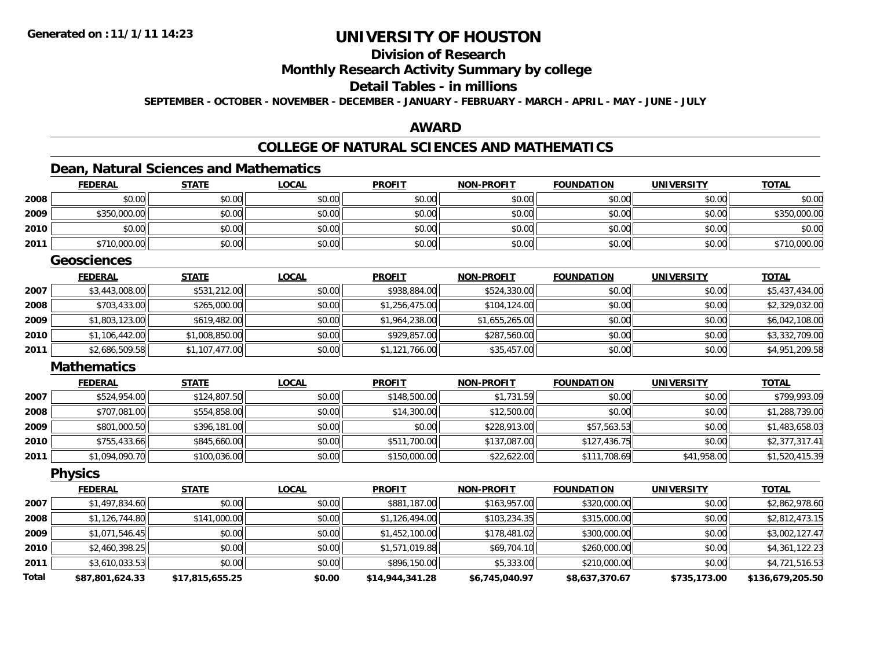### **Division of Research Monthly Research Activity Summary by college Detail Tables - in millions SEPTEMBER - OCTOBER - NOVEMBER - DECEMBER - JANUARY - FEBRUARY - MARCH - APRIL - MAY - JUNE - JULY**

#### **AWARD**

### **COLLEGE OF NATURAL SCIENCES AND MATHEMATICS**

### **Dean, Natural Sciences and Mathematics**

|              | <b>FEDERAL</b>     | <b>STATE</b>    | <b>LOCAL</b> | <b>PROFIT</b>   | <u>NON-PROFIT</u> | <b>FOUNDATION</b> | <b>UNIVERSITY</b> | <b>TOTAL</b>     |
|--------------|--------------------|-----------------|--------------|-----------------|-------------------|-------------------|-------------------|------------------|
| 2008         | \$0.00             | \$0.00          | \$0.00       | \$0.00          | \$0.00            | \$0.00            | \$0.00            | \$0.00           |
| 2009         | \$350,000.00       | \$0.00          | \$0.00       | \$0.00          | \$0.00            | \$0.00            | \$0.00            | \$350,000.00     |
| 2010         | \$0.00             | \$0.00          | \$0.00       | \$0.00          | \$0.00            | \$0.00            | \$0.00            | \$0.00           |
| 2011         | \$710,000.00       | \$0.00          | \$0.00       | \$0.00          | \$0.00            | \$0.00            | \$0.00            | \$710,000.00     |
|              | <b>Geosciences</b> |                 |              |                 |                   |                   |                   |                  |
|              | <b>FEDERAL</b>     | <b>STATE</b>    | <b>LOCAL</b> | <b>PROFIT</b>   | <b>NON-PROFIT</b> | <b>FOUNDATION</b> | <b>UNIVERSITY</b> | <b>TOTAL</b>     |
| 2007         | \$3,443,008.00     | \$531,212.00    | \$0.00       | \$938,884.00    | \$524,330.00      | \$0.00            | \$0.00            | \$5,437,434.00   |
| 2008         | \$703,433.00       | \$265,000.00    | \$0.00       | \$1,256,475.00  | \$104,124.00      | \$0.00            | \$0.00            | \$2,329,032.00   |
| 2009         | \$1,803,123.00     | \$619,482.00    | \$0.00       | \$1,964,238.00  | \$1,655,265.00    | \$0.00            | \$0.00            | \$6,042,108.00   |
| 2010         | \$1,106,442.00     | \$1,008,850.00  | \$0.00       | \$929,857.00    | \$287,560.00      | \$0.00            | \$0.00            | \$3,332,709.00   |
| 2011         | \$2,686,509.58     | \$1,107,477.00  | \$0.00       | \$1,121,766.00  | \$35,457.00       | \$0.00            | \$0.00            | \$4,951,209.58   |
|              | <b>Mathematics</b> |                 |              |                 |                   |                   |                   |                  |
|              | <b>FEDERAL</b>     | <b>STATE</b>    | <b>LOCAL</b> | <b>PROFIT</b>   | <b>NON-PROFIT</b> | <b>FOUNDATION</b> | <b>UNIVERSITY</b> | <b>TOTAL</b>     |
| 2007         | \$524,954.00       | \$124,807.50    | \$0.00       | \$148,500.00    | \$1,731.59        | \$0.00            | \$0.00            | \$799,993.09     |
| 2008         | \$707,081.00       | \$554,858.00    | \$0.00       | \$14,300.00     | \$12,500.00       | \$0.00            | \$0.00            | \$1,288,739.00   |
| 2009         | \$801,000.50       | \$396,181.00    | \$0.00       | \$0.00          | \$228,913.00      | \$57,563.53       | \$0.00            | \$1,483,658.03   |
| 2010         | \$755,433.66       | \$845,660.00    | \$0.00       | \$511,700.00    | \$137,087.00      | \$127,436.75      | \$0.00            | \$2,377,317.41   |
| 2011         | \$1,094,090.70     | \$100,036.00    | \$0.00       | \$150,000.00    | \$22,622.00       | \$111,708.69      | \$41,958.00       | \$1,520,415.39   |
|              | <b>Physics</b>     |                 |              |                 |                   |                   |                   |                  |
|              | <b>FEDERAL</b>     | <b>STATE</b>    | <b>LOCAL</b> | <b>PROFIT</b>   | <b>NON-PROFIT</b> | <b>FOUNDATION</b> | <b>UNIVERSITY</b> | <b>TOTAL</b>     |
| 2007         | \$1,497,834.60     | \$0.00          | \$0.00       | \$881,187.00    | \$163,957.00      | \$320,000.00      | \$0.00            | \$2,862,978.60   |
| 2008         | \$1,126,744.80     | \$141,000.00    | \$0.00       | \$1,126,494.00  | \$103,234.35      | \$315,000.00      | \$0.00            | \$2,812,473.15   |
| 2009         | \$1,071,546.45     | \$0.00          | \$0.00       | \$1,452,100.00  | \$178,481.02      | \$300,000.00      | \$0.00            | \$3,002,127.47   |
| 2010         | \$2,460,398.25     | \$0.00          | \$0.00       | \$1,571,019.88  | \$69,704.10       | \$260,000.00      | \$0.00            | \$4,361,122.23   |
| 2011         | \$3,610,033.53     | \$0.00          | \$0.00       | \$896,150.00    | \$5,333.00        | \$210,000.00      | \$0.00            | \$4,721,516.53   |
| <b>Total</b> | \$87,801,624.33    | \$17,815,655.25 | \$0.00       | \$14,944,341.28 | \$6,745,040.97    | \$8,637,370.67    | \$735,173.00      | \$136,679,205.50 |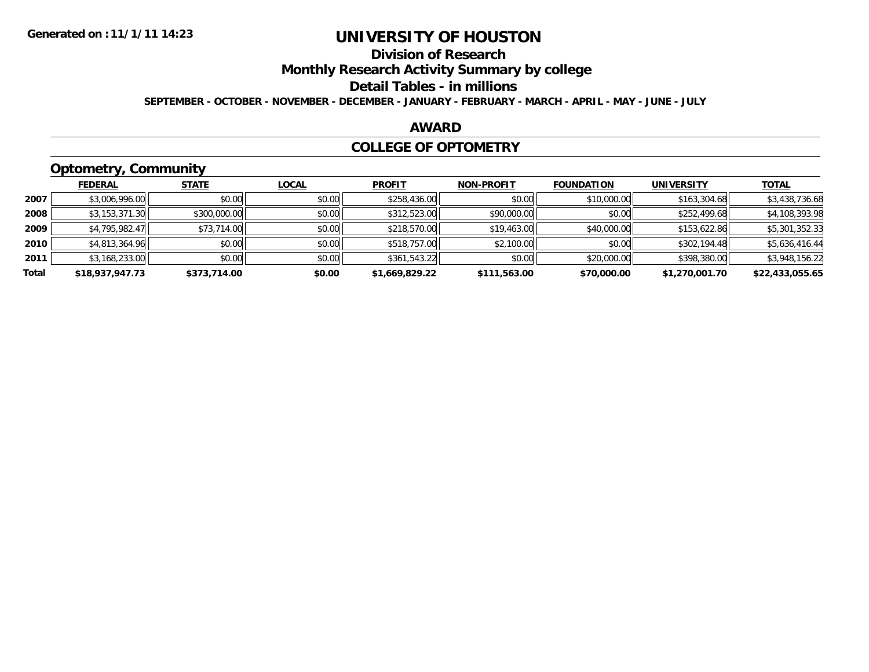### **Division of Research Monthly Research Activity Summary by college Detail Tables - in millions SEPTEMBER - OCTOBER - NOVEMBER - DECEMBER - JANUARY - FEBRUARY - MARCH - APRIL - MAY - JUNE - JULY**

#### **AWARD**

#### **COLLEGE OF OPTOMETRY**

## **Optometry, Community**

|       | - - -           |              |              |                |                   |                   |                   |                 |
|-------|-----------------|--------------|--------------|----------------|-------------------|-------------------|-------------------|-----------------|
|       | <b>FEDERAL</b>  | <b>STATE</b> | <b>LOCAL</b> | <b>PROFIT</b>  | <b>NON-PROFIT</b> | <b>FOUNDATION</b> | <b>UNIVERSITY</b> | <b>TOTAL</b>    |
| 2007  | \$3,006,996.00  | \$0.00       | \$0.00       | \$258,436.00   | \$0.00            | \$10,000.00       | \$163,304.68      | \$3,438,736.68  |
| 2008  | \$3,153,371.30  | \$300,000.00 | \$0.00       | \$312,523.00   | \$90,000.00       | \$0.00            | \$252,499.68      | \$4,108,393.98  |
| 2009  | \$4,795,982.47  | \$73,714.00  | \$0.00       | \$218,570.00   | \$19,463.00       | \$40,000.00       | \$153,622.86      | \$5,301,352.33  |
| 2010  | \$4,813,364.96  | \$0.00       | \$0.00       | \$518,757.00   | \$2,100.00        | \$0.00            | \$302,194.48      | \$5,636,416.44  |
| 2011  | \$3,168,233.00  | \$0.00       | \$0.00       | \$361,543.22   | \$0.00            | \$20,000.00       | \$398,380.00      | \$3,948,156.22  |
| Total | \$18,937,947.73 | \$373,714.00 | \$0.00       | \$1,669,829.22 | \$111,563.00      | \$70,000.00       | \$1,270,001.70    | \$22,433,055.65 |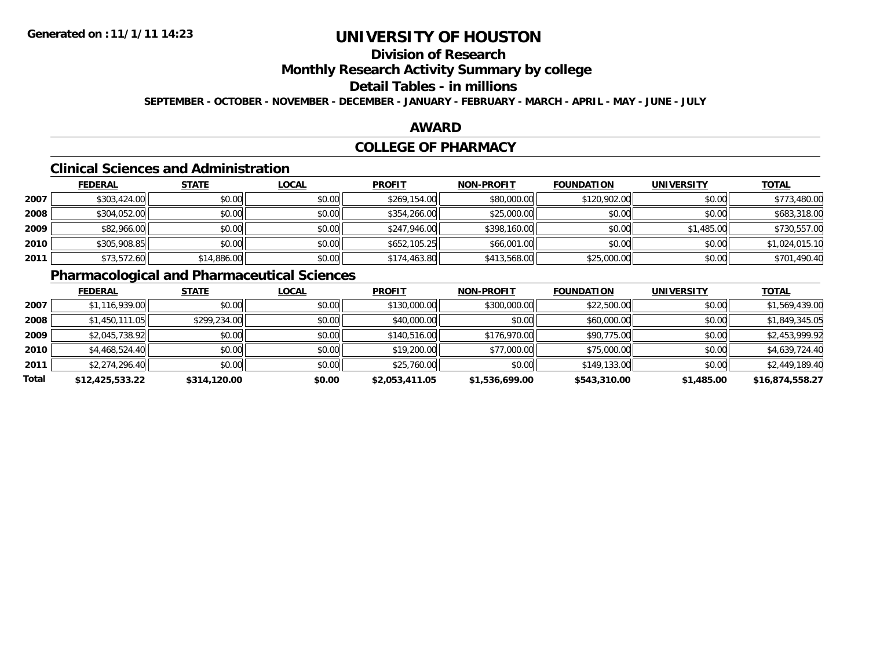### **Division of Research Monthly Research Activity Summary by college Detail Tables - in millions SEPTEMBER - OCTOBER - NOVEMBER - DECEMBER - JANUARY - FEBRUARY - MARCH - APRIL - MAY - JUNE - JULY**

#### **AWARD**

### **COLLEGE OF PHARMACY**

#### **Clinical Sciences and Administration**

|      | <b>FEDERAL</b> | <b>STATE</b> | <b>LOCAL</b> | <b>PROFIT</b> | <b>NON-PROFIT</b> | <b>FOUNDATION</b> | <b>UNIVERSITY</b> | <b>TOTAL</b>   |
|------|----------------|--------------|--------------|---------------|-------------------|-------------------|-------------------|----------------|
| 2007 | \$303,424.00   | \$0.00       | \$0.00       | \$269,154.00  | \$80,000.00       | \$120,902.00      | \$0.00            | \$773,480.00   |
| 2008 | \$304,052.00   | \$0.00       | \$0.00       | \$354,266.00  | \$25,000.00       | \$0.00            | \$0.00            | \$683,318.00   |
| 2009 | \$82,966.00    | \$0.00       | \$0.00       | \$247,946.00  | \$398,160.00      | \$0.00            | \$1,485.00        | \$730,557.00   |
| 2010 | \$305,908.85   | \$0.00       | \$0.00       | \$652,105.25  | \$66,001.00       | \$0.00            | \$0.00            | \$1,024,015.10 |
| 2011 | \$73,572.60    | \$14,886.00  | \$0.00       | \$174,463.80  | \$413,568.00      | \$25,000.00       | \$0.00            | \$701,490.40   |

### **Pharmacological and Pharmaceutical Sciences**

|       | <b>FEDERAL</b>  | <b>STATE</b> | <b>LOCAL</b> | <b>PROFIT</b>  | <b>NON-PROFIT</b> | <b>FOUNDATION</b> | <b>UNIVERSITY</b> | <b>TOTAL</b>    |
|-------|-----------------|--------------|--------------|----------------|-------------------|-------------------|-------------------|-----------------|
| 2007  | \$1,116,939.00  | \$0.00       | \$0.00       | \$130,000.00   | \$300,000.00      | \$22,500.00       | \$0.00            | \$1,569,439.00  |
| 2008  | \$1,450,111.05  | \$299,234.00 | \$0.00       | \$40,000.00    | \$0.00            | \$60,000.00       | \$0.00            | \$1,849,345.05  |
| 2009  | \$2,045,738.92  | \$0.00       | \$0.00       | \$140,516.00   | \$176,970.00      | \$90,775.00       | \$0.00            | \$2,453,999.92  |
| 2010  | \$4,468,524.40  | \$0.00       | \$0.00       | \$19,200.00    | \$77,000.00       | \$75,000.00       | \$0.00            | \$4,639,724.40  |
| 2011  | \$2,274,296.40  | \$0.00       | \$0.00       | \$25,760.00    | \$0.00            | \$149,133.00      | \$0.00            | \$2,449,189.40  |
| Total | \$12,425,533.22 | \$314,120.00 | \$0.00       | \$2,053,411.05 | \$1,536,699.00    | \$543,310.00      | \$1,485.00        | \$16,874,558.27 |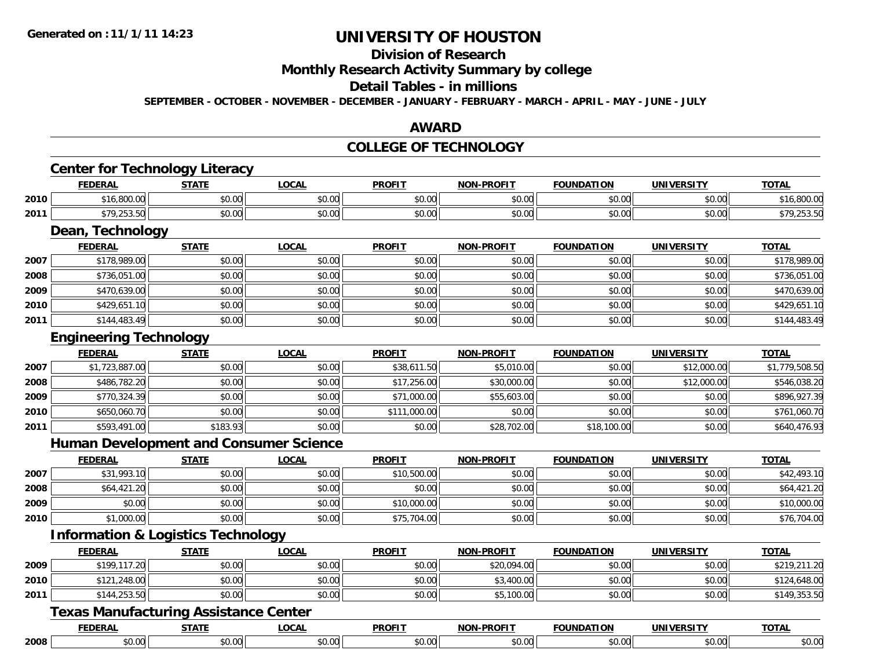#### **Division of Research Monthly Research Activity Summary by college Detail Tables - in millions SEPTEMBER - OCTOBER - NOVEMBER - DECEMBER - JANUARY - FEBRUARY - MARCH - APRIL - MAY - JUNE - JULY**

#### **AWARD**

#### **COLLEGE OF TECHNOLOGY**

#### **Center for Technology Literacy FEDERAL STATE LOCAL PROFIT NON-PROFIT FOUNDATION UNIVERSITY TOTAL 2010** $\textsf{\textbf{0}}$  \$16,800.00 \$0.00 \$0.00 \$0.00 \$0.00 \$0.00 \$0.00 \$0.00 \$0.00 \$0.00 \$0.00 \$0.00 \$16,800.00 **2011** $\textbf{1} \hspace{14mm} \text{$39,253.50$} \hspace{14mm} \text{$50.00$} \hspace{14mm} \text{$50.000$} \hspace{14mm} \text{$50.000} \hspace{14mm} \text{$50.000} \hspace{14mm} \text{$50.000} \hspace{14mm} \text{$50.000} \hspace{14mm} \text{$50.000} \hspace{14mm} \text{$50.000} \hspace{14mm} \text{$50.000} \hspace{14mm} \text{$50.000}$ **Dean, Technology FEDERAL STATE LOCAL PROFIT NON-PROFIT FOUNDATION UNIVERSITY TOTAL 2007**7 \$178,989.00 \$0.00 \$0.00 \$0.00 \$0.00 \$0.00 \$0.00 \$0.00 \$0.00 \$0.00 \$0.00 \$0.00 \$0.00 \$178,989.00 **2008**8 \$736,051.00 \$0.00 \$0.00 \$0.00 \$0.00 \$0.00 \$0.00 \$0.00 \$0.00 \$0.00 \$0.00 \$0.00 \$0.00 \$736,051.00 **2009** \$470,639.00 \$0.00 \$0.00 \$0.00 \$0.00 \$0.00 \$0.00 \$470,639.00 **2010**0 \$429,651.10|| \$0.00|| \$0.00|| \$0.00|| \$0.00|| \$0.00|| \$429,651.10 **2011** \$144,483.49 \$0.00 \$0.00 \$0.00 \$0.00 \$0.00 \$0.00 \$144,483.49 **Engineering Technology FEDERAL STATE LOCAL PROFIT NON-PROFIT FOUNDATION UNIVERSITY TOTAL 20077** \$1,723,887.00 \$1,779,508.50 \$0.00 \$0.00 \$0.00 \$38,611.50 \$5,010.00 \$5,010.00 \$0.00 \$12,000.00 \$1,779,508.50 **2008** $\bf{8}$  \$486,782.20  $\,$  \$0.00 \$0.00 \$0.00 \$0.00 \$17,256.00 \$30,000.00 \$30,000.00 \$0.00 \$12,000.00 \$546,038.20 **2009** $\textbf{9} \hspace{15mm} \text{$8770,324.39]} \hspace{10mm} \text{$80.00]} \hspace{10mm} \text{$80.00]} \hspace{10mm} \text{$896,927.39}$ **2010** \$650,060.70 \$0.00 \$0.00 \$111,000.00 \$0.00 \$0.00 \$0.00 \$761,060.70 **2011** $\textbf{1} \hspace{14mm} |\hspace{14mm} \text{$593,491.00}|\hspace{14mm} \text{$640,476.93$}$ **Human Development and Consumer Science FEDERAL STATE LOCAL PROFIT NON-PROFIT FOUNDATION UNIVERSITY TOTAL 2007** \$31,993.10 \$0.00 \$0.00 \$10,500.00 \$0.00 \$0.00 \$0.00 \$42,493.10 **20088** \$64,421.20 \$64,421.20 \$0.00 \$0.00 \$0.00 \$0.00 \$0.00 \$0.00 \$0.00 \$0.00 \$0.00 \$0.00 \$0.00 \$64,421.20 **2009** \$0.00 \$0.00 \$0.00 \$10,000.00 \$0.00 \$0.00 \$0.00 \$10,000.00 **2010** $\textsf{\textbf{0}}$  \$1,000.00  $\textsf{\textbf{0}}$  \$0.00 \$0.00 \$0.00 \$0.00 \$0.00 \$0.00 \$0.00 \$0.00 \$0.00 \$0.00 \$76,704.00 **Information & Logistics Technology FEDERAL STATE LOCAL PROFIT NON-PROFIT FOUNDATION UNIVERSITY TOTAL 2009** \$199,117.20 \$0.00 \$0.00 \$0.00 \$20,094.00 \$0.00 \$0.00 \$219,211.20 **2010** $\textsf{\textbf{0}} \parallel \textsf{\textbf{0}}$  \$121,248.00  $\textsf{\textbf{0}}$  \$0.00 \$0.00 \$0.00 \$0.00 \$0.00 \$0.00 \$0.00 \$124,648.00 **2011** $\textbf{1} \hspace{14mm} |\hspace{14mm} \text{$5144,253.50}| \hspace{14.5mm} \text{$0.00|} \hspace{14.5mm} \text{$149,353.50}$ **Texas Manufacturing Assistance Center**

|      | -----<br>∙⊌∧.<br> | ----                        | $\sim$        | -----<br>* 11-⊾                 | 81 F<br>. <i>.</i> | гτο | <b>TOTAL</b> |
|------|-------------------|-----------------------------|---------------|---------------------------------|--------------------|-----|--------------|
| 2008 | \$0.00            | $*$ $\circ$ $\circ$<br>ט.טע | r.,<br>טע, טע | $\uparrow$<br>$\cdot\cdot\cdot$ | ⌒                  |     | ∠∪.∪∪        |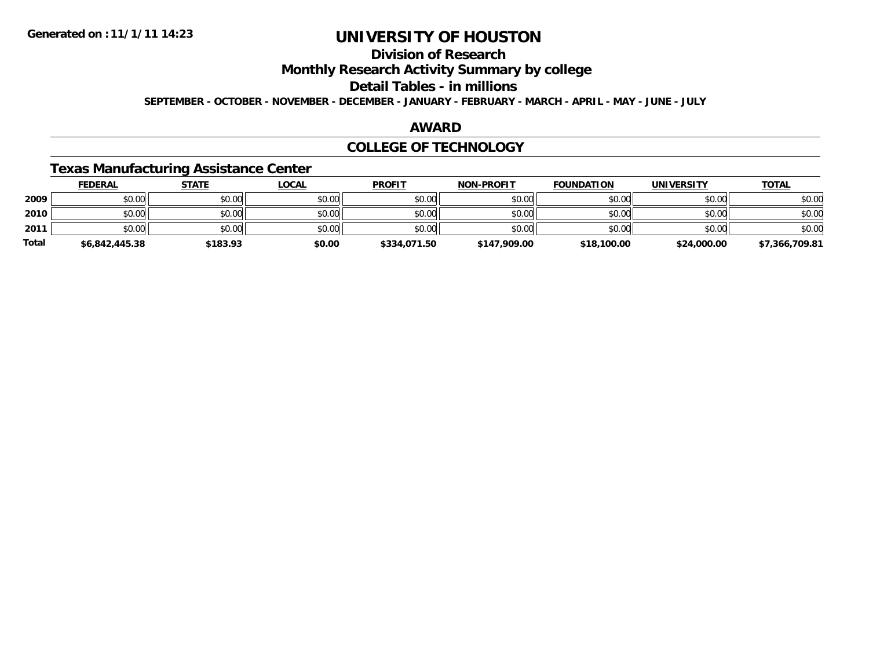### **Division of Research Monthly Research Activity Summary by college Detail Tables - in millions SEPTEMBER - OCTOBER - NOVEMBER - DECEMBER - JANUARY - FEBRUARY - MARCH - APRIL - MAY - JUNE - JULY**

#### **AWARD**

#### **COLLEGE OF TECHNOLOGY**

### **Texas Manufacturing Assistance Center**

|       | <b>FEDERAL</b> | <b>STATE</b> | <u>LOCAL</u> | <b>PROFIT</b> | <b>NON-PROFIT</b> | <b>FOUNDATION</b> | <b>UNIVERSITY</b> | <b>TOTAL</b>   |
|-------|----------------|--------------|--------------|---------------|-------------------|-------------------|-------------------|----------------|
| 2009  | \$0.00         | \$0.00       | \$0.00       | \$0.00        | \$0.00            | \$0.00            | \$0.00            | \$0.00         |
| 2010  | \$0.00         | \$0.00       | \$0.00       | \$0.00        | \$0.00            | \$0.00            | \$0.00            | \$0.00         |
| 2011  | \$0.00         | \$0.00       | \$0.00       | \$0.00        | \$0.00            | \$0.00            | \$0.00            | \$0.00         |
| Total | \$6,842,445.38 | \$183.93     | \$0.00       | \$334,071.50  | \$147,909.00      | \$18,100.00       | \$24,000.00       | \$7,366,709.81 |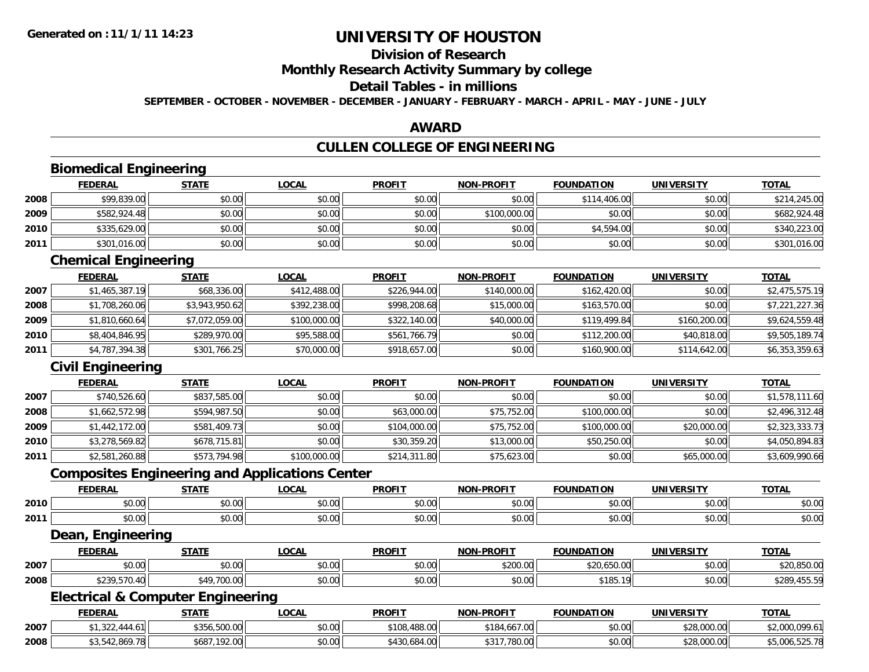### **Division of Research Monthly Research Activity Summary by college Detail Tables - in millions SEPTEMBER - OCTOBER - NOVEMBER - DECEMBER - JANUARY - FEBRUARY - MARCH - APRIL - MAY - JUNE - JULY**

### **AWARD**

## **CULLEN COLLEGE OF ENGINEERING**

|      | <b>Biomedical Engineering</b>                         |                |              |               |                   |                   |                   |                |  |  |
|------|-------------------------------------------------------|----------------|--------------|---------------|-------------------|-------------------|-------------------|----------------|--|--|
|      | <b>FEDERAL</b>                                        | <b>STATE</b>   | <b>LOCAL</b> | <b>PROFIT</b> | <b>NON-PROFIT</b> | <b>FOUNDATION</b> | <b>UNIVERSITY</b> | <b>TOTAL</b>   |  |  |
| 2008 | \$99,839.00                                           | \$0.00         | \$0.00       | \$0.00        | \$0.00            | \$114,406.00      | \$0.00            | \$214,245.00   |  |  |
| 2009 | \$582,924.48                                          | \$0.00         | \$0.00       | \$0.00        | \$100,000.00      | \$0.00            | \$0.00            | \$682,924.48   |  |  |
| 2010 | \$335,629.00                                          | \$0.00         | \$0.00       | \$0.00        | \$0.00            | \$4,594.00        | \$0.00            | \$340,223.00   |  |  |
| 2011 | \$301,016.00                                          | \$0.00         | \$0.00       | \$0.00        | \$0.00            | \$0.00            | \$0.00            | \$301,016.00   |  |  |
|      | <b>Chemical Engineering</b>                           |                |              |               |                   |                   |                   |                |  |  |
|      | <b>FEDERAL</b>                                        | <b>STATE</b>   | <b>LOCAL</b> | <b>PROFIT</b> | <b>NON-PROFIT</b> | <b>FOUNDATION</b> | <b>UNIVERSITY</b> | <b>TOTAL</b>   |  |  |
| 2007 | \$1,465,387.19                                        | \$68,336.00    | \$412,488.00 | \$226,944.00  | \$140,000.00      | \$162,420.00      | \$0.00            | \$2,475,575.19 |  |  |
| 2008 | \$1,708,260.06                                        | \$3,943,950.62 | \$392,238.00 | \$998,208.68  | \$15,000.00       | \$163,570.00      | \$0.00            | \$7,221,227.36 |  |  |
| 2009 | \$1,810,660.64                                        | \$7,072,059.00 | \$100,000.00 | \$322,140.00  | \$40,000.00       | \$119,499.84      | \$160,200.00      | \$9,624,559.48 |  |  |
| 2010 | \$8,404,846.95                                        | \$289,970.00   | \$95,588.00  | \$561,766.79  | \$0.00            | \$112,200.00      | \$40,818.00       | \$9,505,189.74 |  |  |
| 2011 | \$4,787,394.38                                        | \$301,766.25   | \$70,000.00  | \$918,657.00  | \$0.00            | \$160,900.00      | \$114,642.00      | \$6,353,359.63 |  |  |
|      | <b>Civil Engineering</b>                              |                |              |               |                   |                   |                   |                |  |  |
|      | <b>FEDERAL</b>                                        | <b>STATE</b>   | <b>LOCAL</b> | <b>PROFIT</b> | <b>NON-PROFIT</b> | <b>FOUNDATION</b> | <b>UNIVERSITY</b> | <b>TOTAL</b>   |  |  |
| 2007 | \$740,526.60                                          | \$837,585.00   | \$0.00       | \$0.00        | \$0.00            | \$0.00            | \$0.00            | \$1,578,111.60 |  |  |
| 2008 | \$1,662,572.98                                        | \$594,987.50   | \$0.00       | \$63,000.00   | \$75,752.00       | \$100,000.00      | \$0.00            | \$2,496,312.48 |  |  |
| 2009 | \$1,442,172.00                                        | \$581,409.73   | \$0.00       | \$104,000.00  | \$75,752.00       | \$100,000.00      | \$20,000.00       | \$2,323,333.73 |  |  |
| 2010 | \$3,278,569.82                                        | \$678,715.81   | \$0.00       | \$30,359.20   | \$13,000.00       | \$50,250.00       | \$0.00            | \$4,050,894.83 |  |  |
| 2011 | \$2,581,260.88                                        | \$573,794.98   | \$100,000.00 | \$214,311.80  | \$75,623.00       | \$0.00            | \$65,000.00       | \$3,609,990.66 |  |  |
|      | <b>Composites Engineering and Applications Center</b> |                |              |               |                   |                   |                   |                |  |  |
|      | <b>FEDERAL</b>                                        | <b>STATE</b>   | <b>LOCAL</b> | <b>PROFIT</b> | <b>NON-PROFIT</b> | <b>FOUNDATION</b> | <b>UNIVERSITY</b> | <b>TOTAL</b>   |  |  |
| 2010 | \$0.00                                                | \$0.00         | \$0.00       | \$0.00        | \$0.00            | \$0.00            | \$0.00            | \$0.00         |  |  |
| 2011 | \$0.00                                                | \$0.00         | \$0.00       | \$0.00        | \$0.00            | \$0.00            | \$0.00            | \$0.00         |  |  |
|      | <b>Dean, Engineering</b>                              |                |              |               |                   |                   |                   |                |  |  |
|      | <b>FEDERAL</b>                                        | <b>STATE</b>   | <b>LOCAL</b> | <b>PROFIT</b> | <b>NON-PROFIT</b> | <b>FOUNDATION</b> | <b>UNIVERSITY</b> | <b>TOTAL</b>   |  |  |
| 2007 | \$0.00                                                | \$0.00         | \$0.00       | \$0.00        | \$200.00          | \$20,650.00       | \$0.00            | \$20,850.00    |  |  |
| 2008 | \$239,570.40                                          | \$49,700.00    | \$0.00       | \$0.00        | \$0.00            | \$185.19          | \$0.00            | \$289,455.59   |  |  |
|      | <b>Electrical &amp; Computer Engineering</b>          |                |              |               |                   |                   |                   |                |  |  |
|      | <b>FEDERAL</b>                                        | <b>STATE</b>   | <b>LOCAL</b> | <b>PROFIT</b> | <b>NON-PROFIT</b> | <b>FOUNDATION</b> | <b>UNIVERSITY</b> | <b>TOTAL</b>   |  |  |
| 2007 | \$1,322,444.61                                        | \$356,500.00   | \$0.00       | \$108,488.00  | \$184,667.00      | \$0.00            | \$28,000.00       | \$2,000,099.61 |  |  |
| 2008 | \$3,542,869.78                                        | \$687,192.00   | \$0.00       | \$430,684.00  | \$317,780.00      | \$0.00            | \$28,000.00       | \$5,006,525.78 |  |  |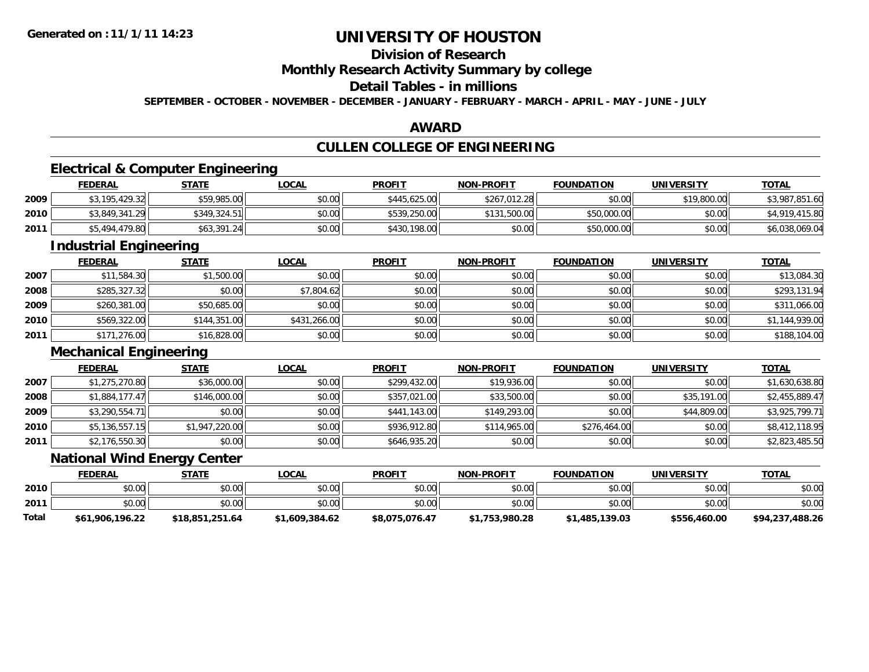### **Division of Research Monthly Research Activity Summary by college Detail Tables - in millions SEPTEMBER - OCTOBER - NOVEMBER - DECEMBER - JANUARY - FEBRUARY - MARCH - APRIL - MAY - JUNE - JULY**

#### **AWARD**

### **CULLEN COLLEGE OF ENGINEERING**

### **Electrical & Computer Engineering**

|      | <b>FEDERAL</b> | <b>STATE</b> | <u>LOCAL</u> | <b>PROFIT</b> | <b>NON-PROFIT</b> | <b>FOUNDATION</b> | <b>UNIVERSITY</b> | <b>TOTAL</b>   |
|------|----------------|--------------|--------------|---------------|-------------------|-------------------|-------------------|----------------|
| 2009 | \$3,195,429.32 | \$59,985.00  | \$0.00       | \$445,625,00  | \$267,012.28      | \$0.00            | \$19,800.00       | \$3,987,851.60 |
| 2010 | \$3,849,341.29 | \$349.324.51 | \$0.00       | \$539,250.00  | \$131,500.00      | \$50,000.00       | \$0.00            | \$4,919,415.80 |
| 2011 | \$5,494,479.80 | \$63,391.24  | \$0.00       | \$430,198.00  | \$0.00            | \$50,000.00       | \$0.00            | \$6,038,069.04 |

### **Industrial Engineering**

|      | <b>FEDERAL</b> | <b>STATE</b> | <b>LOCAL</b> | <b>PROFIT</b> | <b>NON-PROFIT</b> | <b>FOUNDATION</b> | <b>UNIVERSITY</b> | <b>TOTAL</b>   |
|------|----------------|--------------|--------------|---------------|-------------------|-------------------|-------------------|----------------|
| 2007 | \$11,584.30    | \$1,500.00   | \$0.00       | \$0.00        | \$0.00            | \$0.00            | \$0.00            | \$13,084.30    |
| 2008 | \$285,327.32   | \$0.00       | \$7,804.62   | \$0.00        | \$0.00            | \$0.00            | \$0.00            | \$293,131.94   |
| 2009 | \$260,381.00   | \$50,685.00  | \$0.00       | \$0.00        | \$0.00            | \$0.00            | \$0.00            | \$311,066.00   |
| 2010 | \$569,322.00   | \$144,351.00 | \$431,266.00 | \$0.00        | \$0.00            | \$0.00            | \$0.00            | \$1,144,939.00 |
| 2011 | \$171,276.00   | \$16,828.00  | \$0.00       | \$0.00        | \$0.00            | \$0.00            | \$0.00            | \$188,104.00   |

### **Mechanical Engineering**

|      | <b>FEDERAL</b> | <b>STATE</b>   | <b>LOCAL</b> | <b>PROFIT</b> | <b>NON-PROFIT</b> | <b>FOUNDATION</b> | <b>UNIVERSITY</b> | <b>TOTAL</b>   |
|------|----------------|----------------|--------------|---------------|-------------------|-------------------|-------------------|----------------|
| 2007 | \$1,275,270.80 | \$36,000.00    | \$0.00       | \$299,432.00  | \$19,936.00       | \$0.00            | \$0.00            | \$1,630,638.80 |
| 2008 | \$1,884,177.47 | \$146,000.00   | \$0.00       | \$357,021.00  | \$33,500.00       | \$0.00            | \$35,191.00       | \$2,455,889.47 |
| 2009 | \$3,290,554.71 | \$0.00         | \$0.00       | \$441,143.00  | \$149,293.00      | \$0.00            | \$44,809.00       | \$3,925,799.71 |
| 2010 | \$5,136,557.15 | \$1,947,220.00 | \$0.00       | \$936,912.80  | \$114,965.00      | \$276,464.00      | \$0.00            | \$8,412,118.95 |
| 2011 | \$2,176,550.30 | \$0.00         | \$0.00       | \$646,935.20  | \$0.00            | \$0.00            | \$0.00            | \$2,823,485.50 |

### **National Wind Energy Center**

|       | <b>FEDERAL</b>  | <u>STATE</u>    | <u>LOCAL</u>   | <b>PROFIT</b>  | <b>NON-PROFIT</b> | <b>FOUNDATION</b> | <b>UNIVERSITY</b> | <b>TOTAL</b>    |
|-------|-----------------|-----------------|----------------|----------------|-------------------|-------------------|-------------------|-----------------|
| 2010  | \$0.00          | \$0.00          | \$0.00         | \$0.00         | \$0.00            | \$0.00            | \$0.00            | \$0.00          |
| 2011  | \$0.00          | \$0.00          | \$0.00         | \$0.00         | \$0.00            | \$0.00            | \$0.00            | \$0.00          |
| Total | \$61,906,196.22 | \$18,851,251.64 | \$1,609,384.62 | \$8,075,076.47 | \$1,753,980.28    | \$1,485,139.03    | \$556,460.00      | \$94,237,488.26 |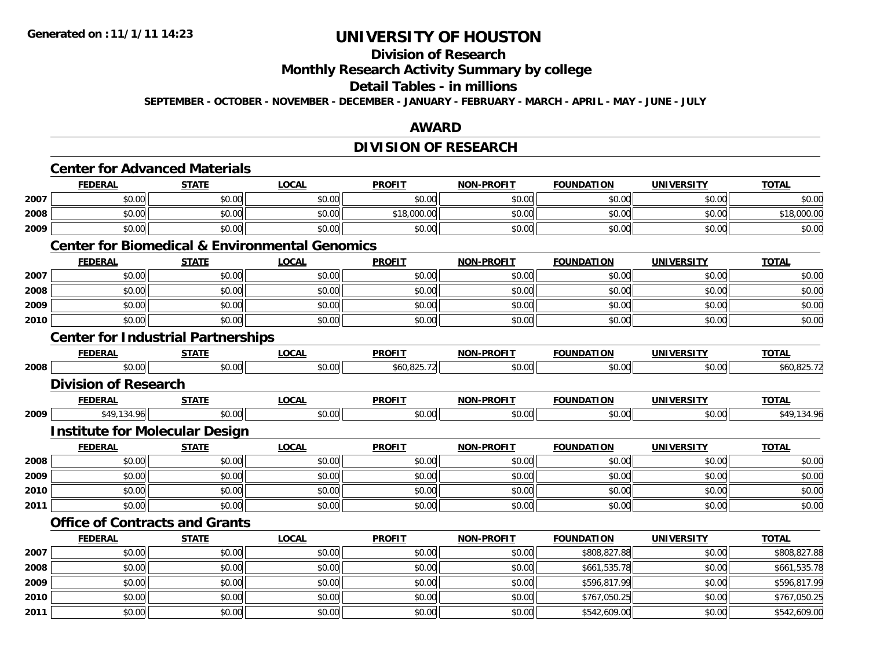### **Division of Research Monthly Research Activity Summary by college Detail Tables - in millions SEPTEMBER - OCTOBER - NOVEMBER - DECEMBER - JANUARY - FEBRUARY - MARCH - APRIL - MAY - JUNE - JULY**

### **AWARD**

### **DIVISION OF RESEARCH**

|      |                             | <b>Center for Advanced Materials</b>      |                                                           |               |                   |                   |                   |              |
|------|-----------------------------|-------------------------------------------|-----------------------------------------------------------|---------------|-------------------|-------------------|-------------------|--------------|
|      | <b>FEDERAL</b>              | <b>STATE</b>                              | <b>LOCAL</b>                                              | <b>PROFIT</b> | <b>NON-PROFIT</b> | <b>FOUNDATION</b> | <b>UNIVERSITY</b> | <b>TOTAL</b> |
| 2007 | \$0.00                      | \$0.00                                    | \$0.00                                                    | \$0.00        | \$0.00            | \$0.00            | \$0.00            | \$0.00       |
| 2008 | \$0.00                      | \$0.00                                    | \$0.00                                                    | \$18,000.00   | \$0.00            | \$0.00            | \$0.00            | \$18,000.00  |
| 2009 | \$0.00                      | \$0.00                                    | \$0.00                                                    | \$0.00        | \$0.00            | \$0.00            | \$0.00            | \$0.00       |
|      |                             |                                           | <b>Center for Biomedical &amp; Environmental Genomics</b> |               |                   |                   |                   |              |
|      | <b>FEDERAL</b>              | <b>STATE</b>                              | <b>LOCAL</b>                                              | <b>PROFIT</b> | <b>NON-PROFIT</b> | <b>FOUNDATION</b> | <b>UNIVERSITY</b> | <b>TOTAL</b> |
| 2007 | \$0.00                      | \$0.00                                    | \$0.00                                                    | \$0.00        | \$0.00            | \$0.00            | \$0.00            | \$0.00       |
| 2008 | \$0.00                      | \$0.00                                    | \$0.00                                                    | \$0.00        | \$0.00            | \$0.00            | \$0.00            | \$0.00       |
| 2009 | \$0.00                      | \$0.00                                    | \$0.00                                                    | \$0.00        | \$0.00            | \$0.00            | \$0.00            | \$0.00       |
| 2010 | \$0.00                      | \$0.00                                    | \$0.00                                                    | \$0.00        | \$0.00            | \$0.00            | \$0.00            | \$0.00       |
|      |                             | <b>Center for Industrial Partnerships</b> |                                                           |               |                   |                   |                   |              |
|      | <b>FEDERAL</b>              | <b>STATE</b>                              | <b>LOCAL</b>                                              | <b>PROFIT</b> | <b>NON-PROFIT</b> | <b>FOUNDATION</b> | <b>UNIVERSITY</b> | <b>TOTAL</b> |
| 2008 | \$0.00                      | \$0.00                                    | \$0.00                                                    | \$60,825.72   | \$0.00            | \$0.00            | \$0.00            | \$60,825.72  |
|      | <b>Division of Research</b> |                                           |                                                           |               |                   |                   |                   |              |
|      | <b>FEDERAL</b>              | <b>STATE</b>                              | <b>LOCAL</b>                                              | <b>PROFIT</b> | <b>NON-PROFIT</b> | <b>FOUNDATION</b> | <b>UNIVERSITY</b> | <b>TOTAL</b> |
| 2009 | \$49,134.96                 | \$0.00                                    | \$0.00                                                    | \$0.00        | \$0.00            | \$0.00            | \$0.00            | \$49,134.96  |
|      |                             | <b>Institute for Molecular Design</b>     |                                                           |               |                   |                   |                   |              |
|      | <b>FEDERAL</b>              | <b>STATE</b>                              | <b>LOCAL</b>                                              | <b>PROFIT</b> | <b>NON-PROFIT</b> | <b>FOUNDATION</b> | <b>UNIVERSITY</b> | <b>TOTAL</b> |
| 2008 | \$0.00                      | \$0.00                                    | \$0.00                                                    | \$0.00        | \$0.00            | \$0.00            | \$0.00            | \$0.00       |
| 2009 | \$0.00                      | \$0.00                                    | \$0.00                                                    | \$0.00        | \$0.00            | \$0.00            | \$0.00            | \$0.00       |
| 2010 | \$0.00                      | \$0.00                                    | \$0.00                                                    | \$0.00        | \$0.00            | \$0.00            | \$0.00            | \$0.00       |
| 2011 | \$0.00                      | \$0.00                                    | \$0.00                                                    | \$0.00        | \$0.00            | \$0.00            | \$0.00            | \$0.00       |
|      |                             | <b>Office of Contracts and Grants</b>     |                                                           |               |                   |                   |                   |              |
|      | <b>FEDERAL</b>              | <b>STATE</b>                              | <b>LOCAL</b>                                              | <b>PROFIT</b> | <b>NON-PROFIT</b> | <b>FOUNDATION</b> | <b>UNIVERSITY</b> | <b>TOTAL</b> |
| 2007 | \$0.00                      | \$0.00                                    | \$0.00                                                    | \$0.00        | \$0.00            | \$808,827.88      | \$0.00            | \$808,827.88 |
| 2008 | \$0.00                      | \$0.00                                    | \$0.00                                                    | \$0.00        | \$0.00            | \$661,535.78      | \$0.00            | \$661,535.78 |
| 2009 | \$0.00                      | \$0.00                                    | \$0.00                                                    | \$0.00        | \$0.00            | \$596,817.99      | \$0.00            | \$596,817.99 |
| 2010 | \$0.00                      | \$0.00                                    | \$0.00                                                    | \$0.00        | \$0.00            | \$767,050.25      | \$0.00            | \$767,050.25 |
| 2011 | \$0.00                      | \$0.00                                    | \$0.00                                                    | \$0.00        | \$0.00            | \$542,609.00      | \$0.00            | \$542,609.00 |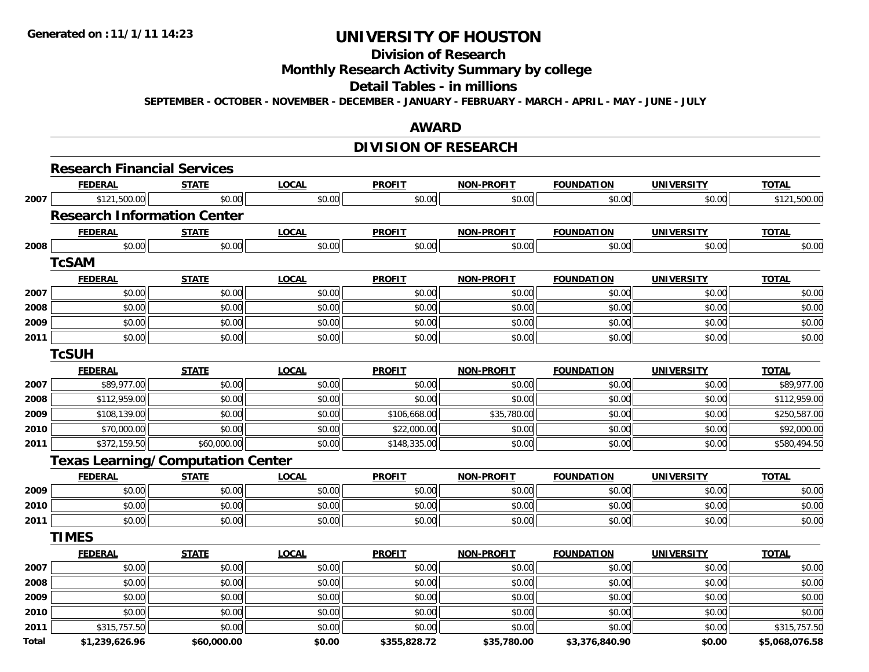# **Division of Research Monthly Research Activity Summary by college Detail Tables - in millions**

**SEPTEMBER - OCTOBER - NOVEMBER - DECEMBER - JANUARY - FEBRUARY - MARCH - APRIL - MAY - JUNE - JULY** 

### **AWARD**

### **DIVISION OF RESEARCH**

|       | <b>Research Financial Services</b>       |              |              |               |                   |                   |                   |                |
|-------|------------------------------------------|--------------|--------------|---------------|-------------------|-------------------|-------------------|----------------|
|       | <b>FEDERAL</b>                           | <b>STATE</b> | <b>LOCAL</b> | <b>PROFIT</b> | <b>NON-PROFIT</b> | <b>FOUNDATION</b> | <b>UNIVERSITY</b> | <b>TOTAL</b>   |
| 2007  | \$121,500.00                             | \$0.00       | \$0.00       | \$0.00        | \$0.00            | \$0.00            | \$0.00            | \$121,500.00   |
|       | <b>Research Information Center</b>       |              |              |               |                   |                   |                   |                |
|       | <b>FEDERAL</b>                           | <b>STATE</b> | <b>LOCAL</b> | <b>PROFIT</b> | <b>NON-PROFIT</b> | <b>FOUNDATION</b> | <b>UNIVERSITY</b> | <b>TOTAL</b>   |
| 2008  | \$0.00                                   | \$0.00       | \$0.00       | \$0.00        | \$0.00            | \$0.00            | \$0.00            | \$0.00         |
|       | <b>TcSAM</b>                             |              |              |               |                   |                   |                   |                |
|       | <b>FEDERAL</b>                           | <b>STATE</b> | <b>LOCAL</b> | <b>PROFIT</b> | <b>NON-PROFIT</b> | <b>FOUNDATION</b> | <b>UNIVERSITY</b> | <b>TOTAL</b>   |
| 2007  | \$0.00                                   | \$0.00       | \$0.00       | \$0.00        | \$0.00            | \$0.00            | \$0.00            | \$0.00         |
| 2008  | \$0.00                                   | \$0.00       | \$0.00       | \$0.00        | \$0.00            | \$0.00            | \$0.00            | \$0.00         |
| 2009  | \$0.00                                   | \$0.00       | \$0.00       | \$0.00        | \$0.00            | \$0.00            | \$0.00            | \$0.00         |
| 2011  | \$0.00                                   | \$0.00       | \$0.00       | \$0.00        | \$0.00            | \$0.00            | \$0.00            | \$0.00         |
|       | <b>TcSUH</b>                             |              |              |               |                   |                   |                   |                |
|       | <b>FEDERAL</b>                           | <b>STATE</b> | <b>LOCAL</b> | <b>PROFIT</b> | <b>NON-PROFIT</b> | <b>FOUNDATION</b> | <b>UNIVERSITY</b> | <b>TOTAL</b>   |
| 2007  | \$89,977.00                              | \$0.00       | \$0.00       | \$0.00        | \$0.00            | \$0.00            | \$0.00            | \$89,977.00    |
| 2008  | \$112,959.00                             | \$0.00       | \$0.00       | \$0.00        | \$0.00            | \$0.00            | \$0.00            | \$112,959.00   |
| 2009  | \$108,139.00                             | \$0.00       | \$0.00       | \$106,668.00  | \$35,780.00       | \$0.00            | \$0.00            | \$250,587.00   |
| 2010  | \$70,000.00                              | \$0.00       | \$0.00       | \$22,000.00   | \$0.00            | \$0.00            | \$0.00            | \$92,000.00    |
| 2011  | \$372,159.50                             | \$60,000.00  | \$0.00       | \$148,335.00  | \$0.00            | \$0.00            | \$0.00            | \$580,494.50   |
|       | <b>Texas Learning/Computation Center</b> |              |              |               |                   |                   |                   |                |
|       | <b>FEDERAL</b>                           | <b>STATE</b> | <b>LOCAL</b> | <b>PROFIT</b> | <b>NON-PROFIT</b> | <b>FOUNDATION</b> | <b>UNIVERSITY</b> | <b>TOTAL</b>   |
| 2009  | \$0.00                                   | \$0.00       | \$0.00       | \$0.00        | \$0.00            | \$0.00            | \$0.00            | \$0.00         |
| 2010  | \$0.00                                   | \$0.00       | \$0.00       | \$0.00        | \$0.00            | \$0.00            | \$0.00            | \$0.00         |
| 2011  | \$0.00                                   | \$0.00       | \$0.00       | \$0.00        | \$0.00            | \$0.00            | \$0.00            | \$0.00         |
|       | <b>TIMES</b>                             |              |              |               |                   |                   |                   |                |
|       | <b>FEDERAL</b>                           | <b>STATE</b> | <b>LOCAL</b> | <b>PROFIT</b> | <b>NON-PROFIT</b> | <b>FOUNDATION</b> | <b>UNIVERSITY</b> | <b>TOTAL</b>   |
| 2007  | \$0.00                                   | \$0.00       | \$0.00       | \$0.00        | \$0.00            | \$0.00            | \$0.00            | \$0.00         |
| 2008  | \$0.00                                   | \$0.00       | \$0.00       | \$0.00        | \$0.00            | \$0.00            | \$0.00            | \$0.00         |
| 2009  | \$0.00                                   | \$0.00       | \$0.00       | \$0.00        | \$0.00            | \$0.00            | \$0.00            | \$0.00         |
| 2010  | \$0.00                                   | \$0.00       | \$0.00       | \$0.00        | \$0.00            | \$0.00            | \$0.00            | \$0.00         |
| 2011  | \$315,757.50                             | \$0.00       | \$0.00       | \$0.00        | \$0.00            | \$0.00            | \$0.00            | \$315,757.50   |
| Total | \$1,239,626.96                           | \$60,000.00  | \$0.00       | \$355,828.72  | \$35,780.00       | \$3,376,840.90    | \$0.00            | \$5,068,076.58 |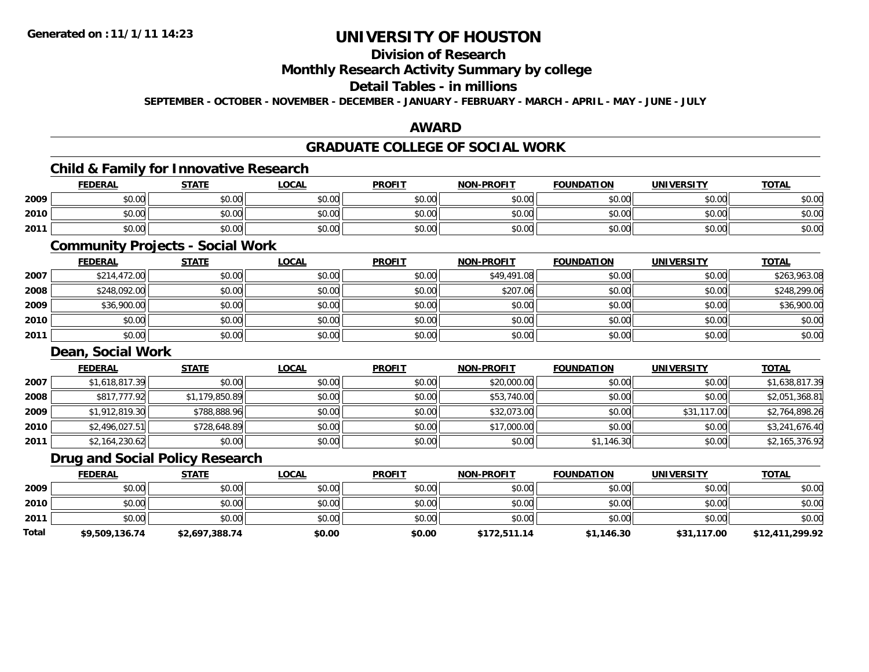### **Division of Research Monthly Research Activity Summary by college Detail Tables - in millions SEPTEMBER - OCTOBER - NOVEMBER - DECEMBER - JANUARY - FEBRUARY - MARCH - APRIL - MAY - JUNE - JULY**

#### **AWARD**

### **GRADUATE COLLEGE OF SOCIAL WORK**

### **Child & Family for Innovative Research**

|      | <b>FEDERAL</b> | <b>STATE</b> | LOCAL         | <b>PROFIT</b> | <b>NON-PROFIT</b> | <b>FOUNDATION</b> | <b>UNIVERSITY</b> | <b>TOTAL</b> |
|------|----------------|--------------|---------------|---------------|-------------------|-------------------|-------------------|--------------|
| 2009 | \$0.00         | \$0.00       | \$0.00        | \$0.00        | \$0.00            | \$0.00            | \$0.00 l          | \$0.00       |
| 2010 | \$0.00         | \$0.00       | 0000<br>ง∪.∪บ | \$0.00        | \$0.00            | \$0.00            | \$0.00            | \$0.00       |
| 2011 | \$0.00         | \$0.00       | \$0.00        | \$0.00        | \$0.00            | \$0.00            | \$0.00            | \$0.00       |

### **Community Projects - Social Work**

|      | <b>FEDERAL</b> | <b>STATE</b> | <b>LOCAL</b> | <b>PROFIT</b> | <b>NON-PROFIT</b> | <b>FOUNDATION</b> | <b>UNIVERSITY</b> | <b>TOTAL</b> |
|------|----------------|--------------|--------------|---------------|-------------------|-------------------|-------------------|--------------|
| 2007 | \$214,472.00   | \$0.00       | \$0.00       | \$0.00        | \$49,491.08       | \$0.00            | \$0.00            | \$263,963.08 |
| 2008 | \$248,092.00   | \$0.00       | \$0.00       | \$0.00        | \$207.06          | \$0.00            | \$0.00            | \$248,299.06 |
| 2009 | \$36,900.00    | \$0.00       | \$0.00       | \$0.00        | \$0.00            | \$0.00            | \$0.00            | \$36,900.00  |
| 2010 | \$0.00         | \$0.00       | \$0.00       | \$0.00        | \$0.00            | \$0.00            | \$0.00            | \$0.00       |
| 2011 | \$0.00         | \$0.00       | \$0.00       | \$0.00        | \$0.00            | \$0.00            | \$0.00            | \$0.00       |

#### **Dean, Social Work**

|      | <b>FEDERAL</b> | <b>STATE</b>   | <b>LOCAL</b> | <b>PROFIT</b> | <b>NON-PROFIT</b> | <b>FOUNDATION</b> | <b>UNIVERSITY</b> | <b>TOTAL</b>   |
|------|----------------|----------------|--------------|---------------|-------------------|-------------------|-------------------|----------------|
| 2007 | \$1,618,817.39 | \$0.00         | \$0.00       | \$0.00        | \$20,000.00       | \$0.00            | \$0.00            | \$1,638,817.39 |
| 2008 | \$817,777.92   | \$1,179,850.89 | \$0.00       | \$0.00        | \$53,740.00       | \$0.00            | \$0.00            | \$2,051,368.81 |
| 2009 | \$1,912,819.30 | \$788,888.96   | \$0.00       | \$0.00        | \$32,073.00       | \$0.00            | \$31,117.00       | \$2,764,898.26 |
| 2010 | \$2,496,027.51 | \$728,648.89   | \$0.00       | \$0.00        | \$17,000.00       | \$0.00            | \$0.00            | \$3,241,676.40 |
| 2011 | \$2,164,230.62 | \$0.00         | \$0.00       | \$0.00        | \$0.00            | \$1,146.30        | \$0.00            | \$2,165,376.92 |

### **Drug and Social Policy Research**

|       | <b>FEDERAL</b> | <b>STATE</b>   | <b>LOCAL</b> | <b>PROFIT</b> | <b>NON-PROFIT</b> | <b>FOUNDATION</b> | <b>UNIVERSITY</b> | <b>TOTAL</b>    |
|-------|----------------|----------------|--------------|---------------|-------------------|-------------------|-------------------|-----------------|
| 2009  | \$0.00         | \$0.00         | \$0.00       | \$0.00        | \$0.00            | \$0.00            | \$0.00            | \$0.00          |
| 2010  | \$0.00         | \$0.00         | \$0.00       | \$0.00        | \$0.00            | \$0.00            | \$0.00            | \$0.00          |
| 2011  | \$0.00         | \$0.00         | \$0.00       | \$0.00        | \$0.00            | \$0.00            | \$0.00            | \$0.00          |
| Total | \$9,509,136.74 | \$2,697,388.74 | \$0.00       | \$0.00        | \$172,511.14      | \$1,146.30        | \$31,117.00       | \$12,411,299.92 |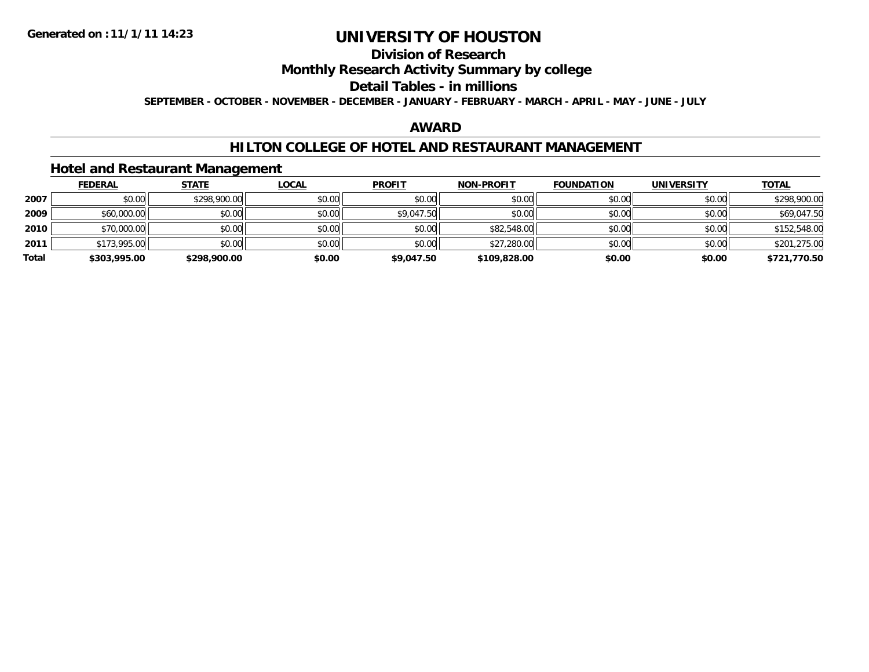### **Division of Research Monthly Research Activity Summary by college Detail Tables - in millions SEPTEMBER - OCTOBER - NOVEMBER - DECEMBER - JANUARY - FEBRUARY - MARCH - APRIL - MAY - JUNE - JULY**

#### **AWARD**

### **HILTON COLLEGE OF HOTEL AND RESTAURANT MANAGEMENT**

### **Hotel and Restaurant Management**

|       | <b>FEDERAL</b> | <b>STATE</b> | <b>LOCAL</b> | <b>PROFIT</b> | <b>NON-PROFIT</b> | <b>FOUNDATION</b> | <b>UNIVERSITY</b> | <b>TOTAL</b> |
|-------|----------------|--------------|--------------|---------------|-------------------|-------------------|-------------------|--------------|
| 2007  | \$0.00         | \$298,900.00 | \$0.00       | \$0.00        | \$0.00            | \$0.00            | \$0.00            | \$298,900.00 |
| 2009  | \$60,000.00    | \$0.00       | \$0.00       | \$9,047.50    | \$0.00            | \$0.00            | \$0.00            | \$69,047.50  |
| 2010  | \$70,000.00    | \$0.00       | \$0.00       | \$0.00        | \$82,548.00       | \$0.00            | \$0.00            | \$152,548.00 |
| 2011  | \$173,995.00   | \$0.00       | \$0.00       | \$0.00        | \$27,280.00       | \$0.00            | \$0.00            | \$201,275.00 |
| Total | \$303,995.00   | \$298,900.00 | \$0.00       | \$9,047.50    | \$109,828,00      | \$0.00            | \$0.00            | \$721,770.50 |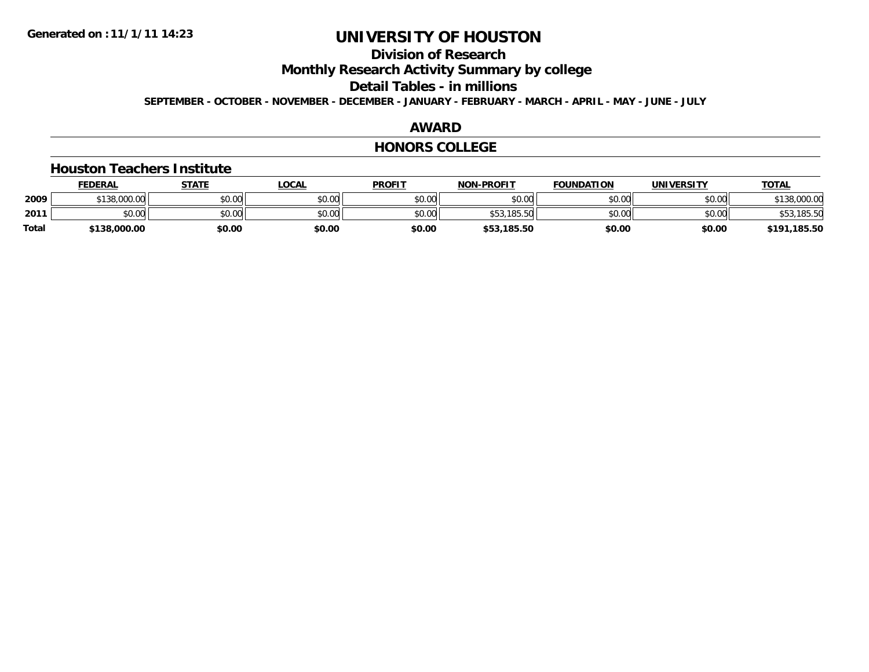### **Division of Research Monthly Research Activity Summary by college Detail Tables - in millions SEPTEMBER - OCTOBER - NOVEMBER - DECEMBER - JANUARY - FEBRUARY - MARCH - APRIL - MAY - JUNE - JULY**

#### **AWARD**

#### **HONORS COLLEGE**

#### **Houston Teachers Institute**

|       | <b>FEDERAL</b> | <u>STATE</u> | <u>LOCAL</u> | <b>PROFIT</b> | <b>NON-PROFIT</b> | <b>FOUNDATION</b> | <b>UNIVERSITY</b> | <b>TOTAL</b> |
|-------|----------------|--------------|--------------|---------------|-------------------|-------------------|-------------------|--------------|
| 2009  | \$138,000.00   | \$0.00       | \$0.00       | \$0.00        | \$0.00            | \$0.00            | \$0.00            | 000.00٪      |
| 2011  | to on<br>DU.UU | \$0.00       | \$0.00       | \$0.00        | \$53,185.50       | \$0.00            | \$0.00            | .185.50      |
| Total | \$138,000.00   | \$0.00       | \$0.00       | \$0.00        | \$53,185.50       | \$0.00            | \$0.00            | \$191,185.50 |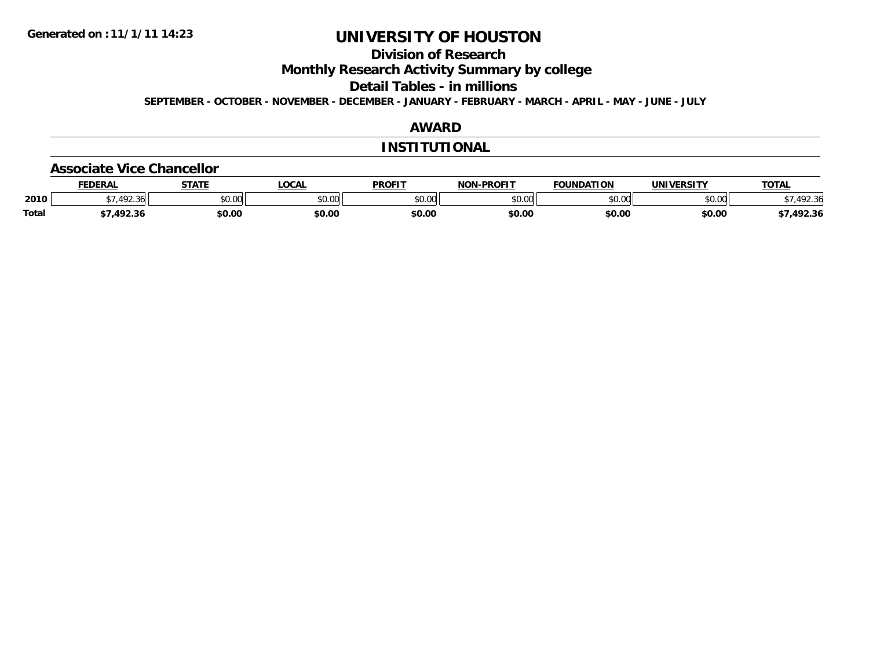### **Division of Research Monthly Research Activity Summary by college Detail Tables - in millions SEPTEMBER - OCTOBER - NOVEMBER - DECEMBER - JANUARY - FEBRUARY - MARCH - APRIL - MAY - JUNE - JULY**

### **AWARD**

#### **INSTITUTIONAL**

#### **Associate Vice Chancellor**

|              | <b>FEDERAL</b>                                     | <b>STATE</b> | <b>' OCA.</b> | <b>PROFIT</b> | -PROFTT<br><b>NON</b> | <b>FOUNDATION</b> | <b>UNIVERSITY</b> | <b>TOTAL</b> |
|--------------|----------------------------------------------------|--------------|---------------|---------------|-----------------------|-------------------|-------------------|--------------|
| 2010         | $\sqrt{2}$<br>่ 3⁄ล่ เ<br>$\overline{\phantom{a}}$ | \$0.00       | ሶስ ሰሰ<br>vv.v | \$0.00        | ልስ ባህ<br>pv.uu        | \$0.00            | \$0.00            |              |
| <b>Total</b> | 102.2C                                             | \$0.00       | \$0.00        | \$0.00        | \$0.00                | \$0.00            | \$0.00            | ,492.36      |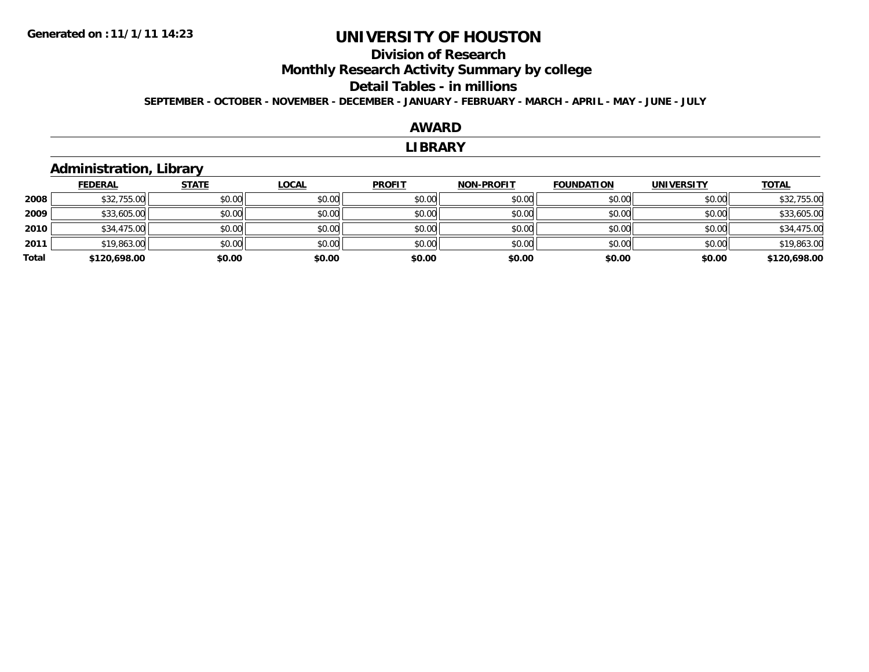### **Division of Research Monthly Research Activity Summary by college Detail Tables - in millions SEPTEMBER - OCTOBER - NOVEMBER - DECEMBER - JANUARY - FEBRUARY - MARCH - APRIL - MAY - JUNE - JULY**

#### **AWARDLIBRARYAdministration, Library STATELOCAL PROFIT NON-PROFIT FOUNDATION UNIVERSITY TOTAL**

|       | <b>FEDERAL</b> | <b>STATE</b> | <b>LOCAL</b> | <b>PROFIT</b> | <b>NON-PROFIT</b> | <b>FOUNDATION</b> | <b>UNIVERSITY</b> | <b>TOTAL</b> |
|-------|----------------|--------------|--------------|---------------|-------------------|-------------------|-------------------|--------------|
| 2008  | \$32,755.00    | \$0.00       | \$0.00       | \$0.00        | \$0.00            | \$0.00            | \$0.00            | \$32,755.00  |
| 2009  | \$33,605.00    | \$0.00       | \$0.00       | \$0.00        | \$0.00            | \$0.00            | \$0.00            | \$33,605.00  |
| 2010  | \$34,475.00    | \$0.00       | \$0.00       | \$0.00        | \$0.00            | \$0.00            | \$0.00            | \$34,475.00  |
| 2011  | \$19,863.00    | \$0.00       | \$0.00       | \$0.00        | \$0.00            | \$0.00            | \$0.00            | \$19,863.00  |
| Total | \$120,698.00   | \$0.00       | \$0.00       | \$0.00        | \$0.00            | \$0.00            | \$0.00            | \$120,698.00 |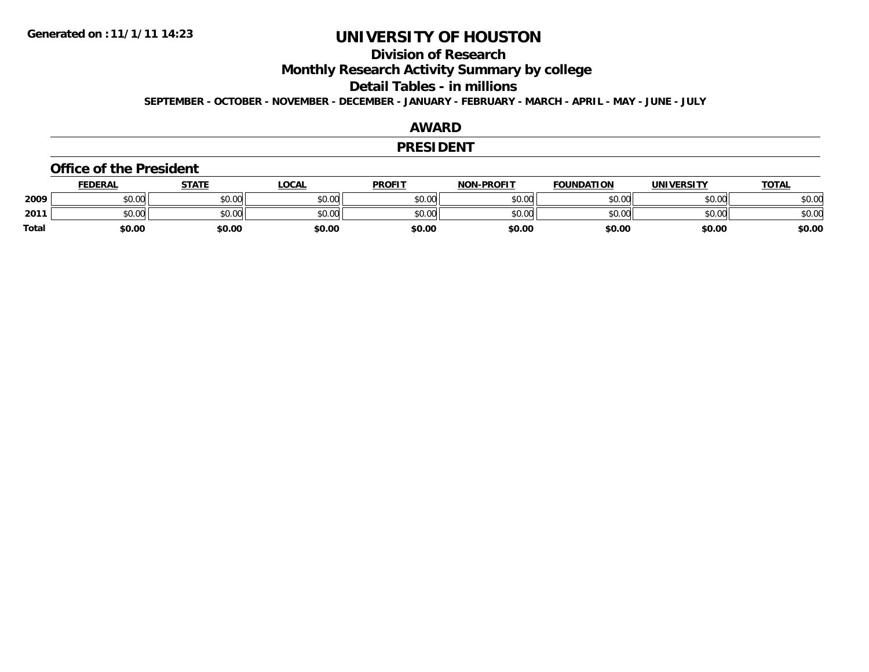### **Division of Research Monthly Research Activity Summary by college Detail Tables - in millions SEPTEMBER - OCTOBER - NOVEMBER - DECEMBER - JANUARY - FEBRUARY - MARCH - APRIL - MAY - JUNE - JULY**

#### **AWARD**

#### **PRESIDENT**

#### **Office of the President**

|       | <b>FEDERAL</b> | <b>STATE</b> | LOCAL  | <b>PROFIT</b> | <b>NON-PROFIT</b> | <b>FOUNDATION</b> | <b>UNIVERSITY</b> | <b>TOTAL</b> |
|-------|----------------|--------------|--------|---------------|-------------------|-------------------|-------------------|--------------|
| 2009  | \$0.00         | \$0.00       | \$0.00 | \$0.00        | \$0.00            | \$0.00            | \$0.00            | \$0.00       |
| 2011  | \$0.00         | \$0.00       | \$0.00 | \$0.00        | \$0.00            | \$0.00            | \$0.00            | \$0.00       |
| Total | \$0.00         | \$0.00       | \$0.00 | \$0.00        | \$0.00            | \$0.00            | \$0.00            | \$0.00       |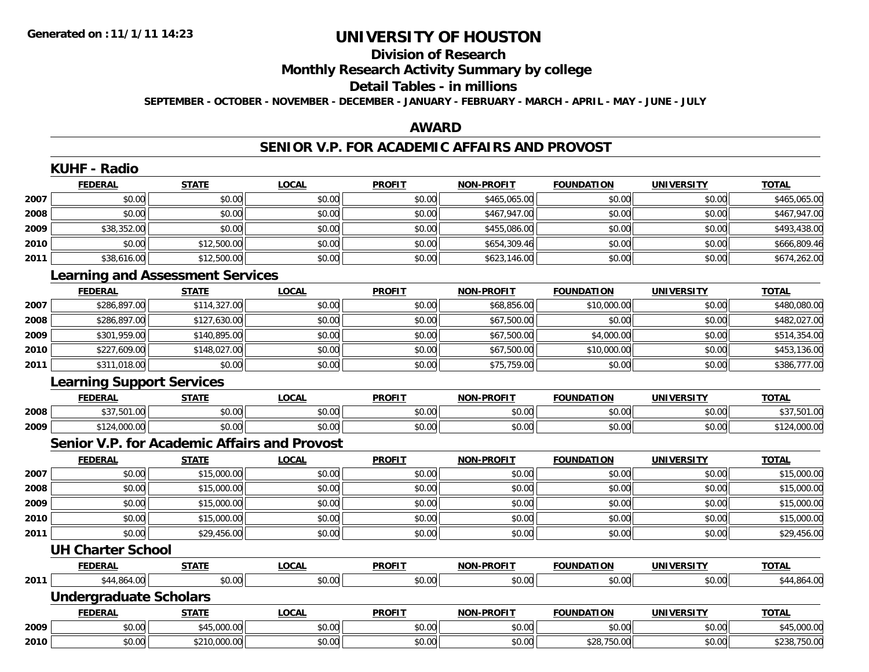### **Division of Research Monthly Research Activity Summary by college Detail Tables - in millions SEPTEMBER - OCTOBER - NOVEMBER - DECEMBER - JANUARY - FEBRUARY - MARCH - APRIL - MAY - JUNE - JULY**

### **AWARD**

## **SENIOR V.P. FOR ACADEMIC AFFAIRS AND PROVOST**

|      | <b>KUHF - Radio</b>                                 |              |              |               |                   |                   |                   |              |
|------|-----------------------------------------------------|--------------|--------------|---------------|-------------------|-------------------|-------------------|--------------|
|      | <b>FEDERAL</b>                                      | <b>STATE</b> | <b>LOCAL</b> | <b>PROFIT</b> | <b>NON-PROFIT</b> | <b>FOUNDATION</b> | <b>UNIVERSITY</b> | <b>TOTAL</b> |
| 2007 | \$0.00                                              | \$0.00       | \$0.00       | \$0.00        | \$465,065.00      | \$0.00            | \$0.00            | \$465,065.00 |
| 2008 | \$0.00                                              | \$0.00       | \$0.00       | \$0.00        | \$467,947.00      | \$0.00            | \$0.00            | \$467,947.00 |
| 2009 | \$38,352.00                                         | \$0.00       | \$0.00       | \$0.00        | \$455,086.00      | \$0.00            | \$0.00            | \$493,438.00 |
| 2010 | \$0.00                                              | \$12,500.00  | \$0.00       | \$0.00        | \$654,309.46      | \$0.00            | \$0.00            | \$666,809.46 |
| 2011 | \$38,616.00                                         | \$12,500.00  | \$0.00       | \$0.00        | \$623,146.00      | \$0.00            | \$0.00            | \$674,262.00 |
|      | <b>Learning and Assessment Services</b>             |              |              |               |                   |                   |                   |              |
|      | <b>FEDERAL</b>                                      | <b>STATE</b> | <b>LOCAL</b> | <b>PROFIT</b> | <b>NON-PROFIT</b> | <b>FOUNDATION</b> | <b>UNIVERSITY</b> | <b>TOTAL</b> |
| 2007 | \$286,897.00                                        | \$114,327.00 | \$0.00       | \$0.00        | \$68,856.00       | \$10,000.00       | \$0.00            | \$480,080.00 |
| 2008 | \$286,897.00                                        | \$127,630.00 | \$0.00       | \$0.00        | \$67,500.00       | \$0.00            | \$0.00            | \$482,027.00 |
| 2009 | \$301,959.00                                        | \$140,895.00 | \$0.00       | \$0.00        | \$67,500.00       | \$4,000.00        | \$0.00            | \$514,354.00 |
| 2010 | \$227,609.00                                        | \$148,027.00 | \$0.00       | \$0.00        | \$67,500.00       | \$10,000.00       | \$0.00            | \$453,136.00 |
| 2011 | \$311,018.00                                        | \$0.00       | \$0.00       | \$0.00        | \$75,759.00       | \$0.00            | \$0.00            | \$386,777.00 |
|      | <b>Learning Support Services</b>                    |              |              |               |                   |                   |                   |              |
|      | <b>FEDERAL</b>                                      | <b>STATE</b> | <b>LOCAL</b> | <b>PROFIT</b> | <b>NON-PROFIT</b> | <b>FOUNDATION</b> | <b>UNIVERSITY</b> | <b>TOTAL</b> |
| 2008 | \$37,501.00                                         | \$0.00       | \$0.00       | \$0.00        | \$0.00            | \$0.00            | \$0.00            | \$37,501.00  |
| 2009 | \$124,000.00                                        | \$0.00       | \$0.00       | \$0.00        | \$0.00            | \$0.00            | \$0.00            | \$124,000.00 |
|      | <b>Senior V.P. for Academic Affairs and Provost</b> |              |              |               |                   |                   |                   |              |
|      | <b>FEDERAL</b>                                      | <b>STATE</b> | <b>LOCAL</b> | <b>PROFIT</b> | <b>NON-PROFIT</b> | <b>FOUNDATION</b> | <b>UNIVERSITY</b> | <b>TOTAL</b> |
| 2007 | \$0.00                                              | \$15,000.00  | \$0.00       | \$0.00        | \$0.00            | \$0.00            | \$0.00            | \$15,000.00  |
| 2008 | \$0.00                                              | \$15,000.00  | \$0.00       | \$0.00        | \$0.00            | \$0.00            | \$0.00            | \$15,000.00  |
| 2009 | \$0.00                                              | \$15,000.00  | \$0.00       | \$0.00        | \$0.00            | \$0.00            | \$0.00            | \$15,000.00  |
| 2010 | \$0.00                                              | \$15,000.00  | \$0.00       | \$0.00        | \$0.00            | \$0.00            | \$0.00            | \$15,000.00  |
| 2011 | \$0.00                                              | \$29,456.00  | \$0.00       | \$0.00        | \$0.00            | \$0.00            | \$0.00            | \$29,456.00  |
|      | <b>UH Charter School</b>                            |              |              |               |                   |                   |                   |              |
|      | <b>FEDERAL</b>                                      | <b>STATE</b> | <b>LOCAL</b> | <b>PROFIT</b> | <b>NON-PROFIT</b> | <b>FOUNDATION</b> | <b>UNIVERSITY</b> | <b>TOTAL</b> |
| 2011 | \$44,864.00                                         | \$0.00       | \$0.00       | \$0.00        | \$0.00            | \$0.00            | \$0.00            | \$44,864.00  |
|      | <b>Undergraduate Scholars</b>                       |              |              |               |                   |                   |                   |              |
|      | <b>FEDERAL</b>                                      | <b>STATE</b> | <b>LOCAL</b> | <b>PROFIT</b> | <b>NON-PROFIT</b> | <b>FOUNDATION</b> | <b>UNIVERSITY</b> | <b>TOTAL</b> |
| 2009 | \$0.00                                              | \$45,000.00  | \$0.00       | \$0.00        | \$0.00            | \$0.00            | \$0.00            | \$45,000.00  |
| 2010 | \$0.00                                              | \$210,000.00 | \$0.00       | \$0.00        | \$0.00            | \$28,750.00       | \$0.00            | \$238,750.00 |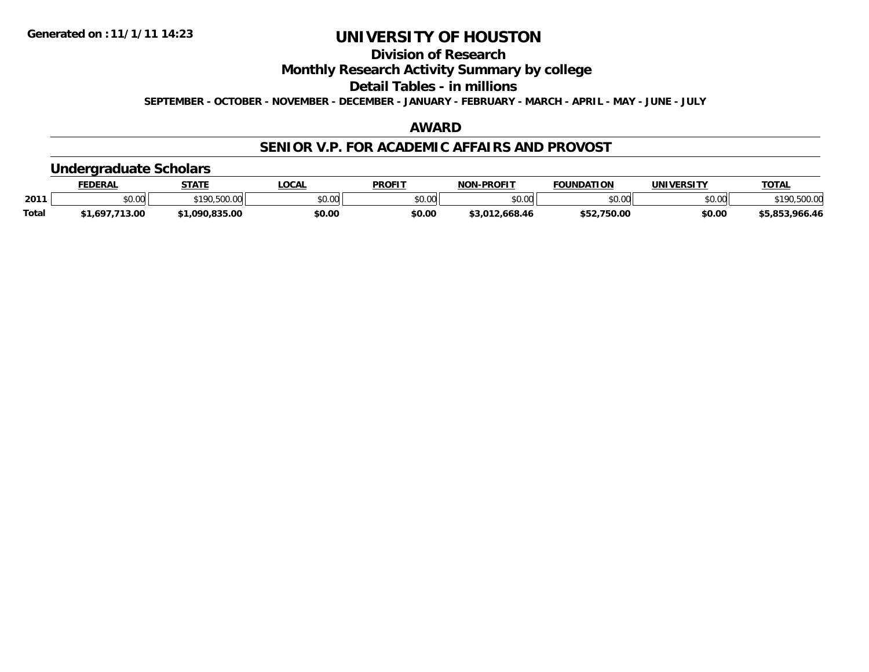### **Division of Research Monthly Research Activity Summary by college Detail Tables - in millions SEPTEMBER - OCTOBER - NOVEMBER - DECEMBER - JANUARY - FEBRUARY - MARCH - APRIL - MAY - JUNE - JULY**

#### **AWARD**

#### **SENIOR V.P. FOR ACADEMIC AFFAIRS AND PROVOST**

### **Undergraduate Scholars**

|              | <b>FEDERAL</b> | <b>STATE</b>   | <b>LOCAL</b> | <b>PROFIT</b> | <b>NON-PROFIT</b> | <b>FOUNDATION</b> | <b>UNIVERSITY</b> | <b>TOTAL</b>   |
|--------------|----------------|----------------|--------------|---------------|-------------------|-------------------|-------------------|----------------|
| 2011         | \$0.00         | \$190,500.00   | \$0.00       | \$0.00        | \$0.00            | \$0.00            | \$0.00            | *190,500.0∪    |
| <b>Total</b> | 1,697,713.00،  | \$1,090,835,00 | \$0.00       | \$0.00        | \$3,012,668.46    | \$52,750.00       | \$0.00            | \$5,853,966.46 |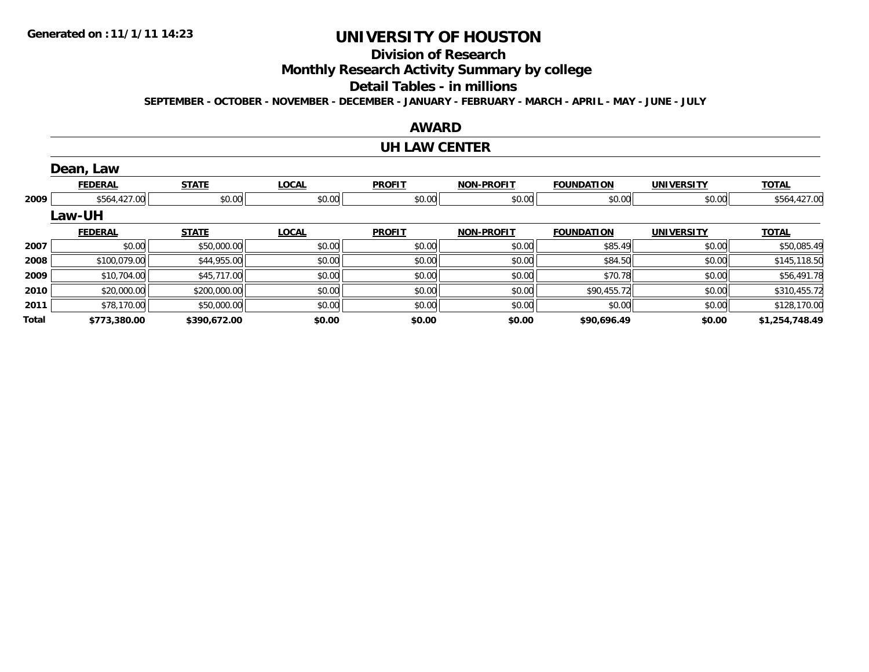## **Division of Research Monthly Research Activity Summary by college Detail Tables - in millions**

**SEPTEMBER - OCTOBER - NOVEMBER - DECEMBER - JANUARY - FEBRUARY - MARCH - APRIL - MAY - JUNE - JULY** 

### **AWARD**

### **UH LAW CENTER**

|       | Dean, Law      |              |              |               |                   |                   |                   |                |
|-------|----------------|--------------|--------------|---------------|-------------------|-------------------|-------------------|----------------|
|       | <b>FEDERAL</b> | <b>STATE</b> | <b>LOCAL</b> | <b>PROFIT</b> | <b>NON-PROFIT</b> | <b>FOUNDATION</b> | <b>UNIVERSITY</b> | <b>TOTAL</b>   |
| 2009  | \$564,427.00   | \$0.00       | \$0.00       | \$0.00        | \$0.00            | \$0.00            | \$0.00            | \$564,427.00   |
|       | <b>Law-UH</b>  |              |              |               |                   |                   |                   |                |
|       | <b>FEDERAL</b> | <b>STATE</b> | <b>LOCAL</b> | <b>PROFIT</b> | <b>NON-PROFIT</b> | <b>FOUNDATION</b> | <b>UNIVERSITY</b> | <b>TOTAL</b>   |
| 2007  | \$0.00         | \$50,000.00  | \$0.00       | \$0.00        | \$0.00            | \$85.49           | \$0.00            | \$50,085.49    |
| 2008  | \$100,079.00   | \$44,955.00  | \$0.00       | \$0.00        | \$0.00            | \$84.50           | \$0.00            | \$145,118.50   |
| 2009  | \$10,704.00    | \$45,717.00  | \$0.00       | \$0.00        | \$0.00            | \$70.78           | \$0.00            | \$56,491.78    |
| 2010  | \$20,000.00    | \$200,000.00 | \$0.00       | \$0.00        | \$0.00            | \$90,455.72       | \$0.00            | \$310,455.72   |
| 2011  | \$78,170.00    | \$50,000.00  | \$0.00       | \$0.00        | \$0.00            | \$0.00            | \$0.00            | \$128,170.00   |
| Total | \$773,380.00   | \$390,672.00 | \$0.00       | \$0.00        | \$0.00            | \$90,696.49       | \$0.00            | \$1,254,748.49 |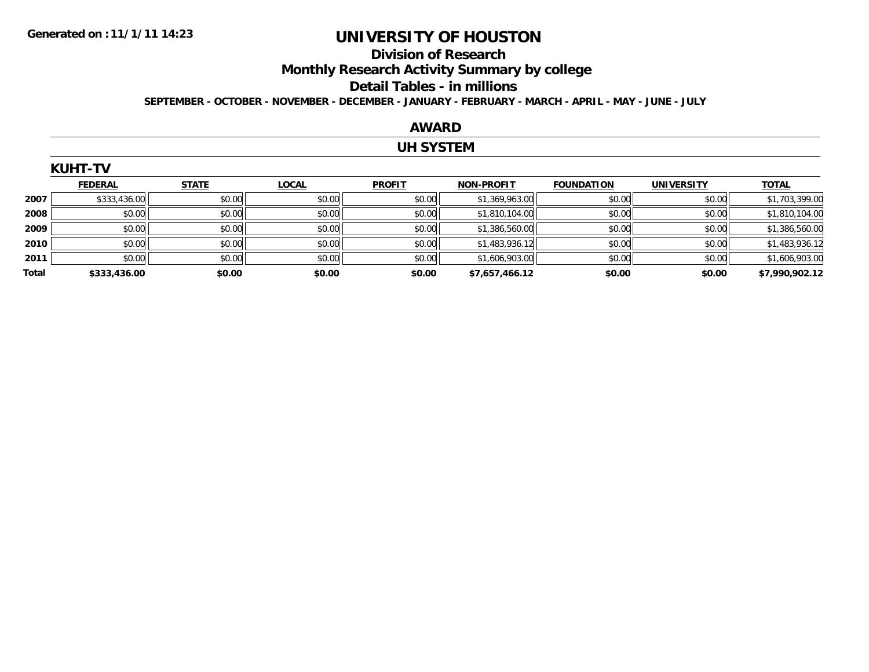### **Division of Research Monthly Research Activity Summary by college Detail Tables - in millions SEPTEMBER - OCTOBER - NOVEMBER - DECEMBER - JANUARY - FEBRUARY - MARCH - APRIL - MAY - JUNE - JULY**

#### **AWARD**

### **UH SYSTEM**

|       | <b>KUHT-TV</b> |              |              |               |                   |                   |                   |                |  |  |  |
|-------|----------------|--------------|--------------|---------------|-------------------|-------------------|-------------------|----------------|--|--|--|
|       | <b>FEDERAL</b> | <b>STATE</b> | <b>LOCAL</b> | <b>PROFIT</b> | <b>NON-PROFIT</b> | <b>FOUNDATION</b> | <b>UNIVERSITY</b> | <b>TOTAL</b>   |  |  |  |
| 2007  | \$333,436.00   | \$0.00       | \$0.00       | \$0.00        | \$1,369,963.00    | \$0.00            | \$0.00            | \$1,703,399.00 |  |  |  |
| 2008  | \$0.00         | \$0.00       | \$0.00       | \$0.00        | \$1,810,104.00    | \$0.00            | \$0.00            | \$1,810,104.00 |  |  |  |
| 2009  | \$0.00         | \$0.00       | \$0.00       | \$0.00        | \$1,386,560.00    | \$0.00            | \$0.00            | \$1,386,560.00 |  |  |  |
| 2010  | \$0.00         | \$0.00       | \$0.00       | \$0.00        | \$1,483,936.12    | \$0.00            | \$0.00            | \$1,483,936.12 |  |  |  |
| 2011  | \$0.00         | \$0.00       | \$0.00       | \$0.00        | \$1,606,903.00    | \$0.00            | \$0.00            | \$1,606,903.00 |  |  |  |
| Total | \$333,436.00   | \$0.00       | \$0.00       | \$0.00        | \$7,657,466.12    | \$0.00            | \$0.00            | \$7,990,902.12 |  |  |  |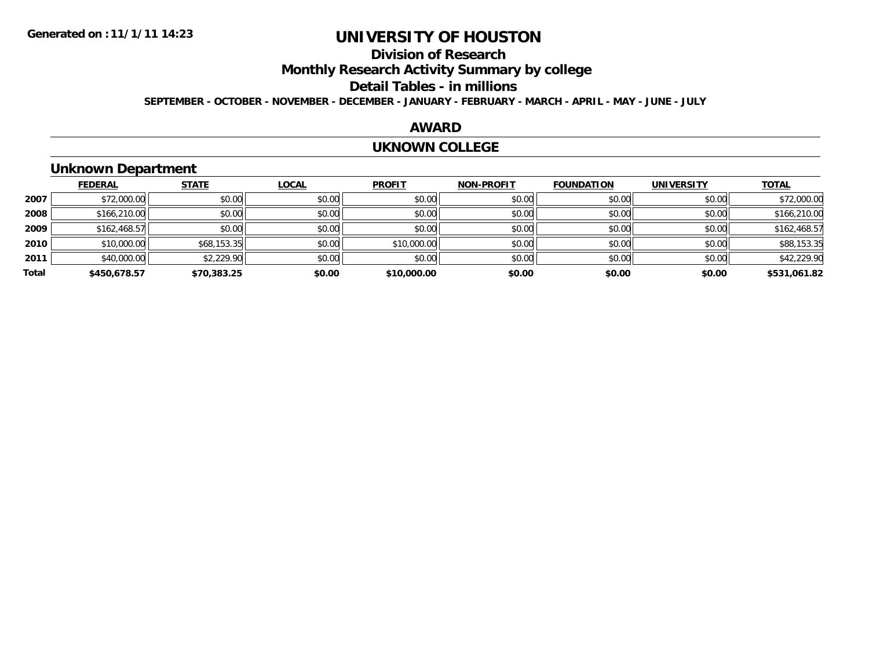### **Division of Research Monthly Research Activity Summary by college Detail Tables - in millions SEPTEMBER - OCTOBER - NOVEMBER - DECEMBER - JANUARY - FEBRUARY - MARCH - APRIL - MAY - JUNE - JULY**

#### **AWARD**

#### **UKNOWN COLLEGE**

### **Unknown Department**

|       | <b>FEDERAL</b> | <b>STATE</b> | <b>LOCAL</b> | <b>PROFIT</b> | <b>NON-PROFIT</b> | <b>FOUNDATION</b> | <b>UNIVERSITY</b> | <b>TOTAL</b> |
|-------|----------------|--------------|--------------|---------------|-------------------|-------------------|-------------------|--------------|
| 2007  | \$72,000.00    | \$0.00       | \$0.00       | \$0.00        | \$0.00            | \$0.00            | \$0.00            | \$72,000.00  |
| 2008  | \$166,210.00   | \$0.00       | \$0.00       | \$0.00        | \$0.00            | \$0.00            | \$0.00            | \$166,210.00 |
| 2009  | \$162,468.57   | \$0.00       | \$0.00       | \$0.00        | \$0.00            | \$0.00            | \$0.00            | \$162,468.57 |
| 2010  | \$10,000.00    | \$68,153.35  | \$0.00       | \$10,000.00   | \$0.00            | \$0.00            | \$0.00            | \$88,153.35  |
| 2011  | \$40,000.00    | \$2,229.90   | \$0.00       | \$0.00        | \$0.00            | \$0.00            | \$0.00            | \$42,229.90  |
| Total | \$450,678.57   | \$70,383.25  | \$0.00       | \$10,000.00   | \$0.00            | \$0.00            | \$0.00            | \$531,061.82 |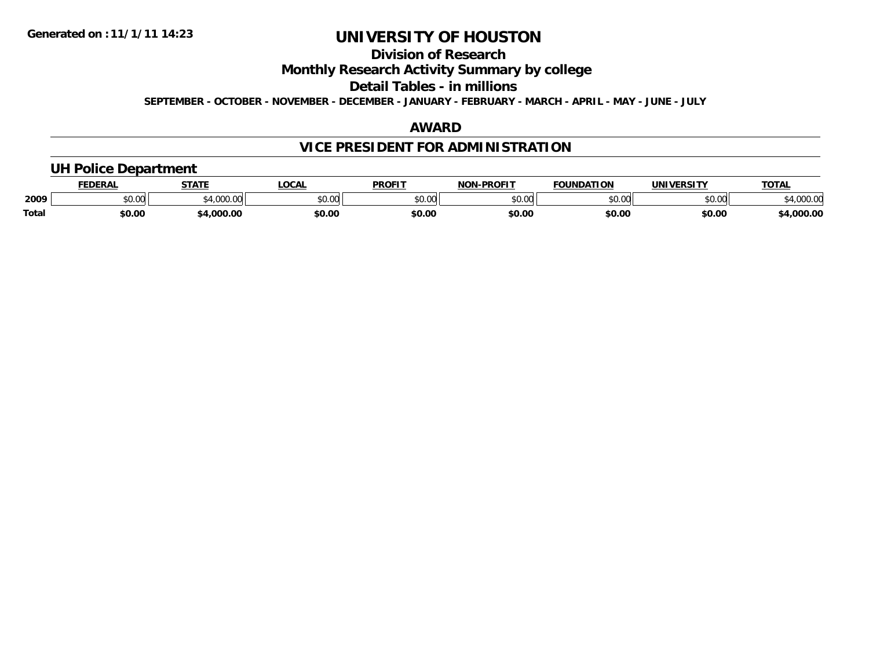### **Division of Research Monthly Research Activity Summary by college Detail Tables - in millions SEPTEMBER - OCTOBER - NOVEMBER - DECEMBER - JANUARY - FEBRUARY - MARCH - APRIL - MAY - JUNE - JULY**

#### **AWARD**

### **VICE PRESIDENT FOR ADMINISTRATION**

### **UH Police Department**

|              | <b>FEDERAL</b> | <b>STATE</b>                                 | <b>LOCAL</b> | <b>PROFIT</b> | <b>NON-PROFIT</b> | <b>FOUNDATION</b> | <b>UNIVERSITY</b> | <u>TOTAL</u>       |
|--------------|----------------|----------------------------------------------|--------------|---------------|-------------------|-------------------|-------------------|--------------------|
| 2009         | \$0.00         | $\rightarrow$ 1.000.00 $\uparrow$<br>+.UUU.U | \$0.00       | 0000<br>PO.OO | \$0.00            | \$0.00            | \$0.00            | 00000<br>74,UUU.UU |
| <b>Total</b> | 0.00ء          | \$4,000.00                                   | \$0.00       | \$0.00        | \$0.00            | \$0.00            | \$0.00            | \$4,000.00         |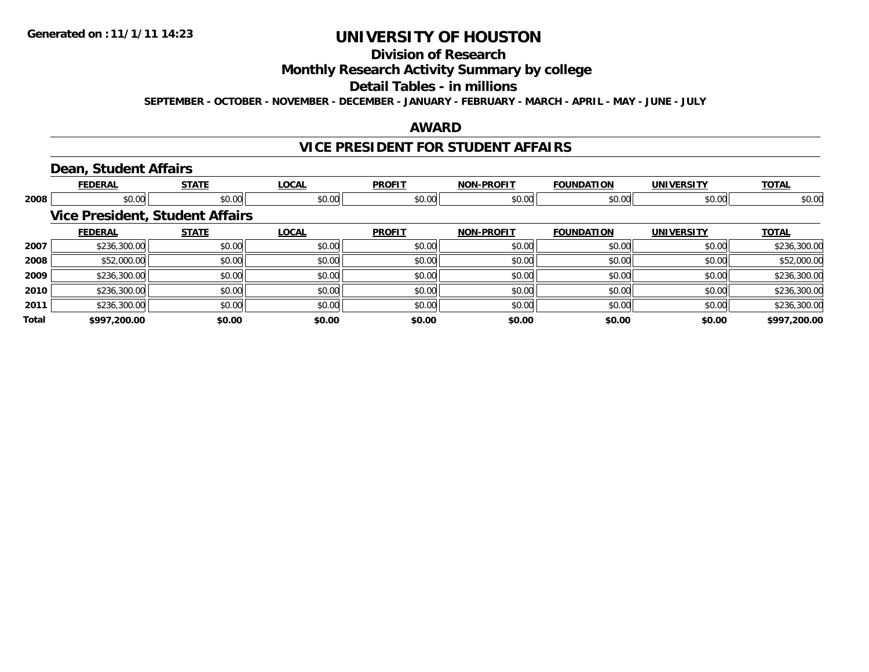### **Division of Research Monthly Research Activity Summary by college Detail Tables - in millions SEPTEMBER - OCTOBER - NOVEMBER - DECEMBER - JANUARY - FEBRUARY - MARCH - APRIL - MAY - JUNE - JULY**

#### **AWARD**

#### **VICE PRESIDENT FOR STUDENT AFFAIRS**

### **Dean, Student Affairs**

|       | <b>FEDERAL</b> | <b>STATE</b>                           | <b>LOCAL</b> | <b>PROFIT</b> | <b>NON-PROFIT</b> | <b>FOUNDATION</b> | <b>UNIVERSITY</b> | <b>TOTAL</b> |
|-------|----------------|----------------------------------------|--------------|---------------|-------------------|-------------------|-------------------|--------------|
| 2008  | \$0.00         | \$0.00                                 | \$0.00       | \$0.00        | \$0.00            | \$0.00            | \$0.00            | \$0.00       |
|       |                | <b>Vice President, Student Affairs</b> |              |               |                   |                   |                   |              |
|       | <b>FEDERAL</b> | <b>STATE</b>                           | <b>LOCAL</b> | <b>PROFIT</b> | <b>NON-PROFIT</b> | <b>FOUNDATION</b> | <b>UNIVERSITY</b> | <b>TOTAL</b> |
| 2007  | \$236,300.00   | \$0.00                                 | \$0.00       | \$0.00        | \$0.00            | \$0.00            | \$0.00            | \$236,300.00 |
| 2008  | \$52,000.00    | \$0.00                                 | \$0.00       | \$0.00        | \$0.00            | \$0.00            | \$0.00            | \$52,000.00  |
| 2009  | \$236,300.00   | \$0.00                                 | \$0.00       | \$0.00        | \$0.00            | \$0.00            | \$0.00            | \$236,300.00 |
| 2010  | \$236,300.00   | \$0.00                                 | \$0.00       | \$0.00        | \$0.00            | \$0.00            | \$0.00            | \$236,300.00 |
| 2011  | \$236,300.00   | \$0.00                                 | \$0.00       | \$0.00        | \$0.00            | \$0.00            | \$0.00            | \$236,300.00 |
| Total | \$997,200.00   | \$0.00                                 | \$0.00       | \$0.00        | \$0.00            | \$0.00            | \$0.00            | \$997,200.00 |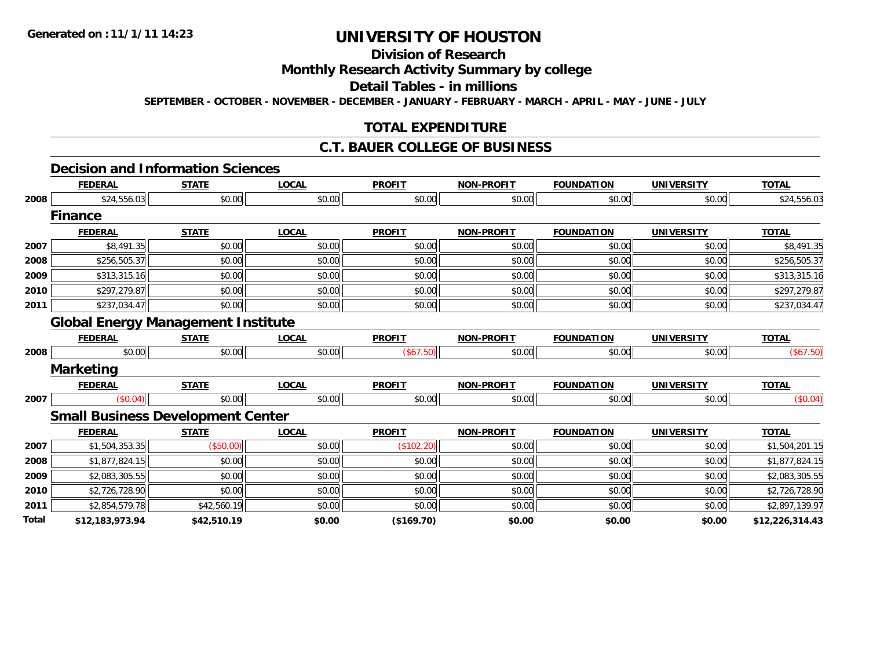### **Division of Research Monthly Research Activity Summary by college Detail Tables - in millions SEPTEMBER - OCTOBER - NOVEMBER - DECEMBER - JANUARY - FEBRUARY - MARCH - APRIL - MAY - JUNE - JULY**

### **TOTAL EXPENDITURE**

#### **C.T. BAUER COLLEGE OF BUSINESS**

### **Decision and Information Sciences**

|       | <b>FEDERAL</b>   | <b>STATE</b>                              | <b>LOCAL</b> | <b>PROFIT</b> | <b>NON-PROFIT</b> | <b>FOUNDATION</b> | <b>UNIVERSITY</b> | <b>TOTAL</b>    |
|-------|------------------|-------------------------------------------|--------------|---------------|-------------------|-------------------|-------------------|-----------------|
| 2008  | \$24,556.03      | \$0.00                                    | \$0.00       | \$0.00        | \$0.00            | \$0.00            | \$0.00            | \$24,556.03     |
|       | <b>Finance</b>   |                                           |              |               |                   |                   |                   |                 |
|       | <b>FEDERAL</b>   | <b>STATE</b>                              | <b>LOCAL</b> | <b>PROFIT</b> | <b>NON-PROFIT</b> | <b>FOUNDATION</b> | <b>UNIVERSITY</b> | <b>TOTAL</b>    |
| 2007  | \$8,491.35       | \$0.00                                    | \$0.00       | \$0.00        | \$0.00            | \$0.00            | \$0.00            | \$8,491.35      |
| 2008  | \$256,505.37     | \$0.00                                    | \$0.00       | \$0.00        | \$0.00            | \$0.00            | \$0.00            | \$256,505.37    |
| 2009  | \$313,315.16     | \$0.00                                    | \$0.00       | \$0.00        | \$0.00            | \$0.00            | \$0.00            | \$313,315.16    |
| 2010  | \$297,279.87     | \$0.00                                    | \$0.00       | \$0.00        | \$0.00            | \$0.00            | \$0.00            | \$297,279.87    |
| 2011  | \$237,034.47     | \$0.00                                    | \$0.00       | \$0.00        | \$0.00            | \$0.00            | \$0.00            | \$237,034.47    |
|       |                  | <b>Global Energy Management Institute</b> |              |               |                   |                   |                   |                 |
|       | <b>FEDERAL</b>   | <b>STATE</b>                              | <b>LOCAL</b> | <b>PROFIT</b> | <b>NON-PROFIT</b> | <b>FOUNDATION</b> | <b>UNIVERSITY</b> | <b>TOTAL</b>    |
| 2008  | \$0.00           | \$0.00                                    | \$0.00       | (\$67.50)     | \$0.00            | \$0.00            | \$0.00            | (\$67.50)       |
|       | <b>Marketing</b> |                                           |              |               |                   |                   |                   |                 |
|       | <b>FEDERAL</b>   | <b>STATE</b>                              | <b>LOCAL</b> | <b>PROFIT</b> | <b>NON-PROFIT</b> | <b>FOUNDATION</b> | <b>UNIVERSITY</b> | <b>TOTAL</b>    |
| 2007  | (\$0.04)         | \$0.00                                    | \$0.00       | \$0.00        | \$0.00            | \$0.00            | \$0.00            | (\$0.04)        |
|       |                  | <b>Small Business Development Center</b>  |              |               |                   |                   |                   |                 |
|       | <b>FEDERAL</b>   | <b>STATE</b>                              | <b>LOCAL</b> | <b>PROFIT</b> | <b>NON-PROFIT</b> | <b>FOUNDATION</b> | <b>UNIVERSITY</b> | <b>TOTAL</b>    |
| 2007  | \$1,504,353.35   | (\$50.00)                                 | \$0.00       | (\$102.20)    | \$0.00            | \$0.00            | \$0.00            | \$1,504,201.15  |
| 2008  | \$1,877,824.15   | \$0.00                                    | \$0.00       | \$0.00        | \$0.00            | \$0.00            | \$0.00            | \$1,877,824.15  |
| 2009  | \$2,083,305.55   | \$0.00                                    | \$0.00       | \$0.00        | \$0.00            | \$0.00            | \$0.00            | \$2,083,305.55  |
| 2010  | \$2,726,728.90   | \$0.00                                    | \$0.00       | \$0.00        | \$0.00            | \$0.00            | \$0.00            | \$2,726,728.90  |
| 2011  | \$2,854,579.78   | \$42,560.19                               | \$0.00       | \$0.00        | \$0.00            | \$0.00            | \$0.00            | \$2,897,139.97  |
| Total | \$12,183,973.94  | \$42,510.19                               | \$0.00       | $($ \$169.70) | \$0.00            | \$0.00            | \$0.00            | \$12,226,314.43 |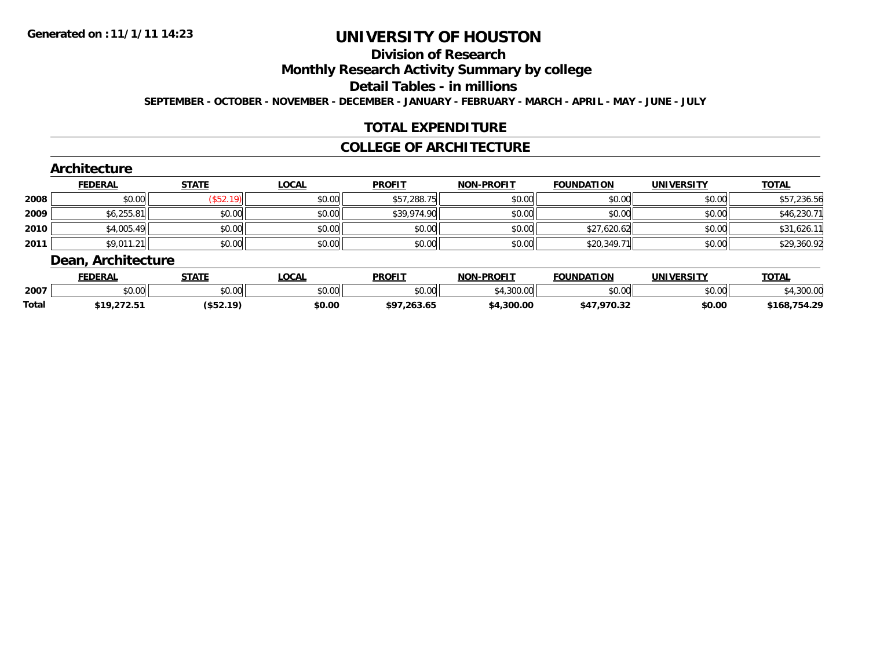### **Division of Research Monthly Research Activity Summary by college Detail Tables - in millions SEPTEMBER - OCTOBER - NOVEMBER - DECEMBER - JANUARY - FEBRUARY - MARCH - APRIL - MAY - JUNE - JULY**

#### **TOTAL EXPENDITURE**

### **COLLEGE OF ARCHITECTURE**

#### **Architecture FEDERAL STATE LOCAL PROFIT NON-PROFIT FOUNDATION UNIVERSITY TOTAL 2008** $\bf 8 \left| \right. \qquad \qquad \left. \left. \right. \right. \left. \left. \right. \right. \left. \left. \right. \right. \left. \left. \right. \left. \right. \left. \right. \left. \right. \left. \right. \left. \right. \left. \right. \left. \right. \left. \right. \left. \right. \left. \right. \left. \left. \right. \right. \left. \left. \right. \right. \left. \left. \right. \left. \right. \left. \right. \left. \right. \left. \right. \left. \right. \left. \right. \left. \right. \left. \left. \right. \right. \left. \left. \right. \right.$ **2009** $\textbf{9} \quad \textbf{\textcolor{blue}{86.255.81}} \quad \textbf{\textcolor{blue}{86.230.71}} \quad \textbf{\textcolor{blue}{89.00}} \quad \textbf{\textcolor{blue}{89.974.90}} \quad \textbf{\textcolor{blue}{89.974.90}} \quad \textbf{\textcolor{blue}{89.00}} \quad \textbf{\textcolor{blue}{89.00}} \quad \textbf{\textcolor{blue}{89.00}} \quad \textbf{\textcolor{blue}{89.00}} \quad \textbf{\textcolor{blue}{89.00}} \quad \textbf{\textcolor{blue}{89.00}} \quad \textbf{\textcolor{blue}{$ **2010** $\textsf{\textbf{0}} \parallel \textsf{\textbf{0}}$  \$4,005.49  $\textsf{\textbf{0}}$  \$0.00  $\textsf{\textbf{0}}$  \$0.00 \$0.00 \$0.00 \$0.00 \$0.00 \$31,626.11 **2011** $\textbf{1} \hspace{14mm} \text{$89,011.21$} \hspace{14mm} \text{$80.00$} \hspace{14mm} \text{$80.00} \hspace{14mm} \text{$80.00} \hspace{14mm} \text{$80.00} \hspace{14mm} \text{$80.00} \hspace{14mm} \text{$80.00} \hspace{14mm} \text{$80.00} \hspace{14mm} \text{$80.00} \hspace{14mm} \text{$80.00} \hspace{14mm} \text{$80.00} \hspace{14mm} \text$ **Dean, Architecture**

|              | -------            |                            |              |                                |                  |                   |                   |                  |
|--------------|--------------------|----------------------------|--------------|--------------------------------|------------------|-------------------|-------------------|------------------|
|              | <b>EDERAI</b>      | <b>STATE</b>               | LOCA         | <b>PROFT</b>                   | -DDAETT<br>NON   | <b>FOUNDATION</b> | <b>UNIVERSITY</b> | <b>TOTAL</b>     |
| 2007         | 0000<br>⊸⊍∪.∪∪     | \$0.00                     | 0000<br>v.vu | $\sim$ 00<br>.                 | 200.00<br>uuu.uu | \$0.00            | \$0.00            | $\sim$           |
| <b>Total</b> | 61 O<br>,,,,,,,,,, | <b>1457 10)</b><br>しゅつム・エフ | \$0.00       | 20000<br><b>+0</b><br>- 20J.V⊃ | 4.300.00         | 17.77.72          | \$0.00            | הר ג<br>тог<br>. |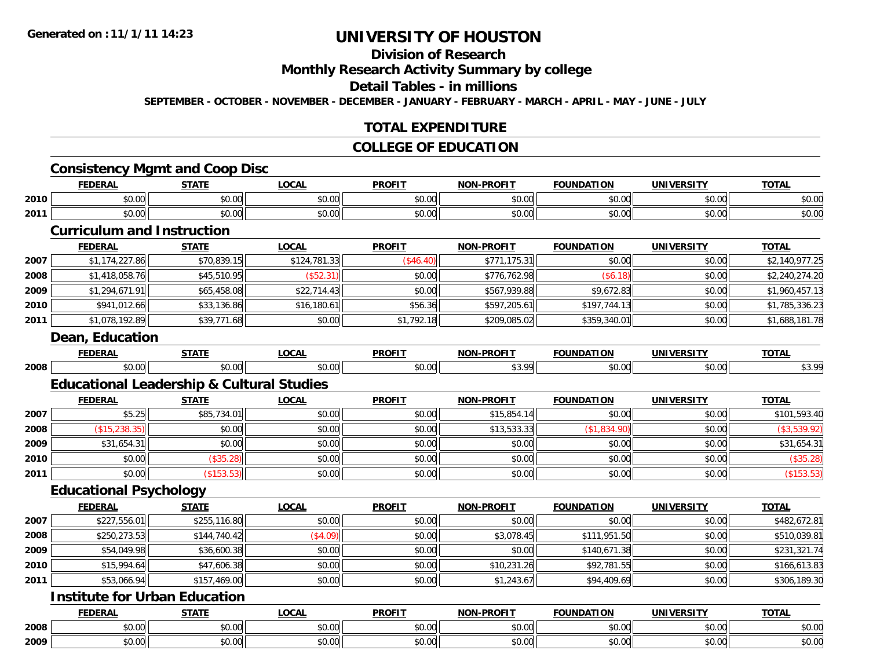#### **Division of Research Monthly Research Activity Summary by college Detail Tables - in millions SEPTEMBER - OCTOBER - NOVEMBER - DECEMBER - JANUARY - FEBRUARY - MARCH - APRIL - MAY - JUNE - JULY**

#### **TOTAL EXPENDITURE**

#### **COLLEGE OF EDUCATION**

#### **Consistency Mgmt and Coop Disc**

|      | <b>FEDERAI</b> | <b>CTATE</b><br>ЭIAI  | LOCAI          | <b>PROFIT</b>                                                   | <b>NON-PROFIT</b> | <b>FOUNDATION</b> | <b>UNIVERSITY</b> | <b>TOTAL</b> |
|------|----------------|-----------------------|----------------|-----------------------------------------------------------------|-------------------|-------------------|-------------------|--------------|
| 2010 | 0000<br>JU.UU  | Ψ.<br>$\sim$<br>JU.UU | ሶስ ስስ<br>JU.UU | $\uparrow$ $\uparrow$ $\uparrow$ $\uparrow$ $\uparrow$<br>JU.UU | 0000<br>pv.uu     | ሶስ ሰሰ<br>DU.UU    | \$0.00            | \$0.00       |
| 2011 | 0000<br>JU.UU  | ሖ ∩<br>JU.UU          | ሶስ ስስ<br>JU.UU | $\mathsf{A} \cap \mathsf{A} \cap$<br>JU.UU                      | 0000<br>PU.UU     | ሶስ ሰሰ<br>DU.UU    | \$0.00            | \$0.00       |
|      |                |                       |                |                                                                 |                   |                   |                   |              |

#### **Curriculum and Instruction**

|      | <b>FEDERAL</b> | <b>STATE</b> | <b>LOCAL</b> | <b>PROFIT</b> | <b>NON-PROFIT</b> | <b>FOUNDATION</b> | <b>UNIVERSITY</b> | <b>TOTAL</b>   |
|------|----------------|--------------|--------------|---------------|-------------------|-------------------|-------------------|----------------|
| 2007 | \$1,174,227.86 | \$70,839.15  | \$124,781.33 | $(\$46.40)$   | \$771,175.31      | \$0.00            | \$0.00            | \$2,140,977.25 |
| 2008 | \$1,418,058.76 | \$45,510.95  | (\$52.31)    | \$0.00        | \$776.762.98      | (\$6.18)          | \$0.00            | \$2,240,274.20 |
| 2009 | \$1,294,671.91 | \$65,458.08  | \$22.714.43  | \$0.00        | \$567,939.88      | \$9,672.83        | \$0.00            | \$1,960,457.13 |
| 2010 | \$941,012.66   | \$33,136.86  | \$16.180.61  | \$56.36       | \$597,205.61      | \$197.744.13      | \$0.00            | \$1,785,336.23 |
| 2011 | \$1,078,192.89 | \$39,771.68  | \$0.00       | \$1,792.18    | \$209,085.02      | \$359,340.01      | \$0.00            | \$1,688,181.78 |

#### **Dean, Education**

|      | <b>FEBER.</b><br>. r. n | ---- | $\sim$<br>. | -----<br>PROI | ------<br><b>NOI</b><br>PROI | ---<br>ווור.<br>IDA<br>но | m                      | ----       |
|------|-------------------------|------|-------------|---------------|------------------------------|---------------------------|------------------------|------------|
| 2008 | $\overline{a}$<br>. UU  |      |             | $\cdot$       | $\sim$<br>. J                |                           | $\sim$ 00 $\mu$<br>,uu | $\sim$ 00. |

### **Educational Leadership & Cultural Studies**

|      | <b>FEDERAL</b> | <b>STATE</b> | <b>LOCAL</b> | <b>PROFIT</b> | <b>NON-PROFIT</b> | <b>FOUNDATION</b> | <b>UNIVERSITY</b> | <b>TOTAL</b> |
|------|----------------|--------------|--------------|---------------|-------------------|-------------------|-------------------|--------------|
| 2007 | \$5.25         | \$85,734.01  | \$0.00       | \$0.00        | \$15,854.14       | \$0.00            | \$0.00            | \$101,593.40 |
| 2008 | (\$15,238.35)  | \$0.00       | \$0.00       | \$0.00        | \$13,533.33       | (\$1,834.90)      | \$0.00            | \$3,539.92   |
| 2009 | \$31,654.31    | \$0.00       | \$0.00       | \$0.00        | \$0.00            | \$0.00            | \$0.00            | \$31,654.31  |
| 2010 | \$0.00         | \$35.28      | \$0.00       | \$0.00        | \$0.00            | \$0.00            | \$0.00            | (\$35.28)    |
| 2011 | \$0.00         | (\$153.53)   | \$0.00       | \$0.00        | \$0.00            | \$0.00            | \$0.00            | (\$153.53)   |

### **Educational Psychology**

|      | <b>FEDERAL</b> | <b>STATE</b> | <b>LOCAL</b> | <b>PROFIT</b> | <b>NON-PROFIT</b> | <b>FOUNDATION</b> | <b>UNIVERSITY</b> | <b>TOTAL</b> |
|------|----------------|--------------|--------------|---------------|-------------------|-------------------|-------------------|--------------|
| 2007 | \$227,556.01   | \$255,116.80 | \$0.00       | \$0.00        | \$0.00            | \$0.00            | \$0.00            | \$482,672.81 |
| 2008 | \$250,273.53   | \$144,740.42 | (\$4.09)     | \$0.00        | \$3,078.45        | \$111,951.50      | \$0.00            | \$510,039.81 |
| 2009 | \$54,049.98    | \$36,600.38  | \$0.00       | \$0.00        | \$0.00            | \$140,671.38      | \$0.00            | \$231,321.74 |
| 2010 | \$15,994.64    | \$47,606.38  | \$0.00       | \$0.00        | \$10,231.26       | \$92,781.55       | \$0.00            | \$166,613.83 |
| 2011 | \$53,066.94    | \$157,469.00 | \$0.00       | \$0.00        | \$1,243.67        | \$94,409.69       | \$0.00            | \$306,189.30 |

### **Institute for Urban Education**

|      | <b>FEDERAI</b>         | <b>STATE</b>            | <b>OCAI</b>                  | <b>PROFIT</b>                | -DROFT <sup>-</sup><br>NON. | <b>FOUNDATION</b> | ,,,,,,,,,<br><b>UNI</b> | <b>TOTAI</b> |
|------|------------------------|-------------------------|------------------------------|------------------------------|-----------------------------|-------------------|-------------------------|--------------|
| 2008 | 40.00<br>טט.טי         | $n \cap \Omega$<br>ט.טע | ሖ ヘ<br>$\sim$ $\sim$<br>ט.ט  | <b>↑^</b><br>$\sim$<br>JU.UV | 0000<br>vv.vv               | 0.00<br>DU.UU     | 0 <sub>n</sub><br>vu.vu | \$0.00       |
| 2009 | 0 <sub>n</sub><br>ט.טע | \$0.00                  | ሖ へ<br>$\sim$ $\sim$<br>vv.v | ሐሴ ሰሰ<br>JU.UL               | ტი იი<br>JU.UU              | 0.00<br>DU.UU     | nn nnl<br>vu.vu         | \$0.00       |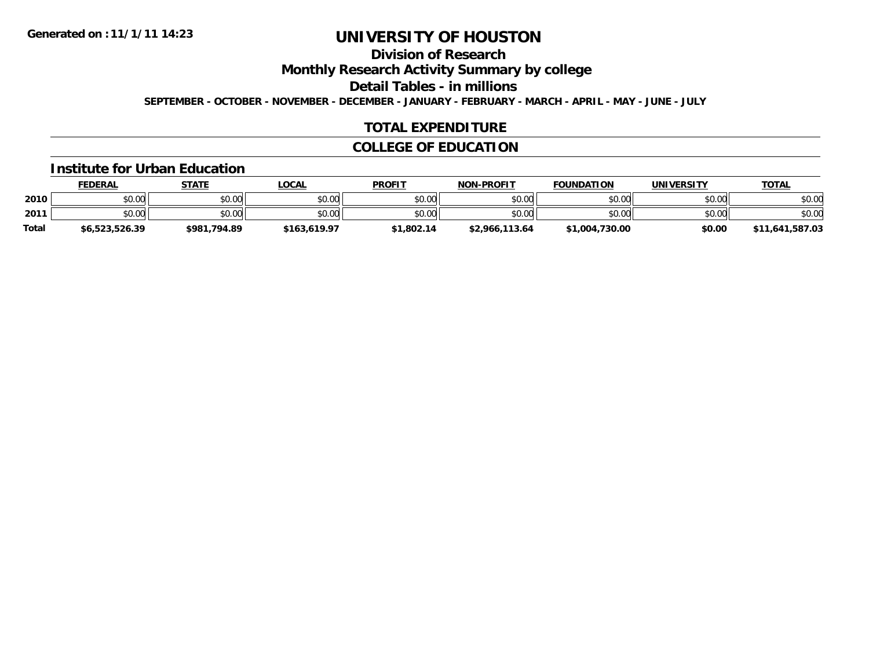### **Division of Research Monthly Research Activity Summary by college Detail Tables - in millions SEPTEMBER - OCTOBER - NOVEMBER - DECEMBER - JANUARY - FEBRUARY - MARCH - APRIL - MAY - JUNE - JULY**

#### **TOTAL EXPENDITURE**

### **COLLEGE OF EDUCATION**

#### **Institute for Urban Education**

|       | <b>FEDERAL</b> | <u>STATE</u> | <u>LOCAL</u> | <b>PROFIT</b> | <b>NON-PROFIT</b> | <b>FOUNDATION</b> | <b>UNIVERSITY</b> | <b>TOTAL</b>    |
|-------|----------------|--------------|--------------|---------------|-------------------|-------------------|-------------------|-----------------|
| 2010  | \$0.00         | \$0.00       | \$0.00       | \$0.00        | \$0.00            | \$0.00            | \$0.00            | \$0.00          |
| 2011  | \$0.00         | \$0.00       | \$0.00       | \$0.00        | \$0.00            | \$0.00            | \$0.00            | \$0.00          |
| Total | \$6,523,526.39 | \$981,794.89 | \$163,619.97 | \$1,802.14    | \$2,966,113.64    | \$1,004,730.00    | \$0.00            | \$11,641,587.03 |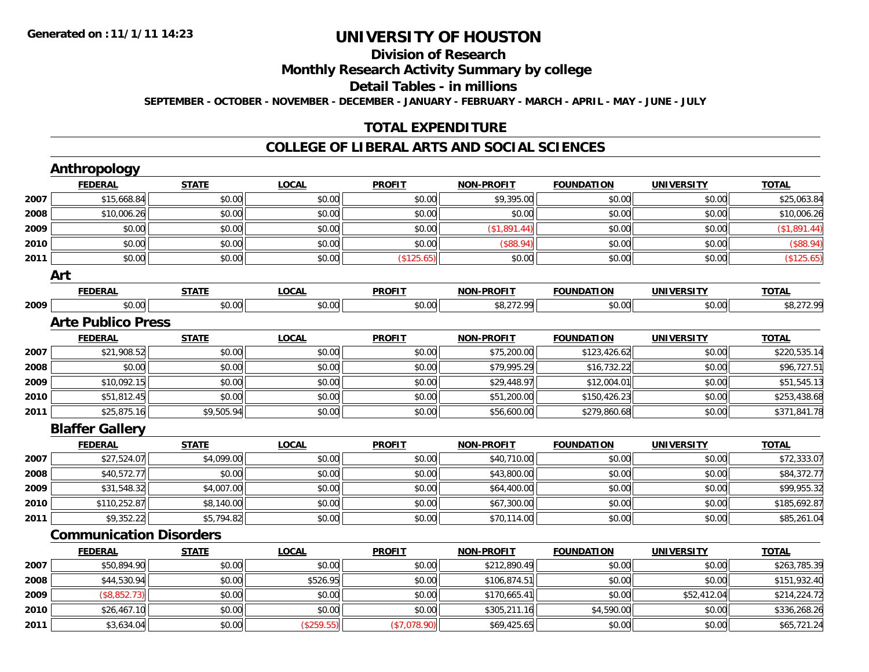### **Division of Research Monthly Research Activity Summary by college Detail Tables - in millions SEPTEMBER - OCTOBER - NOVEMBER - DECEMBER - JANUARY - FEBRUARY - MARCH - APRIL - MAY - JUNE - JULY**

#### **TOTAL EXPENDITURE**

#### **COLLEGE OF LIBERAL ARTS AND SOCIAL SCIENCES**

|      | <b>Anthropology</b>            |              |              |               |                   |                   |                   |              |
|------|--------------------------------|--------------|--------------|---------------|-------------------|-------------------|-------------------|--------------|
|      | <b>FEDERAL</b>                 | <b>STATE</b> | <b>LOCAL</b> | <b>PROFIT</b> | <b>NON-PROFIT</b> | <b>FOUNDATION</b> | <b>UNIVERSITY</b> | <b>TOTAL</b> |
| 2007 | \$15,668.84                    | \$0.00       | \$0.00       | \$0.00        | \$9,395.00        | \$0.00            | \$0.00            | \$25,063.84  |
| 2008 | \$10,006.26                    | \$0.00       | \$0.00       | \$0.00        | \$0.00            | \$0.00            | \$0.00            | \$10,006.26  |
| 2009 | \$0.00                         | \$0.00       | \$0.00       | \$0.00        | (\$1,891.44)      | \$0.00            | \$0.00            | (\$1,891.44) |
| 2010 | \$0.00                         | \$0.00       | \$0.00       | \$0.00        | (\$88.94)         | \$0.00            | \$0.00            | (\$88.94)    |
| 2011 | \$0.00                         | \$0.00       | \$0.00       | (\$125.65)    | \$0.00            | \$0.00            | \$0.00            | (\$125.65)   |
|      | Art                            |              |              |               |                   |                   |                   |              |
|      | <b>FEDERAL</b>                 | <b>STATE</b> | <b>LOCAL</b> | <b>PROFIT</b> | <b>NON-PROFIT</b> | <b>FOUNDATION</b> | <b>UNIVERSITY</b> | <b>TOTAL</b> |
| 2009 | \$0.00                         | \$0.00       | \$0.00       | \$0.00        | \$8,272.99        | \$0.00            | \$0.00            | \$8,272.99   |
|      | <b>Arte Publico Press</b>      |              |              |               |                   |                   |                   |              |
|      | <b>FEDERAL</b>                 | <b>STATE</b> | <b>LOCAL</b> | <b>PROFIT</b> | <b>NON-PROFIT</b> | <b>FOUNDATION</b> | <b>UNIVERSITY</b> | <b>TOTAL</b> |
| 2007 | \$21,908.52                    | \$0.00       | \$0.00       | \$0.00        | \$75,200.00       | \$123,426.62      | \$0.00            | \$220,535.14 |
| 2008 | \$0.00                         | \$0.00       | \$0.00       | \$0.00        | \$79,995.29       | \$16,732.22       | \$0.00            | \$96,727.51  |
| 2009 | \$10,092.15                    | \$0.00       | \$0.00       | \$0.00        | \$29,448.97       | \$12,004.01       | \$0.00            | \$51,545.13  |
| 2010 | \$51,812.45                    | \$0.00       | \$0.00       | \$0.00        | \$51,200.00       | \$150,426.23      | \$0.00            | \$253,438.68 |
| 2011 | \$25,875.16                    | \$9,505.94   | \$0.00       | \$0.00        | \$56,600.00       | \$279,860.68      | \$0.00            | \$371,841.78 |
|      | <b>Blaffer Gallery</b>         |              |              |               |                   |                   |                   |              |
|      | <b>FEDERAL</b>                 | <b>STATE</b> | <b>LOCAL</b> | <b>PROFIT</b> | <b>NON-PROFIT</b> | <b>FOUNDATION</b> | <b>UNIVERSITY</b> | <b>TOTAL</b> |
| 2007 | \$27,524.07                    | \$4,099.00   | \$0.00       | \$0.00        | \$40,710.00       | \$0.00            | \$0.00            | \$72,333.07  |
| 2008 | \$40,572.77                    | \$0.00       | \$0.00       | \$0.00        | \$43,800.00       | \$0.00            | \$0.00            | \$84,372.77  |
| 2009 | \$31,548.32                    | \$4,007.00   | \$0.00       | \$0.00        | \$64,400.00       | \$0.00            | \$0.00            | \$99,955.32  |
| 2010 | \$110,252.87                   | \$8,140.00   | \$0.00       | \$0.00        | \$67,300.00       | \$0.00            | \$0.00            | \$185,692.87 |
| 2011 | \$9,352.22                     | \$5,794.82   | \$0.00       | \$0.00        | \$70,114.00       | \$0.00            | \$0.00            | \$85,261.04  |
|      | <b>Communication Disorders</b> |              |              |               |                   |                   |                   |              |
|      | <b>FEDERAL</b>                 | <b>STATE</b> | <b>LOCAL</b> | <b>PROFIT</b> | <b>NON-PROFIT</b> | <b>FOUNDATION</b> | <b>UNIVERSITY</b> | <b>TOTAL</b> |
| 2007 | \$50,894.90                    | \$0.00       | \$0.00       | \$0.00        | \$212,890.49      | \$0.00            | \$0.00            | \$263,785.39 |
| 2008 | \$44,530.94                    | \$0.00       | \$526.95     | \$0.00        | \$106,874.51      | \$0.00            | \$0.00            | \$151,932.40 |
| 2009 | (\$8,852.73)                   | \$0.00       | \$0.00       | \$0.00        | \$170,665.41      | \$0.00            | \$52,412.04       | \$214,224.72 |
| 2010 | \$26,467.10                    | \$0.00       | \$0.00       | \$0.00        | \$305,211.16      | \$4,590.00        | \$0.00            | \$336,268.26 |
| 2011 | \$3,634.04                     | \$0.00       | (\$259.55)   | (\$7,078.90)  | \$69,425.65       | \$0.00            | \$0.00            | \$65,721.24  |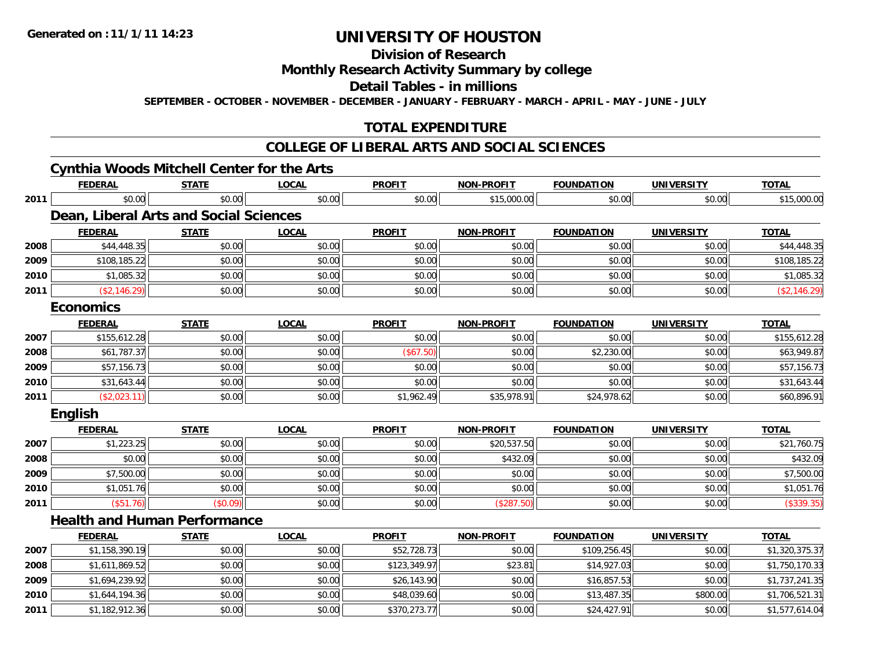### **Division of Research Monthly Research Activity Summary by college Detail Tables - in millions SEPTEMBER - OCTOBER - NOVEMBER - DECEMBER - JANUARY - FEBRUARY - MARCH - APRIL - MAY - JUNE - JULY**

### **TOTAL EXPENDITURE**

### **COLLEGE OF LIBERAL ARTS AND SOCIAL SCIENCES**

### **Cynthia Woods Mitchell Center for the Arts**

|      | <b>FEDERAL</b>                                | <b>STATE</b> | <b>LOCAL</b> | <b>PROFIT</b> | <b>NON-PROFIT</b> | <b>FOUNDATION</b> | <b>UNIVERSITY</b> | <b>TOTAL</b>   |
|------|-----------------------------------------------|--------------|--------------|---------------|-------------------|-------------------|-------------------|----------------|
| 2011 | \$0.00                                        | \$0.00       | \$0.00       | \$0.00        | \$15,000.00       | \$0.00            | \$0.00            | \$15,000.00    |
|      | <b>Dean, Liberal Arts and Social Sciences</b> |              |              |               |                   |                   |                   |                |
|      | <b>FEDERAL</b>                                | <b>STATE</b> | <b>LOCAL</b> | <b>PROFIT</b> | <b>NON-PROFIT</b> | <b>FOUNDATION</b> | <b>UNIVERSITY</b> | <b>TOTAL</b>   |
| 2008 | \$44,448.35                                   | \$0.00       | \$0.00       | \$0.00        | \$0.00            | \$0.00            | \$0.00            | \$44,448.35    |
| 2009 | \$108,185.22                                  | \$0.00       | \$0.00       | \$0.00        | \$0.00            | \$0.00            | \$0.00            | \$108,185.22   |
| 2010 | \$1,085.32                                    | \$0.00       | \$0.00       | \$0.00        | \$0.00            | \$0.00            | \$0.00            | \$1,085.32     |
| 2011 | (\$2,146.29)                                  | \$0.00       | \$0.00       | \$0.00        | \$0.00            | \$0.00            | \$0.00            | (\$2,146.29)   |
|      | <b>Economics</b>                              |              |              |               |                   |                   |                   |                |
|      | <b>FEDERAL</b>                                | <b>STATE</b> | <b>LOCAL</b> | <b>PROFIT</b> | <b>NON-PROFIT</b> | <b>FOUNDATION</b> | <b>UNIVERSITY</b> | <b>TOTAL</b>   |
| 2007 | \$155,612.28                                  | \$0.00       | \$0.00       | \$0.00        | \$0.00            | \$0.00            | \$0.00            | \$155,612.28   |
| 2008 | \$61,787.37                                   | \$0.00       | \$0.00       | (\$67.50)     | \$0.00            | \$2,230.00        | \$0.00            | \$63,949.87    |
| 2009 | \$57,156.73                                   | \$0.00       | \$0.00       | \$0.00        | \$0.00            | \$0.00            | \$0.00            | \$57,156.73    |
| 2010 | \$31,643.44                                   | \$0.00       | \$0.00       | \$0.00        | \$0.00            | \$0.00            | \$0.00            | \$31,643.44    |
| 2011 | (\$2,023.11)                                  | \$0.00       | \$0.00       | \$1,962.49    | \$35,978.91       | \$24,978.62       | \$0.00            | \$60,896.91    |
|      | <b>English</b>                                |              |              |               |                   |                   |                   |                |
|      | <b>FEDERAL</b>                                | <b>STATE</b> | <b>LOCAL</b> | <b>PROFIT</b> | <b>NON-PROFIT</b> | <b>FOUNDATION</b> | <b>UNIVERSITY</b> | <b>TOTAL</b>   |
| 2007 | \$1,223.25                                    | \$0.00       | \$0.00       | \$0.00        | \$20,537.50       | \$0.00            | \$0.00            | \$21,760.75    |
| 2008 | \$0.00                                        | \$0.00       | \$0.00       | \$0.00        | \$432.09          | \$0.00            | \$0.00            | \$432.09       |
| 2009 | \$7,500.00                                    | \$0.00       | \$0.00       | \$0.00        | \$0.00            | \$0.00            | \$0.00            | \$7,500.00     |
| 2010 | \$1,051.76                                    | \$0.00       | \$0.00       | \$0.00        | \$0.00            | \$0.00            | \$0.00            | \$1,051.76     |
| 2011 | (\$51.76)                                     | (\$0.09)     | \$0.00       | \$0.00        | (\$287.50)        | \$0.00            | \$0.00            | (\$339.35)     |
|      | <b>Health and Human Performance</b>           |              |              |               |                   |                   |                   |                |
|      | <b>FEDERAL</b>                                | <b>STATE</b> | <b>LOCAL</b> | <b>PROFIT</b> | <b>NON-PROFIT</b> | <b>FOUNDATION</b> | <b>UNIVERSITY</b> | <b>TOTAL</b>   |
| 2007 | \$1,158,390.19                                | \$0.00       | \$0.00       | \$52,728.73   | \$0.00            | \$109,256.45      | \$0.00            | \$1,320,375.37 |
| 2008 | \$1,611,869.52                                | \$0.00       | \$0.00       | \$123,349.97  | \$23.81           | \$14,927.03       | \$0.00            | \$1,750,170.33 |
| 2009 | \$1,694,239.92                                | \$0.00       | \$0.00       | \$26,143.90   | \$0.00            | \$16,857.53       | \$0.00            | \$1,737,241.35 |
| 2010 | \$1,644,194.36                                | \$0.00       | \$0.00       | \$48,039.60   | \$0.00            | \$13,487.35       | \$800.00          | \$1,706,521.31 |
| 2011 | \$1,182,912.36                                | \$0.00       | \$0.00       | \$370,273.77  | \$0.00            | \$24,427.91       | \$0.00            | \$1,577,614.04 |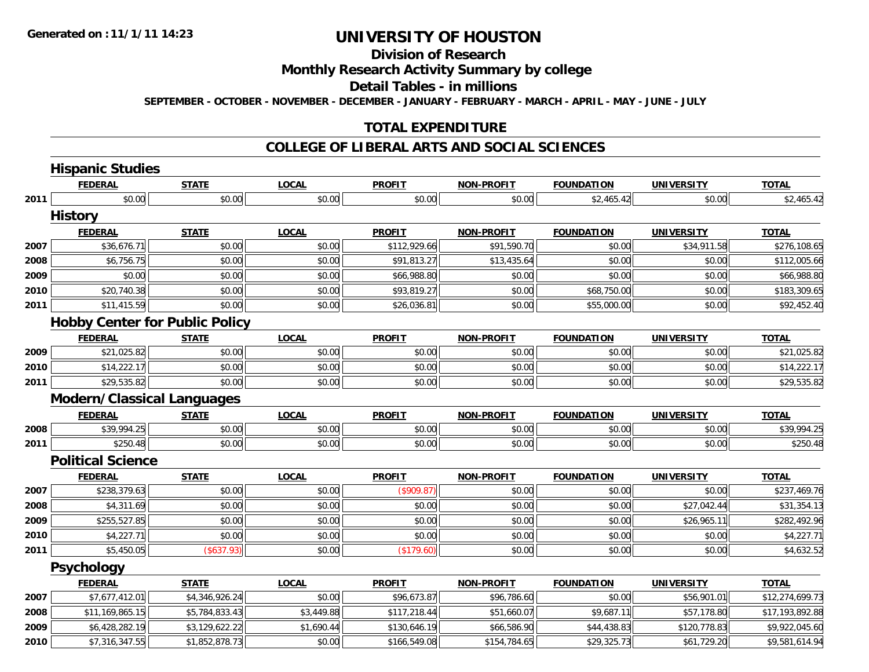### **Division of Research Monthly Research Activity Summary by college Detail Tables - in millions SEPTEMBER - OCTOBER - NOVEMBER - DECEMBER - JANUARY - FEBRUARY - MARCH - APRIL - MAY - JUNE - JULY**

#### **TOTAL EXPENDITURE**

#### **COLLEGE OF LIBERAL ARTS AND SOCIAL SCIENCES**

|      | <b>Hispanic Studies</b>               |                |              |               |                   |                   |                   |                 |
|------|---------------------------------------|----------------|--------------|---------------|-------------------|-------------------|-------------------|-----------------|
|      | <b>FEDERAL</b>                        | <b>STATE</b>   | <b>LOCAL</b> | <b>PROFIT</b> | <b>NON-PROFIT</b> | <b>FOUNDATION</b> | <b>UNIVERSITY</b> | <b>TOTAL</b>    |
| 2011 | \$0.00                                | \$0.00         | \$0.00       | \$0.00        | \$0.00            | \$2,465.42        | \$0.00            | \$2,465.42      |
|      | <b>History</b>                        |                |              |               |                   |                   |                   |                 |
|      | <b>FEDERAL</b>                        | <b>STATE</b>   | <b>LOCAL</b> | <b>PROFIT</b> | <b>NON-PROFIT</b> | <b>FOUNDATION</b> | <b>UNIVERSITY</b> | <b>TOTAL</b>    |
| 2007 | \$36,676.71                           | \$0.00         | \$0.00       | \$112,929.66  | \$91,590.70       | \$0.00            | \$34,911.58       | \$276,108.65    |
| 2008 | \$6,756.75                            | \$0.00         | \$0.00       | \$91,813.27   | \$13,435.64       | \$0.00            | \$0.00            | \$112,005.66    |
| 2009 | \$0.00                                | \$0.00         | \$0.00       | \$66,988.80   | \$0.00            | \$0.00            | \$0.00            | \$66,988.80     |
| 2010 | \$20,740.38                           | \$0.00         | \$0.00       | \$93,819.27   | \$0.00            | \$68,750.00       | \$0.00            | \$183,309.65    |
| 2011 | \$11,415.59                           | \$0.00         | \$0.00       | \$26,036.81   | \$0.00            | \$55,000.00       | \$0.00            | \$92,452.40     |
|      | <b>Hobby Center for Public Policy</b> |                |              |               |                   |                   |                   |                 |
|      | <b>FEDERAL</b>                        | <b>STATE</b>   | <b>LOCAL</b> | <b>PROFIT</b> | <b>NON-PROFIT</b> | <b>FOUNDATION</b> | <b>UNIVERSITY</b> | <b>TOTAL</b>    |
| 2009 | \$21,025.82                           | \$0.00         | \$0.00       | \$0.00        | \$0.00            | \$0.00            | \$0.00            | \$21,025.82     |
| 2010 | \$14,222.17                           | \$0.00         | \$0.00       | \$0.00        | \$0.00            | \$0.00            | \$0.00            | \$14,222.17     |
| 2011 | \$29,535.82                           | \$0.00         | \$0.00       | \$0.00        | \$0.00            | \$0.00            | \$0.00            | \$29,535.82     |
|      | <b>Modern/Classical Languages</b>     |                |              |               |                   |                   |                   |                 |
|      | <b>FEDERAL</b>                        | <b>STATE</b>   | <b>LOCAL</b> | <b>PROFIT</b> | <b>NON-PROFIT</b> | <b>FOUNDATION</b> | <b>UNIVERSITY</b> | <b>TOTAL</b>    |
| 2008 | \$39,994.25                           | \$0.00         | \$0.00       | \$0.00        | \$0.00            | \$0.00            | \$0.00            | \$39,994.25     |
| 2011 | \$250.48                              | \$0.00         | \$0.00       | \$0.00        | \$0.00            | \$0.00            | \$0.00            | \$250.48        |
|      | <b>Political Science</b>              |                |              |               |                   |                   |                   |                 |
|      | <b>FEDERAL</b>                        | <b>STATE</b>   | <b>LOCAL</b> | <b>PROFIT</b> | <b>NON-PROFIT</b> | <b>FOUNDATION</b> | <b>UNIVERSITY</b> | <b>TOTAL</b>    |
| 2007 | \$238,379.63                          | \$0.00         | \$0.00       | (\$909.87)    | \$0.00            | \$0.00            | \$0.00            | \$237,469.76    |
| 2008 | \$4,311.69                            | \$0.00         | \$0.00       | \$0.00        | \$0.00            | \$0.00            | \$27,042.44       | \$31,354.13     |
| 2009 | \$255,527.85                          | \$0.00         | \$0.00       | \$0.00        | \$0.00            | \$0.00            | \$26,965.11       | \$282,492.96    |
| 2010 | \$4,227.71                            | \$0.00         | \$0.00       | \$0.00        | \$0.00            | \$0.00            | \$0.00            | \$4,227.71      |
| 2011 | \$5,450.05                            | (\$637.93)     | \$0.00       | (\$179.60)    | \$0.00            | \$0.00            | \$0.00            | \$4,632.52      |
|      | <b>Psychology</b>                     |                |              |               |                   |                   |                   |                 |
|      | <b>FEDERAL</b>                        | <b>STATE</b>   | <b>LOCAL</b> | <b>PROFIT</b> | <b>NON-PROFIT</b> | <b>FOUNDATION</b> | <b>UNIVERSITY</b> | <b>TOTAL</b>    |
| 2007 | \$7,677,412.01                        | \$4,346,926.24 | \$0.00       | \$96,673.87   | \$96,786.60       | \$0.00            | \$56,901.01       | \$12,274,699.73 |
| 2008 | \$11,169,865.15                       | \$5,784,833.43 | \$3,449.88   | \$117,218.44  | \$51,660.07       | \$9,687.11        | \$57,178.80       | \$17,193,892.88 |
| 2009 | \$6,428,282.19                        | \$3,129,622.22 | \$1,690.44   | \$130,646.19  | \$66,586.90       | \$44,438.83       | \$120,778.83      | \$9,922,045.60  |
| 2010 | \$7,316,347.55                        | \$1,852,878.73 | \$0.00       | \$166,549.08  | \$154,784.65      | \$29,325.73       | \$61,729.20       | \$9,581,614.94  |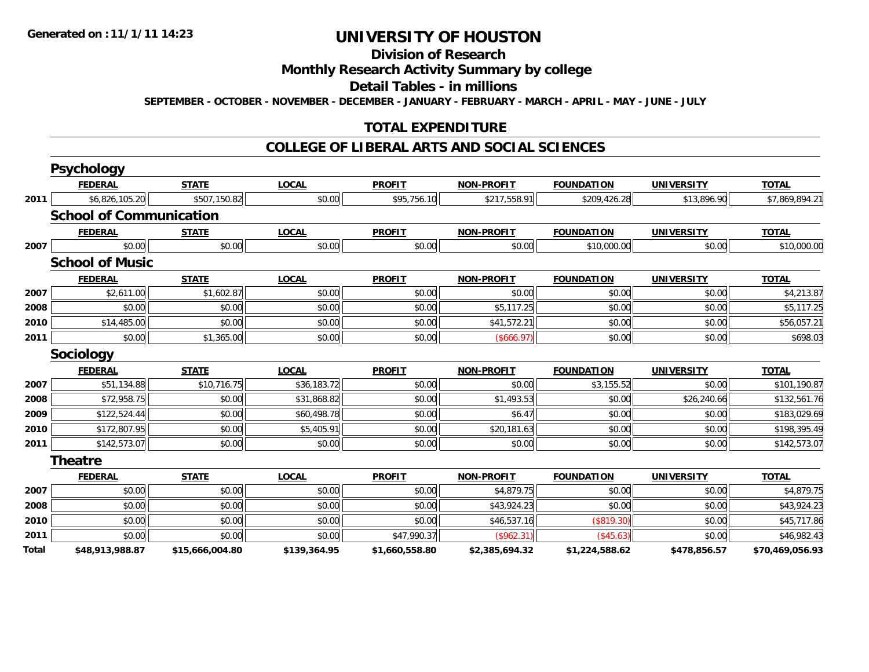### **Division of Research Monthly Research Activity Summary by college Detail Tables - in millions SEPTEMBER - OCTOBER - NOVEMBER - DECEMBER - JANUARY - FEBRUARY - MARCH - APRIL - MAY - JUNE - JULY**

### **TOTAL EXPENDITURE**

#### **COLLEGE OF LIBERAL ARTS AND SOCIAL SCIENCES**

|       | <b>Psychology</b>              |                 |              |                |                   |                   |                   |                 |
|-------|--------------------------------|-----------------|--------------|----------------|-------------------|-------------------|-------------------|-----------------|
|       | <b>FEDERAL</b>                 | <b>STATE</b>    | <b>LOCAL</b> | <b>PROFIT</b>  | <b>NON-PROFIT</b> | <b>FOUNDATION</b> | <b>UNIVERSITY</b> | <b>TOTAL</b>    |
| 2011  | \$6,826,105.20                 | \$507,150.82    | \$0.00       | \$95,756.10    | \$217,558.91      | \$209,426.28      | \$13,896.90       | \$7,869,894.21  |
|       | <b>School of Communication</b> |                 |              |                |                   |                   |                   |                 |
|       | <b>FEDERAL</b>                 | <b>STATE</b>    | <b>LOCAL</b> | <b>PROFIT</b>  | <b>NON-PROFIT</b> | <b>FOUNDATION</b> | <b>UNIVERSITY</b> | <b>TOTAL</b>    |
| 2007  | \$0.00                         | \$0.00          | \$0.00       | \$0.00         | \$0.00            | \$10,000.00       | \$0.00            | \$10,000.00     |
|       | <b>School of Music</b>         |                 |              |                |                   |                   |                   |                 |
|       | <b>FEDERAL</b>                 | <b>STATE</b>    | <b>LOCAL</b> | <b>PROFIT</b>  | <b>NON-PROFIT</b> | <b>FOUNDATION</b> | <b>UNIVERSITY</b> | <b>TOTAL</b>    |
| 2007  | \$2,611.00                     | \$1,602.87      | \$0.00       | \$0.00         | \$0.00            | \$0.00            | \$0.00            | \$4,213.87      |
| 2008  | \$0.00                         | \$0.00          | \$0.00       | \$0.00         | \$5,117.25        | \$0.00            | \$0.00            | \$5,117.25      |
| 2010  | \$14,485.00                    | \$0.00          | \$0.00       | \$0.00         | \$41,572.21       | \$0.00            | \$0.00            | \$56,057.21     |
| 2011  | \$0.00                         | \$1,365.00      | \$0.00       | \$0.00         | (\$666.97)        | \$0.00            | \$0.00            | \$698.03        |
|       | <b>Sociology</b>               |                 |              |                |                   |                   |                   |                 |
|       | <b>FEDERAL</b>                 | <b>STATE</b>    | <b>LOCAL</b> | <b>PROFIT</b>  | <b>NON-PROFIT</b> | <b>FOUNDATION</b> | <b>UNIVERSITY</b> | <b>TOTAL</b>    |
| 2007  | \$51,134.88                    | \$10,716.75     | \$36,183.72  | \$0.00         | \$0.00            | \$3,155.52        | \$0.00            | \$101,190.87    |
| 2008  | \$72,958.75                    | \$0.00          | \$31,868.82  | \$0.00         | \$1,493.53        | \$0.00            | \$26,240.66       | \$132,561.76    |
| 2009  | \$122,524.44                   | \$0.00          | \$60,498.78  | \$0.00         | \$6.47            | \$0.00            | \$0.00            | \$183,029.69    |
| 2010  | \$172,807.95                   | \$0.00          | \$5,405.91   | \$0.00         | \$20,181.63       | \$0.00            | \$0.00            | \$198,395.49    |
| 2011  | \$142,573.07                   | \$0.00          | \$0.00       | \$0.00         | \$0.00            | \$0.00            | \$0.00            | \$142,573.07    |
|       | <b>Theatre</b>                 |                 |              |                |                   |                   |                   |                 |
|       | <b>FEDERAL</b>                 | <b>STATE</b>    | <b>LOCAL</b> | <b>PROFIT</b>  | <b>NON-PROFIT</b> | <b>FOUNDATION</b> | <b>UNIVERSITY</b> | <b>TOTAL</b>    |
| 2007  | \$0.00                         | \$0.00          | \$0.00       | \$0.00         | \$4,879.75        | \$0.00            | \$0.00            | \$4,879.75      |
| 2008  | \$0.00                         | \$0.00          | \$0.00       | \$0.00         | \$43,924.23       | \$0.00            | \$0.00            | \$43,924.23     |
| 2010  | \$0.00                         | \$0.00          | \$0.00       | \$0.00         | \$46,537.16       | (\$819.30)        | \$0.00            | \$45,717.86     |
| 2011  | \$0.00                         | \$0.00          | \$0.00       | \$47,990.37    | (\$962.31)        | (\$45.63)         | \$0.00            | \$46,982.43     |
| Total | \$48,913,988.87                | \$15,666,004.80 | \$139,364.95 | \$1,660,558.80 | \$2,385,694.32    | \$1,224,588.62    | \$478,856.57      | \$70,469,056.93 |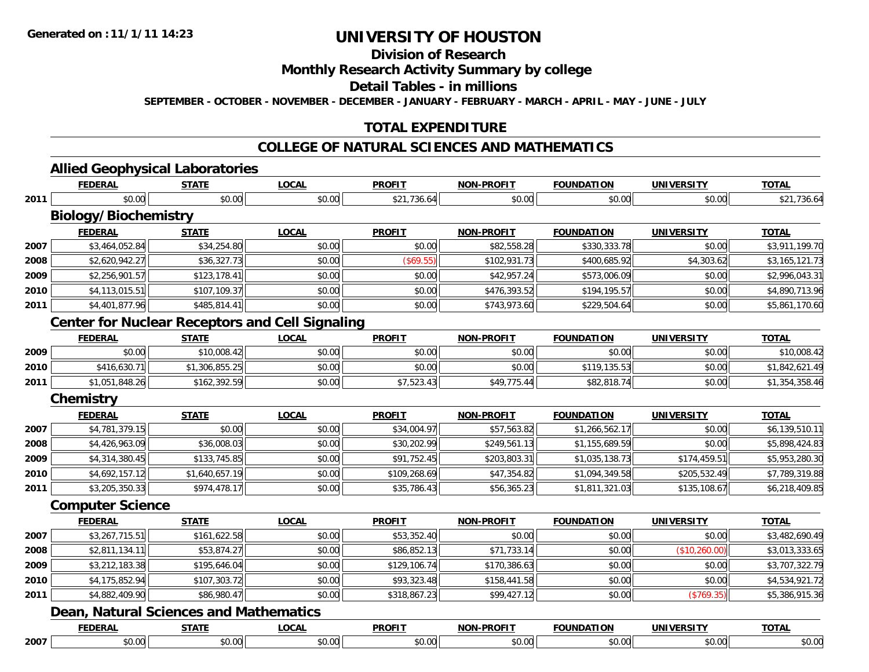### **Division of Research Monthly Research Activity Summary by college Detail Tables - in millions SEPTEMBER - OCTOBER - NOVEMBER - DECEMBER - JANUARY - FEBRUARY - MARCH - APRIL - MAY - JUNE - JULY**

### **TOTAL EXPENDITURE**

### **COLLEGE OF NATURAL SCIENCES AND MATHEMATICS**

|      | <b>FEDERAL</b>                                         | <b>STATE</b>   | <b>LOCAL</b> | <b>PROFIT</b> | <b>NON-PROFIT</b> | <b>FOUNDATION</b> | <b>UNIVERSITY</b> | <b>TOTAL</b>   |
|------|--------------------------------------------------------|----------------|--------------|---------------|-------------------|-------------------|-------------------|----------------|
| 2011 | \$0.00                                                 | \$0.00         | \$0.00       | \$21,736.64   | \$0.00            | \$0.00            | \$0.00            | \$21,736.64    |
|      | <b>Biology/Biochemistry</b>                            |                |              |               |                   |                   |                   |                |
|      | <b>FEDERAL</b>                                         | <b>STATE</b>   | <b>LOCAL</b> | <b>PROFIT</b> | <b>NON-PROFIT</b> | <b>FOUNDATION</b> | <b>UNIVERSITY</b> | <b>TOTAL</b>   |
| 2007 | \$3,464,052.84                                         | \$34,254.80    | \$0.00       | \$0.00        | \$82,558.28       | \$330,333.78      | \$0.00            | \$3,911,199.70 |
| 2008 | \$2,620,942.27                                         | \$36,327.73    | \$0.00       | (\$69.55)     | \$102,931.73      | \$400,685.92      | \$4,303.62        | \$3,165,121.73 |
| 2009 | \$2,256,901.57                                         | \$123,178.41   | \$0.00       | \$0.00        | \$42,957.24       | \$573,006.09      | \$0.00            | \$2,996,043.31 |
| 2010 | \$4,113,015.51                                         | \$107,109.37   | \$0.00       | \$0.00        | \$476,393.52      | \$194,195.57      | \$0.00            | \$4,890,713.96 |
| 2011 | \$4,401,877.96                                         | \$485,814.41   | \$0.00       | \$0.00        | \$743,973.60      | \$229,504.64      | \$0.00            | \$5,861,170.60 |
|      | <b>Center for Nuclear Receptors and Cell Signaling</b> |                |              |               |                   |                   |                   |                |
|      | <b>FEDERAL</b>                                         | <b>STATE</b>   | <b>LOCAL</b> | <b>PROFIT</b> | <b>NON-PROFIT</b> | <b>FOUNDATION</b> | <b>UNIVERSITY</b> | <b>TOTAL</b>   |
| 2009 | \$0.00                                                 | \$10,008.42    | \$0.00       | \$0.00        | \$0.00            | \$0.00            | \$0.00            | \$10,008.42    |
| 2010 | \$416,630.71                                           | \$1,306,855.25 | \$0.00       | \$0.00        | \$0.00            | \$119,135.53      | \$0.00            | \$1,842,621.49 |
| 2011 | \$1,051,848.26                                         | \$162,392.59   | \$0.00       | \$7,523.43    | \$49,775.44       | \$82,818.74       | \$0.00            | \$1,354,358.46 |
|      | <b>Chemistry</b>                                       |                |              |               |                   |                   |                   |                |
|      | <b>FEDERAL</b>                                         | <b>STATE</b>   | <b>LOCAL</b> | <b>PROFIT</b> | <b>NON-PROFIT</b> | <b>FOUNDATION</b> | <b>UNIVERSITY</b> | <b>TOTAL</b>   |
| 2007 | \$4,781,379.15                                         | \$0.00         | \$0.00       | \$34,004.97   | \$57,563.82       | \$1,266,562.17    | \$0.00            | \$6,139,510.11 |
| 2008 | \$4,426,963.09                                         | \$36,008.03    | \$0.00       | \$30,202.99   | \$249,561.13      | \$1,155,689.59    | \$0.00            | \$5,898,424.83 |
| 2009 | \$4,314,380.45                                         | \$133,745.85   | \$0.00       | \$91,752.45   | \$203,803.31      | \$1,035,138.73    | \$174,459.51      | \$5,953,280.30 |
| 2010 | \$4,692,157.12                                         | \$1,640,657.19 | \$0.00       | \$109,268.69  | \$47,354.82       | \$1,094,349.58    | \$205,532.49      | \$7,789,319.88 |
| 2011 | \$3,205,350.33                                         | \$974,478.17   | \$0.00       | \$35,786.43   | \$56,365.23       | \$1,811,321.03    | \$135,108.67      | \$6,218,409.85 |
|      | <b>Computer Science</b>                                |                |              |               |                   |                   |                   |                |
|      | <b>FEDERAL</b>                                         | <b>STATE</b>   | <b>LOCAL</b> | <b>PROFIT</b> | <b>NON-PROFIT</b> | <b>FOUNDATION</b> | <b>UNIVERSITY</b> | <b>TOTAL</b>   |
| 2007 | \$3,267,715.51                                         | \$161,622.58   | \$0.00       | \$53,352.40   | \$0.00            | \$0.00            | \$0.00            | \$3,482,690.49 |
| 2008 | \$2,811,134.11                                         | \$53,874.27    | \$0.00       | \$86,852.13   | \$71,733.14       | \$0.00            | (\$10, 260.00)    | \$3,013,333.65 |
| 2009 | \$3,212,183.38                                         | \$195,646.04   | \$0.00       | \$129,106.74  | \$170,386.63      | \$0.00            | \$0.00            | \$3,707,322.79 |
| 2010 | \$4,175,852.94                                         | \$107,303.72   | \$0.00       | \$93,323.48   | \$158,441.58      | \$0.00            | \$0.00            | \$4,534,921.72 |
| 2011 | \$4,882,409.90                                         | \$86,980.47    | \$0.00       | \$318,867.23  | \$99,427.12       | \$0.00            | (\$769.35)        | \$5,386,915.36 |
|      | <b>Dean, Natural Sciences and Mathematics</b>          |                |              |               |                   |                   |                   |                |
|      | <b>FEDERAL</b>                                         | <b>STATE</b>   | <b>LOCAL</b> | <b>PROFIT</b> | <b>NON-PROFIT</b> | <b>FOUNDATION</b> | <b>UNIVERSITY</b> | <b>TOTAL</b>   |
|      | \$0.00                                                 | \$0.00         | \$0.00       | \$0.00        | \$0.00            | \$0.00            | \$0.00            | \$0.00         |

7 | \$0.00 \$0.00 \$0.00 \$0.00 \$0.00 \$0.00 \$0.00 \$0.00 \$0.00 \$0.00 \$0.00 \$0.00 \$0.00 \$0.00 \$0.00 \$0.00 \$0.00 \$0.00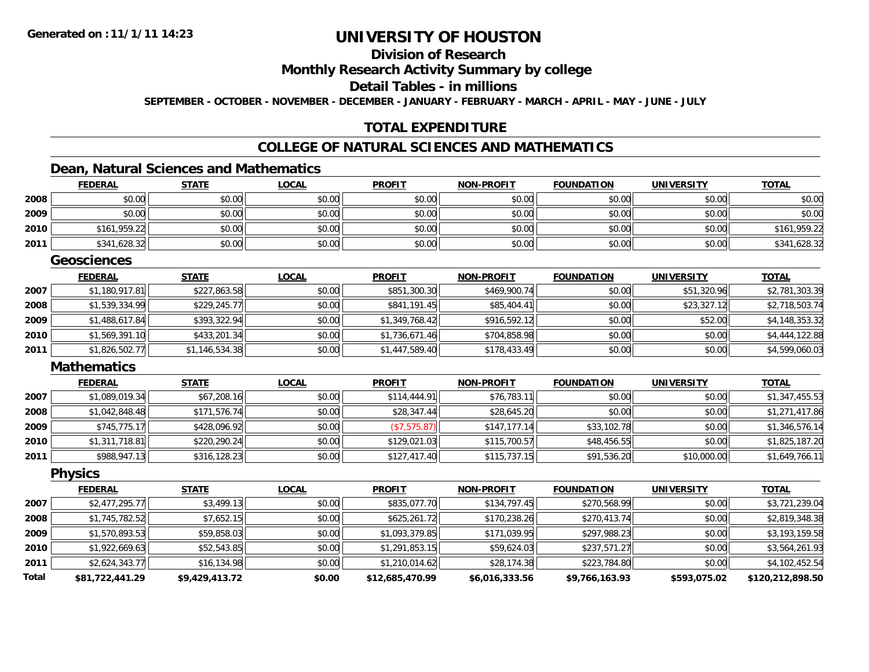### **Division of Research Monthly Research Activity Summary by college Detail Tables - in millions SEPTEMBER - OCTOBER - NOVEMBER - DECEMBER - JANUARY - FEBRUARY - MARCH - APRIL - MAY - JUNE - JULY**

#### **TOTAL EXPENDITURE**

### **COLLEGE OF NATURAL SCIENCES AND MATHEMATICS**

### **Dean, Natural Sciences and Mathematics**

|              | <b>FEDERAL</b>     | <b>STATE</b>   | <b>LOCAL</b> | <b>PROFIT</b>   | <u>NON-PROFIT</u> | <b>FOUNDATION</b> | <b>UNIVERSITY</b> | <u>TOTAL</u>     |
|--------------|--------------------|----------------|--------------|-----------------|-------------------|-------------------|-------------------|------------------|
| 2008         | \$0.00             | \$0.00         | \$0.00       | \$0.00          | \$0.00            | \$0.00            | \$0.00            | \$0.00           |
| 2009         | \$0.00             | \$0.00         | \$0.00       | \$0.00          | \$0.00            | \$0.00            | \$0.00            | \$0.00           |
| 2010         | \$161,959.22       | \$0.00         | \$0.00       | \$0.00          | \$0.00            | \$0.00            | \$0.00            | \$161,959.22     |
| 2011         | \$341,628.32       | \$0.00         | \$0.00       | \$0.00          | \$0.00            | \$0.00            | \$0.00            | \$341,628.32     |
|              | <b>Geosciences</b> |                |              |                 |                   |                   |                   |                  |
|              | <b>FEDERAL</b>     | <b>STATE</b>   | <b>LOCAL</b> | <b>PROFIT</b>   | <b>NON-PROFIT</b> | <b>FOUNDATION</b> | <b>UNIVERSITY</b> | <b>TOTAL</b>     |
| 2007         | \$1,180,917.81     | \$227,863.58   | \$0.00       | \$851,300.30    | \$469,900.74      | \$0.00            | \$51,320.96       | \$2,781,303.39   |
| 2008         | \$1,539,334.99     | \$229,245.77   | \$0.00       | \$841,191.45    | \$85,404.41       | \$0.00            | \$23,327.12       | \$2,718,503.74   |
| 2009         | \$1,488,617.84     | \$393,322.94   | \$0.00       | \$1,349,768.42  | \$916,592.12      | \$0.00            | \$52.00           | \$4,148,353.32   |
| 2010         | \$1,569,391.10     | \$433,201.34   | \$0.00       | \$1,736,671.46  | \$704,858.98      | \$0.00            | \$0.00            | \$4,444,122.88   |
| 2011         | \$1,826,502.77     | \$1,146,534.38 | \$0.00       | \$1,447,589.40  | \$178,433.49      | \$0.00            | \$0.00            | \$4,599,060.03   |
|              | <b>Mathematics</b> |                |              |                 |                   |                   |                   |                  |
|              | <b>FEDERAL</b>     | <b>STATE</b>   | <b>LOCAL</b> | <b>PROFIT</b>   | <b>NON-PROFIT</b> | <b>FOUNDATION</b> | <b>UNIVERSITY</b> | <b>TOTAL</b>     |
| 2007         | \$1,089,019.34     | \$67,208.16    | \$0.00       | \$114,444.91    | \$76,783.11       | \$0.00            | \$0.00            | \$1,347,455.53   |
| 2008         | \$1,042,848.48     | \$171,576.74   | \$0.00       | \$28,347.44     | \$28,645.20       | \$0.00            | \$0.00            | \$1,271,417.86   |
| 2009         | \$745,775.17       | \$428,096.92   | \$0.00       | (\$7,575.87)    | \$147,177.14      | \$33,102.78       | \$0.00            | \$1,346,576.14   |
| 2010         | \$1,311,718.81     | \$220,290.24   | \$0.00       | \$129,021.03    | \$115,700.57      | \$48,456.55       | \$0.00            | \$1,825,187.20   |
| 2011         | \$988,947.13       | \$316,128.23   | \$0.00       | \$127,417.40    | \$115,737.15      | \$91,536.20       | \$10,000.00       | \$1,649,766.11   |
|              | <b>Physics</b>     |                |              |                 |                   |                   |                   |                  |
|              | <b>FEDERAL</b>     | <b>STATE</b>   | <b>LOCAL</b> | <b>PROFIT</b>   | <b>NON-PROFIT</b> | <b>FOUNDATION</b> | <b>UNIVERSITY</b> | <b>TOTAL</b>     |
| 2007         | \$2,477,295.77     | \$3,499.13     | \$0.00       | \$835,077.70    | \$134,797.45      | \$270,568.99      | \$0.00            | \$3,721,239.04   |
| 2008         | \$1,745,782.52     | \$7,652.15     | \$0.00       | \$625,261.72    | \$170,238.26      | \$270,413.74      | \$0.00            | \$2,819,348.38   |
| 2009         | \$1,570,893.53     | \$59,858.03    | \$0.00       | \$1,093,379.85  | \$171,039.95      | \$297,988.23      | \$0.00            | \$3,193,159.58   |
| 2010         | \$1,922,669.63     | \$52,543.85    | \$0.00       | \$1,291,853.15  | \$59,624.03       | \$237,571.27      | \$0.00            | \$3,564,261.93   |
| 2011         | \$2,624,343.77     | \$16,134.98    | \$0.00       | \$1,210,014.62  | \$28,174.38       | \$223,784.80      | \$0.00            | \$4,102,452.54   |
| <b>Total</b> | \$81,722,441.29    | \$9,429,413.72 | \$0.00       | \$12,685,470.99 | \$6,016,333.56    | \$9,766,163.93    | \$593,075.02      | \$120,212,898.50 |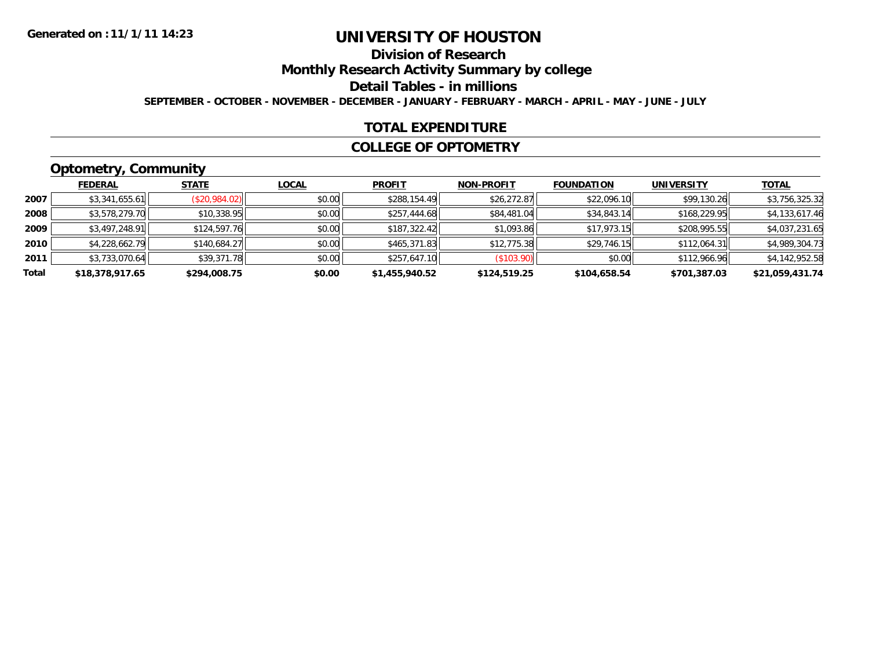### **Division of Research Monthly Research Activity Summary by college Detail Tables - in millions SEPTEMBER - OCTOBER - NOVEMBER - DECEMBER - JANUARY - FEBRUARY - MARCH - APRIL - MAY - JUNE - JULY**

#### **TOTAL EXPENDITURE**

#### **COLLEGE OF OPTOMETRY**

## **Optometry, Community**

|       | --              |               |              |                |                   |                   |                   |                 |
|-------|-----------------|---------------|--------------|----------------|-------------------|-------------------|-------------------|-----------------|
|       | <b>FEDERAL</b>  | <b>STATE</b>  | <b>LOCAL</b> | <b>PROFIT</b>  | <b>NON-PROFIT</b> | <b>FOUNDATION</b> | <b>UNIVERSITY</b> | <b>TOTAL</b>    |
| 2007  | \$3,341,655.61  | (\$20,984.02) | \$0.00       | \$288,154.49   | \$26,272.87       | \$22,096.10       | \$99,130.26       | \$3,756,325.32  |
| 2008  | \$3,578,279.70  | \$10,338.95   | \$0.00       | \$257,444.68   | \$84,481.04       | \$34,843.14       | \$168,229.95      | \$4,133,617.46  |
| 2009  | \$3,497,248.91  | \$124,597.76  | \$0.00       | \$187,322.42   | \$1,093.86        | \$17,973.15       | \$208,995.55      | \$4,037,231.65  |
| 2010  | \$4,228,662.79  | \$140,684.27  | \$0.00       | \$465,371.83   | \$12,775.38       | \$29,746.15       | \$112,064.31      | \$4,989,304.73  |
| 2011  | \$3,733,070.64  | \$39,371.78   | \$0.00       | \$257,647.10   | (\$103.90)        | \$0.00            | \$112,966.96      | \$4,142,952.58  |
| Total | \$18,378,917.65 | \$294,008.75  | \$0.00       | \$1,455,940.52 | \$124,519.25      | \$104,658.54      | \$701,387.03      | \$21,059,431.74 |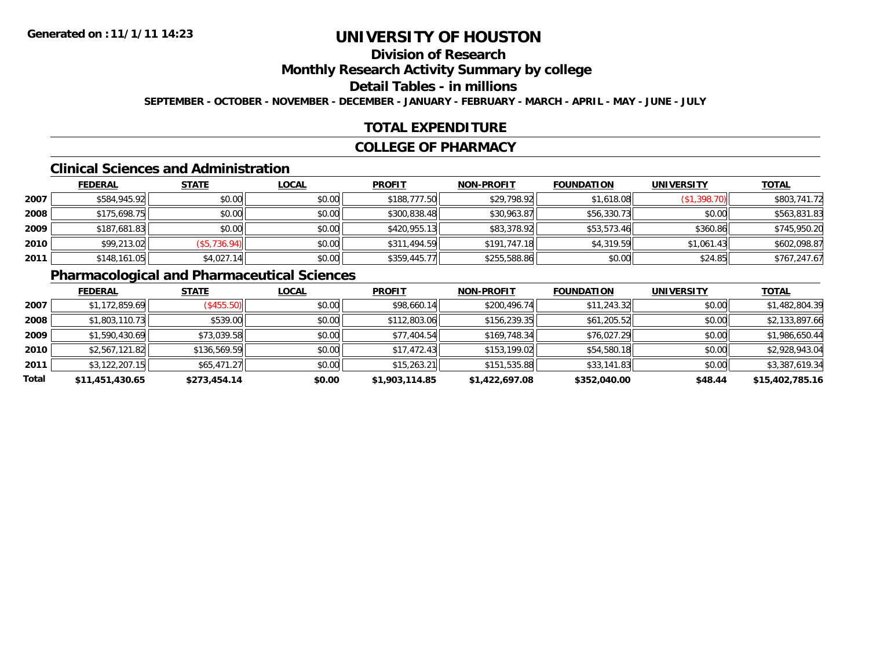### **Division of Research Monthly Research Activity Summary by college Detail Tables - in millions SEPTEMBER - OCTOBER - NOVEMBER - DECEMBER - JANUARY - FEBRUARY - MARCH - APRIL - MAY - JUNE - JULY**

#### **TOTAL EXPENDITURE**

#### **COLLEGE OF PHARMACY**

#### **Clinical Sciences and Administration**

|      | <b>FEDERAL</b> | <b>STATE</b> | <b>LOCAL</b> | <b>PROFIT</b> | <b>NON-PROFIT</b> | <b>FOUNDATION</b> | <b>UNIVERSITY</b> | <b>TOTAL</b> |
|------|----------------|--------------|--------------|---------------|-------------------|-------------------|-------------------|--------------|
| 2007 | \$584,945.92   | \$0.00       | \$0.00       | \$188,777.50  | \$29,798.92       | \$1,618.08        | (\$1,398.70)      | \$803,741.72 |
| 2008 | \$175,698.75   | \$0.00       | \$0.00       | \$300,838.48  | \$30,963.87       | \$56,330.73       | \$0.00            | \$563,831.83 |
| 2009 | \$187,681.83   | \$0.00       | \$0.00       | \$420,955.13  | \$83,378.92       | \$53,573.46       | \$360.86          | \$745,950.20 |
| 2010 | \$99,213.02    | (S5, 736.94) | \$0.00       | \$311,494.59  | \$191,747.18      | \$4,319.59        | \$1.061.43        | \$602,098.87 |
| 2011 | \$148,161.05   | \$4,027.14   | \$0.00       | \$359,445.77  | \$255,588.86      | \$0.00            | \$24.85           | \$767,247.67 |

### **Pharmacological and Pharmaceutical Sciences**

|       | <b>FEDERAL</b>  | <b>STATE</b> | <b>LOCAL</b> | <b>PROFIT</b>  | <b>NON-PROFIT</b> | <b>FOUNDATION</b> | <b>UNIVERSITY</b> | <b>TOTAL</b>    |
|-------|-----------------|--------------|--------------|----------------|-------------------|-------------------|-------------------|-----------------|
| 2007  | \$1,172,859.69  | (\$455.50)   | \$0.00       | \$98,660.14    | \$200,496.74      | \$11,243.32       | \$0.00            | \$1,482,804.39  |
| 2008  | \$1,803,110.73  | \$539.00     | \$0.00       | \$112,803.06   | \$156,239.35      | \$61,205.52       | \$0.00            | \$2,133,897.66  |
| 2009  | \$1,590,430.69  | \$73,039.58  | \$0.00       | \$77,404.54    | \$169,748.34      | \$76,027.29       | \$0.00            | \$1,986,650.44  |
| 2010  | \$2,567,121.82  | \$136,569.59 | \$0.00       | \$17,472.43    | \$153,199.02      | \$54,580.18       | \$0.00            | \$2,928,943.04  |
| 2011  | \$3,122,207.15  | \$65,471.27  | \$0.00       | \$15,263.21    | \$151,535.88      | \$33,141.83       | \$0.00            | \$3,387,619.34  |
| Total | \$11,451,430.65 | \$273,454.14 | \$0.00       | \$1,903,114.85 | \$1,422,697.08    | \$352,040.00      | \$48.44           | \$15,402,785.16 |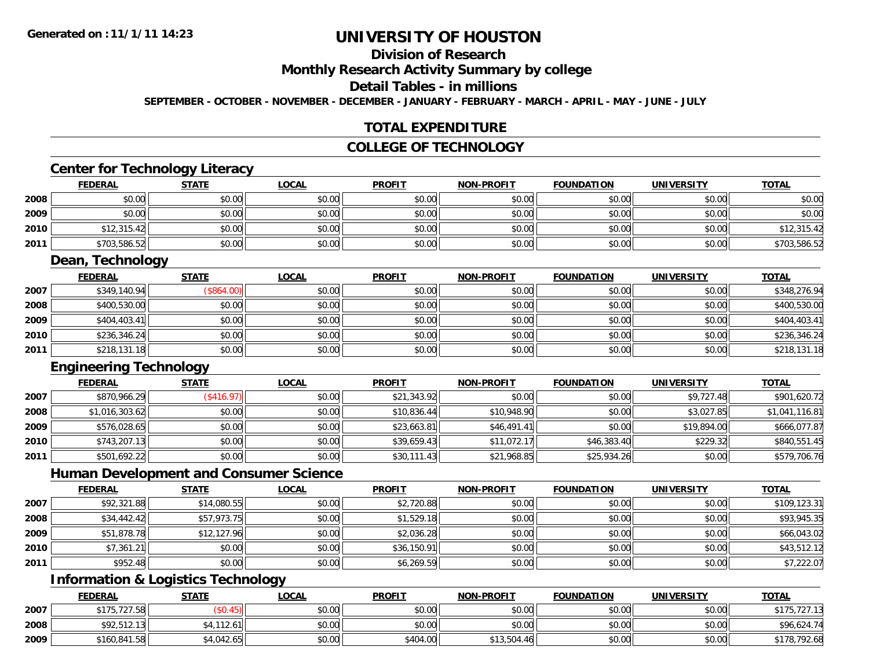#### **Division of Research Monthly Research Activity Summary by college Detail Tables - in millions SEPTEMBER - OCTOBER - NOVEMBER - DECEMBER - JANUARY - FEBRUARY - MARCH - APRIL - MAY - JUNE - JULY**

#### **TOTAL EXPENDITURE**

#### **COLLEGE OF TECHNOLOGY**

### **Center for Technology Literacy**

|      |                 | .            |              |               |                   |                   |                   |              |
|------|-----------------|--------------|--------------|---------------|-------------------|-------------------|-------------------|--------------|
|      | <b>FEDERAL</b>  | <b>STATE</b> | <b>LOCAL</b> | <b>PROFIT</b> | <b>NON-PROFIT</b> | <b>FOUNDATION</b> | <b>UNIVERSITY</b> | <b>TOTAL</b> |
| 2008 | \$0.00          | \$0.00       | \$0.00       | \$0.00        | \$0.00            | \$0.00            | \$0.00            | \$0.00       |
| 2009 | \$0.00          | \$0.00       | \$0.00       | \$0.00        | \$0.00            | \$0.00            | \$0.00            | \$0.00       |
| 2010 | \$12,315.42     | \$0.00       | \$0.00       | \$0.00        | \$0.00            | \$0.00            | \$0.00            | \$12,315.42  |
| 2011 | \$703,586.52    | \$0.00       | \$0.00       | \$0.00        | \$0.00            | \$0.00            | \$0.00            | \$703,586.52 |
|      | Daan Tachnology |              |              |               |                   |                   |                   |              |

#### **Dean, Technology**

|      | <b>FEDERAL</b> | <b>STATE</b> | <b>LOCAL</b> | <b>PROFIT</b> | <b>NON-PROFIT</b> | <b>FOUNDATION</b> | <b>UNIVERSITY</b> | <b>TOTAL</b> |
|------|----------------|--------------|--------------|---------------|-------------------|-------------------|-------------------|--------------|
| 2007 | \$349,140.94   | (\$864.00)   | \$0.00       | \$0.00        | \$0.00            | \$0.00            | \$0.00            | \$348,276.94 |
| 2008 | \$400,530.00   | \$0.00       | \$0.00       | \$0.00        | \$0.00            | \$0.00            | \$0.00            | \$400,530.00 |
| 2009 | \$404,403.41   | \$0.00       | \$0.00       | \$0.00        | \$0.00            | \$0.00            | \$0.00            | \$404,403.41 |
| 2010 | \$236,346.24   | \$0.00       | \$0.00       | \$0.00        | \$0.00            | \$0.00            | \$0.00            | \$236,346.24 |
| 2011 | \$218,131.18   | \$0.00       | \$0.00       | \$0.00        | \$0.00            | \$0.00            | \$0.00            | \$218,131.18 |

### **Engineering Technology**

|      | <b>FEDERAL</b> | <b>STATE</b> | <b>LOCAL</b> | <b>PROFIT</b> | <b>NON-PROFIT</b> | <b>FOUNDATION</b> | <b>UNIVERSITY</b> | <b>TOTAL</b>   |
|------|----------------|--------------|--------------|---------------|-------------------|-------------------|-------------------|----------------|
| 2007 | \$870,966.29   | (\$416.97)   | \$0.00       | \$21,343.92   | \$0.00            | \$0.00            | \$9,727.48        | \$901,620.72   |
| 2008 | \$1,016,303.62 | \$0.00       | \$0.00       | \$10,836.44   | \$10,948.90       | \$0.00            | \$3,027.85        | \$1,041,116.81 |
| 2009 | \$576,028.65   | \$0.00       | \$0.00       | \$23,663.81   | \$46,491.41       | \$0.00            | \$19,894.00       | \$666,077.87   |
| 2010 | \$743,207.13   | \$0.00       | \$0.00       | \$39,659.43   | \$11,072.17       | \$46,383.40       | \$229.32          | \$840,551.45   |
| 2011 | \$501,692.22   | \$0.00       | \$0.00       | \$30,111.43   | \$21,968.85       | \$25,934.26       | \$0.00            | \$579,706.76   |

#### **Human Development and Consumer Science**

|      | <b>FEDERAL</b> | <b>STATE</b> | <b>LOCAL</b> | <b>PROFIT</b> | <b>NON-PROFIT</b> | <b>FOUNDATION</b> | <b>UNIVERSITY</b> | <b>TOTAL</b> |
|------|----------------|--------------|--------------|---------------|-------------------|-------------------|-------------------|--------------|
| 2007 | \$92,321.88    | \$14,080.55  | \$0.00       | \$2,720.88    | \$0.00            | \$0.00            | \$0.00            | \$109,123.31 |
| 2008 | \$34,442.42    | \$57,973.75  | \$0.00       | \$1,529.18    | \$0.00            | \$0.00            | \$0.00            | \$93,945.35  |
| 2009 | \$51,878.78    | \$12,127.96  | \$0.00       | \$2,036.28    | \$0.00            | \$0.00            | \$0.00            | \$66,043.02  |
| 2010 | \$7,361.21     | \$0.00       | \$0.00       | \$36,150.91   | \$0.00            | \$0.00            | \$0.00            | \$43,512.12  |
| 2011 | \$952.48       | \$0.00       | \$0.00       | \$6,269.59    | \$0.00            | \$0.00            | \$0.00            | \$7,222.07   |

## **Information & Logistics Technology**

|      | <u>FEDERAL</u> | <b>STATE</b> | <b>LOCAL</b> | <b>PROFIT</b> | <b>NON-PROFIT</b> | <b>FOUNDATION</b> | <b>UNIVERSITY</b> | <b>TOTAL</b>           |
|------|----------------|--------------|--------------|---------------|-------------------|-------------------|-------------------|------------------------|
| 2007 | \$175,727.58   |              | \$0.00       | \$0.00        | \$0.00            | \$0.00            | \$0.00            | .727.13<br><b>¢175</b> |
| 2008 | \$92.512.13    | 64,112.61    | \$0.00       | \$0.00        | \$0.00            | \$0.00            | \$0.00            | \$96,624.74            |
| 2009 | \$160,841.58   | \$4.042.65   | \$0.00       | \$404.00      | \$13,504.46       | \$0.00            | \$0.00            | \$178,792.68           |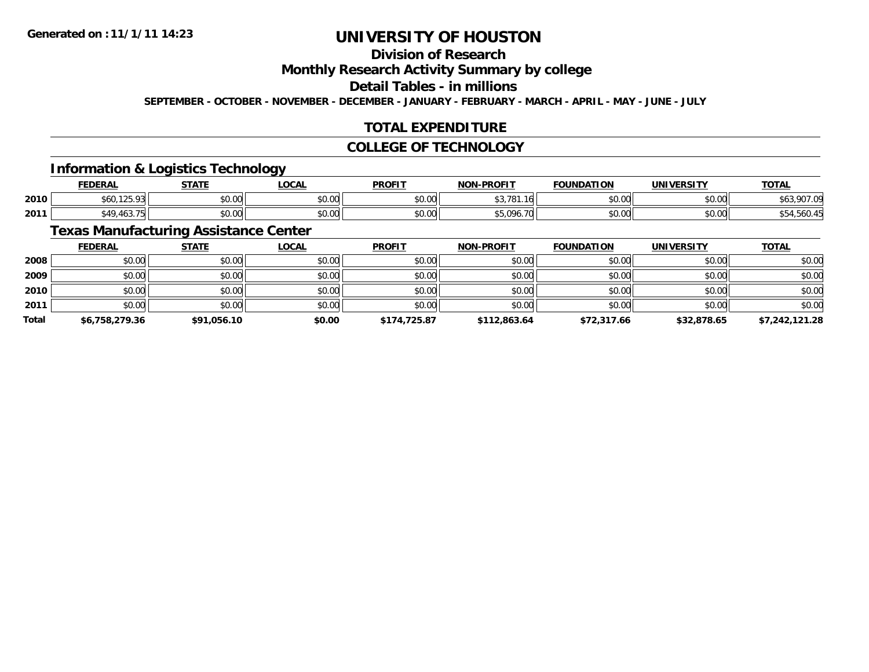### **Division of Research**

### **Monthly Research Activity Summary by college**

### **Detail Tables - in millions**

**SEPTEMBER - OCTOBER - NOVEMBER - DECEMBER - JANUARY - FEBRUARY - MARCH - APRIL - MAY - JUNE - JULY**

### **TOTAL EXPENDITURE**

#### **COLLEGE OF TECHNOLOGY**

### **Information & Logistics Technology**

|      | <b>FEDERAL</b>                    | CTATE<br>JIAI. | LOCAI  | <b>PROFIT</b>        | <b>NON-PROFIT</b>                             | <b>FOUNDATION</b> | <b>UNIVERSITY</b> | <b>TOTAL</b> |
|------|-----------------------------------|----------------|--------|----------------------|-----------------------------------------------|-------------------|-------------------|--------------|
| 2010 | $\sim$<br>900.IZJ.7J              | 0000<br>vu.vu  | \$0.00 | 0000<br>JU.UU        | $\sim$ $\sim$ $\sim$<br>-10<br><b>DJ./OI.</b> | \$0.00            | \$0.00            | nn<br>7U L   |
| 2011 | $\sqrt{2}$<br>$\lambda$<br>. 40J. | 0000<br>JU.UU  | \$0.00 | 0000<br><b>JU.UL</b> | 70                                            | \$0.00            | \$0.00            | והמ<br>      |

### **Texas Manufacturing Assistance Center**

|              | <b>FEDERAL</b> | <b>STATE</b> | <b>LOCAL</b> | <b>PROFIT</b> | <b>NON-PROFIT</b> | <b>FOUNDATION</b> | <b>UNIVERSITY</b> | <b>TOTAL</b>   |
|--------------|----------------|--------------|--------------|---------------|-------------------|-------------------|-------------------|----------------|
| 2008         | \$0.00         | \$0.00       | \$0.00       | \$0.00        | \$0.00            | \$0.00            | \$0.00            | \$0.00         |
| 2009         | \$0.00         | \$0.00       | \$0.00       | \$0.00        | \$0.00            | \$0.00            | \$0.00            | \$0.00         |
| 2010         | \$0.00         | \$0.00       | \$0.00       | \$0.00        | \$0.00            | \$0.00            | \$0.00            | \$0.00         |
| 2011         | \$0.00         | \$0.00       | \$0.00       | \$0.00        | \$0.00            | \$0.00            | \$0.00            | \$0.00         |
| <b>Total</b> | \$6,758,279.36 | \$91,056.10  | \$0.00       | \$174,725.87  | \$112,863.64      | \$72,317.66       | \$32,878.65       | \$7,242,121.28 |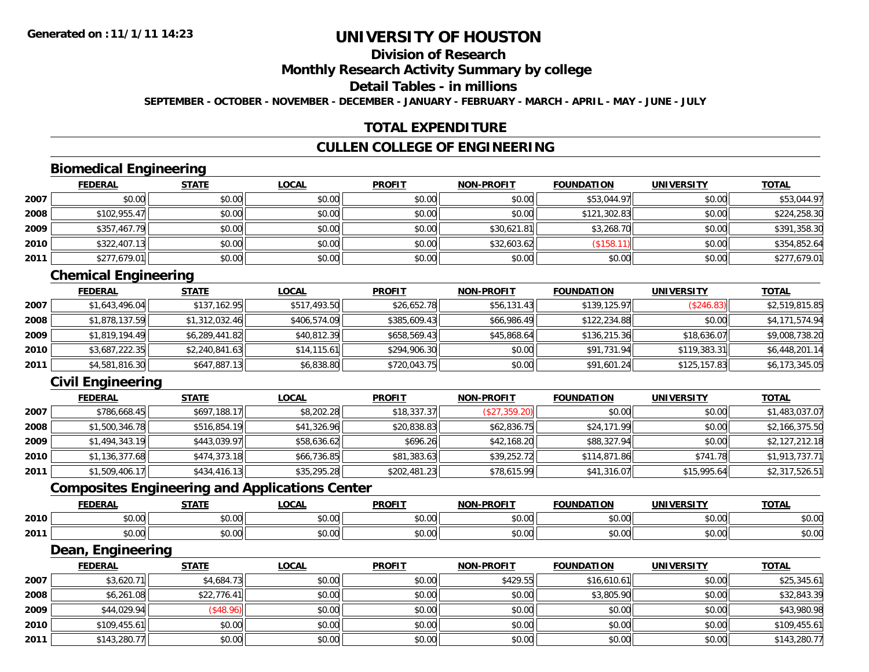## **Division of Research**

### **Monthly Research Activity Summary by college**

#### **Detail Tables - in millions**

**SEPTEMBER - OCTOBER - NOVEMBER - DECEMBER - JANUARY - FEBRUARY - MARCH - APRIL - MAY - JUNE - JULY**

#### **TOTAL EXPENDITURE**

#### **CULLEN COLLEGE OF ENGINEERING**

### **Biomedical Engineering**

|      | <b>FEDERAL</b> | <b>STATE</b> | <b>LOCAL</b> | <b>PROFIT</b> | <b>NON-PROFIT</b> | <b>FOUNDATION</b> | <b>UNIVERSITY</b> | <u>TOTAL</u> |
|------|----------------|--------------|--------------|---------------|-------------------|-------------------|-------------------|--------------|
| 2007 | \$0.00         | \$0.00       | \$0.00       | \$0.00        | \$0.00            | \$53,044.97       | \$0.00            | \$53,044.97  |
| 2008 | \$102,955.47   | \$0.00       | \$0.00       | \$0.00        | \$0.00            | \$121,302.83      | \$0.00            | \$224,258.30 |
| 2009 | \$357,467.79   | \$0.00       | \$0.00       | \$0.00        | \$30,621.81       | \$3,268.70        | \$0.00            | \$391,358.30 |
| 2010 | \$322,407.13   | \$0.00       | \$0.00       | \$0.00        | \$32,603.62       | (\$158.11)        | \$0.00            | \$354,852.64 |
| 2011 | \$277,679.01   | \$0.00       | \$0.00       | \$0.00        | \$0.00            | \$0.00            | \$0.00            | \$277,679.01 |

### **Chemical Engineering**

|      | <b>FEDERAL</b> | <b>STATE</b>   | <b>LOCAL</b> | <b>PROFIT</b> | <b>NON-PROFIT</b> | <b>FOUNDATION</b> | <b>UNIVERSITY</b> | <b>TOTAL</b>   |
|------|----------------|----------------|--------------|---------------|-------------------|-------------------|-------------------|----------------|
| 2007 | \$1,643,496.04 | \$137,162.95   | \$517,493.50 | \$26,652.78   | \$56,131.43       | \$139,125.97      | (\$246.83)        | \$2,519,815.85 |
| 2008 | \$1,878,137.59 | \$1,312,032.46 | \$406,574.09 | \$385,609.43  | \$66,986.49       | \$122,234.88      | \$0.00            | \$4,171,574.94 |
| 2009 | \$1.819.194.49 | \$6,289,441.82 | \$40,812.39  | \$658,569.43  | \$45,868.64       | \$136,215.36      | \$18,636.07       | \$9,008,738.20 |
| 2010 | \$3,687,222.35 | \$2,240,841.63 | \$14,115.61  | \$294,906.30  | \$0.00            | \$91,731.94       | \$119,383.31      | \$6,448,201.14 |
| 2011 | \$4,581,816.30 | \$647,887.13   | \$6,838.80   | \$720,043.75  | \$0.00            | \$91,601.24       | \$125,157.83      | \$6,173,345.05 |

### **Civil Engineering**

|      | <b>FEDERAL</b> | <b>STATE</b> | <b>LOCAL</b> | <b>PROFIT</b> | <b>NON-PROFIT</b> | <b>FOUNDATION</b> | <b>UNIVERSITY</b> | <b>TOTAL</b>   |
|------|----------------|--------------|--------------|---------------|-------------------|-------------------|-------------------|----------------|
| 2007 | \$786,668.45   | \$697,188.17 | \$8,202.28   | \$18,337.37   | (\$27,359.20)     | \$0.00            | \$0.00            | \$1,483,037.07 |
| 2008 | \$1,500,346.78 | \$516,854.19 | \$41,326.96  | \$20,838.83   | \$62,836.75       | \$24,171.99       | \$0.00            | \$2,166,375.50 |
| 2009 | \$1,494,343.19 | \$443,039.97 | \$58,636.62  | \$696.26      | \$42,168.20       | \$88,327.94       | \$0.00            | \$2,127,212.18 |
| 2010 | \$1,136,377.68 | \$474,373.18 | \$66,736.85  | \$81,383.63   | \$39,252.72       | \$114,871.86      | \$741.78          | \$1,913,737.71 |
| 2011 | \$1,509,406.17 | \$434,416.13 | \$35,295.28  | \$202,481.23  | \$78,615.99       | \$41,316.07       | \$15,995.64       | \$2,317,526.51 |

### **Composites Engineering and Applications Center**

|      | <b>FEDERAL</b>         | <b>CTAT</b><br>3IAII  | LOCAI                  | <b>PROFIT</b> | <b>A-PROFIT</b><br><b>NON</b> | <b>TON</b>           | <b>IFRATTY</b><br>UNIV | <b>TOTAL</b>   |
|------|------------------------|-----------------------|------------------------|---------------|-------------------------------|----------------------|------------------------|----------------|
| 2010 | 0000<br>,,,,,,         | ሖ へ<br>$\sim$<br>vv.v | $\sim$ $\sim$<br>vu.vu | 0.00<br>JU.UU | 0 <sub>n</sub><br>PU.UU       | 0000<br>JU.UU        | \$0.00                 | ልስ ስስ<br>DU.UC |
| 2011 | 0 <sub>0</sub><br>ט.טי | 0000<br>υ. υ          | $\sim$ $\sim$<br>vu.vu | 0.00<br>JU.UU | 0000<br>PO.OO                 | $\sim$ $\sim$<br>w.w | \$0.00                 | 0000<br>DU.UC  |

<u> 1989 - Johann Stoff, deutscher Stoffen und der Stoffen und der Stoffen und der Stoffen und der Stoffen und der</u>

#### **Dean, Engineering**

|      | <b>FEDERAL</b> | <b>STATE</b> | <b>LOCAL</b> | <b>PROFIT</b> | <b>NON-PROFIT</b> | <b>FOUNDATION</b> | <b>UNIVERSITY</b> | <b>TOTAL</b> |
|------|----------------|--------------|--------------|---------------|-------------------|-------------------|-------------------|--------------|
| 2007 | \$3,620.71     | \$4,684.73   | \$0.00       | \$0.00        | \$429.55          | \$16,610.61       | \$0.00            | \$25,345.61  |
| 2008 | \$6,261.08     | \$22,776.41  | \$0.00       | \$0.00        | \$0.00            | \$3,805.90        | \$0.00            | \$32,843.39  |
| 2009 | \$44,029.94    | \$48.96      | \$0.00       | \$0.00        | \$0.00            | \$0.00            | \$0.00            | \$43,980.98  |
| 2010 | \$109,455.61   | \$0.00       | \$0.00       | \$0.00        | \$0.00            | \$0.00            | \$0.00            | \$109,455.61 |
| 2011 | \$143,280.77   | \$0.00       | \$0.00       | \$0.00        | \$0.00            | \$0.00            | \$0.00            | \$143,280.77 |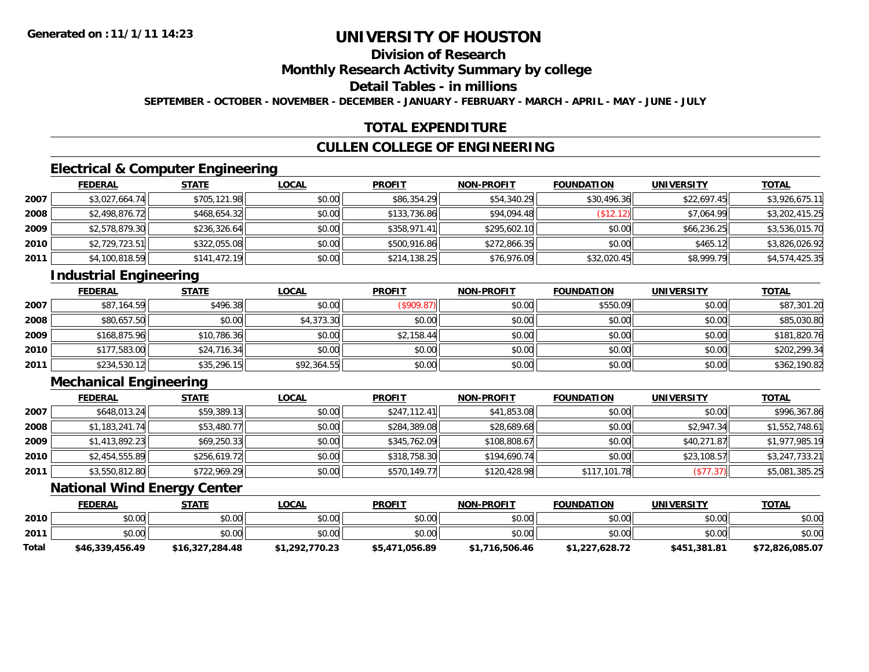## **Division of Research**

### **Monthly Research Activity Summary by college**

### **Detail Tables - in millions**

**SEPTEMBER - OCTOBER - NOVEMBER - DECEMBER - JANUARY - FEBRUARY - MARCH - APRIL - MAY - JUNE - JULY**

#### **TOTAL EXPENDITURE**

#### **CULLEN COLLEGE OF ENGINEERING**

### **Electrical & Computer Engineering**

|      | <b>FEDERAL</b> | <b>STATE</b> | <b>LOCAL</b> | <b>PROFIT</b> | <b>NON-PROFIT</b> | <b>FOUNDATION</b> | <b>UNIVERSITY</b> | <b>TOTAL</b>   |
|------|----------------|--------------|--------------|---------------|-------------------|-------------------|-------------------|----------------|
| 2007 | \$3,027,664.74 | \$705,121.98 | \$0.00       | \$86,354.29   | \$54,340.29       | \$30,496.36       | \$22,697.45       | \$3,926,675.11 |
| 2008 | \$2,498,876.72 | \$468,654.32 | \$0.00       | \$133,736.86  | \$94,094.48       | (\$12.12<br>12    | \$7.064.99        | \$3,202,415.25 |
| 2009 | \$2,578,879.30 | \$236,326.64 | \$0.00       | \$358,971.41  | \$295,602.10      | \$0.00            | \$66,236.25       | \$3,536,015.70 |
| 2010 | \$2,729,723.51 | \$322,055.08 | \$0.00       | \$500,916.86  | \$272,866.35      | \$0.00            | \$465.12          | \$3,826,026.92 |
| 2011 | \$4,100,818.59 | \$141,472.19 | \$0.00       | \$214,138.25  | \$76,976.09       | \$32,020.45       | \$8,999.79        | \$4,574,425.35 |

### **Industrial Engineering**

|      | <b>FEDERAL</b> | <b>STATE</b> | <u>LOCAL</u> | <b>PROFIT</b> | <b>NON-PROFIT</b> | <b>FOUNDATION</b> | <b>UNIVERSITY</b> | <b>TOTAL</b> |
|------|----------------|--------------|--------------|---------------|-------------------|-------------------|-------------------|--------------|
| 2007 | \$87,164.59    | \$496.38     | \$0.00       | (\$909.87)    | \$0.00            | \$550.09          | \$0.00            | \$87,301.20  |
| 2008 | \$80,657.50    | \$0.00       | \$4,373.30   | \$0.00        | \$0.00            | \$0.00            | \$0.00            | \$85,030.80  |
| 2009 | \$168,875.96   | \$10,786.36  | \$0.00       | \$2,158.44    | \$0.00            | \$0.00            | \$0.00            | \$181,820.76 |
| 2010 | \$177,583.00   | \$24,716.34  | \$0.00       | \$0.00        | \$0.00            | \$0.00            | \$0.00            | \$202,299.34 |
| 2011 | \$234,530.12   | \$35,296.15  | \$92,364.55  | \$0.00        | \$0.00            | \$0.00            | \$0.00            | \$362,190.82 |

### **Mechanical Engineering**

|      | <b>FEDERAL</b> | <b>STATE</b> | <b>LOCAL</b> | <b>PROFIT</b> | <b>NON-PROFIT</b> | <b>FOUNDATION</b> | <b>UNIVERSITY</b> | <b>TOTAL</b>   |
|------|----------------|--------------|--------------|---------------|-------------------|-------------------|-------------------|----------------|
| 2007 | \$648,013.24   | \$59,389.13  | \$0.00       | \$247,112.41  | \$41,853.08       | \$0.00            | \$0.00            | \$996,367.86   |
| 2008 | \$1,183,241.74 | \$53,480.77  | \$0.00       | \$284,389.08  | \$28,689.68       | \$0.00            | \$2,947.34        | \$1,552,748.61 |
| 2009 | \$1,413,892.23 | \$69,250.33  | \$0.00       | \$345,762.09  | \$108,808.67      | \$0.00            | \$40,271.87       | \$1,977,985.19 |
| 2010 | \$2,454,555.89 | \$256,619.72 | \$0.00       | \$318,758.30  | \$194,690.74      | \$0.00            | \$23,108.57       | \$3,247,733.21 |
| 2011 | \$3,550,812.80 | \$722,969.29 | \$0.00       | \$570,149.77  | \$120,428.98      | \$117,101.78      | (\$77.37)         | \$5,081,385.25 |

#### **National Wind Energy Center**

|       | <b>FEDERAL</b>  | <b>STATE</b>    | <b>LOCAL</b>   | <b>PROFIT</b>  | <b>NON-PROFIT</b> | <b>FOUNDATION</b> | <b>UNIVERSITY</b> | <b>TOTAL</b>    |
|-------|-----------------|-----------------|----------------|----------------|-------------------|-------------------|-------------------|-----------------|
| 2010  | \$0.00          | \$0.00          | \$0.00         | \$0.00         | \$0.00            | \$0.00            | \$0.00            | \$0.00          |
| 2011  | \$0.00          | \$0.00          | \$0.00         | \$0.00         | \$0.00            | \$0.00            | \$0.00            | \$0.00          |
| Total | \$46,339,456.49 | \$16,327,284.48 | \$1,292,770.23 | \$5,471,056.89 | \$1,716,506.46    | \$1,227,628.72    | \$451,381.81      | \$72,826,085.07 |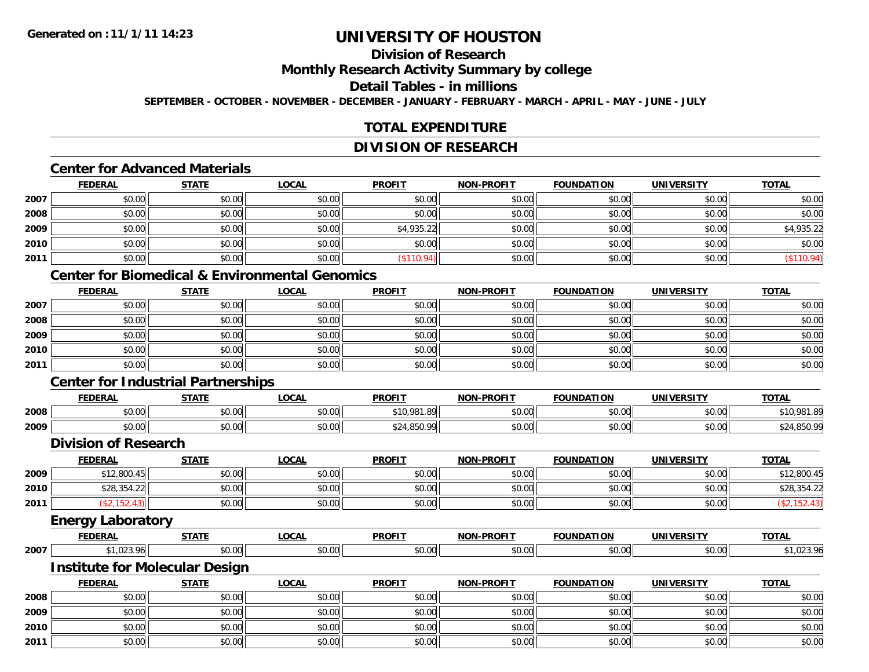## **Division of Research**

### **Monthly Research Activity Summary by college**

#### **Detail Tables - in millions**

**SEPTEMBER - OCTOBER - NOVEMBER - DECEMBER - JANUARY - FEBRUARY - MARCH - APRIL - MAY - JUNE - JULY**

#### **TOTAL EXPENDITURE**

#### **DIVISION OF RESEARCH**

### **Center for Advanced Materials**

|      | <b>FEDERAL</b> | <b>STATE</b> | <b>LOCAL</b> | <b>PROFIT</b> | <b>NON-PROFIT</b> | <b>FOUNDATION</b> | <b>UNIVERSITY</b> | <u>TOTAL</u> |
|------|----------------|--------------|--------------|---------------|-------------------|-------------------|-------------------|--------------|
| 2007 | \$0.00         | \$0.00       | \$0.00       | \$0.00        | \$0.00            | \$0.00            | \$0.00            | \$0.00       |
| 2008 | \$0.00         | \$0.00       | \$0.00       | \$0.00        | \$0.00            | \$0.00            | \$0.00            | \$0.00       |
| 2009 | \$0.00         | \$0.00       | \$0.00       | \$4,935.22    | \$0.00            | \$0.00            | \$0.00            | \$4,935.22   |
| 2010 | \$0.00         | \$0.00       | \$0.00       | \$0.00        | \$0.00            | \$0.00            | \$0.00            | \$0.00       |
| 2011 | \$0.00         | \$0.00       | \$0.00       | \$110.94      | \$0.00            | \$0.00            | \$0.00            | (\$110.94)   |

#### **Center for Biomedical & Environmental Genomics**

|      | <b>FEDERAL</b> | <b>STATE</b> | <u>LOCAL</u> | <b>PROFIT</b> | <b>NON-PROFIT</b> | <b>FOUNDATION</b> | <b>UNIVERSITY</b> | <b>TOTAL</b> |
|------|----------------|--------------|--------------|---------------|-------------------|-------------------|-------------------|--------------|
| 2007 | \$0.00         | \$0.00       | \$0.00       | \$0.00        | \$0.00            | \$0.00            | \$0.00            | \$0.00       |
| 2008 | \$0.00         | \$0.00       | \$0.00       | \$0.00        | \$0.00            | \$0.00            | \$0.00            | \$0.00       |
| 2009 | \$0.00         | \$0.00       | \$0.00       | \$0.00        | \$0.00            | \$0.00            | \$0.00            | \$0.00       |
| 2010 | \$0.00         | \$0.00       | \$0.00       | \$0.00        | \$0.00            | \$0.00            | \$0.00            | \$0.00       |
| 2011 | \$0.00         | \$0.00       | \$0.00       | \$0.00        | \$0.00            | \$0.00            | \$0.00            | \$0.00       |

### **Center for Industrial Partnerships**

|      | <b>FEDERAL</b> | <b>STATE</b> | LOCAL              | <b>PROFIT</b>    | -PROFIT<br><b>MAN</b> | <b>FOUNDATION</b>        | <b>UNIVERSITY</b> | <b>TOTAL</b>                         |
|------|----------------|--------------|--------------------|------------------|-----------------------|--------------------------|-------------------|--------------------------------------|
| 2008 | 0000<br>DU.UU  | \$0.00       | $\sim$ 00<br>JU.UU | 0.981.89<br>\$10 | 0000<br>JU.UU         | $n \cap \Omega$<br>JU.UU | \$0.00            | \$10.081.8c<br>$1.0^{\circ}$         |
| 2009 | 0000<br>DU.UU  | \$0.00       | $\sim$ 00<br>JU.UU | <b>850.00</b>    | 0000<br>JU.UU         | 60.00<br>JU.UU           | \$0.00            | ¢ ን <i>ለ</i> ወደሰ በር<br>. 0.0.<br>ັ∠. |

#### **Division of Research**

|      | <b>FEDERAL</b> | <b>STATE</b> | <u>LOCAL</u> | <b>PROFIT</b> | <b>NON-PROFIT</b> | <b>FOUNDATION</b> | <b>UNIVERSITY</b> | <b>TOTAL</b> |
|------|----------------|--------------|--------------|---------------|-------------------|-------------------|-------------------|--------------|
| 2009 | \$12,800.45    | \$0.00       | \$0.00       | \$0.00        | \$0.00            | \$0.00            | \$0.00            | \$12,800.45  |
| 2010 | \$28,354.22    | \$0.00       | \$0.00       | \$0.00        | \$0.00            | \$0.00            | \$0.00            | \$28,354.22  |
| 2011 |                | \$0.00       | \$0.00       | \$0.00        | \$0.00            | \$0.00            | \$0.00            |              |
|      |                |              |              |               |                   |                   |                   |              |

### **Energy Laboratory**

|      | <b>FEDERA</b> | <b>STATE</b>       | <b>LOCAI</b> | <b>PROFIT</b> | -PROFIT<br>NON | <b>TON</b><br><b>FOUNDA</b> | <b>UNIVERSITY</b> | $T^*$<br>um |
|------|---------------|--------------------|--------------|---------------|----------------|-----------------------------|-------------------|-------------|
| 2007 | чr            | $\sim$ 00<br>,,,,, | ົດ<br>PU.UU  | י החי<br>v.vv | ሶስ ሰሰ<br>DU.UU | 0.00                        | $\Omega$          |             |

#### **Institute for Molecular Design**

|      | <b>FEDERAL</b> | <b>STATE</b> | <b>LOCAL</b> | <b>PROFIT</b> | <b>NON-PROFIT</b> | <b>FOUNDATION</b> | <b>UNIVERSITY</b> | <b>TOTAL</b> |
|------|----------------|--------------|--------------|---------------|-------------------|-------------------|-------------------|--------------|
| 2008 | \$0.00         | \$0.00       | \$0.00       | \$0.00        | \$0.00            | \$0.00            | \$0.00            | \$0.00       |
| 2009 | \$0.00         | \$0.00       | \$0.00       | \$0.00        | \$0.00            | \$0.00            | \$0.00            | \$0.00       |
| 2010 | \$0.00         | \$0.00       | \$0.00       | \$0.00        | \$0.00            | \$0.00            | \$0.00            | \$0.00       |
| 2011 | \$0.00         | \$0.00       | \$0.00       | \$0.00        | \$0.00            | \$0.00            | \$0.00            | \$0.00       |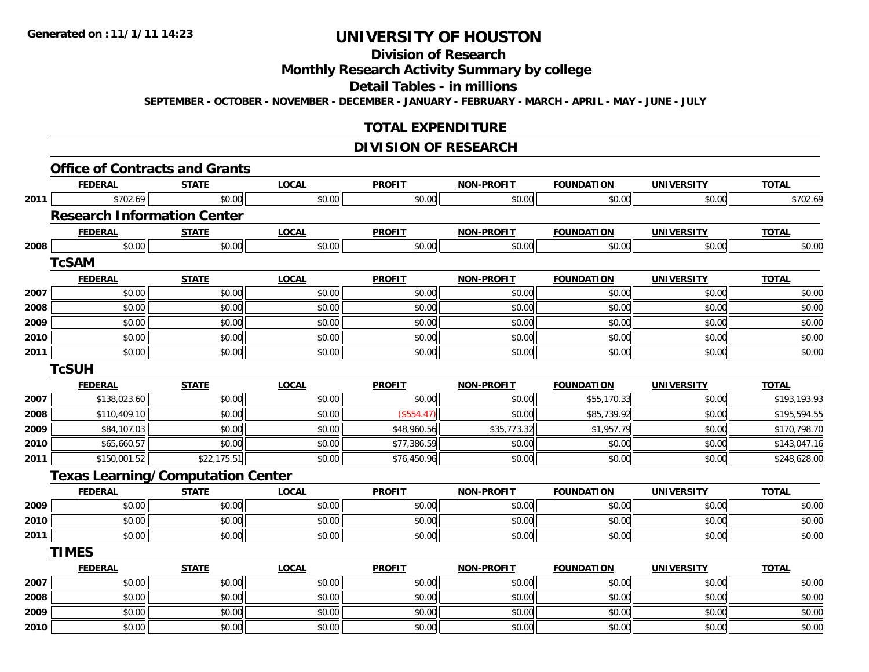## **Division of Research**

#### **Monthly Research Activity Summary by college**

#### **Detail Tables - in millions**

**SEPTEMBER - OCTOBER - NOVEMBER - DECEMBER - JANUARY - FEBRUARY - MARCH - APRIL - MAY - JUNE - JULY**

#### **TOTAL EXPENDITURE**

#### **DIVISION OF RESEARCH**

|      | <b>FEDERAL</b>                           | <b>STATE</b> | <b>LOCAL</b> | <b>PROFIT</b> | <b>NON-PROFIT</b> | <b>FOUNDATION</b> | <b>UNIVERSITY</b> | <b>TOTAL</b> |
|------|------------------------------------------|--------------|--------------|---------------|-------------------|-------------------|-------------------|--------------|
| 2011 | \$702.69                                 | \$0.00       | \$0.00       | \$0.00        | \$0.00            | \$0.00            | \$0.00            | \$702.69     |
|      | <b>Research Information Center</b>       |              |              |               |                   |                   |                   |              |
|      | <b>FEDERAL</b>                           | <b>STATE</b> | <b>LOCAL</b> | <b>PROFIT</b> | <b>NON-PROFIT</b> | <b>FOUNDATION</b> | <b>UNIVERSITY</b> | <b>TOTAL</b> |
| 2008 | \$0.00                                   | \$0.00       | \$0.00       | \$0.00        | \$0.00            | \$0.00            | \$0.00            | \$0.00       |
|      | <b>TcSAM</b>                             |              |              |               |                   |                   |                   |              |
|      | <b>FEDERAL</b>                           | <b>STATE</b> | <b>LOCAL</b> | <b>PROFIT</b> | <b>NON-PROFIT</b> | <b>FOUNDATION</b> | <b>UNIVERSITY</b> | <b>TOTAL</b> |
| 2007 | \$0.00                                   | \$0.00       | \$0.00       | \$0.00        | \$0.00            | \$0.00            | \$0.00            | \$0.00       |
| 2008 | \$0.00                                   | \$0.00       | \$0.00       | \$0.00        | \$0.00            | \$0.00            | \$0.00            | \$0.00       |
| 2009 | \$0.00                                   | \$0.00       | \$0.00       | \$0.00        | \$0.00            | \$0.00            | \$0.00            | \$0.00       |
| 2010 | \$0.00                                   | \$0.00       | \$0.00       | \$0.00        | \$0.00            | \$0.00            | \$0.00            | \$0.00       |
| 2011 | \$0.00                                   | \$0.00       | \$0.00       | \$0.00        | \$0.00            | \$0.00            | \$0.00            | \$0.00       |
|      | <b>TcSUH</b>                             |              |              |               |                   |                   |                   |              |
|      | <b>FEDERAL</b>                           | <b>STATE</b> | <b>LOCAL</b> | <b>PROFIT</b> | <b>NON-PROFIT</b> | <b>FOUNDATION</b> | <b>UNIVERSITY</b> | <b>TOTAL</b> |
| 2007 | \$138,023.60                             | \$0.00       | \$0.00       | \$0.00        | \$0.00            | \$55,170.33       | \$0.00            | \$193,193.93 |
| 2008 | \$110,409.10                             | \$0.00       | \$0.00       | (\$554.47)    | \$0.00            | \$85,739.92       | \$0.00            | \$195,594.55 |
| 2009 | \$84,107.03                              | \$0.00       | \$0.00       | \$48,960.56   | \$35,773.32       | \$1,957.79        | \$0.00            | \$170,798.70 |
| 2010 | \$65,660.57                              | \$0.00       | \$0.00       | \$77,386.59   | \$0.00            | \$0.00            | \$0.00            | \$143,047.16 |
| 2011 | \$150,001.52                             | \$22,175.51  | \$0.00       | \$76,450.96   | \$0.00            | \$0.00            | \$0.00            | \$248,628.00 |
|      | <b>Texas Learning/Computation Center</b> |              |              |               |                   |                   |                   |              |
|      | <b>FEDERAL</b>                           | <b>STATE</b> | <b>LOCAL</b> | <b>PROFIT</b> | <b>NON-PROFIT</b> | <b>FOUNDATION</b> | <b>UNIVERSITY</b> | <b>TOTAL</b> |
| 2009 | \$0.00                                   | \$0.00       | \$0.00       | \$0.00        | \$0.00            | \$0.00            | \$0.00            | \$0.00       |
| 2010 | \$0.00                                   | \$0.00       | \$0.00       | \$0.00        | \$0.00            | \$0.00            | \$0.00            | \$0.00       |
| 2011 | \$0.00                                   | \$0.00       | \$0.00       | \$0.00        | \$0.00            | \$0.00            | \$0.00            | \$0.00       |
|      | <b>TIMES</b>                             |              |              |               |                   |                   |                   |              |
|      | <b>FEDERAL</b>                           | <b>STATE</b> | <b>LOCAL</b> | <b>PROFIT</b> | <b>NON-PROFIT</b> | <b>FOUNDATION</b> | <b>UNIVERSITY</b> | <b>TOTAL</b> |
| 2007 | \$0.00                                   | \$0.00       | \$0.00       | \$0.00        | \$0.00            | \$0.00            | \$0.00            | \$0.00       |
| 2008 | \$0.00                                   | \$0.00       | \$0.00       | \$0.00        | \$0.00            | \$0.00            | \$0.00            | \$0.00       |
| 2009 | \$0.00                                   | \$0.00       | \$0.00       | \$0.00        | \$0.00            | \$0.00            | \$0.00            | \$0.00       |
| 2010 | \$0.00                                   | \$0.00       | \$0.00       | \$0.00        | \$0.00            | \$0.00            | \$0.00            | \$0.00       |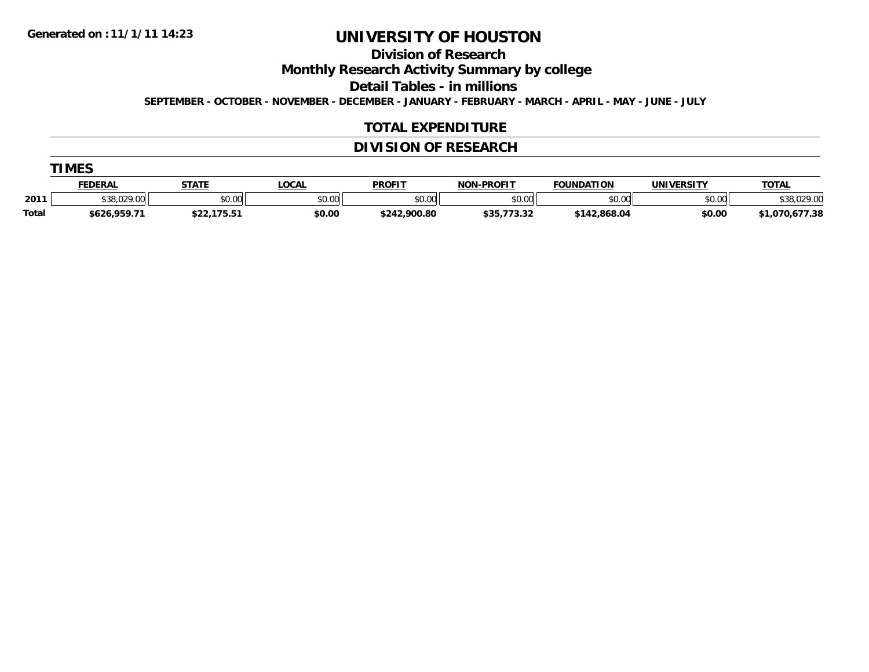**Division of Research**

**Monthly Research Activity Summary by college**

**Detail Tables - in millions**

**SEPTEMBER - OCTOBER - NOVEMBER - DECEMBER - JANUARY - FEBRUARY - MARCH - APRIL - MAY - JUNE - JULY**

#### **TOTAL EXPENDITURE**

#### **DIVISION OF RESEARCH**

| <b>TIMES</b>   |              |             |      |
|----------------|--------------|-------------|------|
| <b>FEDERAL</b> | <b>STATE</b> | <b>OCAL</b> | ומסח |

|       | <b>FEDERAL</b> | <b>STATE</b>    | LOCAL         | <b>PROFIT</b> | <b>NON-PROFIT</b> | <b>FOUNDATION</b> | <b>UNIVERSITY</b> | <b>TOTAL</b>   |
|-------|----------------|-----------------|---------------|---------------|-------------------|-------------------|-------------------|----------------|
| 2011  | \$38,029,00    | \$0.00          | 0000<br>,u.uu | \$0.00        | \$0.00            | \$0.00            | \$0.00            | \$38,029.00    |
| Total | \$626,959.7.   | ***<br>-------- | \$0.00        | \$242,900.80  | , , , , ,         | \$142,868.04      | \$0.00            | \$1,070,677.38 |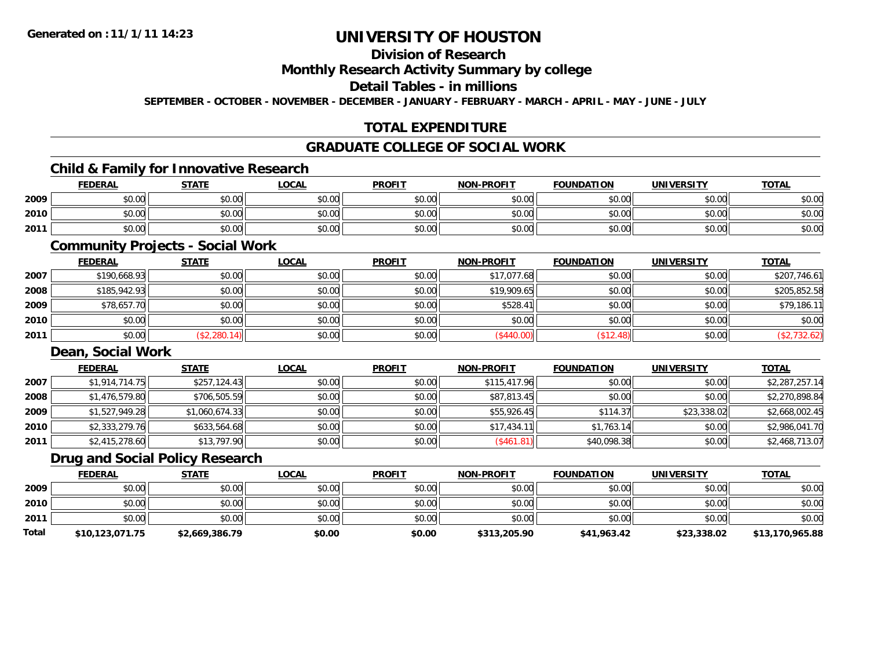## **Division of Research**

### **Monthly Research Activity Summary by college**

#### **Detail Tables - in millions**

**SEPTEMBER - OCTOBER - NOVEMBER - DECEMBER - JANUARY - FEBRUARY - MARCH - APRIL - MAY - JUNE - JULY**

### **TOTAL EXPENDITURE**

#### **GRADUATE COLLEGE OF SOCIAL WORK**

### **Child & Family for Innovative Research**

|      | <b>FEDERAL</b> | <b>STATE</b>          | <b>LOCAL</b>         | <b>PROFIT</b>         | <b>NON-PROFIT</b> | <b>FOUNDATION</b> | <b>UNIVERSITY</b> | <b>TOTAL</b> |
|------|----------------|-----------------------|----------------------|-----------------------|-------------------|-------------------|-------------------|--------------|
| 2009 | \$0.00         | <b>↑∩</b><br>JU.UU    | 0000<br><b>DU.UG</b> | 0.00<br><b>JU.UU</b>  | \$0.00            | \$0.00            | \$0.00            | \$0.00       |
| 2010 | \$0.00         | \$0.00                | 0000<br>DU.UU        | $\triangle$<br>\$0.00 | \$0.00            | \$0.00            | \$0.00            | \$0.00       |
| 2011 | \$0.00         | ¢Λ<br>$\sim$<br>JU.UU | \$0.00               | AN UY<br>JU.UU        | \$0.00            | ≮∩ ∩∩<br>DU.UU    | \$0.00            | \$0.00       |

### **Community Projects - Social Work**

|      | <b>FEDERAL</b> | <b>STATE</b> | <b>LOCAL</b> | <b>PROFIT</b> | <b>NON-PROFIT</b> | <b>FOUNDATION</b> | <b>UNIVERSITY</b> | <b>TOTAL</b> |
|------|----------------|--------------|--------------|---------------|-------------------|-------------------|-------------------|--------------|
| 2007 | \$190,668.93   | \$0.00       | \$0.00       | \$0.00        | \$17,077.68       | \$0.00            | \$0.00            | \$207,746.61 |
| 2008 | \$185,942.93   | \$0.00       | \$0.00       | \$0.00        | \$19,909.65       | \$0.00            | \$0.00            | \$205,852.58 |
| 2009 | \$78,657.70    | \$0.00       | \$0.00       | \$0.00        | \$528.41          | \$0.00            | \$0.00            | \$79,186.11  |
| 2010 | \$0.00         | \$0.00       | \$0.00       | \$0.00        | \$0.00            | \$0.00            | \$0.00            | \$0.00       |
| 2011 | \$0.00         | (\$2,280.14) | \$0.00       | \$0.00        | (\$440.00)        | (\$12.48)         | \$0.00            | (\$2,732.62) |

#### **Dean, Social Work**

|      | <b>FEDERAL</b> | <b>STATE</b>   | <b>LOCAL</b> | <b>PROFIT</b> | <b>NON-PROFIT</b> | <b>FOUNDATION</b> | <b>UNIVERSITY</b> | <b>TOTAL</b>   |
|------|----------------|----------------|--------------|---------------|-------------------|-------------------|-------------------|----------------|
| 2007 | \$1,914,714.75 | \$257,124.43   | \$0.00       | \$0.00        | \$115,417.96      | \$0.00            | \$0.00            | \$2,287,257.14 |
| 2008 | \$1,476,579.80 | \$706,505.59   | \$0.00       | \$0.00        | \$87,813.45       | \$0.00            | \$0.00            | \$2,270,898.84 |
| 2009 | \$1,527,949.28 | \$1,060,674.33 | \$0.00       | \$0.00        | \$55,926.45       | \$114.37          | \$23,338.02       | \$2,668,002.45 |
| 2010 | \$2,333,279.76 | \$633,564.68   | \$0.00       | \$0.00        | \$17,434.11       | \$1,763.14        | \$0.00            | \$2,986,041.70 |
| 2011 | \$2,415,278.60 | \$13,797.90    | \$0.00       | \$0.00        | (\$461.81)        | \$40,098.38       | \$0.00            | \$2,468,713.07 |

#### **Drug and Social Policy Research**

|       | <b>FEDERAL</b>  | <b>STATE</b>   | <b>LOCAL</b> | <b>PROFIT</b> | <b>NON-PROFIT</b> | <b>FOUNDATION</b> | <b>UNIVERSITY</b> | <b>TOTAL</b>    |
|-------|-----------------|----------------|--------------|---------------|-------------------|-------------------|-------------------|-----------------|
| 2009  | \$0.00          | \$0.00         | \$0.00       | \$0.00        | \$0.00            | \$0.00            | \$0.00            | \$0.00          |
| 2010  | \$0.00          | \$0.00         | \$0.00       | \$0.00        | \$0.00            | \$0.00            | \$0.00            | \$0.00          |
| 2011  | \$0.00          | \$0.00         | \$0.00       | \$0.00        | \$0.00            | \$0.00            | \$0.00            | \$0.00          |
| Total | \$10,123,071.75 | \$2,669,386.79 | \$0.00       | \$0.00        | \$313,205.90      | \$41,963.42       | \$23,338.02       | \$13,170,965.88 |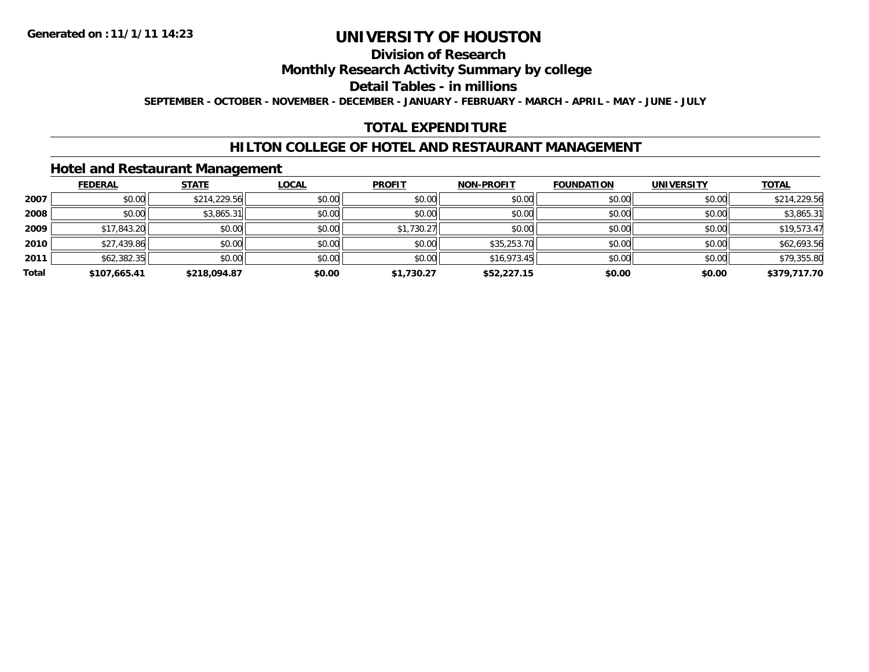### **Division of Research**

### **Monthly Research Activity Summary by college**

### **Detail Tables - in millions**

**SEPTEMBER - OCTOBER - NOVEMBER - DECEMBER - JANUARY - FEBRUARY - MARCH - APRIL - MAY - JUNE - JULY**

#### **TOTAL EXPENDITURE**

### **HILTON COLLEGE OF HOTEL AND RESTAURANT MANAGEMENT**

### **Hotel and Restaurant Management**

|       | <b>FEDERAL</b> | <b>STATE</b> | <b>LOCAL</b> | <b>PROFIT</b> | <b>NON-PROFIT</b> | <b>FOUNDATION</b> | <b>UNIVERSITY</b> | <u>TOTAL</u> |
|-------|----------------|--------------|--------------|---------------|-------------------|-------------------|-------------------|--------------|
| 2007  | \$0.00         | \$214,229.56 | \$0.00       | \$0.00        | \$0.00            | \$0.00            | \$0.00            | \$214,229.56 |
| 2008  | \$0.00         | \$3,865.31   | \$0.00       | \$0.00        | \$0.00            | \$0.00            | \$0.00            | \$3,865.31   |
| 2009  | \$17,843.20    | \$0.00       | \$0.00       | \$1,730.27    | \$0.00            | \$0.00            | \$0.00            | \$19,573.47  |
| 2010  | \$27,439.86    | \$0.00       | \$0.00       | \$0.00        | \$35,253.70       | \$0.00            | \$0.00            | \$62,693.56  |
| 2011  | \$62,382.35    | \$0.00       | \$0.00       | \$0.00        | \$16,973.45       | \$0.00            | \$0.00            | \$79,355.80  |
| Total | \$107,665.41   | \$218,094.87 | \$0.00       | \$1,730.27    | \$52,227.15       | \$0.00            | \$0.00            | \$379,717.70 |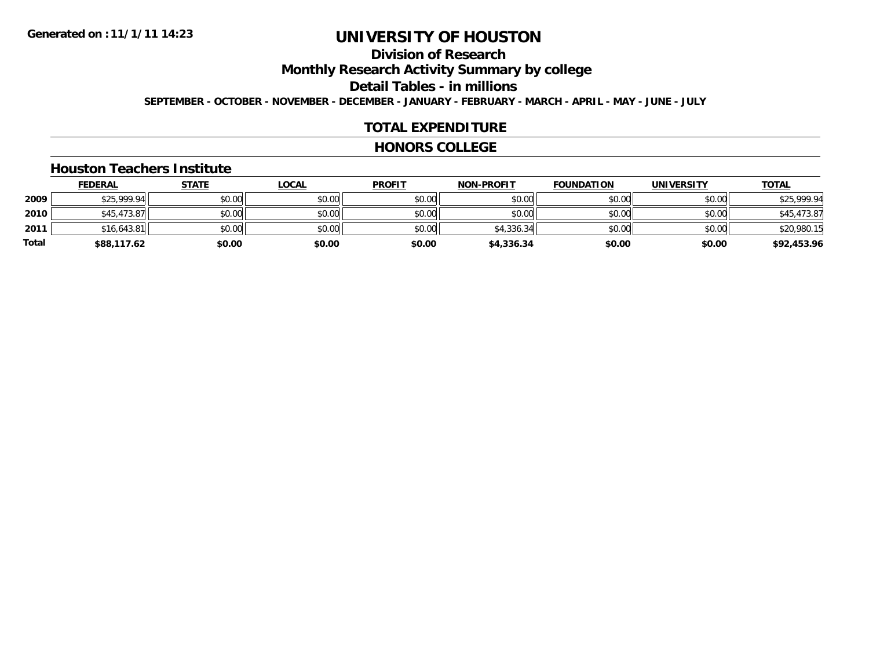# **Division of Research**

## **Monthly Research Activity Summary by college**

#### **Detail Tables - in millions**

**SEPTEMBER - OCTOBER - NOVEMBER - DECEMBER - JANUARY - FEBRUARY - MARCH - APRIL - MAY - JUNE - JULY**

#### **TOTAL EXPENDITURE**

#### **HONORS COLLEGE**

#### **Houston Teachers Institute**

|       | <b>FEDERAL</b> | <b>STATE</b> | <b>LOCAL</b> | <b>PROFIT</b> | <b>NON-PROFIT</b> | <b>FOUNDATION</b> | <b>UNIVERSITY</b> | <b>TOTAL</b> |
|-------|----------------|--------------|--------------|---------------|-------------------|-------------------|-------------------|--------------|
| 2009  | \$25,999.94    | \$0.00       | \$0.00       | \$0.00        | \$0.00            | \$0.00            | \$0.00            | \$25,999.94  |
| 2010  | \$45,473.87    | \$0.00       | \$0.00       | \$0.00        | \$0.00            | \$0.00            | \$0.00            | \$45,473.87  |
| 2011  | \$16.643.81    | \$0.00       | \$0.00       | \$0.00        | \$4,336.34        | \$0.00            | \$0.00            | \$20,980.15  |
| Total | \$88,117.62    | \$0.00       | \$0.00       | \$0.00        | \$4,336.34        | \$0.00            | \$0.00            | \$92,453.96  |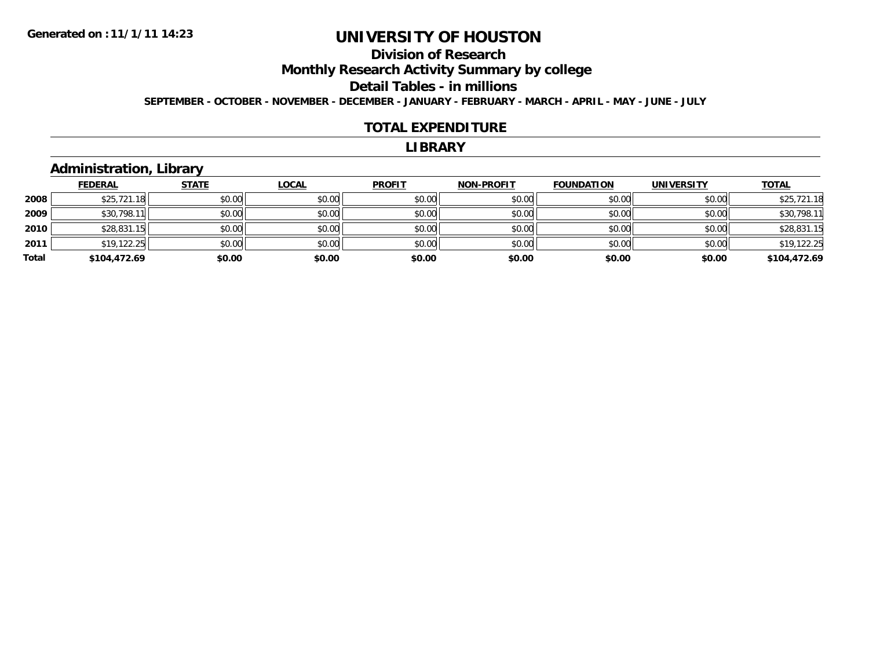## **Division of ResearchMonthly Research Activity Summary by college Detail Tables - in millions**

**SEPTEMBER - OCTOBER - NOVEMBER - DECEMBER - JANUARY - FEBRUARY - MARCH - APRIL - MAY - JUNE - JULY**

#### **TOTAL EXPENDITURE**

#### **LIBRARY**

### **Administration, Library**

|       | <b>FEDERAL</b> | <b>STATE</b> | <b>LOCAL</b> | <b>PROFIT</b> | <b>NON-PROFIT</b> | <b>FOUNDATION</b> | <b>UNIVERSITY</b> | <b>TOTAL</b> |
|-------|----------------|--------------|--------------|---------------|-------------------|-------------------|-------------------|--------------|
| 2008  | \$25,721.18    | \$0.00       | \$0.00       | \$0.00        | \$0.00            | \$0.00            | \$0.00            | \$25,721.18  |
| 2009  | \$30,798.11    | \$0.00       | \$0.00       | \$0.00        | \$0.00            | \$0.00            | \$0.00            | \$30,798.11  |
| 2010  | \$28,831.15    | \$0.00       | \$0.00       | \$0.00        | \$0.00            | \$0.00            | \$0.00            | \$28,831.15  |
| 2011  | \$19,122.25    | \$0.00       | \$0.00       | \$0.00        | \$0.00            | \$0.00            | \$0.00            | \$19,122.25  |
| Total | \$104,472.69   | \$0.00       | \$0.00       | \$0.00        | \$0.00            | \$0.00            | \$0.00            | \$104,472.69 |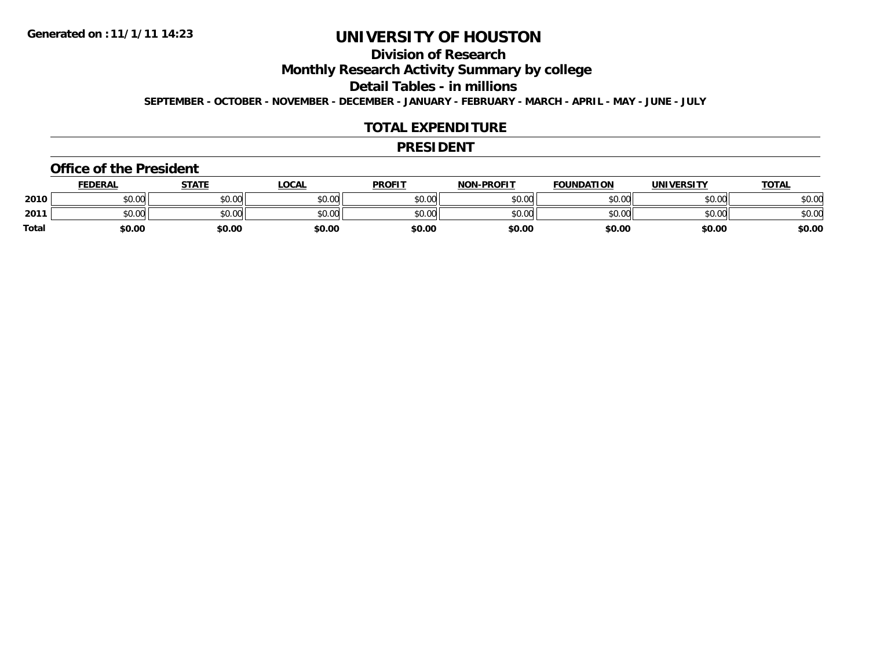### **Division of Research**

**Monthly Research Activity Summary by college**

**Detail Tables - in millions**

**SEPTEMBER - OCTOBER - NOVEMBER - DECEMBER - JANUARY - FEBRUARY - MARCH - APRIL - MAY - JUNE - JULY**

#### **TOTAL EXPENDITURE**

#### **PRESIDENT**

#### **Office of the President**

|              | <b>FEDERAL</b> | <b>STATE</b> | <u>LOCAL</u> | <b>PROFIT</b> | <b>NON-PROFIT</b> | <b>FOUNDATION</b> | <b>UNIVERSITY</b> | <b>TOTAL</b> |
|--------------|----------------|--------------|--------------|---------------|-------------------|-------------------|-------------------|--------------|
| 2010         | \$0.00         | \$0.00       | \$0.00       | \$0.00        | \$0.00            | \$0.00            | \$0.00            | \$0.00       |
| 2011         | \$0.00         | \$0.00       | \$0.00       | \$0.00        | \$0.00            | \$0.00            | \$0.00            | \$0.00       |
| <b>Total</b> | \$0.00         | \$0.00       | \$0.00       | \$0.00        | \$0.00            | \$0.00            | \$0.00            | \$0.00       |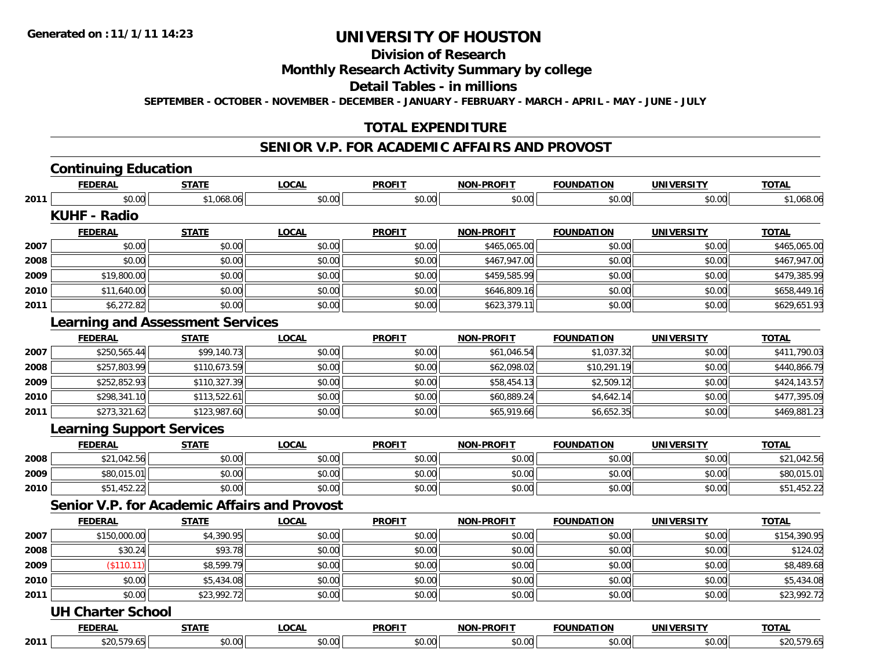### **Division of Research**

### **Monthly Research Activity Summary by college**

#### **Detail Tables - in millions**

**SEPTEMBER - OCTOBER - NOVEMBER - DECEMBER - JANUARY - FEBRUARY - MARCH - APRIL - MAY - JUNE - JULY**

#### **TOTAL EXPENDITURE**

### **SENIOR V.P. FOR ACADEMIC AFFAIRS AND PROVOST**

## **Continuing Education**

**2010**

|      | <b>FEDERAL</b>                          | <b>STATE</b> | <b>LOCAL</b> | <b>PROFIT</b> | <b>NON-PROFIT</b> | <b>FOUNDATION</b> | <b>UNIVERSITY</b> | <b>TOTAL</b> |
|------|-----------------------------------------|--------------|--------------|---------------|-------------------|-------------------|-------------------|--------------|
| 2011 | \$0.00                                  | \$1,068.06   | \$0.00       | \$0.00        | \$0.00            | \$0.00            | \$0.00            | \$1,068.06   |
|      | <b>KUHF - Radio</b>                     |              |              |               |                   |                   |                   |              |
|      | <b>FEDERAL</b>                          | <b>STATE</b> | <b>LOCAL</b> | <b>PROFIT</b> | <b>NON-PROFIT</b> | <b>FOUNDATION</b> | <b>UNIVERSITY</b> | <b>TOTAL</b> |
| 2007 | \$0.00                                  | \$0.00       | \$0.00       | \$0.00        | \$465,065.00      | \$0.00            | \$0.00            | \$465,065.00 |
| 2008 | \$0.00                                  | \$0.00       | \$0.00       | \$0.00        | \$467,947.00      | \$0.00            | \$0.00            | \$467,947.00 |
| 2009 | \$19,800.00                             | \$0.00       | \$0.00       | \$0.00        | \$459,585.99      | \$0.00            | \$0.00            | \$479,385.99 |
| 2010 | \$11,640.00                             | \$0.00       | \$0.00       | \$0.00        | \$646,809.16      | \$0.00            | \$0.00            | \$658,449.16 |
| 2011 | \$6,272.82                              | \$0.00       | \$0.00       | \$0.00        | \$623,379.11      | \$0.00            | \$0.00            | \$629,651.93 |
|      | <b>Learning and Assessment Services</b> |              |              |               |                   |                   |                   |              |
|      | <b>FEDERAL</b>                          | <b>STATE</b> | <b>LOCAL</b> | <b>PROFIT</b> | <b>NON-PROFIT</b> | <b>FOUNDATION</b> | <b>UNIVERSITY</b> | <b>TOTAL</b> |
| 2007 | \$250,565.44                            | \$99,140.73  | \$0.00       | \$0.00        | \$61,046.54       | \$1,037.32        | \$0.00            | \$411,790.03 |
| 2008 | \$257,803.99                            | \$110,673.59 | \$0.00       | \$0.00        | \$62,098.02       | \$10,291.19       | \$0.00            | \$440,866.79 |
| 2009 | \$252,852.93                            | \$110,327.39 | \$0.00       | \$0.00        | \$58,454.13       | \$2,509.12        | \$0.00            | \$424,143.57 |
| 2010 | \$298,341.10                            | \$113,522.61 | \$0.00       | \$0.00        | \$60,889.24       | \$4,642.14        | \$0.00            | \$477,395.09 |
| 2011 | \$273,321.62                            | \$123,987.60 | \$0.00       | \$0.00        | \$65,919.66       | \$6,652.35        | \$0.00            | \$469,881.23 |
|      | <b>Learning Support Services</b>        |              |              |               |                   |                   |                   |              |
|      | <b>FEDERAL</b>                          | <b>STATE</b> | <b>LOCAL</b> | <b>PROFIT</b> | <b>NON-PROFIT</b> | <b>FOUNDATION</b> | <b>UNIVERSITY</b> | <b>TOTAL</b> |
| 2008 | \$21,042.56                             | \$0.00       | \$0.00       | \$0.00        | \$0.00            | \$0.00            | \$0.00            | \$21,042.56  |
| 2009 | \$80,015.01                             | \$0.00       | \$0.00       | \$0.00        | \$0.00            | \$0.00            | \$0.00            | \$80,015.01  |

#### **Senior V.P. for Academic Affairs and Provost**

|      | <b>FEDERAL</b>            | <b>STATE</b> | <b>LOCAL</b> | <b>PROFIT</b> | <b>NON-PROFIT</b> | <b>FOUNDATION</b> | <b>UNIVERSITY</b> | <b>TOTAL</b> |
|------|---------------------------|--------------|--------------|---------------|-------------------|-------------------|-------------------|--------------|
| 2007 | \$150,000.00              | \$4,390.95   | \$0.00       | \$0.00        | \$0.00            | \$0.00            | \$0.00            | \$154,390.95 |
| 2008 | \$30.24                   | \$93.78      | \$0.00       | \$0.00        | \$0.00            | \$0.00            | \$0.00            | \$124.02     |
| 2009 | $($ \$110.11) $\parallel$ | \$8,599.79   | \$0.00       | \$0.00        | \$0.00            | \$0.00            | \$0.00            | \$8,489.68   |
| 2010 | \$0.00                    | \$5,434.08   | \$0.00       | \$0.00        | \$0.00            | \$0.00            | \$0.00            | \$5,434.08   |
| 2011 | \$0.00                    | \$23,992.72  | \$0.00       | \$0.00        | \$0.00            | \$0.00            | \$0.00            | \$23,992.72  |
|      | <b>UH Charter School</b>  |              |              |               |                   |                   |                   |              |

0 \$51,452.22|| \$0.00|| \$0.00|| \$0.00|| \$0.00|| \$0.00|| \$51,452.22

|      | <b>FEDERAL</b> | <b>STATE</b>  | <b>OCAL</b>   | <b>PROFIT</b>      | <b>NON-PROFIT</b><br>$-$ | <b>FOUNDATION</b> | <b>UNIVERSIT</b><br>EM 311 | <b>TOTA</b> |
|------|----------------|---------------|---------------|--------------------|--------------------------|-------------------|----------------------------|-------------|
| 2011 | \$20.579.<br>, | 0000<br>,u.uu | $\sim$ $\sim$ | $\sim$ 00<br>JU.UU | 0.00<br>ט.טע             | - JU.UU           | $\sim$ $\sim$<br>JU.UU.    |             |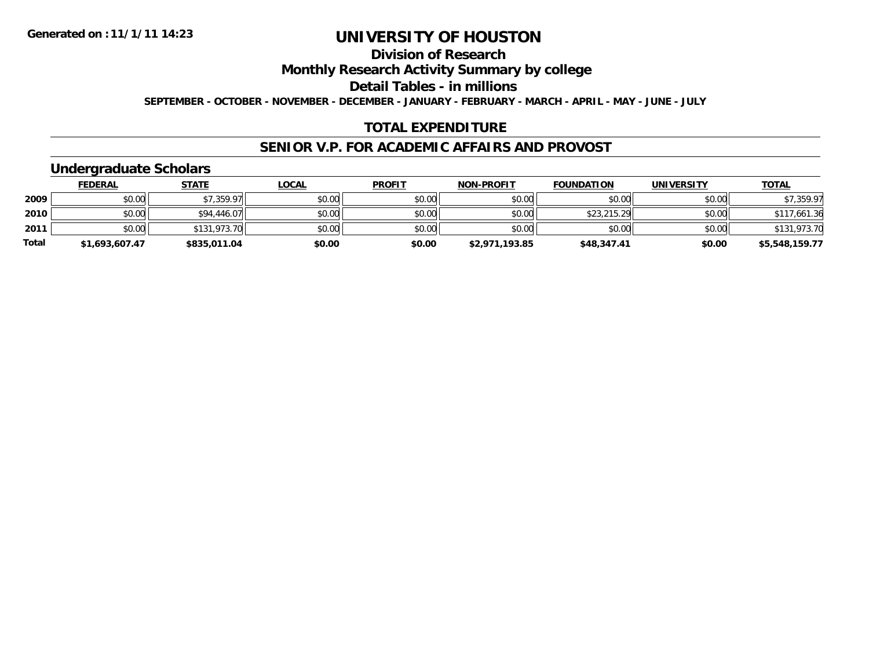## **Division of Research**

### **Monthly Research Activity Summary by college**

### **Detail Tables - in millions**

**SEPTEMBER - OCTOBER - NOVEMBER - DECEMBER - JANUARY - FEBRUARY - MARCH - APRIL - MAY - JUNE - JULY**

#### **TOTAL EXPENDITURE**

#### **SENIOR V.P. FOR ACADEMIC AFFAIRS AND PROVOST**

### **Undergraduate Scholars**

|              | <u>FEDERAL</u> | <b>STATE</b> | <u>LOCAL</u> | <b>PROFIT</b> | <b>NON-PROFIT</b> | <b>FOUNDATION</b> | <b>UNIVERSITY</b> | <b>TOTAL</b>   |
|--------------|----------------|--------------|--------------|---------------|-------------------|-------------------|-------------------|----------------|
| 2009         | \$0.00         | \$7,359.97   | \$0.00       | \$0.00        | \$0.00            | \$0.00            | \$0.00            | \$7,359.97     |
| 2010         | \$0.00         | \$94,446.07  | \$0.00       | \$0.00        | \$0.00            | \$23,215.29       | \$0.00            | \$117,661.36   |
| 2011         | \$0.00         | \$131,973.70 | \$0.00       | \$0.00        | \$0.00            | \$0.00            | \$0.00            | \$131,973.70   |
| <b>Total</b> | \$1,693,607.47 | \$835,011.04 | \$0.00       | \$0.00        | \$2,971,193.85    | \$48,347.41       | \$0.00            | \$5,548,159.77 |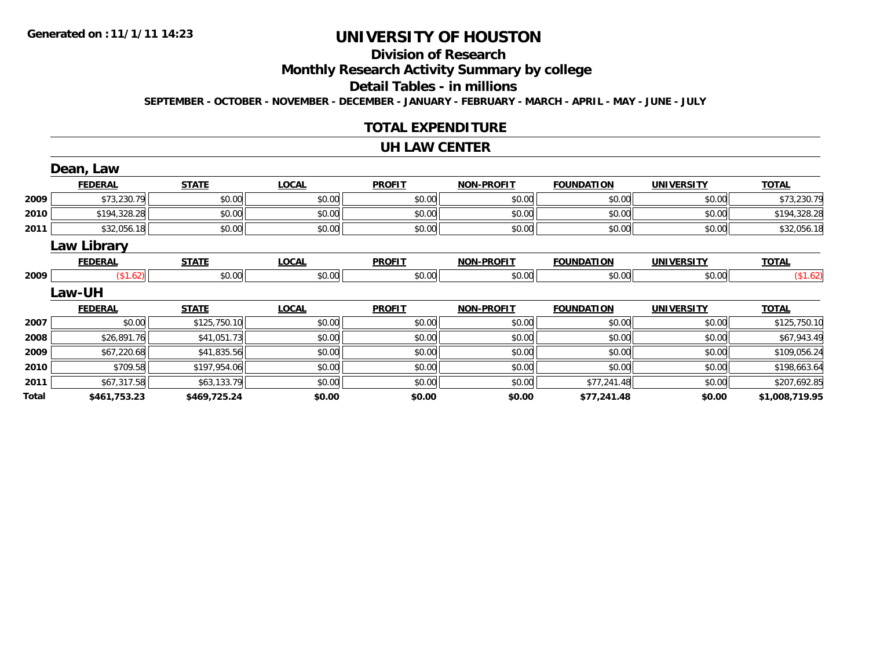## **Division of Research**

### **Monthly Research Activity Summary by college**

#### **Detail Tables - in millions**

**SEPTEMBER - OCTOBER - NOVEMBER - DECEMBER - JANUARY - FEBRUARY - MARCH - APRIL - MAY - JUNE - JULY**

#### **TOTAL EXPENDITURE**

#### **UH LAW CENTER**

|       | Dean, Law          |              |              |               |                   |                   |                   |                |
|-------|--------------------|--------------|--------------|---------------|-------------------|-------------------|-------------------|----------------|
|       | <b>FEDERAL</b>     | <b>STATE</b> | <b>LOCAL</b> | <b>PROFIT</b> | <b>NON-PROFIT</b> | <b>FOUNDATION</b> | <b>UNIVERSITY</b> | <b>TOTAL</b>   |
| 2009  | \$73,230.79        | \$0.00       | \$0.00       | \$0.00        | \$0.00            | \$0.00            | \$0.00            | \$73,230.79    |
| 2010  | \$194,328.28       | \$0.00       | \$0.00       | \$0.00        | \$0.00            | \$0.00            | \$0.00            | \$194,328.28   |
| 2011  | \$32,056.18        | \$0.00       | \$0.00       | \$0.00        | \$0.00            | \$0.00            | \$0.00            | \$32,056.18    |
|       | <b>Law Library</b> |              |              |               |                   |                   |                   |                |
|       | <b>FEDERAL</b>     | <b>STATE</b> | <b>LOCAL</b> | <b>PROFIT</b> | <b>NON-PROFIT</b> | <b>FOUNDATION</b> | <b>UNIVERSITY</b> | <b>TOTAL</b>   |
| 2009  | (\$1.62)           | \$0.00       | \$0.00       | \$0.00        | \$0.00            | \$0.00            | \$0.00            | (\$1.62)       |
|       | <b>Law-UH</b>      |              |              |               |                   |                   |                   |                |
|       | <b>FEDERAL</b>     | <b>STATE</b> | <b>LOCAL</b> | <b>PROFIT</b> | <b>NON-PROFIT</b> | <b>FOUNDATION</b> | <b>UNIVERSITY</b> | <b>TOTAL</b>   |
| 2007  | \$0.00             | \$125,750.10 | \$0.00       | \$0.00        | \$0.00            | \$0.00            | \$0.00            | \$125,750.10   |
| 2008  | \$26,891.76        | \$41,051.73  | \$0.00       | \$0.00        | \$0.00            | \$0.00            | \$0.00            | \$67,943.49    |
| 2009  | \$67,220.68        | \$41,835.56  | \$0.00       | \$0.00        | \$0.00            | \$0.00            | \$0.00            | \$109,056.24   |
| 2010  | \$709.58           | \$197,954.06 | \$0.00       | \$0.00        | \$0.00            | \$0.00            | \$0.00            | \$198,663.64   |
| 2011  | \$67,317.58        | \$63,133.79  | \$0.00       | \$0.00        | \$0.00            | \$77,241.48       | \$0.00            | \$207,692.85   |
| Total | \$461,753.23       | \$469,725.24 | \$0.00       | \$0.00        | \$0.00            | \$77,241.48       | \$0.00            | \$1,008,719.95 |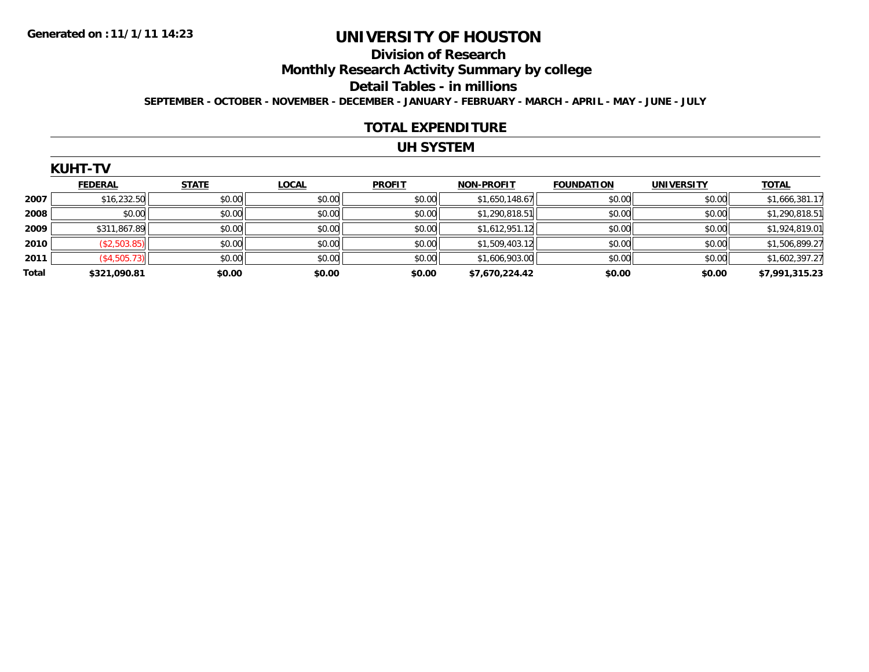## **Division of Research**

**Monthly Research Activity Summary by college**

#### **Detail Tables - in millions**

**SEPTEMBER - OCTOBER - NOVEMBER - DECEMBER - JANUARY - FEBRUARY - MARCH - APRIL - MAY - JUNE - JULY**

#### **TOTAL EXPENDITURE**

#### **UH SYSTEM**

| KUF. |      |  |
|------|------|--|
|      | . דו |  |
|      |      |  |

|       | <b>FEDERAL</b> | <b>STATE</b> | <b>LOCAL</b> | <b>PROFIT</b> | <b>NON-PROFIT</b> | <b>FOUNDATION</b> | <b>UNIVERSITY</b> | <b>TOTAL</b>   |
|-------|----------------|--------------|--------------|---------------|-------------------|-------------------|-------------------|----------------|
| 2007  | \$16,232.50    | \$0.00       | \$0.00       | \$0.00        | \$1,650,148.67    | \$0.00            | \$0.00            | \$1,666,381.17 |
| 2008  | \$0.00         | \$0.00       | \$0.00       | \$0.00        | \$1,290,818.51    | \$0.00            | \$0.00            | \$1,290,818.51 |
| 2009  | \$311,867.89   | \$0.00       | \$0.00       | \$0.00        | \$1,612,951.12    | \$0.00            | \$0.00            | \$1,924,819.01 |
| 2010  | (\$2,503.85)   | \$0.00       | \$0.00       | \$0.00        | \$1,509,403.12    | \$0.00            | \$0.00            | \$1,506,899.27 |
| 2011  | (\$4,505.73)   | \$0.00       | \$0.00       | \$0.00        | \$1,606,903.00    | \$0.00            | \$0.00            | \$1,602,397.27 |
| Total | \$321,090.81   | \$0.00       | \$0.00       | \$0.00        | \$7,670,224.42    | \$0.00            | \$0.00            | \$7,991,315.23 |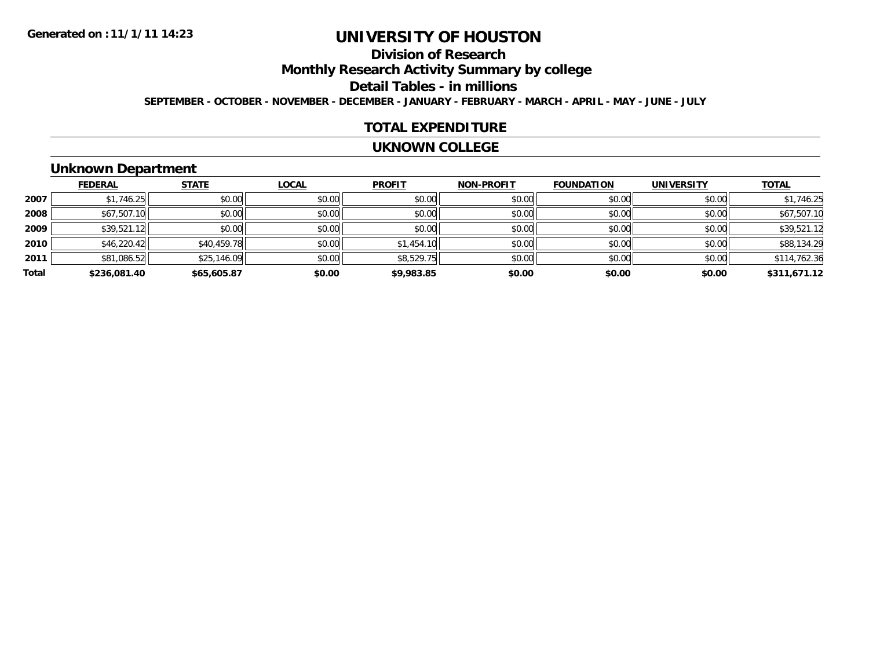# **Division of Research**

**Monthly Research Activity Summary by college**

#### **Detail Tables - in millions**

**SEPTEMBER - OCTOBER - NOVEMBER - DECEMBER - JANUARY - FEBRUARY - MARCH - APRIL - MAY - JUNE - JULY**

#### **TOTAL EXPENDITURE**

#### **UKNOWN COLLEGE**

### **Unknown Department**

|       | <b>FEDERAL</b> | <b>STATE</b> | <b>LOCAL</b> | <b>PROFIT</b> | <b>NON-PROFIT</b> | <b>FOUNDATION</b> | <b>UNIVERSITY</b> | <u>TOTAL</u> |
|-------|----------------|--------------|--------------|---------------|-------------------|-------------------|-------------------|--------------|
| 2007  | \$1,746.25     | \$0.00       | \$0.00       | \$0.00        | \$0.00            | \$0.00            | \$0.00            | \$1,746.25   |
| 2008  | \$67,507.10    | \$0.00       | \$0.00       | \$0.00        | \$0.00            | \$0.00            | \$0.00            | \$67,507.10  |
| 2009  | \$39,521.12    | \$0.00       | \$0.00       | \$0.00        | \$0.00            | \$0.00            | \$0.00            | \$39,521.12  |
| 2010  | \$46,220.42    | \$40,459.78  | \$0.00       | \$1,454.10    | \$0.00            | \$0.00            | \$0.00            | \$88,134.29  |
| 2011  | \$81,086.52    | \$25,146.09  | \$0.00       | \$8,529.75    | \$0.00            | \$0.00            | \$0.00            | \$114,762.36 |
| Total | \$236,081.40   | \$65,605.87  | \$0.00       | \$9,983.85    | \$0.00            | \$0.00            | \$0.00            | \$311,671.12 |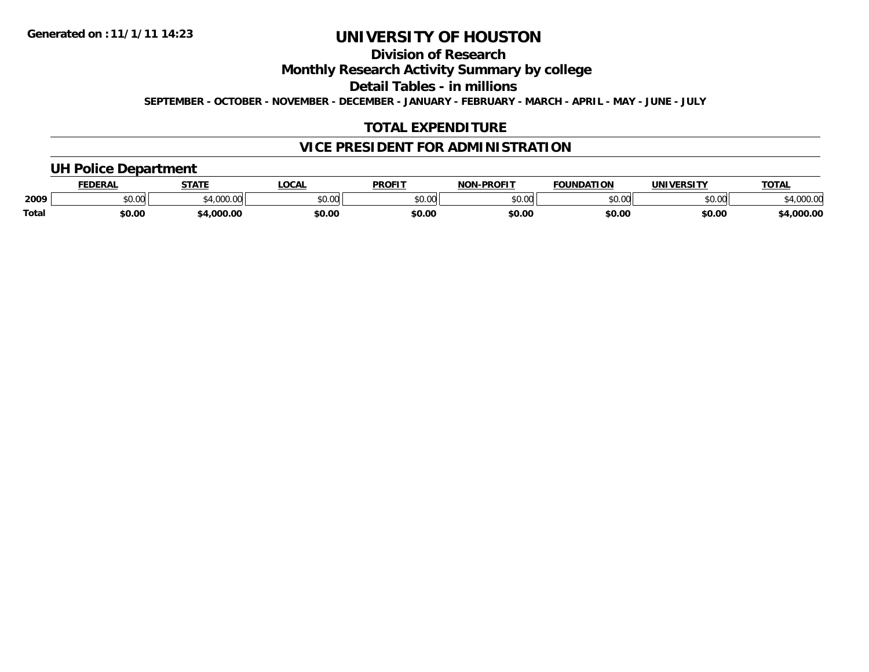### **Division of Research**

**Monthly Research Activity Summary by college**

**Detail Tables - in millions**

**SEPTEMBER - OCTOBER - NOVEMBER - DECEMBER - JANUARY - FEBRUARY - MARCH - APRIL - MAY - JUNE - JULY**

#### **TOTAL EXPENDITURE**

#### **VICE PRESIDENT FOR ADMINISTRATION**

### **UH Police Department**

|              | <b>EDERAI</b> | <b>STATE</b>   | <b>LOCAL</b> | <b>PROFIT</b> | -PROFIT<br>NON. | <b>FOUNDATION</b> | <b>UNIVERSITY</b> | TOTA.            |
|--------------|---------------|----------------|--------------|---------------|-----------------|-------------------|-------------------|------------------|
| 2009         | \$0.00        | 1.000<br>.UUU. | \$0.00       | 0000<br>JU.UU | ልስ ለሰ<br>טט.טע  | 0000<br>u.u       | mn na<br>,u.uu    | 0000<br>4,000.00 |
| <b>Total</b> | \$0.00        | 4,000.00       | \$0.00       | \$0.00        | \$0.00          | \$0.00            | \$0.00            | 4,000.00         |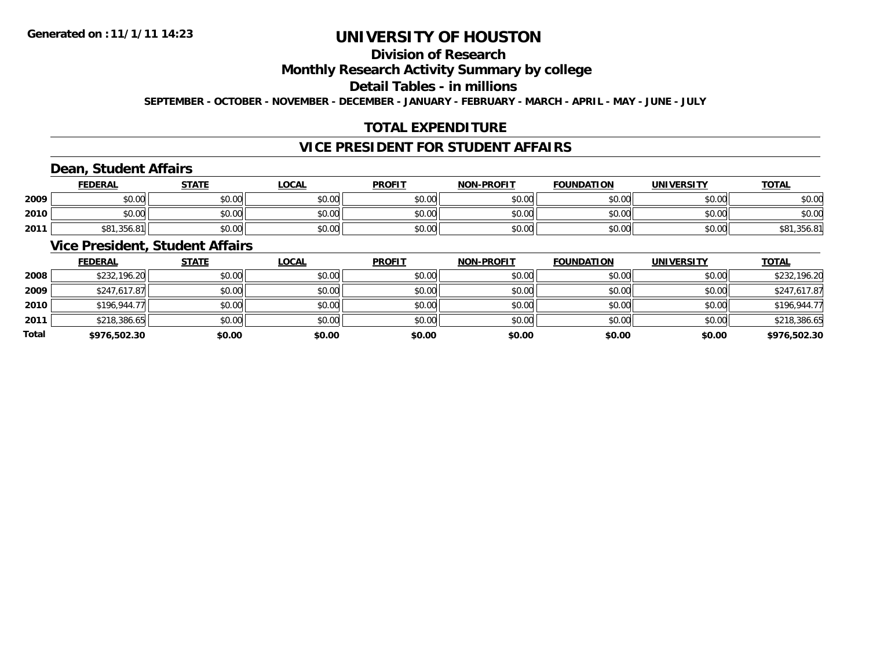### **Division of Research**

#### **Monthly Research Activity Summary by college**

### **Detail Tables - in millions**

**SEPTEMBER - OCTOBER - NOVEMBER - DECEMBER - JANUARY - FEBRUARY - MARCH - APRIL - MAY - JUNE - JULY**

### **TOTAL EXPENDITURE**

### **VICE PRESIDENT FOR STUDENT AFFAIRS**

### **Dean, Student Affairs**

|      | <b>FEDERAL</b> | <b>STATE</b>   | <b>LOCAL</b>                                | <b>PROFIT</b> | <b>NON-PROFIT</b> | <b>FOUNDATION</b> | <b>UNIVERSITY</b> | <b>TOTAL</b>    |
|------|----------------|----------------|---------------------------------------------|---------------|-------------------|-------------------|-------------------|-----------------|
| 2009 | \$0.00         | \$0.00         | 0000<br>DU.U¢                               | \$0.00        | \$0.00            | \$0.00            | \$0.00            | \$0.00          |
| 2010 | \$0.00         | \$0.00         | $\mathfrak{c}\cap\mathfrak{a}\cap$<br>DU.UU | \$0.00        | \$0.00            | \$0.00            | \$0.00            | \$0.00          |
| 2011 | \$81,356.81    | t∩ ∩∩<br>JU.UU | \$0.00                                      | \$0.00        | \$0.00            | \$0.00            | \$0.00            | ,356.81<br>\$81 |

### **Vice President, Student Affairs**

|       | <b>FEDERAL</b> | <b>STATE</b> | <b>LOCAL</b> | <b>PROFIT</b> | <b>NON-PROFIT</b> | <b>FOUNDATION</b> | <b>UNIVERSITY</b> | <b>TOTAL</b> |
|-------|----------------|--------------|--------------|---------------|-------------------|-------------------|-------------------|--------------|
| 2008  | \$232,196.20   | \$0.00       | \$0.00       | \$0.00        | \$0.00            | \$0.00            | \$0.00            | \$232,196.20 |
| 2009  | \$247,617.87   | \$0.00       | \$0.00       | \$0.00        | \$0.00            | \$0.00            | \$0.00            | \$247,617.87 |
| 2010  | \$196,944.77   | \$0.00       | \$0.00       | \$0.00        | \$0.00            | \$0.00            | \$0.00            | \$196,944.77 |
| 2011  | \$218,386.65   | \$0.00       | \$0.00       | \$0.00        | \$0.00            | \$0.00            | \$0.00            | \$218,386.65 |
| Total | \$976,502.30   | \$0.00       | \$0.00       | \$0.00        | \$0.00            | \$0.00            | \$0.00            | \$976,502.30 |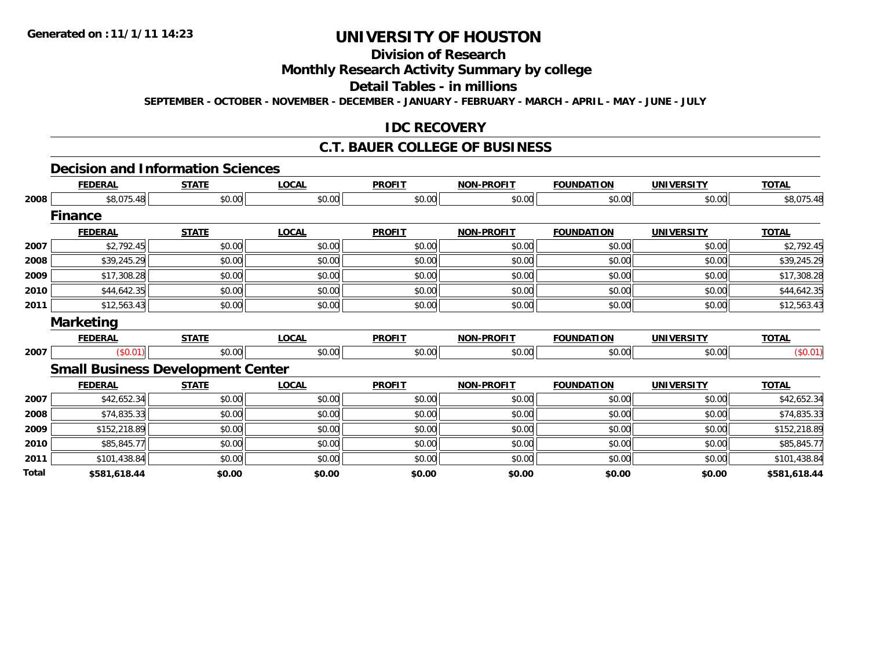## **Division of Research**

### **Monthly Research Activity Summary by college**

### **Detail Tables - in millions**

**SEPTEMBER - OCTOBER - NOVEMBER - DECEMBER - JANUARY - FEBRUARY - MARCH - APRIL - MAY - JUNE - JULY**

#### **IDC RECOVERY**

### **C.T. BAUER COLLEGE OF BUSINESS**

#### **Decision and Information Sciences**

|              | <b>FEDERAL</b>                           | <b>STATE</b> | <b>LOCAL</b> | <b>PROFIT</b> | <b>NON-PROFIT</b> | <b>FOUNDATION</b> | <b>UNIVERSITY</b> | <b>TOTAL</b> |
|--------------|------------------------------------------|--------------|--------------|---------------|-------------------|-------------------|-------------------|--------------|
| 2008         | \$8,075.48                               | \$0.00       | \$0.00       | \$0.00        | \$0.00            | \$0.00            | \$0.00            | \$8,075.48   |
|              | <b>Finance</b>                           |              |              |               |                   |                   |                   |              |
|              | <b>FEDERAL</b>                           | <b>STATE</b> | <b>LOCAL</b> | <b>PROFIT</b> | <b>NON-PROFIT</b> | <b>FOUNDATION</b> | <b>UNIVERSITY</b> | <b>TOTAL</b> |
| 2007         | \$2,792.45                               | \$0.00       | \$0.00       | \$0.00        | \$0.00            | \$0.00            | \$0.00            | \$2,792.45   |
| 2008         | \$39,245.29                              | \$0.00       | \$0.00       | \$0.00        | \$0.00            | \$0.00            | \$0.00            | \$39,245.29  |
| 2009         | \$17,308.28                              | \$0.00       | \$0.00       | \$0.00        | \$0.00            | \$0.00            | \$0.00            | \$17,308.28  |
| 2010         | \$44,642.35                              | \$0.00       | \$0.00       | \$0.00        | \$0.00            | \$0.00            | \$0.00            | \$44,642.35  |
| 2011         | \$12,563.43                              | \$0.00       | \$0.00       | \$0.00        | \$0.00            | \$0.00            | \$0.00            | \$12,563.43  |
|              | <b>Marketing</b>                         |              |              |               |                   |                   |                   |              |
|              | <b>FEDERAL</b>                           | <b>STATE</b> | <b>LOCAL</b> | <b>PROFIT</b> | <b>NON-PROFIT</b> | <b>FOUNDATION</b> | <b>UNIVERSITY</b> | <b>TOTAL</b> |
| 2007         | (\$0.01)                                 | \$0.00       | \$0.00       | \$0.00        | \$0.00            | \$0.00            | \$0.00            | (\$0.01)     |
|              | <b>Small Business Development Center</b> |              |              |               |                   |                   |                   |              |
|              | <b>FEDERAL</b>                           | <b>STATE</b> | <b>LOCAL</b> | <b>PROFIT</b> | <b>NON-PROFIT</b> | <b>FOUNDATION</b> | <b>UNIVERSITY</b> | <b>TOTAL</b> |
| 2007         | \$42,652.34                              | \$0.00       | \$0.00       | \$0.00        | \$0.00            | \$0.00            | \$0.00            | \$42,652.34  |
| 2008         | \$74,835.33                              | \$0.00       | \$0.00       | \$0.00        | \$0.00            | \$0.00            | \$0.00            | \$74,835.33  |
| 2009         | \$152,218.89                             | \$0.00       | \$0.00       | \$0.00        | \$0.00            | \$0.00            | \$0.00            | \$152,218.89 |
| 2010         | \$85,845.77                              | \$0.00       | \$0.00       | \$0.00        | \$0.00            | \$0.00            | \$0.00            | \$85,845.77  |
| 2011         | \$101,438.84                             | \$0.00       | \$0.00       | \$0.00        | \$0.00            | \$0.00            | \$0.00            | \$101,438.84 |
| <b>Total</b> | \$581,618.44                             | \$0.00       | \$0.00       | \$0.00        | \$0.00            | \$0.00            | \$0.00            | \$581,618.44 |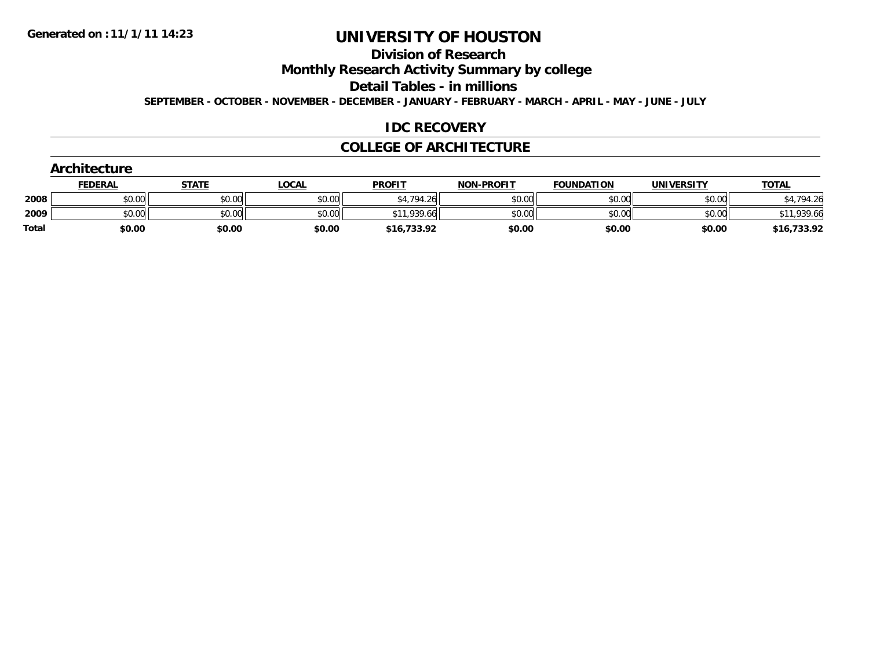### **Division of Research**

**Monthly Research Activity Summary by college**

**Detail Tables - in millions**

**SEPTEMBER - OCTOBER - NOVEMBER - DECEMBER - JANUARY - FEBRUARY - MARCH - APRIL - MAY - JUNE - JULY**

#### **IDC RECOVERY**

#### **COLLEGE OF ARCHITECTURE**

|              | <b>Architecture</b> |              |              |               |                   |                   |                   |              |  |  |  |
|--------------|---------------------|--------------|--------------|---------------|-------------------|-------------------|-------------------|--------------|--|--|--|
|              | <b>FEDERAL</b>      | <b>STATE</b> | <b>LOCAL</b> | <b>PROFIT</b> | <b>NON-PROFIT</b> | <b>FOUNDATION</b> | <b>UNIVERSITY</b> | <b>TOTAL</b> |  |  |  |
| 2008         | \$0.00              | \$0.00       | \$0.00       | \$4,794.26    | \$0.00            | \$0.00            | \$0.00            | 1,794.26     |  |  |  |
| 2009         | \$0.00              | \$0.00       | \$0.00       | \$11,939.66   | \$0.00            | \$0.00            | \$0.00            | \$11,939.66  |  |  |  |
| <b>Total</b> | \$0.00              | \$0.00       | \$0.00       | \$16,733.92   | \$0.00            | \$0.00            | \$0.00            | \$16,733.92  |  |  |  |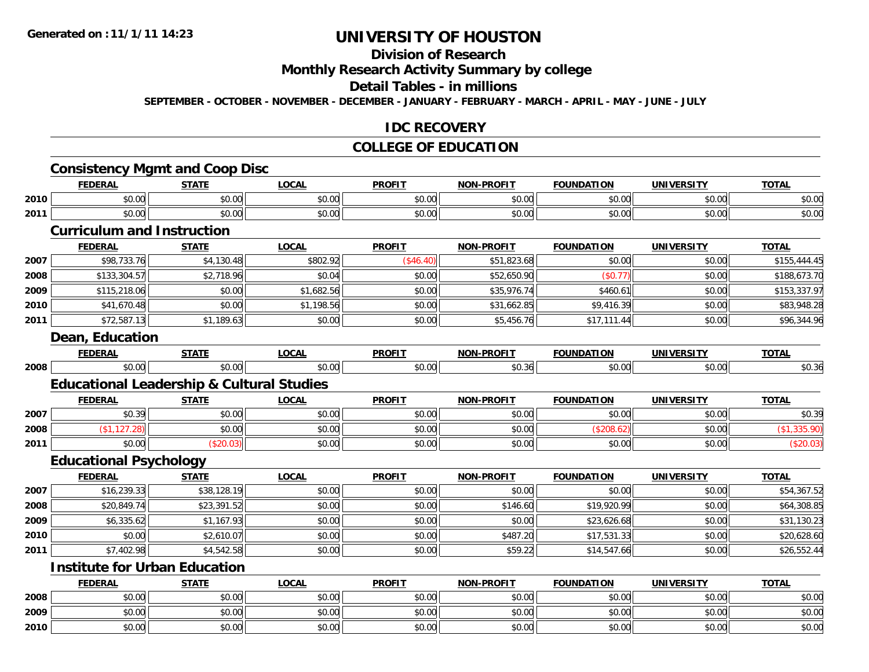## **Division of Research**

#### **Monthly Research Activity Summary by college**

#### **Detail Tables - in millions**

**SEPTEMBER - OCTOBER - NOVEMBER - DECEMBER - JANUARY - FEBRUARY - MARCH - APRIL - MAY - JUNE - JULY**

#### **IDC RECOVERY**

#### **COLLEGE OF EDUCATION**

### **Consistency Mgmt and Coop Disc**

|      | FEDERAL                                          | <b>STATE</b>                   | <b>LOCAL</b>  | <b>PROFIT</b> | -DDAETT<br>NAN | <b>FOUNDATION</b> | <b>UNIVERSITY</b>     | <b>TOTAI</b> |
|------|--------------------------------------------------|--------------------------------|---------------|---------------|----------------|-------------------|-----------------------|--------------|
| 2010 | \$0.00                                           | \$0.00                         | 0000<br>vv.vv | \$0.00        | ደስ ሰስ<br>JU.UU | \$0.00            | <b>AO</b> UP<br>DU.UU | \$0.00       |
| 2011 | \$0.00                                           | \$0.00<br>JU.UU                | 0000<br>PO.OO | \$0.00        | \$0.00         | \$0.00            | \$0.00                | \$0.00       |
|      | ___<br>$\sim$ $\sim$ $\sim$ $\sim$ $\sim$ $\sim$ | the property of the control of |               |               |                |                   |                       |              |

#### **Curriculum and Instruction**

|      | <b>FEDERAL</b> | <b>STATE</b> | <b>LOCAL</b> | <b>PROFIT</b> | <b>NON-PROFIT</b> | <b>FOUNDATION</b> | <b>UNIVERSITY</b> | <b>TOTAL</b> |
|------|----------------|--------------|--------------|---------------|-------------------|-------------------|-------------------|--------------|
| 2007 | \$98,733.76    | \$4,130.48   | \$802.92     | (\$46.40)     | \$51,823.68       | \$0.00            | \$0.00            | \$155,444.45 |
| 2008 | \$133,304.57   | \$2,718.96   | \$0.04       | \$0.00        | \$52,650.90       | (\$0.77)          | \$0.00            | \$188,673.70 |
| 2009 | \$115,218.06   | \$0.00       | \$1,682.56   | \$0.00        | \$35,976.74       | \$460.61          | \$0.00            | \$153,337.97 |
| 2010 | \$41,670.48    | \$0.00       | \$1,198.56   | \$0.00        | \$31,662.85       | \$9,416.39        | \$0.00            | \$83,948.28  |
| 2011 | \$72,587.13    | \$1,189.63   | \$0.00       | \$0.00        | \$5,456.76        | \$17,111.44       | \$0.00            | \$96,344.96  |
|      |                |              |              |               |                   |                   |                   |              |

#### **Dean, Education**

|      | <b>CENED</b><br>:KA          | ----- | <b>LOCAI</b>   | <b>PROFIT</b> | NON-PROFIT | ---<br>ног | INT   | ----  |
|------|------------------------------|-------|----------------|---------------|------------|------------|-------|-------|
| 2008 | $\uparrow$<br>r.,<br>$-0.00$ |       | $\sim$<br>v.vv |               | - اا0≿.ٽ۔  |            | JU.UU | טט.טע |

### **Educational Leadership & Cultural Studies**

|      | <b>FEDERAL</b>           | <b>STATE</b> | LOCAL         | <b>PROFT</b>                                             | <b>NON-PROFIT</b> | <b>FOUNDATION</b> | <b>UNIVERSITY</b> | <b>TOTAL</b>         |
|------|--------------------------|--------------|---------------|----------------------------------------------------------|-------------------|-------------------|-------------------|----------------------|
| 2007 | $\sim$ $\sim$<br>JU.J 71 | \$0.00       | 0000<br>DU.UU | ¢∩ ∩∩<br>JU.UU                                           | \$0.00            | \$0.00            | \$0.00            | ሐሴ ሳስ<br>-26<br>JU.J |
| 2008 |                          | \$0.00       | 0000<br>DU.UU | $\mathsf{A}\cap\mathsf{A}\cap\mathsf{A}$<br><b>SU.UU</b> | \$0.00            |                   | \$0.00            |                      |
| 2011 | \$0.00                   |              | 0000<br>งบ.บบ | $\triangle$ $\triangle$ $\triangle$<br>JU.UU             | \$0.00            | \$0.00            | \$0.00            |                      |

#### **Educational Psychology**

|      | <b>FEDERAL</b> | <b>STATE</b> | <b>LOCAL</b> | <b>PROFIT</b> | <b>NON-PROFIT</b> | <b>FOUNDATION</b> | <b>UNIVERSITY</b> | <b>TOTAL</b> |
|------|----------------|--------------|--------------|---------------|-------------------|-------------------|-------------------|--------------|
| 2007 | \$16,239.33    | \$38,128.19  | \$0.00       | \$0.00        | \$0.00            | \$0.00            | \$0.00            | \$54,367.52  |
| 2008 | \$20,849.74    | \$23,391.52  | \$0.00       | \$0.00        | \$146.60          | \$19,920.99       | \$0.00            | \$64,308.85  |
| 2009 | \$6,335.62     | \$1,167.93   | \$0.00       | \$0.00        | \$0.00            | \$23,626.68       | \$0.00            | \$31,130.23  |
| 2010 | \$0.00         | \$2,610.07   | \$0.00       | \$0.00        | \$487.20          | \$17,531.33       | \$0.00            | \$20,628.60  |
| 2011 | \$7,402.98     | \$4,542.58   | \$0.00       | \$0.00        | \$59.22           | \$14,547.66       | \$0.00            | \$26,552.44  |

#### **Institute for Urban Education**

|      | <b>FEDERAL</b>      | <b>STATE</b> | <u>LOCAL</u> | <b>PROFIT</b> | <b>NON-PROFIT</b> | <b>FOUNDATION</b> | <b>UNIVERSITY</b> | <b>TOTAL</b> |
|------|---------------------|--------------|--------------|---------------|-------------------|-------------------|-------------------|--------------|
| 2008 | \$0.00              | \$0.00       | \$0.00       | \$0.00        | \$0.00            | \$0.00            | \$0.00            | \$0.00       |
| 2009 | <b>ተ ∩</b><br>ง∪.∪บ | \$0.00       | \$0.00       | \$0.00        | \$0.00            | \$0.00            | \$0.00            | \$0.00       |
| 2010 | ¢Λ<br>\$0.00        | \$0.00       | \$0.00       | \$0.00        | \$0.00            | \$0.00            | \$0.00            | \$0.00       |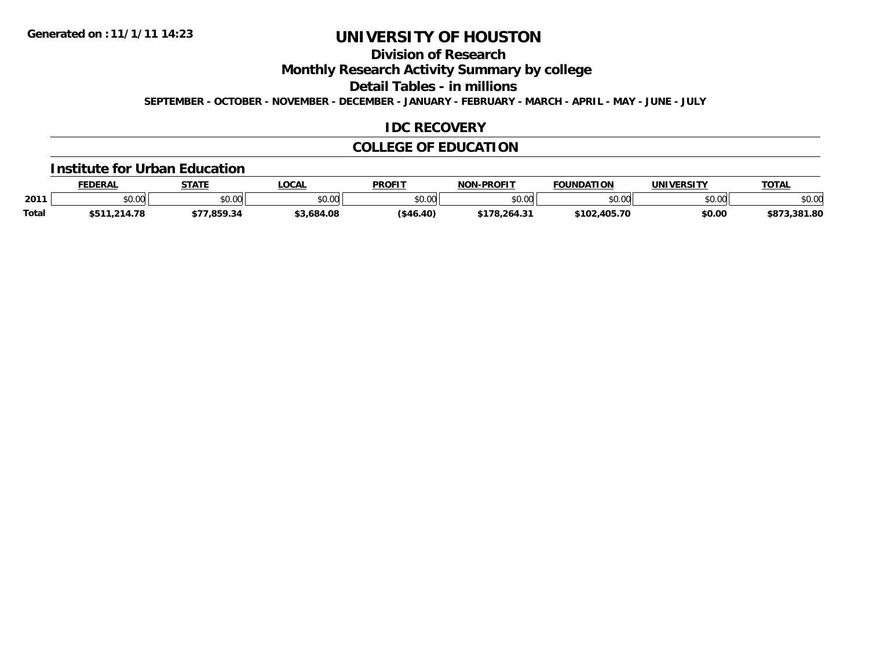### **Division of Research**

**Monthly Research Activity Summary by college**

**Detail Tables - in millions**

**SEPTEMBER - OCTOBER - NOVEMBER - DECEMBER - JANUARY - FEBRUARY - MARCH - APRIL - MAY - JUNE - JULY**

#### **IDC RECOVERY**

### **COLLEGE OF EDUCATION**

#### **Institute for Urban Education**

|              | <b>FEDERAL</b> | <b>STATE</b> | <b>OCAL</b>   | <b>PROFIT</b> | -PROFIT<br><b>NON</b> | <b>FOUNDATION</b> | <b>UNIVERSITY</b> | <b>TOTAL</b> |
|--------------|----------------|--------------|---------------|---------------|-----------------------|-------------------|-------------------|--------------|
| 2011         | \$0.00         | \$0.00       | 0000<br>JU.UU | \$0.00        | en uu<br>DU.UU        | \$0.00            | \$0.00            | \$0.00       |
| <b>Total</b> | \$511,214.78   | 859.34       | \$3,684.08    | ( \$46.40)    | \$178,264.31          | \$102,405.70      | \$0.00            | \$873,381.80 |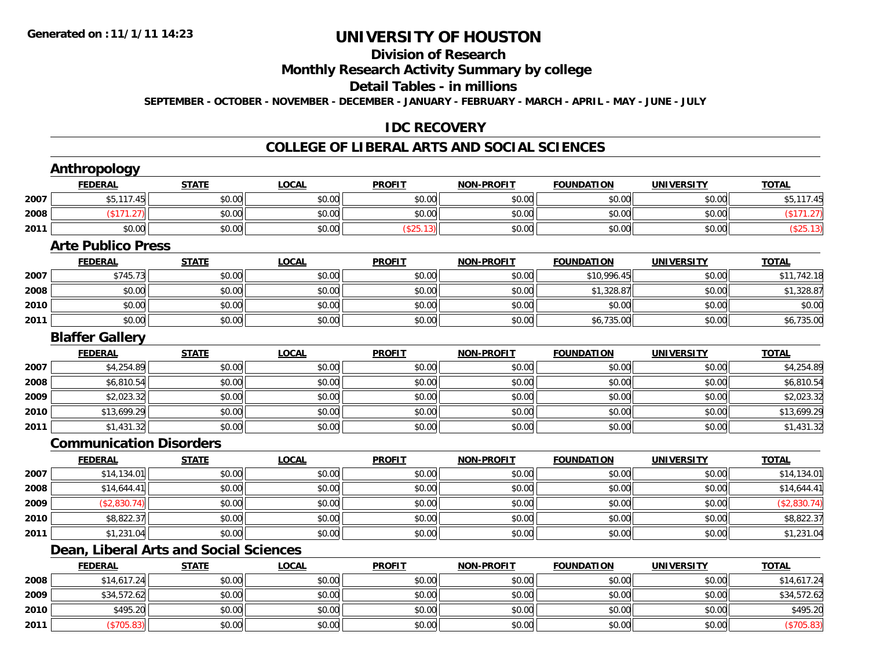**Anthropology**

## **UNIVERSITY OF HOUSTON**

## **Division of Research**

### **Monthly Research Activity Summary by college**

#### **Detail Tables - in millions**

**SEPTEMBER - OCTOBER - NOVEMBER - DECEMBER - JANUARY - FEBRUARY - MARCH - APRIL - MAY - JUNE - JULY**

### **IDC RECOVERY**

#### **COLLEGE OF LIBERAL ARTS AND SOCIAL SCIENCES**

| \$5,117.45<br>2007<br>\$0.00<br>\$0.00<br>\$0.00<br>\$0.00<br>\$0.00<br>\$0.00<br>2008<br>\$0.00<br>\$0.00<br>\$0.00<br>\$0.00<br>\$0.00<br>\$0.00<br>(\$171.27)<br>2011<br>\$0.00<br>\$0.00<br>(\$25.13)<br>\$0.00<br>\$0.00<br>\$0.00<br>\$0.00<br><b>Arte Publico Press</b><br><b>LOCAL</b><br><b>PROFIT</b><br><b>NON-PROFIT</b><br><b>FOUNDATION</b><br><b>TOTAL</b><br><b>FEDERAL</b><br><b>STATE</b><br><b>UNIVERSITY</b><br>\$745.73<br>\$0.00<br>\$0.00<br>\$0.00<br>\$10,996.45<br>2007<br>\$0.00<br>\$0.00<br>2008<br>\$0.00<br>\$0.00<br>\$0.00<br>\$0.00<br>\$0.00<br>\$1,328.87<br>\$0.00<br>2010<br>\$0.00<br>\$0.00<br>\$0.00<br>\$0.00<br>\$0.00<br>\$0.00<br>\$0.00<br>2011<br>\$0.00<br>\$0.00<br>\$0.00<br>\$0.00<br>\$0.00<br>\$0.00<br>\$6,735.00<br><b>Blaffer Gallery</b><br><b>FEDERAL</b><br><b>STATE</b><br><b>LOCAL</b><br><b>PROFIT</b><br><b>NON-PROFIT</b><br><b>FOUNDATION</b><br><b>UNIVERSITY</b><br><b>TOTAL</b><br>\$4,254.89<br>\$0.00<br>\$0.00<br>2007<br>\$0.00<br>\$0.00<br>\$0.00<br>\$0.00<br>2008<br>\$6,810.54<br>\$0.00<br>\$0.00<br>\$0.00<br>\$0.00<br>\$0.00<br>\$0.00<br>2009<br>\$2,023.32<br>\$0.00<br>\$0.00<br>\$0.00<br>\$0.00<br>\$0.00<br>\$0.00<br>2010<br>\$0.00<br>\$0.00<br>\$0.00<br>\$13,699.29<br>\$0.00<br>\$0.00<br>\$0.00<br>2011<br>\$0.00<br>\$1,431.32<br>\$0.00<br>\$0.00<br>\$0.00<br>\$0.00<br>\$0.00<br><b>Communication Disorders</b><br><b>LOCAL</b><br><b>PROFIT</b><br><b>NON-PROFIT</b><br><b>FOUNDATION</b><br><b>UNIVERSITY</b><br><b>TOTAL</b><br><b>FEDERAL</b><br><b>STATE</b><br>\$14,134.01<br>\$0.00<br>2007<br>\$0.00<br>\$0.00<br>\$0.00<br>\$0.00<br>\$0.00<br>2008<br>\$14,644.41<br>\$0.00<br>\$0.00<br>\$0.00<br>\$0.00<br>\$0.00<br>\$0.00<br>2009<br>(\$2,830.74)<br>\$0.00<br>\$0.00<br>\$0.00<br>\$0.00<br>\$0.00<br>\$0.00<br>2010<br>\$0.00<br>\$0.00<br>\$0.00<br>\$0.00<br>\$0.00<br>\$0.00<br>\$8,822.37<br>2011<br>\$0.00<br>\$0.00<br>\$0.00<br>\$0.00<br>\$0.00<br>\$0.00<br>\$1,231.04<br><b>Dean, Liberal Arts and Social Sciences</b><br><b>FEDERAL</b><br><b>STATE</b><br><b>LOCAL</b><br><b>PROFIT</b><br><b>NON-PROFIT</b><br><b>FOUNDATION</b><br><b>UNIVERSITY</b><br><b>TOTAL</b><br>\$0.00<br>\$0.00<br>\$0.00<br>2008<br>\$14,617.24<br>\$0.00<br>\$0.00<br>\$0.00<br>2009<br>\$34,572.62<br>\$0.00<br>\$0.00<br>\$0.00<br>\$0.00<br>\$0.00<br>\$0.00<br>2010<br>\$495.20<br>\$0.00<br>\$0.00<br>\$0.00<br>\$0.00<br>\$0.00<br>\$0.00<br>2011<br>\$0.00<br>\$0.00<br>\$0.00<br>(\$705.83)<br>\$0.00<br>\$0.00<br>\$0.00 | <b>FEDERAL</b> | <b>STATE</b> | <b>LOCAL</b> | <b>PROFIT</b> | <b>NON-PROFIT</b> | <b>FOUNDATION</b> | <b>UNIVERSITY</b> | <b>TOTAL</b> |
|---------------------------------------------------------------------------------------------------------------------------------------------------------------------------------------------------------------------------------------------------------------------------------------------------------------------------------------------------------------------------------------------------------------------------------------------------------------------------------------------------------------------------------------------------------------------------------------------------------------------------------------------------------------------------------------------------------------------------------------------------------------------------------------------------------------------------------------------------------------------------------------------------------------------------------------------------------------------------------------------------------------------------------------------------------------------------------------------------------------------------------------------------------------------------------------------------------------------------------------------------------------------------------------------------------------------------------------------------------------------------------------------------------------------------------------------------------------------------------------------------------------------------------------------------------------------------------------------------------------------------------------------------------------------------------------------------------------------------------------------------------------------------------------------------------------------------------------------------------------------------------------------------------------------------------------------------------------------------------------------------------------------------------------------------------------------------------------------------------------------------------------------------------------------------------------------------------------------------------------------------------------------------------------------------------------------------------------------------------------------------------------------------------------------------------------------------------------------------------------------------------------------------------------------|----------------|--------------|--------------|---------------|-------------------|-------------------|-------------------|--------------|
|                                                                                                                                                                                                                                                                                                                                                                                                                                                                                                                                                                                                                                                                                                                                                                                                                                                                                                                                                                                                                                                                                                                                                                                                                                                                                                                                                                                                                                                                                                                                                                                                                                                                                                                                                                                                                                                                                                                                                                                                                                                                                                                                                                                                                                                                                                                                                                                                                                                                                                                                             |                |              |              |               |                   |                   |                   | \$5,117.45   |
|                                                                                                                                                                                                                                                                                                                                                                                                                                                                                                                                                                                                                                                                                                                                                                                                                                                                                                                                                                                                                                                                                                                                                                                                                                                                                                                                                                                                                                                                                                                                                                                                                                                                                                                                                                                                                                                                                                                                                                                                                                                                                                                                                                                                                                                                                                                                                                                                                                                                                                                                             |                |              |              |               |                   |                   |                   | (\$171.27)   |
|                                                                                                                                                                                                                                                                                                                                                                                                                                                                                                                                                                                                                                                                                                                                                                                                                                                                                                                                                                                                                                                                                                                                                                                                                                                                                                                                                                                                                                                                                                                                                                                                                                                                                                                                                                                                                                                                                                                                                                                                                                                                                                                                                                                                                                                                                                                                                                                                                                                                                                                                             |                |              |              |               |                   |                   |                   | (\$25.13)    |
|                                                                                                                                                                                                                                                                                                                                                                                                                                                                                                                                                                                                                                                                                                                                                                                                                                                                                                                                                                                                                                                                                                                                                                                                                                                                                                                                                                                                                                                                                                                                                                                                                                                                                                                                                                                                                                                                                                                                                                                                                                                                                                                                                                                                                                                                                                                                                                                                                                                                                                                                             |                |              |              |               |                   |                   |                   |              |
|                                                                                                                                                                                                                                                                                                                                                                                                                                                                                                                                                                                                                                                                                                                                                                                                                                                                                                                                                                                                                                                                                                                                                                                                                                                                                                                                                                                                                                                                                                                                                                                                                                                                                                                                                                                                                                                                                                                                                                                                                                                                                                                                                                                                                                                                                                                                                                                                                                                                                                                                             |                |              |              |               |                   |                   |                   |              |
|                                                                                                                                                                                                                                                                                                                                                                                                                                                                                                                                                                                                                                                                                                                                                                                                                                                                                                                                                                                                                                                                                                                                                                                                                                                                                                                                                                                                                                                                                                                                                                                                                                                                                                                                                                                                                                                                                                                                                                                                                                                                                                                                                                                                                                                                                                                                                                                                                                                                                                                                             |                |              |              |               |                   |                   |                   | \$11,742.18  |
|                                                                                                                                                                                                                                                                                                                                                                                                                                                                                                                                                                                                                                                                                                                                                                                                                                                                                                                                                                                                                                                                                                                                                                                                                                                                                                                                                                                                                                                                                                                                                                                                                                                                                                                                                                                                                                                                                                                                                                                                                                                                                                                                                                                                                                                                                                                                                                                                                                                                                                                                             |                |              |              |               |                   |                   |                   | \$1,328.87   |
|                                                                                                                                                                                                                                                                                                                                                                                                                                                                                                                                                                                                                                                                                                                                                                                                                                                                                                                                                                                                                                                                                                                                                                                                                                                                                                                                                                                                                                                                                                                                                                                                                                                                                                                                                                                                                                                                                                                                                                                                                                                                                                                                                                                                                                                                                                                                                                                                                                                                                                                                             |                |              |              |               |                   |                   |                   | \$0.00       |
|                                                                                                                                                                                                                                                                                                                                                                                                                                                                                                                                                                                                                                                                                                                                                                                                                                                                                                                                                                                                                                                                                                                                                                                                                                                                                                                                                                                                                                                                                                                                                                                                                                                                                                                                                                                                                                                                                                                                                                                                                                                                                                                                                                                                                                                                                                                                                                                                                                                                                                                                             |                |              |              |               |                   |                   |                   | \$6,735.00   |
|                                                                                                                                                                                                                                                                                                                                                                                                                                                                                                                                                                                                                                                                                                                                                                                                                                                                                                                                                                                                                                                                                                                                                                                                                                                                                                                                                                                                                                                                                                                                                                                                                                                                                                                                                                                                                                                                                                                                                                                                                                                                                                                                                                                                                                                                                                                                                                                                                                                                                                                                             |                |              |              |               |                   |                   |                   |              |
|                                                                                                                                                                                                                                                                                                                                                                                                                                                                                                                                                                                                                                                                                                                                                                                                                                                                                                                                                                                                                                                                                                                                                                                                                                                                                                                                                                                                                                                                                                                                                                                                                                                                                                                                                                                                                                                                                                                                                                                                                                                                                                                                                                                                                                                                                                                                                                                                                                                                                                                                             |                |              |              |               |                   |                   |                   |              |
|                                                                                                                                                                                                                                                                                                                                                                                                                                                                                                                                                                                                                                                                                                                                                                                                                                                                                                                                                                                                                                                                                                                                                                                                                                                                                                                                                                                                                                                                                                                                                                                                                                                                                                                                                                                                                                                                                                                                                                                                                                                                                                                                                                                                                                                                                                                                                                                                                                                                                                                                             |                |              |              |               |                   |                   |                   | \$4,254.89   |
|                                                                                                                                                                                                                                                                                                                                                                                                                                                                                                                                                                                                                                                                                                                                                                                                                                                                                                                                                                                                                                                                                                                                                                                                                                                                                                                                                                                                                                                                                                                                                                                                                                                                                                                                                                                                                                                                                                                                                                                                                                                                                                                                                                                                                                                                                                                                                                                                                                                                                                                                             |                |              |              |               |                   |                   |                   | \$6,810.54   |
|                                                                                                                                                                                                                                                                                                                                                                                                                                                                                                                                                                                                                                                                                                                                                                                                                                                                                                                                                                                                                                                                                                                                                                                                                                                                                                                                                                                                                                                                                                                                                                                                                                                                                                                                                                                                                                                                                                                                                                                                                                                                                                                                                                                                                                                                                                                                                                                                                                                                                                                                             |                |              |              |               |                   |                   |                   | \$2,023.32   |
|                                                                                                                                                                                                                                                                                                                                                                                                                                                                                                                                                                                                                                                                                                                                                                                                                                                                                                                                                                                                                                                                                                                                                                                                                                                                                                                                                                                                                                                                                                                                                                                                                                                                                                                                                                                                                                                                                                                                                                                                                                                                                                                                                                                                                                                                                                                                                                                                                                                                                                                                             |                |              |              |               |                   |                   |                   | \$13,699.29  |
|                                                                                                                                                                                                                                                                                                                                                                                                                                                                                                                                                                                                                                                                                                                                                                                                                                                                                                                                                                                                                                                                                                                                                                                                                                                                                                                                                                                                                                                                                                                                                                                                                                                                                                                                                                                                                                                                                                                                                                                                                                                                                                                                                                                                                                                                                                                                                                                                                                                                                                                                             |                |              |              |               |                   |                   |                   | \$1,431.32   |
|                                                                                                                                                                                                                                                                                                                                                                                                                                                                                                                                                                                                                                                                                                                                                                                                                                                                                                                                                                                                                                                                                                                                                                                                                                                                                                                                                                                                                                                                                                                                                                                                                                                                                                                                                                                                                                                                                                                                                                                                                                                                                                                                                                                                                                                                                                                                                                                                                                                                                                                                             |                |              |              |               |                   |                   |                   |              |
|                                                                                                                                                                                                                                                                                                                                                                                                                                                                                                                                                                                                                                                                                                                                                                                                                                                                                                                                                                                                                                                                                                                                                                                                                                                                                                                                                                                                                                                                                                                                                                                                                                                                                                                                                                                                                                                                                                                                                                                                                                                                                                                                                                                                                                                                                                                                                                                                                                                                                                                                             |                |              |              |               |                   |                   |                   |              |
|                                                                                                                                                                                                                                                                                                                                                                                                                                                                                                                                                                                                                                                                                                                                                                                                                                                                                                                                                                                                                                                                                                                                                                                                                                                                                                                                                                                                                                                                                                                                                                                                                                                                                                                                                                                                                                                                                                                                                                                                                                                                                                                                                                                                                                                                                                                                                                                                                                                                                                                                             |                |              |              |               |                   |                   |                   | \$14,134.01  |
|                                                                                                                                                                                                                                                                                                                                                                                                                                                                                                                                                                                                                                                                                                                                                                                                                                                                                                                                                                                                                                                                                                                                                                                                                                                                                                                                                                                                                                                                                                                                                                                                                                                                                                                                                                                                                                                                                                                                                                                                                                                                                                                                                                                                                                                                                                                                                                                                                                                                                                                                             |                |              |              |               |                   |                   |                   | \$14,644.41  |
|                                                                                                                                                                                                                                                                                                                                                                                                                                                                                                                                                                                                                                                                                                                                                                                                                                                                                                                                                                                                                                                                                                                                                                                                                                                                                                                                                                                                                                                                                                                                                                                                                                                                                                                                                                                                                                                                                                                                                                                                                                                                                                                                                                                                                                                                                                                                                                                                                                                                                                                                             |                |              |              |               |                   |                   |                   | (\$2,830.74) |
|                                                                                                                                                                                                                                                                                                                                                                                                                                                                                                                                                                                                                                                                                                                                                                                                                                                                                                                                                                                                                                                                                                                                                                                                                                                                                                                                                                                                                                                                                                                                                                                                                                                                                                                                                                                                                                                                                                                                                                                                                                                                                                                                                                                                                                                                                                                                                                                                                                                                                                                                             |                |              |              |               |                   |                   |                   | \$8,822.37   |
|                                                                                                                                                                                                                                                                                                                                                                                                                                                                                                                                                                                                                                                                                                                                                                                                                                                                                                                                                                                                                                                                                                                                                                                                                                                                                                                                                                                                                                                                                                                                                                                                                                                                                                                                                                                                                                                                                                                                                                                                                                                                                                                                                                                                                                                                                                                                                                                                                                                                                                                                             |                |              |              |               |                   |                   |                   | \$1,231.04   |
|                                                                                                                                                                                                                                                                                                                                                                                                                                                                                                                                                                                                                                                                                                                                                                                                                                                                                                                                                                                                                                                                                                                                                                                                                                                                                                                                                                                                                                                                                                                                                                                                                                                                                                                                                                                                                                                                                                                                                                                                                                                                                                                                                                                                                                                                                                                                                                                                                                                                                                                                             |                |              |              |               |                   |                   |                   |              |
|                                                                                                                                                                                                                                                                                                                                                                                                                                                                                                                                                                                                                                                                                                                                                                                                                                                                                                                                                                                                                                                                                                                                                                                                                                                                                                                                                                                                                                                                                                                                                                                                                                                                                                                                                                                                                                                                                                                                                                                                                                                                                                                                                                                                                                                                                                                                                                                                                                                                                                                                             |                |              |              |               |                   |                   |                   |              |
|                                                                                                                                                                                                                                                                                                                                                                                                                                                                                                                                                                                                                                                                                                                                                                                                                                                                                                                                                                                                                                                                                                                                                                                                                                                                                                                                                                                                                                                                                                                                                                                                                                                                                                                                                                                                                                                                                                                                                                                                                                                                                                                                                                                                                                                                                                                                                                                                                                                                                                                                             |                |              |              |               |                   |                   |                   | \$14,617.24  |
|                                                                                                                                                                                                                                                                                                                                                                                                                                                                                                                                                                                                                                                                                                                                                                                                                                                                                                                                                                                                                                                                                                                                                                                                                                                                                                                                                                                                                                                                                                                                                                                                                                                                                                                                                                                                                                                                                                                                                                                                                                                                                                                                                                                                                                                                                                                                                                                                                                                                                                                                             |                |              |              |               |                   |                   |                   | \$34,572.62  |
|                                                                                                                                                                                                                                                                                                                                                                                                                                                                                                                                                                                                                                                                                                                                                                                                                                                                                                                                                                                                                                                                                                                                                                                                                                                                                                                                                                                                                                                                                                                                                                                                                                                                                                                                                                                                                                                                                                                                                                                                                                                                                                                                                                                                                                                                                                                                                                                                                                                                                                                                             |                |              |              |               |                   |                   |                   | \$495.20     |
|                                                                                                                                                                                                                                                                                                                                                                                                                                                                                                                                                                                                                                                                                                                                                                                                                                                                                                                                                                                                                                                                                                                                                                                                                                                                                                                                                                                                                                                                                                                                                                                                                                                                                                                                                                                                                                                                                                                                                                                                                                                                                                                                                                                                                                                                                                                                                                                                                                                                                                                                             |                |              |              |               |                   |                   |                   | (\$705.83)   |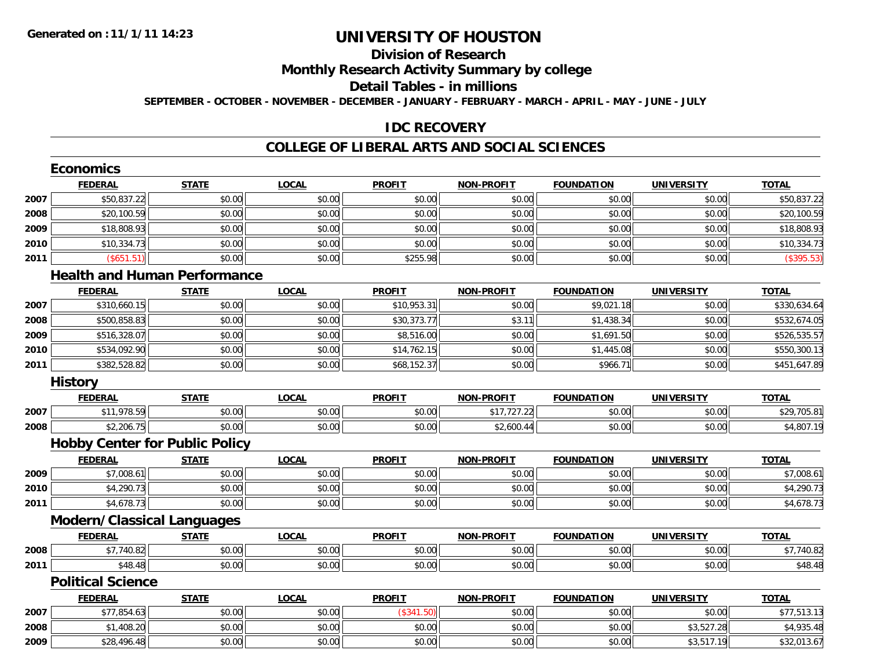# **Division of Research**

## **Monthly Research Activity Summary by college**

#### **Detail Tables - in millions**

**SEPTEMBER - OCTOBER - NOVEMBER - DECEMBER - JANUARY - FEBRUARY - MARCH - APRIL - MAY - JUNE - JULY**

### **IDC RECOVERY**

#### **COLLEGE OF LIBERAL ARTS AND SOCIAL SCIENCES**

|      | <b>Economics</b>                      |              |              |               |                   |                   |                   |              |
|------|---------------------------------------|--------------|--------------|---------------|-------------------|-------------------|-------------------|--------------|
|      | <b>FEDERAL</b>                        | <b>STATE</b> | <b>LOCAL</b> | <b>PROFIT</b> | <b>NON-PROFIT</b> | <b>FOUNDATION</b> | <b>UNIVERSITY</b> | <b>TOTAL</b> |
| 2007 | \$50,837.22                           | \$0.00       | \$0.00       | \$0.00        | \$0.00            | \$0.00            | \$0.00            | \$50,837.22  |
| 2008 | \$20,100.59                           | \$0.00       | \$0.00       | \$0.00        | \$0.00            | \$0.00            | \$0.00            | \$20,100.59  |
| 2009 | \$18,808.93                           | \$0.00       | \$0.00       | \$0.00        | \$0.00            | \$0.00            | \$0.00            | \$18,808.93  |
| 2010 | \$10,334.73                           | \$0.00       | \$0.00       | \$0.00        | \$0.00            | \$0.00            | \$0.00            | \$10,334.73  |
| 2011 | (\$651.51)                            | \$0.00       | \$0.00       | \$255.98      | \$0.00            | \$0.00            | \$0.00            | (\$395.53)   |
|      | <b>Health and Human Performance</b>   |              |              |               |                   |                   |                   |              |
|      | <b>FEDERAL</b>                        | <b>STATE</b> | <b>LOCAL</b> | <b>PROFIT</b> | <b>NON-PROFIT</b> | <b>FOUNDATION</b> | <b>UNIVERSITY</b> | <b>TOTAL</b> |
| 2007 | \$310,660.15                          | \$0.00       | \$0.00       | \$10,953.31   | \$0.00            | \$9,021.18        | \$0.00            | \$330,634.64 |
| 2008 | \$500,858.83                          | \$0.00       | \$0.00       | \$30,373.77   | \$3.11            | \$1,438.34        | \$0.00            | \$532,674.05 |
| 2009 | \$516,328.07                          | \$0.00       | \$0.00       | \$8,516.00    | \$0.00            | \$1,691.50        | \$0.00            | \$526,535.57 |
| 2010 | \$534,092.90                          | \$0.00       | \$0.00       | \$14,762.15   | \$0.00            | \$1,445.08        | \$0.00            | \$550,300.13 |
| 2011 | \$382,528.82                          | \$0.00       | \$0.00       | \$68,152.37   | \$0.00            | \$966.71          | \$0.00            | \$451,647.89 |
|      | <b>History</b>                        |              |              |               |                   |                   |                   |              |
|      | <b>FEDERAL</b>                        | <b>STATE</b> | <b>LOCAL</b> | <b>PROFIT</b> | <b>NON-PROFIT</b> | <b>FOUNDATION</b> | <b>UNIVERSITY</b> | <b>TOTAL</b> |
| 2007 | \$11,978.59                           | \$0.00       | \$0.00       | \$0.00        | \$17,727.22       | \$0.00            | \$0.00            | \$29,705.81  |
| 2008 | \$2,206.75                            | \$0.00       | \$0.00       | \$0.00        | \$2,600.44        | \$0.00            | \$0.00            | \$4,807.19   |
|      | <b>Hobby Center for Public Policy</b> |              |              |               |                   |                   |                   |              |
|      | <b>FEDERAL</b>                        | <b>STATE</b> | <b>LOCAL</b> | <b>PROFIT</b> | <b>NON-PROFIT</b> | <b>FOUNDATION</b> | <b>UNIVERSITY</b> | <b>TOTAL</b> |
| 2009 | \$7,008.61                            | \$0.00       | \$0.00       | \$0.00        | \$0.00            | \$0.00            | \$0.00            | \$7,008.61   |
| 2010 | \$4,290.73                            | \$0.00       | \$0.00       | \$0.00        | \$0.00            | \$0.00            | \$0.00            | \$4,290.73   |
| 2011 | \$4,678.73                            | \$0.00       | \$0.00       | \$0.00        | \$0.00            | \$0.00            | \$0.00            | \$4,678.73   |
|      | <b>Modern/Classical Languages</b>     |              |              |               |                   |                   |                   |              |
|      | <b>FEDERAL</b>                        | <b>STATE</b> | <b>LOCAL</b> | <b>PROFIT</b> | <b>NON-PROFIT</b> | <b>FOUNDATION</b> | <b>UNIVERSITY</b> | <b>TOTAL</b> |
| 2008 | \$7,740.82                            | \$0.00       | \$0.00       | \$0.00        | \$0.00            | \$0.00            | \$0.00            | \$7,740.82   |
| 2011 | \$48.48                               | \$0.00       | \$0.00       | \$0.00        | \$0.00            | \$0.00            | \$0.00            | \$48.48      |
|      | <b>Political Science</b>              |              |              |               |                   |                   |                   |              |
|      | <b>FEDERAL</b>                        | <b>STATE</b> | <b>LOCAL</b> | <b>PROFIT</b> | <b>NON-PROFIT</b> | <b>FOUNDATION</b> | <b>UNIVERSITY</b> | <b>TOTAL</b> |
| 2007 | \$77,854.63                           | \$0.00       | \$0.00       | (\$341.50)    | \$0.00            | \$0.00            | \$0.00            | \$77,513.13  |
| 2008 | \$1,408.20                            | \$0.00       | \$0.00       | \$0.00        | \$0.00            | \$0.00            | \$3,527.28        | \$4,935.48   |
| 2009 | \$28,496.48                           | \$0.00       | \$0.00       | \$0.00        | \$0.00            | \$0.00            | \$3,517.19        | \$32,013.67  |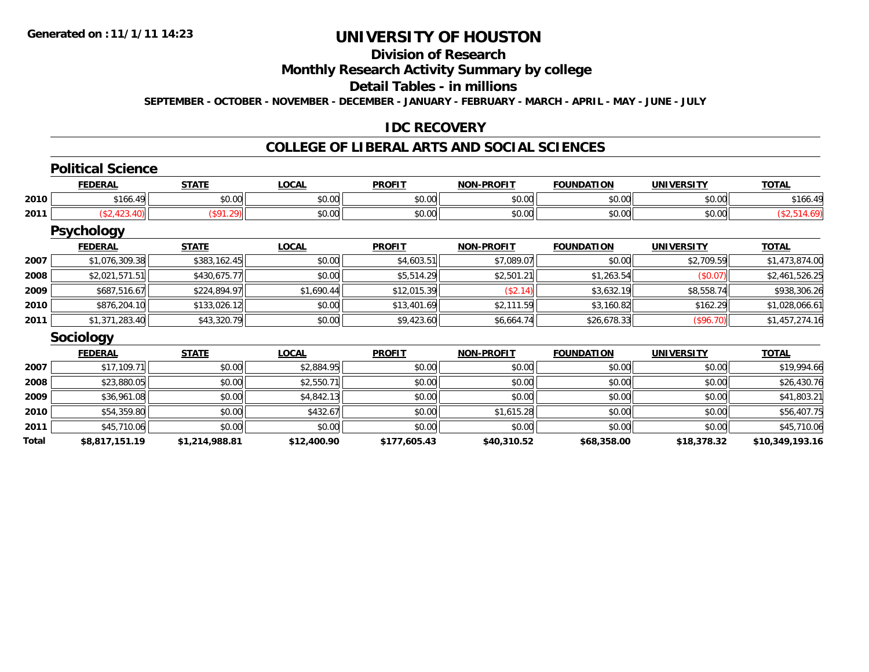## **Division of Research**

### **Monthly Research Activity Summary by college**

### **Detail Tables - in millions**

**SEPTEMBER - OCTOBER - NOVEMBER - DECEMBER - JANUARY - FEBRUARY - MARCH - APRIL - MAY - JUNE - JULY**

#### **IDC RECOVERY**

### **COLLEGE OF LIBERAL ARTS AND SOCIAL SCIENCES**

#### **Political Science**

|      | <b>FEDERAL</b>                  | CTATI        | LOCAI              | <b>PROFIT</b>          | <b>NON-PROFIT</b> | <b>FOUNDATION</b> | <b>IINTVERSITY</b> | -^-<br>IUIAL |
|------|---------------------------------|--------------|--------------------|------------------------|-------------------|-------------------|--------------------|--------------|
| 2010 | A<br>$\overline{ }$<br>, I UU - | ÷0.<br>JU.UU | $\sim$ 00<br>vv.vv | $\sim$ $\sim$<br>JU.UU | 0000<br>vv.vv     | 0000<br>- DU.UU   | $\sim$ 00<br>JU.UU | 100.         |
| 2011 |                                 |              | $\sim$ 00<br>JU.UU | JU.UU                  | 0000<br>vv.vv     | 0000<br>- DU.UU   | $\sim$ 00<br>JU.UU |              |

#### **Psychology**

|      | <b>FEDERAL</b> | <b>STATE</b> | <b>LOCAL</b> | <b>PROFIT</b> | <b>NON-PROFIT</b> | <b>FOUNDATION</b> | <b>UNIVERSITY</b> | <u>TOTAL</u>   |
|------|----------------|--------------|--------------|---------------|-------------------|-------------------|-------------------|----------------|
| 2007 | \$1,076,309.38 | \$383,162.45 | \$0.00       | \$4,603.51    | \$7,089.07        | \$0.00            | \$2,709.59        | \$1,473,874.00 |
| 2008 | \$2,021,571.51 | \$430,675.77 | \$0.00       | \$5,514.29    | \$2,501.21        | \$1,263.54        | (\$0.07)          | \$2,461,526.25 |
| 2009 | \$687,516.67   | \$224,894.97 | \$1,690.44   | \$12,015.39   | (\$2.14)          | \$3,632.19        | \$8,558.74        | \$938,306.26   |
| 2010 | \$876,204.10   | \$133,026.12 | \$0.00       | \$13,401.69   | \$2,111.59        | \$3,160.82        | \$162.29          | \$1,028,066.61 |
| 2011 | \$1,371,283.40 | \$43,320.79  | \$0.00       | \$9,423.60    | \$6,664.74        | \$26,678.33       | (\$96.70)         | \$1,457,274.16 |

#### **Sociology**

|       | <b>FEDERAL</b> | <b>STATE</b>   | <b>LOCAL</b> | <b>PROFIT</b> | <b>NON-PROFIT</b> | <b>FOUNDATION</b> | <b>UNIVERSITY</b> | <b>TOTAL</b>    |
|-------|----------------|----------------|--------------|---------------|-------------------|-------------------|-------------------|-----------------|
| 2007  | \$17.109.7     | \$0.00         | \$2,884.95   | \$0.00        | \$0.00            | \$0.00            | \$0.00            | \$19,994.66     |
| 2008  | \$23,880.05    | \$0.00         | \$2,550.71   | \$0.00        | \$0.00            | \$0.00            | \$0.00            | \$26,430.76     |
| 2009  | \$36,961.08    | \$0.00         | \$4,842.13   | \$0.00        | \$0.00            | \$0.00            | \$0.00            | \$41,803.21     |
| 2010  | \$54,359.80    | \$0.00         | \$432.67     | \$0.00        | \$1,615.28        | \$0.00            | \$0.00            | \$56,407.75     |
| 2011  | \$45,710.06    | \$0.00         | \$0.00       | \$0.00        | \$0.00            | \$0.00            | \$0.00            | \$45,710.06     |
| Total | \$8,817,151.19 | \$1,214,988.81 | \$12,400.90  | \$177,605.43  | \$40,310.52       | \$68,358.00       | \$18,378.32       | \$10,349,193.16 |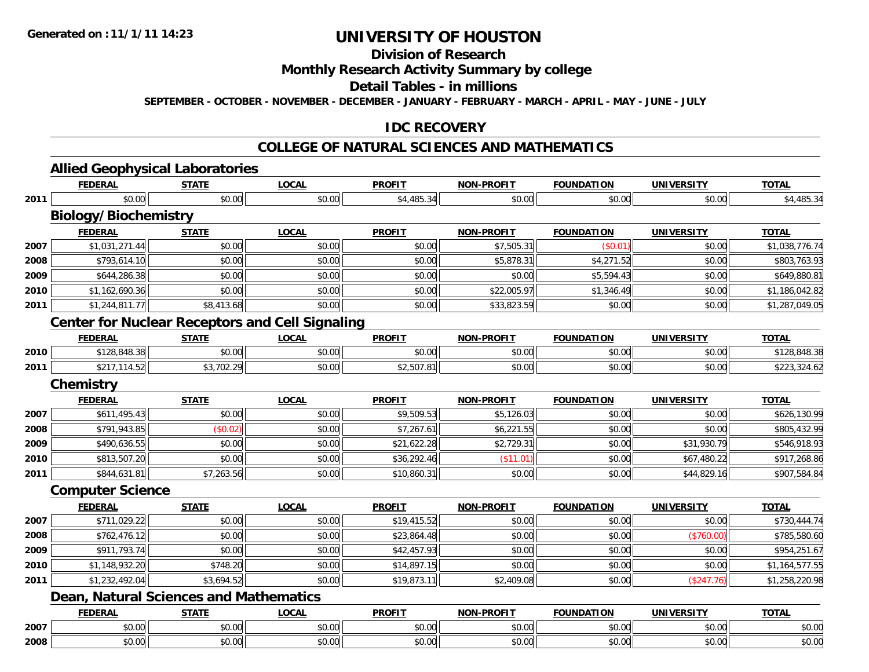**2008**

## **UNIVERSITY OF HOUSTON**

## **Division of Research**

## **Monthly Research Activity Summary by college**

### **Detail Tables - in millions**

**SEPTEMBER - OCTOBER - NOVEMBER - DECEMBER - JANUARY - FEBRUARY - MARCH - APRIL - MAY - JUNE - JULY**

#### **IDC RECOVERY**

### **COLLEGE OF NATURAL SCIENCES AND MATHEMATICS**

|      | <b>FEDERAL</b>                                         | <b>STATE</b>           | <b>LOCAL</b>           | <b>PROFIT</b> | <b>NON-PROFIT</b>           | <b>FOUNDATION</b>           | <b>UNIVERSITY</b>           | <b>TOTAL</b>           |
|------|--------------------------------------------------------|------------------------|------------------------|---------------|-----------------------------|-----------------------------|-----------------------------|------------------------|
| 2011 | \$0.00                                                 | \$0.00                 | \$0.00                 | \$4,485.34    | \$0.00                      | \$0.00                      | \$0.00                      | \$4,485.34             |
|      | <b>Biology/Biochemistry</b>                            |                        |                        |               |                             |                             |                             |                        |
|      | <b>FEDERAL</b>                                         | <b>STATE</b>           | <b>LOCAL</b>           | <b>PROFIT</b> | <b>NON-PROFIT</b>           | <b>FOUNDATION</b>           | <b>UNIVERSITY</b>           | <b>TOTAL</b>           |
| 2007 | \$1,031,271.44                                         | \$0.00                 | \$0.00                 | \$0.00        | \$7,505.31                  | (\$0.01)                    | \$0.00                      | \$1,038,776.74         |
| 2008 | \$793,614.10                                           | \$0.00                 | \$0.00                 | \$0.00        | \$5,878.31                  | \$4,271.52                  | \$0.00                      | \$803,763.93           |
| 2009 | \$644,286.38                                           | \$0.00                 | \$0.00                 | \$0.00        | \$0.00                      | \$5,594.43                  | \$0.00                      | \$649,880.81           |
| 2010 | \$1,162,690.36                                         | \$0.00                 | \$0.00                 | \$0.00        | \$22,005.97                 | \$1,346.49                  | \$0.00                      | \$1,186,042.82         |
| 2011 | \$1,244,811.77                                         | \$8,413.68             | \$0.00                 | \$0.00        | \$33,823.59                 | \$0.00                      | \$0.00                      | \$1,287,049.05         |
|      | <b>Center for Nuclear Receptors and Cell Signaling</b> |                        |                        |               |                             |                             |                             |                        |
|      | <b>FEDERAL</b>                                         | <b>STATE</b>           | <b>LOCAL</b>           | <b>PROFIT</b> | <b>NON-PROFIT</b>           | <b>FOUNDATION</b>           | <b>UNIVERSITY</b>           | <b>TOTAL</b>           |
| 2010 | \$128,848.38                                           | \$0.00                 | \$0.00                 | \$0.00        | \$0.00                      | \$0.00                      | \$0.00                      | \$128,848.38           |
| 2011 | \$217,114.52                                           | \$3,702.29             | \$0.00                 | \$2,507.81    | \$0.00                      | \$0.00                      | \$0.00                      | \$223,324.62           |
|      | <b>Chemistry</b>                                       |                        |                        |               |                             |                             |                             |                        |
|      | <b>FEDERAL</b>                                         | <b>STATE</b>           | <b>LOCAL</b>           | <b>PROFIT</b> | <b>NON-PROFIT</b>           | <b>FOUNDATION</b>           | <b>UNIVERSITY</b>           | <b>TOTAL</b>           |
| 2007 | \$611,495.43                                           | \$0.00                 | \$0.00                 | \$9,509.53    | \$5,126.03                  | \$0.00                      | \$0.00                      | \$626,130.99           |
| 2008 | \$791,943.85                                           | (\$0.02)               | \$0.00                 | \$7,267.61    | \$6,221.55                  | \$0.00                      | \$0.00                      | \$805,432.99           |
| 2009 | \$490,636.55                                           | \$0.00                 | \$0.00                 | \$21,622.28   | \$2,729.31                  | \$0.00                      | \$31,930.79                 | \$546,918.93           |
| 2010 | \$813,507.20                                           | \$0.00                 | \$0.00                 | \$36,292.46   | (\$11.01)                   | \$0.00                      | \$67,480.22                 | \$917,268.86           |
| 2011 | \$844,631.81                                           | \$7,263.56             | \$0.00                 | \$10,860.31   | \$0.00                      | \$0.00                      | \$44,829.16                 | \$907,584.84           |
|      | <b>Computer Science</b>                                |                        |                        |               |                             |                             |                             |                        |
|      | <b>FEDERAL</b>                                         | <b>STATE</b>           | <b>LOCAL</b>           | <b>PROFIT</b> | <b>NON-PROFIT</b>           | <b>FOUNDATION</b>           | <b>UNIVERSITY</b>           | <b>TOTAL</b>           |
| 2007 | \$711,029.22                                           | \$0.00                 | \$0.00                 | \$19,415.52   | \$0.00                      | \$0.00                      | \$0.00                      | \$730,444.74           |
| 2008 | \$762,476.12                                           | \$0.00                 | \$0.00                 | \$23,864.48   | \$0.00                      | \$0.00                      | (\$760.00)                  | \$785,580.60           |
| 2009 | \$911,793.74                                           | \$0.00                 | \$0.00                 | \$42,457.93   | \$0.00                      | \$0.00                      | \$0.00                      | \$954,251.67           |
| 2010 | \$1,148,932.20                                         | \$748.20               | \$0.00                 | \$14,897.15   | \$0.00                      | \$0.00                      | \$0.00                      | \$1,164,577.55         |
| 2011 | \$1,232,492.04                                         | \$3,694.52             | \$0.00                 | \$19,873.11   | \$2,409.08                  | \$0.00                      | (\$247.76)                  | \$1,258,220.98         |
|      | <b>Dean, Natural Sciences and Mathematics</b>          |                        |                        |               |                             |                             |                             |                        |
|      |                                                        |                        |                        |               |                             |                             |                             |                        |
|      | <b>FEDERAL</b><br>\$0.00                               | <b>STATE</b><br>\$0.00 | <b>LOCAL</b><br>\$0.00 | <b>PROFIT</b> | <b>NON-PROFIT</b><br>\$0.00 | <b>FOUNDATION</b><br>\$0.00 | <b>UNIVERSITY</b><br>\$0.00 | <b>TOTAL</b><br>\$0.00 |

\$0.00 \$0.00 \$0.00 \$0.00 \$0.00 \$0.00 \$0.00 \$0.00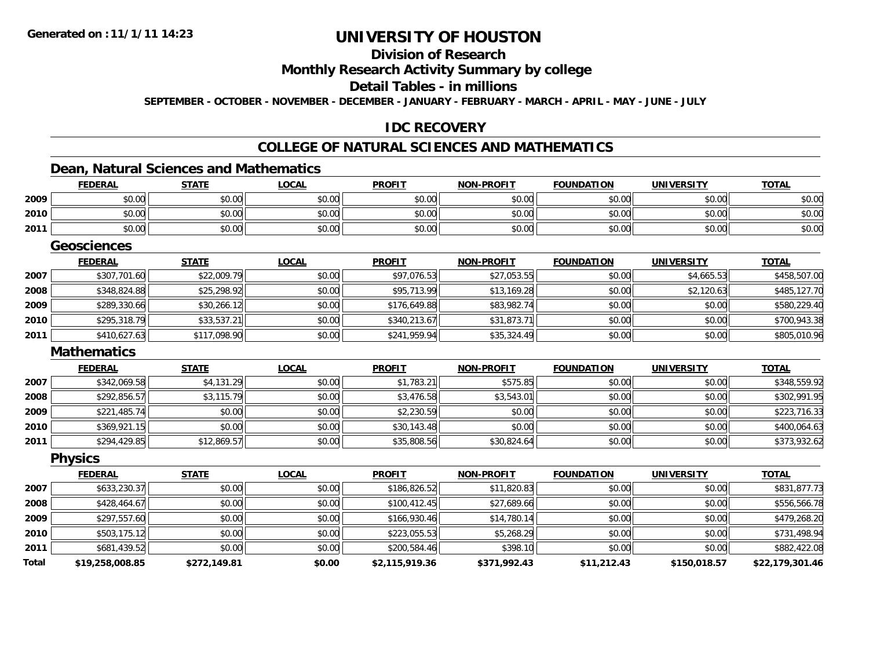## **Division of Research**

### **Monthly Research Activity Summary by college**

### **Detail Tables - in millions**

**SEPTEMBER - OCTOBER - NOVEMBER - DECEMBER - JANUARY - FEBRUARY - MARCH - APRIL - MAY - JUNE - JULY**

### **IDC RECOVERY**

#### **COLLEGE OF NATURAL SCIENCES AND MATHEMATICS**

## **Dean, Natural Sciences and Mathematics**

|      | <u>FEDERAL</u>     | <b>STATE</b> | <b>LOCAL</b> | <u>PROFIT</u> | <u>NON-PROFIT</u> | <u>FOUNDATION</u> | <u>UNIVERSITY</u> | <u>TOTAL</u> |
|------|--------------------|--------------|--------------|---------------|-------------------|-------------------|-------------------|--------------|
| 2009 | \$0.00             | \$0.00       | \$0.00       | \$0.00        | \$0.00            | \$0.00            | \$0.00            | \$0.00       |
| 2010 | \$0.00             | \$0.00       | \$0.00       | \$0.00        | \$0.00            | \$0.00            | \$0.00            | \$0.00       |
| 2011 | \$0.00             | \$0.00       | \$0.00       | \$0.00        | \$0.00            | \$0.00            | \$0.00            | \$0.00       |
|      | <b>Geosciences</b> |              |              |               |                   |                   |                   |              |
|      | <b>FEDERAL</b>     | <b>STATE</b> | <b>LOCAL</b> | <b>PROFIT</b> | <b>NON-PROFIT</b> | <b>FOUNDATION</b> | <b>UNIVERSITY</b> | <b>TOTAL</b> |
| 2007 | \$307,701.60       | \$22,009.79  | \$0.00       | \$97,076.53   | \$27,053.55       | \$0.00            | \$4,665.53        | \$458,507.00 |
| 2008 | \$348,824.88       | \$25,298.92  | \$0.00       | \$95,713.99   | \$13,169.28       | \$0.00            | \$2,120.63        | \$485,127.70 |
| 2009 | \$289,330.66       | \$30,266.12  | \$0.00       | \$176,649.88  | \$83,982.74       | \$0.00            | \$0.00            | \$580,229.40 |
| 2010 | \$295,318.79       | \$33,537.21  | \$0.00       | \$340,213.67  | \$31,873.71       | \$0.00            | \$0.00            | \$700,943.38 |
| 2011 | \$410,627.63       | \$117,098.90 | \$0.00       | \$241,959.94  | \$35,324.49       | \$0.00            | \$0.00            | \$805,010.96 |
|      | <b>Mathematics</b> |              |              |               |                   |                   |                   |              |
|      | <b>FEDERAL</b>     | <b>STATE</b> | <b>LOCAL</b> | <b>PROFIT</b> | <b>NON-PROFIT</b> | <b>FOUNDATION</b> | <b>UNIVERSITY</b> | <b>TOTAL</b> |
| 2007 | \$342,069.58       | \$4,131.29   | \$0.00       | \$1,783.21    | \$575.85          | \$0.00            | \$0.00            | \$348,559.92 |
| 2008 | \$292,856.57       | \$3,115.79   | \$0.00       | \$3,476.58    | \$3,543.01        | \$0.00            | \$0.00            | \$302,991.95 |
| 2009 | \$221,485.74       | \$0.00       | \$0.00       | \$2,230.59    | \$0.00            | \$0.00            | \$0.00            | \$223,716.33 |
| 2010 | \$369,921.15       | \$0.00       | \$0.00       | \$30,143.48   | \$0.00            | \$0.00            | \$0.00            | \$400,064.63 |
| 2011 | \$294,429.85       | \$12,869.57  | \$0.00       | \$35,808.56   | \$30,824.64       | \$0.00            | \$0.00            | \$373,932.62 |
|      | <b>Physics</b>     |              |              |               |                   |                   |                   |              |
|      | <b>FEDERAL</b>     | <b>STATE</b> | <b>LOCAL</b> | <b>PROFIT</b> | <b>NON-PROFIT</b> | <b>FOUNDATION</b> | <b>UNIVERSITY</b> | <b>TOTAL</b> |

|       | 1 LVLMAL        | 5171E        | <u>LULAL</u> | <u>ENVLLI</u>  | <b>IVITERVILLE</b> | ייט ווערוסט | <b>UNIVERSITI</b> | 10172           |
|-------|-----------------|--------------|--------------|----------------|--------------------|-------------|-------------------|-----------------|
| 2007  | \$633,230.37    | \$0.00       | \$0.00       | \$186,826.52   | \$11,820.83        | \$0.00      | \$0.00            | \$831,877.73    |
| 2008  | \$428,464.67    | \$0.00       | \$0.00       | \$100,412.45   | \$27,689.66        | \$0.00      | \$0.00            | \$556,566.78    |
| 2009  | \$297,557.60    | \$0.00       | \$0.00       | \$166,930.46   | \$14,780.14        | \$0.00      | \$0.00            | \$479,268.20    |
| 2010  | \$503,175.12    | \$0.00       | \$0.00       | \$223,055.53   | \$5,268.29         | \$0.00      | \$0.00            | \$731,498.94    |
| 2011  | \$681,439.52    | \$0.00       | \$0.00       | \$200,584.46   | \$398.10           | \$0.00      | \$0.00            | \$882,422.08    |
| Total | \$19,258,008.85 | \$272,149.81 | \$0.00       | \$2,115,919.36 | \$371,992.43       | \$11,212.43 | \$150,018.57      | \$22,179,301.46 |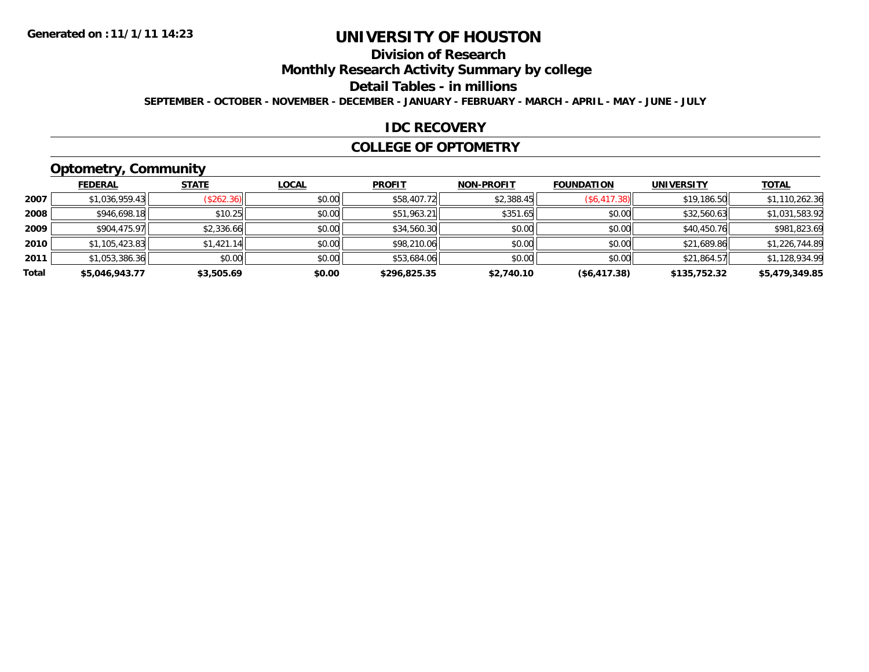### **Division of Research**

**Monthly Research Activity Summary by college**

#### **Detail Tables - in millions**

**SEPTEMBER - OCTOBER - NOVEMBER - DECEMBER - JANUARY - FEBRUARY - MARCH - APRIL - MAY - JUNE - JULY**

#### **IDC RECOVERY**

#### **COLLEGE OF OPTOMETRY**

## **Optometry, Community**

|       | - - -          |              |              |               |                   |                   |                   |                |
|-------|----------------|--------------|--------------|---------------|-------------------|-------------------|-------------------|----------------|
|       | <b>FEDERAL</b> | <b>STATE</b> | <b>LOCAL</b> | <b>PROFIT</b> | <b>NON-PROFIT</b> | <b>FOUNDATION</b> | <b>UNIVERSITY</b> | <b>TOTAL</b>   |
| 2007  | \$1,036,959.43 | (\$262.36)   | \$0.00       | \$58,407.72   | \$2,388.45        | (\$6,417.38)      | \$19,186.50       | \$1,110,262.36 |
| 2008  | \$946,698.18   | \$10.25      | \$0.00       | \$51,963.21   | \$351.65          | \$0.00            | \$32,560.63       | \$1,031,583.92 |
| 2009  | \$904,475.97   | \$2,336.66   | \$0.00       | \$34,560.30   | \$0.00            | \$0.00            | \$40,450.76       | \$981,823.69   |
| 2010  | \$1,105,423.83 | \$1,421.14   | \$0.00       | \$98,210.06   | \$0.00            | \$0.00            | \$21,689.86       | \$1,226,744.89 |
| 2011  | \$1,053,386.36 | \$0.00       | \$0.00       | \$53,684.06   | \$0.00            | \$0.00            | \$21,864.57       | \$1,128,934.99 |
| Total | \$5,046,943.77 | \$3,505.69   | \$0.00       | \$296,825.35  | \$2,740.10        | ( \$6,417.38)     | \$135,752.32      | \$5,479,349.85 |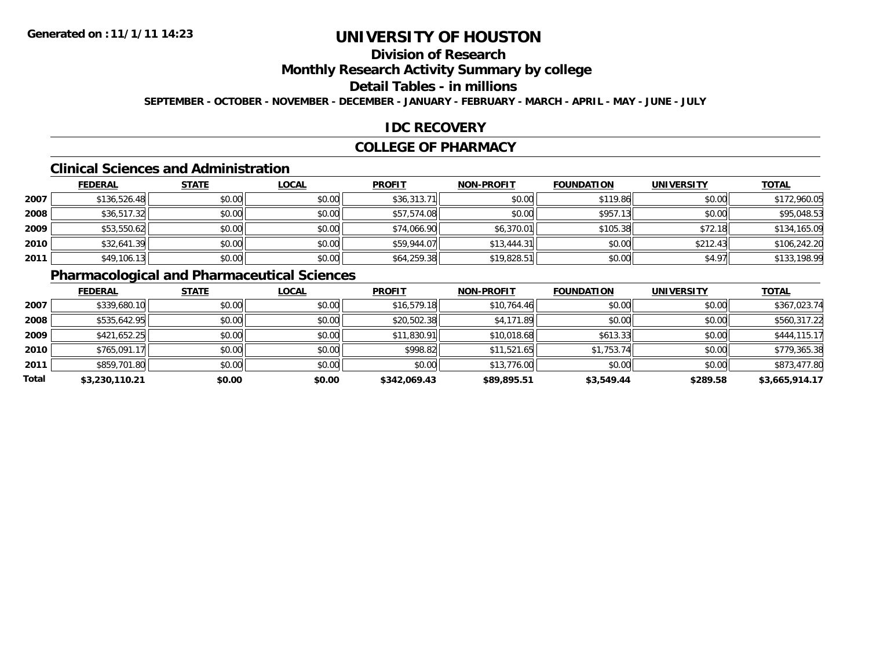## **Division of Research**

### **Monthly Research Activity Summary by college**

### **Detail Tables - in millions**

**SEPTEMBER - OCTOBER - NOVEMBER - DECEMBER - JANUARY - FEBRUARY - MARCH - APRIL - MAY - JUNE - JULY**

#### **IDC RECOVERY**

#### **COLLEGE OF PHARMACY**

#### **Clinical Sciences and Administration**

|      | <b>FEDERAL</b> | <b>STATE</b> | <b>LOCAL</b> | <b>PROFIT</b> | <b>NON-PROFIT</b> | <b>FOUNDATION</b> | <b>UNIVERSITY</b> | <b>TOTAL</b> |
|------|----------------|--------------|--------------|---------------|-------------------|-------------------|-------------------|--------------|
| 2007 | \$136,526.48   | \$0.00       | \$0.00       | \$36,313.71   | \$0.00            | \$119.86          | \$0.00            | \$172,960.05 |
| 2008 | \$36,517.32    | \$0.00       | \$0.00       | \$57,574.08   | \$0.00            | \$957.13          | \$0.00            | \$95,048.53  |
| 2009 | \$53,550.62    | \$0.00       | \$0.00       | \$74,066.90   | \$6,370.01        | \$105.38          | \$72.18           | \$134,165.09 |
| 2010 | \$32,641.39    | \$0.00       | \$0.00       | \$59,944.07   | \$13,444.31       | \$0.00            | \$212.43          | \$106,242.20 |
| 2011 | \$49,106.13    | \$0.00       | \$0.00       | \$64,259.38   | \$19,828.51       | \$0.00            | \$4.97            | \$133,198.99 |

### **Pharmacological and Pharmaceutical Sciences**

|       | <b>FEDERAL</b> | <b>STATE</b> | <b>LOCAL</b> | <b>PROFIT</b> | <b>NON-PROFIT</b> | <b>FOUNDATION</b> | <b>UNIVERSITY</b> | <b>TOTAL</b>   |
|-------|----------------|--------------|--------------|---------------|-------------------|-------------------|-------------------|----------------|
| 2007  | \$339,680.10   | \$0.00       | \$0.00       | \$16,579.18   | \$10,764.46       | \$0.00            | \$0.00            | \$367,023.74   |
| 2008  | \$535,642.95   | \$0.00       | \$0.00       | \$20,502.38   | \$4,171.89        | \$0.00            | \$0.00            | \$560,317.22   |
| 2009  | \$421,652.25   | \$0.00       | \$0.00       | \$11,830.91   | \$10,018.68       | \$613.33          | \$0.00            | \$444,115.17   |
| 2010  | \$765,091.17   | \$0.00       | \$0.00       | \$998.82      | \$11,521.65       | \$1,753.74        | \$0.00            | \$779,365.38   |
| 2011  | \$859,701.80   | \$0.00       | \$0.00       | \$0.00        | \$13,776.00       | \$0.00            | \$0.00            | \$873,477.80   |
| Total | \$3,230,110.21 | \$0.00       | \$0.00       | \$342,069.43  | \$89,895.51       | \$3,549.44        | \$289.58          | \$3,665,914.17 |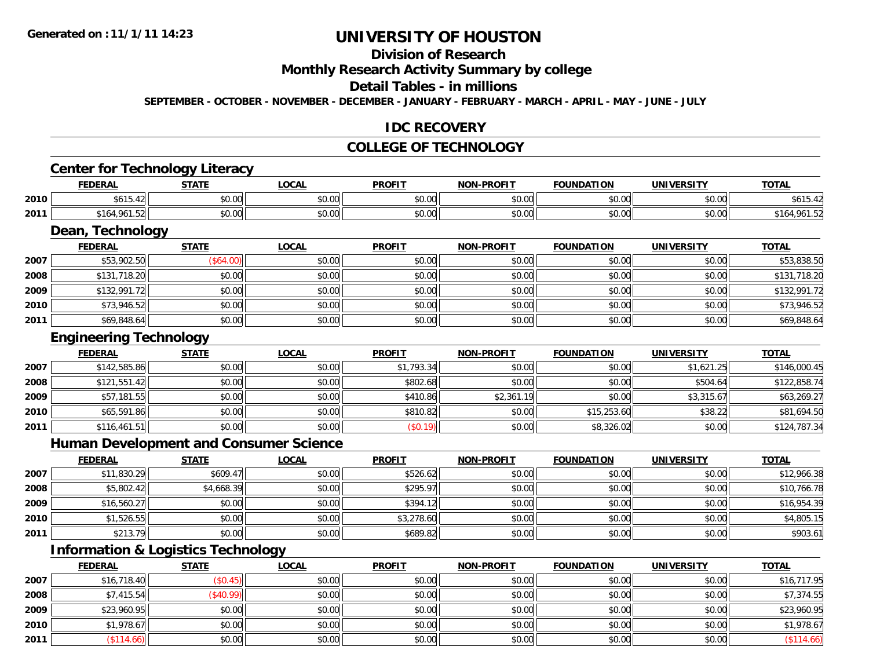## **Division of Research**

#### **Monthly Research Activity Summary by college**

#### **Detail Tables - in millions**

**SEPTEMBER - OCTOBER - NOVEMBER - DECEMBER - JANUARY - FEBRUARY - MARCH - APRIL - MAY - JUNE - JULY**

#### **IDC RECOVERY**

#### **COLLEGE OF TECHNOLOGY**

## **Center for Technology Literacy**

|      | <b>FEDERAL</b>              | STATI         | LOCAI              | <b>PROFIT</b> | <b>NON-PROFIT</b> | <b>TION</b><br><b>FOUNDAT</b> | <b>UNIVERSITY</b> | <b>TOTAL</b> |
|------|-----------------------------|---------------|--------------------|---------------|-------------------|-------------------------------|-------------------|--------------|
| 2010 | A / A F<br>ъo.              | ሖጣ<br>DU.UU   | $\sim$ 00<br>vu.vu | 0.00<br>JU.UU | \$0.00            | 0000<br>,u.uu                 | \$0.00            | A/AF         |
| 2011 | 041<br>- -<br>164ء<br>ے ں ا | 0000<br>₽U.UU | 0.00<br>JU.UU      | 0.00<br>JU.UU | \$0.00            | $+ - - -$<br>,u.uu            | \$0.00            | Уb           |

<u> 1989 - Andrea Station Barbara, amerikan bahasa perang perang perang perang perang perang perang perang perang</u>

### **Dean, Technology**

|      | <b>FEDERAL</b> | <b>STATE</b> | <b>LOCAL</b> | <b>PROFIT</b> | <b>NON-PROFIT</b> | <b>FOUNDATION</b> | <b>UNIVERSITY</b> | <b>TOTAL</b> |
|------|----------------|--------------|--------------|---------------|-------------------|-------------------|-------------------|--------------|
| 2007 | \$53,902.50    | $($ \$64.00) | \$0.00       | \$0.00        | \$0.00            | \$0.00            | \$0.00            | \$53,838.50  |
| 2008 | \$131,718.20   | \$0.00       | \$0.00       | \$0.00        | \$0.00            | \$0.00            | \$0.00            | \$131,718.20 |
| 2009 | \$132,991.72   | \$0.00       | \$0.00       | \$0.00        | \$0.00            | \$0.00            | \$0.00            | \$132,991.72 |
| 2010 | \$73,946.52    | \$0.00       | \$0.00       | \$0.00        | \$0.00            | \$0.00            | \$0.00            | \$73,946.52  |
| 2011 | \$69,848.64    | \$0.00       | \$0.00       | \$0.00        | \$0.00            | \$0.00            | \$0.00            | \$69,848.64  |

# **Engineering Technology**

|      | <b>FEDERAL</b> | <b>STATE</b> | <b>LOCAL</b> | <b>PROFIT</b> | <b>NON-PROFIT</b> | <b>FOUNDATION</b> | <b>UNIVERSITY</b> | <b>TOTAL</b> |
|------|----------------|--------------|--------------|---------------|-------------------|-------------------|-------------------|--------------|
| 2007 | \$142,585.86   | \$0.00       | \$0.00       | \$1,793.34    | \$0.00            | \$0.00            | \$1,621.25        | \$146,000.45 |
| 2008 | \$121,551.42   | \$0.00       | \$0.00       | \$802.68      | \$0.00            | \$0.00            | \$504.64          | \$122,858.74 |
| 2009 | \$57,181.55    | \$0.00       | \$0.00       | \$410.86      | \$2,361.19        | \$0.00            | \$3,315.67        | \$63,269.27  |
| 2010 | \$65,591.86    | \$0.00       | \$0.00       | \$810.82      | \$0.00            | \$15,253.60       | \$38.22           | \$81,694.50  |
| 2011 | \$116,461.51   | \$0.00       | \$0.00       | (\$0.19)      | \$0.00            | \$8,326.02        | \$0.00            | \$124,787.34 |

#### **Human Development and Consumer Science**

|      | <b>FEDERAL</b> | <b>STATE</b> | <b>LOCAL</b> | <b>PROFIT</b> | <b>NON-PROFIT</b> | <b>FOUNDATION</b> | <b>UNIVERSITY</b> | <b>TOTAL</b> |
|------|----------------|--------------|--------------|---------------|-------------------|-------------------|-------------------|--------------|
| 2007 | \$11,830.29    | \$609.47     | \$0.00       | \$526.62      | \$0.00            | \$0.00            | \$0.00            | \$12,966.38  |
| 2008 | \$5,802.42     | \$4,668.39   | \$0.00       | \$295.97      | \$0.00            | \$0.00            | \$0.00            | \$10,766.78  |
| 2009 | \$16,560.27    | \$0.00       | \$0.00       | \$394.12      | \$0.00            | \$0.00            | \$0.00            | \$16,954.39  |
| 2010 | \$1,526.55     | \$0.00       | \$0.00       | \$3,278.60    | \$0.00            | \$0.00            | \$0.00            | \$4,805.15   |
| 2011 | \$213.79       | \$0.00       | \$0.00       | \$689.82      | \$0.00            | \$0.00            | \$0.00            | \$903.61     |

### **Information & Logistics Technology**

|      | <b>FEDERAL</b> | <b>STATE</b>           | <b>LOCAL</b> | <b>PROFIT</b> | <b>NON-PROFIT</b> | <b>FOUNDATION</b> | <b>UNIVERSITY</b> | <b>TOTAL</b>  |
|------|----------------|------------------------|--------------|---------------|-------------------|-------------------|-------------------|---------------|
| 2007 | \$16,718.40    | $($ \$0.45) $^{\circ}$ | \$0.00       | \$0.00        | \$0.00            | \$0.00            | \$0.00            | \$16,717.95   |
| 2008 | \$7,415.54     | (\$40.99)              | \$0.00       | \$0.00        | \$0.00            | \$0.00            | \$0.00            | \$7,374.55    |
| 2009 | \$23,960.95    | \$0.00                 | \$0.00       | \$0.00        | \$0.00            | \$0.00            | \$0.00            | \$23,960.95   |
| 2010 | \$1,978.67     | \$0.00                 | \$0.00       | \$0.00        | \$0.00            | \$0.00            | \$0.00            | \$1,978.67    |
| 2011 | \$114.66       | \$0.00                 | \$0.00       | \$0.00        | \$0.00            | \$0.00            | \$0.00            | $($ \$114.66) |

<u> 1980 - Johann Barbara, martxa alemaniar amerikan basar da a</u>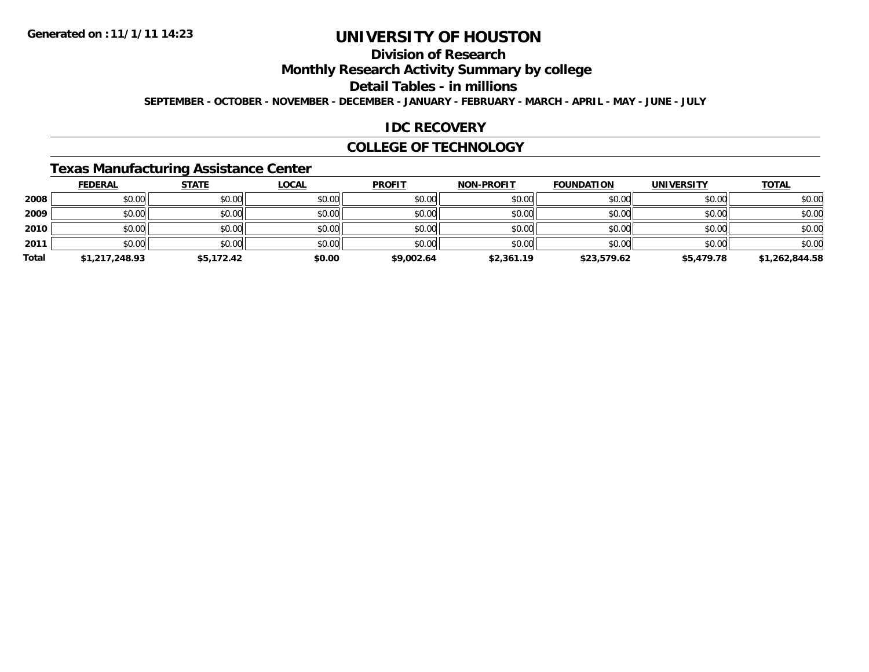## **Division of Research**

### **Monthly Research Activity Summary by college**

### **Detail Tables - in millions**

**SEPTEMBER - OCTOBER - NOVEMBER - DECEMBER - JANUARY - FEBRUARY - MARCH - APRIL - MAY - JUNE - JULY**

#### **IDC RECOVERY**

#### **COLLEGE OF TECHNOLOGY**

### **Texas Manufacturing Assistance Center**

|       | <b>FEDERAL</b> | <b>STATE</b> | <b>LOCAL</b> | <b>PROFIT</b> | <b>NON-PROFIT</b> | <b>FOUNDATION</b> | <b>UNIVERSITY</b> | <b>TOTAL</b>   |
|-------|----------------|--------------|--------------|---------------|-------------------|-------------------|-------------------|----------------|
| 2008  | \$0.00         | \$0.00       | \$0.00       | \$0.00        | \$0.00            | \$0.00            | \$0.00            | \$0.00         |
| 2009  | \$0.00         | \$0.00       | \$0.00       | \$0.00        | \$0.00            | \$0.00            | \$0.00            | \$0.00         |
| 2010  | \$0.00         | \$0.00       | \$0.00       | \$0.00        | \$0.00            | \$0.00            | \$0.00            | \$0.00         |
| 2011  | \$0.00         | \$0.00       | \$0.00       | \$0.00        | \$0.00            | \$0.00            | \$0.00            | \$0.00         |
| Total | \$1,217,248.93 | \$5,172.42   | \$0.00       | \$9,002.64    | \$2,361.19        | \$23,579.62       | \$5,479.78        | \$1,262,844.58 |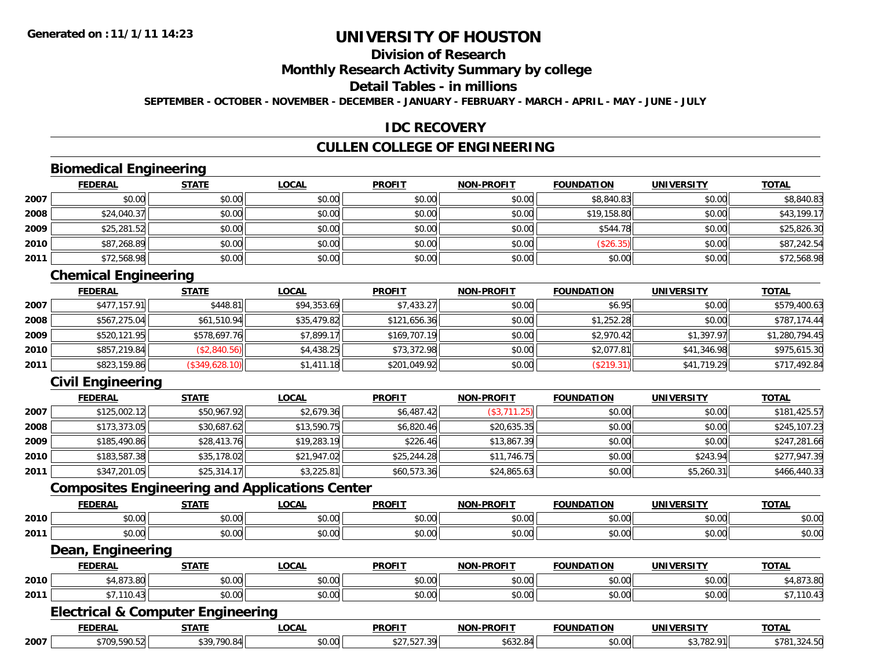## **Division of Research**

### **Monthly Research Activity Summary by college**

#### **Detail Tables - in millions**

**SEPTEMBER - OCTOBER - NOVEMBER - DECEMBER - JANUARY - FEBRUARY - MARCH - APRIL - MAY - JUNE - JULY**

#### **IDC RECOVERY**

#### **CULLEN COLLEGE OF ENGINEERING**

### **Biomedical Engineering**

|      | <b>FEDERAL</b> | <b>STATE</b> | <b>LOCAL</b> | <b>PROFIT</b> | <b>NON-PROFIT</b> | <b>FOUNDATION</b> | <b>UNIVERSITY</b> | <b>TOTAL</b> |
|------|----------------|--------------|--------------|---------------|-------------------|-------------------|-------------------|--------------|
| 2007 | \$0.00         | \$0.00       | \$0.00       | \$0.00        | \$0.00            | \$8,840.83        | \$0.00            | \$8,840.83   |
| 2008 | \$24,040.37    | \$0.00       | \$0.00       | \$0.00        | \$0.00            | \$19,158.80       | \$0.00            | \$43,199.17  |
| 2009 | \$25,281.52    | \$0.00       | \$0.00       | \$0.00        | \$0.00            | \$544.78          | \$0.00            | \$25,826.30  |
| 2010 | \$87,268.89    | \$0.00       | \$0.00       | \$0.00        | \$0.00            | (\$26.35)         | \$0.00            | \$87,242.54  |
| 2011 | \$72,568.98    | \$0.00       | \$0.00       | \$0.00        | \$0.00            | \$0.00            | \$0.00            | \$72,568.98  |

### **Chemical Engineering**

|      | <b>FEDERAL</b> | <b>STATE</b>   | <b>LOCAL</b> | <b>PROFIT</b> | <b>NON-PROFIT</b> | <b>FOUNDATION</b> | <b>UNIVERSITY</b> | <b>TOTAL</b>   |
|------|----------------|----------------|--------------|---------------|-------------------|-------------------|-------------------|----------------|
| 2007 | \$477,157.91   | \$448.81       | \$94,353.69  | \$7,433.27    | \$0.00            | \$6.95            | \$0.00            | \$579,400.63   |
| 2008 | \$567,275.04   | \$61,510.94    | \$35,479.82  | \$121,656.36  | \$0.00            | \$1,252.28        | \$0.00            | \$787,174.44   |
| 2009 | \$520.121.95   | \$578,697.76   | \$7.899.17   | \$169,707.19  | \$0.00            | \$2,970.42        | \$1.397.97        | \$1,280,794.45 |
| 2010 | \$857,219.84   | (\$2,840.56)   | \$4,438.25   | \$73,372.98   | \$0.00            | \$2,077.81        | \$41,346.98       | \$975,615.30   |
| 2011 | \$823,159.86   | (\$349,628.10) | \$1,411.18   | \$201,049.92  | \$0.00            | (\$219.31)        | \$41,719.29       | \$717,492.84   |

### **Civil Engineering**

|      | <u>FEDERAL</u> | <b>STATE</b> | <b>LOCAL</b> | <b>PROFIT</b> | <b>NON-PROFIT</b> | <b>FOUNDATION</b> | <b>UNIVERSITY</b> | <b>TOTAL</b> |
|------|----------------|--------------|--------------|---------------|-------------------|-------------------|-------------------|--------------|
| 2007 | \$125,002.12   | \$50,967.92  | \$2,679.36   | \$6,487.42    | (\$3,711.25)      | \$0.00            | \$0.00            | \$181,425.57 |
| 2008 | \$173,373.05   | \$30,687.62  | \$13,590.75  | \$6,820.46    | \$20,635.35       | \$0.00            | \$0.00            | \$245,107.23 |
| 2009 | \$185,490.86   | \$28,413.76  | \$19,283.19  | \$226.46      | \$13,867.39       | \$0.00            | \$0.00            | \$247,281.66 |
| 2010 | \$183,587.38   | \$35,178.02  | \$21,947.02  | \$25,244.28   | \$11,746.75       | \$0.00            | \$243.94          | \$277,947.39 |
| 2011 | \$347,201.05   | \$25,314.17  | \$3,225.81   | \$60,573.36   | \$24,865.63       | \$0.00            | \$5,260.31        | \$466,440.33 |

#### **Composites Engineering and Applications Center**

|      | <b>CENEDA</b><br>- JEN. | <b>STATE</b>   | <b>OCAI</b>   | <b>PROFIT</b>          | NON-PROFIT    | ΓΤΩΝ<br><b>FAUNIDAT</b><br>IN | UNIV   | <b>TOTAL</b>   |
|------|-------------------------|----------------|---------------|------------------------|---------------|-------------------------------|--------|----------------|
| 2010 | 0.001<br>וטט.           | ሶስ ሰሰ<br>DU.UU | 0.00<br>PO.OO | 0.00<br>۰, ب           | 0000<br>PO.OO | 0000<br>u.uu                  | \$0.00 | nn nn<br>JU.UC |
| 2011 | $\sim$ 00<br>vv.vv      | ሶስ ሰሰ<br>JU.UU | 0.00<br>JU.UU | $\sim$ $\sim$<br>JU.UU | 0000<br>JU.UU | 0000<br>ט.טע                  | \$0.00 | n or<br>JU.UG  |

#### **Dean, Engineering**

|      | <b>FEDERAI</b>   | <b>STATF</b>                     | LOCAI              | <b>PROFIT</b> | <b>NON-PROFIT</b> | <b>FOUNDATION</b> | <b>UNIVERSITY</b> | <b>TOTA</b>          |
|------|------------------|----------------------------------|--------------------|---------------|-------------------|-------------------|-------------------|----------------------|
| 2010 | $\sim$<br>$\sim$ | $\sim$<br>$\sim$ $\sim$<br>JU.UU | $\sim$ 00<br>vv.vv | \$0.00        | \$0.00            | 0000<br>JU.UU     | nn nn<br>pu.uu    | 07000<br>. +,8/3.01" |
| 2011 | 10.43            | ÷0.<br>--<br>vu.uu               | 0000<br>JU.UU      | \$0.00        | \$0.00            | 0000<br>JU.UU     | to ooli<br>DU.UG  | 1 V                  |

#### **Electrical & Computer Engineering**

|      | <b>FEDERAL</b> | CTATE                            | <b>OCAI</b>  | <b>PROFIT</b>   | <b>NON-PROFIT</b>                       | <b>FOUNDATION</b>          | <b>IINITVEDCTTV</b><br>----                        | <b>TOTAL</b>                                |
|------|----------------|----------------------------------|--------------|-----------------|-----------------------------------------|----------------------------|----------------------------------------------------|---------------------------------------------|
| 2007 | \$709.590.52   | <b>420 700 84</b><br>$\sim$<br>. | 0000<br>U.UL | $ -$<br>$\cdot$ | $\sim$ 0.0<br>0 <sub>1</sub><br>JUJZ.OH | $*$ $\cap$ $\cap$<br>JU.UU | $\sim$ $\sim$<br>$. \nightharpoonup$<br>. .<br>GL. | $*781.$<br>$\overline{\phantom{a}}$<br>27.V |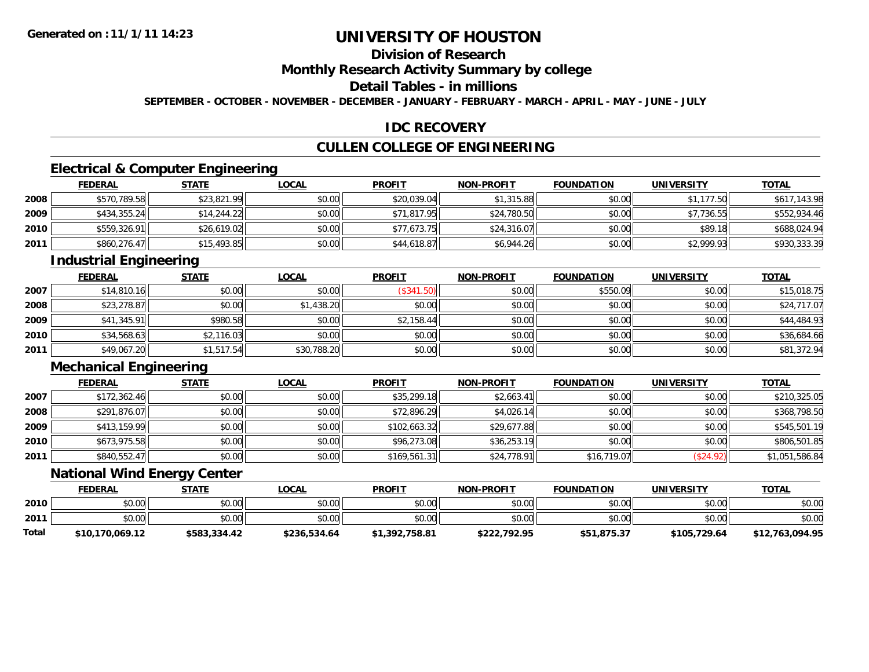## **Division of Research**

### **Monthly Research Activity Summary by college**

### **Detail Tables - in millions**

**SEPTEMBER - OCTOBER - NOVEMBER - DECEMBER - JANUARY - FEBRUARY - MARCH - APRIL - MAY - JUNE - JULY**

#### **IDC RECOVERY**

#### **CULLEN COLLEGE OF ENGINEERING**

### **Electrical & Computer Engineering**

|      | <b>FEDERAL</b> | <b>STATE</b> | <b>LOCAL</b> | <b>PROFIT</b> | <b>NON-PROFIT</b> | <b>FOUNDATION</b> | <b>UNIVERSITY</b> | <b>TOTAL</b> |
|------|----------------|--------------|--------------|---------------|-------------------|-------------------|-------------------|--------------|
| 2008 | \$570.789.58   | \$23,821.99  | \$0.00       | \$20,039.04   | \$1,315.88        | \$0.00            | \$1,177.50        | \$617,143.98 |
| 2009 | \$434,355.24   | \$14.244.22  | \$0.00       | \$71,817.95   | \$24,780.50       | \$0.00            | \$7.736.55        | \$552,934.46 |
| 2010 | \$559,326.91   | \$26,619.02  | \$0.00       | \$77,673.75   | \$24,316.07       | \$0.00            | \$89.18           | \$688,024.94 |
| 2011 | \$860,276.47   | \$15,493.85  | \$0.00       | \$44,618.87   | \$6,944.26        | \$0.00            | \$2,999.93        | \$930,333.39 |

#### **Industrial Engineering**

|      | <b>FEDERAL</b> | <b>STATE</b> | <u>LOCAL</u> | <b>PROFIT</b> | <b>NON-PROFIT</b> | <b>FOUNDATION</b> | <b>UNIVERSITY</b> | <u>TOTAL</u> |
|------|----------------|--------------|--------------|---------------|-------------------|-------------------|-------------------|--------------|
| 2007 | \$14,810.16    | \$0.00       | \$0.00       | (\$341.50)    | \$0.00            | \$550.09          | \$0.00            | \$15,018.75  |
| 2008 | \$23,278.87    | \$0.00       | \$1,438.20   | \$0.00        | \$0.00            | \$0.00            | \$0.00            | \$24,717.07  |
| 2009 | \$41,345.91    | \$980.58     | \$0.00       | \$2,158.44    | \$0.00            | \$0.00            | \$0.00            | \$44,484.93  |
| 2010 | \$34,568.63    | \$2,116.03   | \$0.00       | \$0.00        | \$0.00            | \$0.00            | \$0.00            | \$36,684.66  |
| 2011 | \$49,067.20    | \$1,517.54   | \$30,788.20  | \$0.00        | \$0.00            | \$0.00            | \$0.00            | \$81,372.94  |

### **Mechanical Engineering**

|      | <u>FEDERAL</u> | <b>STATE</b> | <b>LOCAL</b> | <b>PROFIT</b> | <b>NON-PROFIT</b> | <b>FOUNDATION</b> | <b>UNIVERSITY</b> | <b>TOTAL</b>   |
|------|----------------|--------------|--------------|---------------|-------------------|-------------------|-------------------|----------------|
| 2007 | \$172,362.46   | \$0.00       | \$0.00       | \$35,299.18   | \$2,663.41        | \$0.00            | \$0.00            | \$210,325.05   |
| 2008 | \$291,876.07   | \$0.00       | \$0.00       | \$72,896.29   | \$4,026.14        | \$0.00            | \$0.00            | \$368,798.50   |
| 2009 | \$413,159.99   | \$0.00       | \$0.00       | \$102,663.32  | \$29,677.88       | \$0.00            | \$0.00            | \$545,501.19   |
| 2010 | \$673,975.58   | \$0.00       | \$0.00       | \$96,273.08   | \$36,253.19       | \$0.00            | \$0.00            | \$806,501.85   |
| 2011 | \$840,552.47   | \$0.00       | \$0.00       | \$169,561.31  | \$24,778.91       | \$16,719.07       | \$24.92]          | \$1,051,586.84 |

### **National Wind Energy Center**

|       | <b>FEDERAL</b>  | <b>STATE</b> | <b>LOCAL</b> | <b>PROFIT</b>  | <b>NON-PROFIT</b> | <b>FOUNDATION</b> | <b>UNIVERSITY</b> | <b>TOTAL</b>    |
|-------|-----------------|--------------|--------------|----------------|-------------------|-------------------|-------------------|-----------------|
| 2010  | \$0.00          | \$0.00       | \$0.00       | \$0.00         | \$0.00            | \$0.00            | \$0.00            | \$0.00          |
| 2011  | \$0.00          | \$0.00       | \$0.00       | \$0.00         | \$0.00            | \$0.00            | \$0.00            | \$0.00          |
| Total | \$10,170,069.12 | \$583,334.42 | \$236,534.64 | \$1,392,758.81 | \$222,792.95      | \$51,875.37       | \$105,729.64      | \$12,763,094.95 |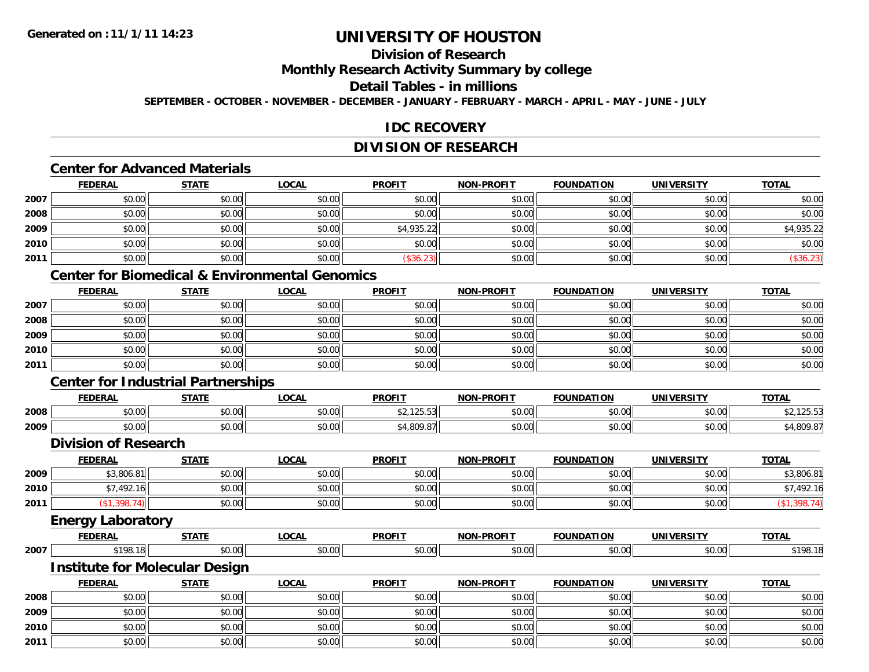# **Division of Research**

### **Monthly Research Activity Summary by college**

#### **Detail Tables - in millions**

**SEPTEMBER - OCTOBER - NOVEMBER - DECEMBER - JANUARY - FEBRUARY - MARCH - APRIL - MAY - JUNE - JULY**

### **IDC RECOVERY**

### **DIVISION OF RESEARCH**

## **Center for Advanced Materials**

|      | <b>FEDERAL</b> | <b>STATE</b> | <u>LOCAL</u> | <b>PROFIT</b> | <b>NON-PROFIT</b> | <b>FOUNDATION</b> | <b>UNIVERSITY</b> | <u>TOTAL</u> |
|------|----------------|--------------|--------------|---------------|-------------------|-------------------|-------------------|--------------|
| 2007 | \$0.00         | \$0.00       | \$0.00       | \$0.00        | \$0.00            | \$0.00            | \$0.00            | \$0.00       |
| 2008 | \$0.00         | \$0.00       | \$0.00       | \$0.00        | \$0.00            | \$0.00            | \$0.00            | \$0.00       |
| 2009 | \$0.00         | \$0.00       | \$0.00       | \$4,935.22    | \$0.00            | \$0.00            | \$0.00            | \$4,935.22   |
| 2010 | \$0.00         | \$0.00       | \$0.00       | \$0.00        | \$0.00            | \$0.00            | \$0.00            | \$0.00       |
| 2011 | \$0.00         | \$0.00       | \$0.00       | \$36.23]      | \$0.00            | \$0.00            | \$0.00            | (\$36.23)    |

## **Center for Biomedical & Environmental Genomics**

|      | <b>FEDERAL</b> | <b>STATE</b> | <b>LOCAL</b> | <b>PROFIT</b> | <b>NON-PROFIT</b> | <b>FOUNDATION</b> | <b>UNIVERSITY</b> | <b>TOTAL</b> |
|------|----------------|--------------|--------------|---------------|-------------------|-------------------|-------------------|--------------|
| 2007 | \$0.00         | \$0.00       | \$0.00       | \$0.00        | \$0.00            | \$0.00            | \$0.00            | \$0.00       |
| 2008 | \$0.00         | \$0.00       | \$0.00       | \$0.00        | \$0.00            | \$0.00            | \$0.00            | \$0.00       |
| 2009 | \$0.00         | \$0.00       | \$0.00       | \$0.00        | \$0.00            | \$0.00            | \$0.00            | \$0.00       |
| 2010 | \$0.00         | \$0.00       | \$0.00       | \$0.00        | \$0.00            | \$0.00            | \$0.00            | \$0.00       |
| 2011 | \$0.00         | \$0.00       | \$0.00       | \$0.00        | \$0.00            | \$0.00            | \$0.00            | \$0.00       |

## **Center for Industrial Partnerships**

|      | <b>FEDERAL</b> | <b>CTATE</b><br>- 91A | LOCAL          | <b>PROFIT</b>              | -PROFTT<br>NON- | <b>TTOM</b><br><b>FOLINDAT</b> | <b>UNIVERSITY</b> | <b>TOTAL</b>      |
|------|----------------|-----------------------|----------------|----------------------------|-----------------|--------------------------------|-------------------|-------------------|
| 2008 | 0000<br>DU.UU  | $\sim$<br>וטט.        | ሶስ ሰሰ<br>JU.UU | $A \cap A \cap B$<br>20.00 | 0000<br>งบ.บเ   | \$0.00                         | 0000<br>JU.UU     | $  -$             |
| 2009 | 0000<br>ט.טע   | $\sim$ 00<br>JU.UU    | ሶስ ሰሰ<br>JU.UU | 1.000<br>.o∪∽              | 0000<br>YO.UG   | \$0.00                         | ልስ ባህ<br>JU.UU    | 0.000<br>$\cdots$ |

#### **Division of Research**

|      | <b>FEDERAL</b> | <u>STATE</u> | <u>LOCAL</u> | <b>PROFIT</b> | <b>NON-PROFIT</b> | <b>FOUNDATION</b> | <b>UNIVERSITY</b> | <b>TOTAL</b> |
|------|----------------|--------------|--------------|---------------|-------------------|-------------------|-------------------|--------------|
| 2009 | \$3,806.81     | \$0.00       | \$0.00       | \$0.00        | \$0.00            | \$0.00            | \$0.00            | \$3,806.81   |
| 2010 | \$7,492.16     | \$0.00       | \$0.00       | \$0.00        | \$0.00            | \$0.00            | \$0.00            | \$7,492.16   |
| 2011 | .398           | \$0.00       | \$0.00       | \$0.00        | \$0.00            | \$0.00            | \$0.00            | 308.         |
|      |                |              |              |               |                   |                   |                   |              |

#### **Energy Laboratory**

|      | <b>FEDERA</b> | -----<br>- 31 A I -     | LOCAI<br>. .  | <b>PROFIT</b> | NON<br>PROFI.                                                |                     | <b>JNIV</b>               | <b>TOTAL</b> |
|------|---------------|-------------------------|---------------|---------------|--------------------------------------------------------------|---------------------|---------------------------|--------------|
| 2007 | $\cdots$      | $\sim$<br>$\sim$ $\sim$ | 0.00<br>pu.uu | 0.00<br>.uu   | $\triangle$ $\triangle$ $\triangle$<br><b>. .</b> .<br>וש.טע | $ -$<br>,,,<br>v.vu | $\sim$ 00 $\sim$<br>-v.vv | $*10k$       |

#### **Institute for Molecular Design**

|      | <b>FEDERAL</b> | <b>STATE</b> | <b>LOCAL</b> | <b>PROFIT</b> | <b>NON-PROFIT</b> | <b>FOUNDATION</b> | <b>UNIVERSITY</b> | <b>TOTAL</b> |
|------|----------------|--------------|--------------|---------------|-------------------|-------------------|-------------------|--------------|
| 2008 | \$0.00         | \$0.00       | \$0.00       | \$0.00        | \$0.00            | \$0.00            | \$0.00            | \$0.00       |
| 2009 | \$0.00         | \$0.00       | \$0.00       | \$0.00        | \$0.00            | \$0.00            | \$0.00            | \$0.00       |
| 2010 | \$0.00         | \$0.00       | \$0.00       | \$0.00        | \$0.00            | \$0.00            | \$0.00            | \$0.00       |
| 2011 | \$0.00         | \$0.00       | \$0.00       | \$0.00        | \$0.00            | \$0.00            | \$0.00            | \$0.00       |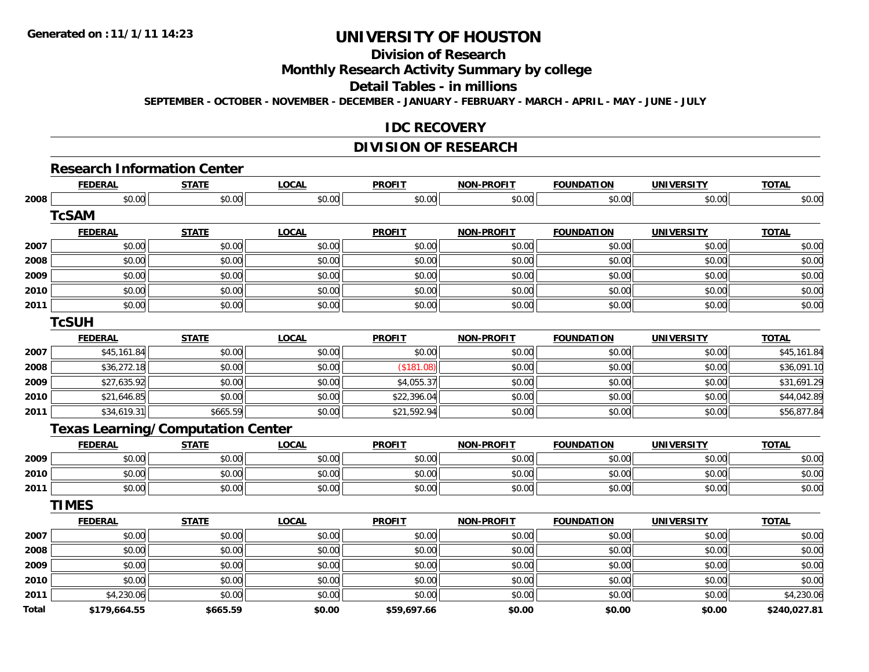# **Division of Research**

## **Monthly Research Activity Summary by college**

#### **Detail Tables - in millions**

**SEPTEMBER - OCTOBER - NOVEMBER - DECEMBER - JANUARY - FEBRUARY - MARCH - APRIL - MAY - JUNE - JULY**

### **IDC RECOVERY**

#### **DIVISION OF RESEARCH**

## **Research Information Center**

|              | <b>FEDERAL</b>                           | <b>STATE</b> | <b>LOCAL</b> | <b>PROFIT</b> | <b>NON-PROFIT</b> | <b>FOUNDATION</b> | <b>UNIVERSITY</b> | <b>TOTAL</b> |
|--------------|------------------------------------------|--------------|--------------|---------------|-------------------|-------------------|-------------------|--------------|
| 2008         | \$0.00                                   | \$0.00       | \$0.00       | \$0.00        | \$0.00            | \$0.00            | \$0.00            | \$0.00       |
|              | <b>TcSAM</b>                             |              |              |               |                   |                   |                   |              |
|              | <b>FEDERAL</b>                           | <b>STATE</b> | <b>LOCAL</b> | <b>PROFIT</b> | <b>NON-PROFIT</b> | <b>FOUNDATION</b> | <b>UNIVERSITY</b> | <b>TOTAL</b> |
| 2007         | \$0.00                                   | \$0.00       | \$0.00       | \$0.00        | \$0.00            | \$0.00            | \$0.00            | \$0.00       |
| 2008         | \$0.00                                   | \$0.00       | \$0.00       | \$0.00        | \$0.00            | \$0.00            | \$0.00            | \$0.00       |
| 2009         | \$0.00                                   | \$0.00       | \$0.00       | \$0.00        | \$0.00            | \$0.00            | \$0.00            | \$0.00       |
| 2010         | \$0.00                                   | \$0.00       | \$0.00       | \$0.00        | \$0.00            | \$0.00            | \$0.00            | \$0.00       |
| 2011         | \$0.00                                   | \$0.00       | \$0.00       | \$0.00        | \$0.00            | \$0.00            | \$0.00            | \$0.00       |
|              | <b>TcSUH</b>                             |              |              |               |                   |                   |                   |              |
|              | <b>FEDERAL</b>                           | <b>STATE</b> | <b>LOCAL</b> | <b>PROFIT</b> | <b>NON-PROFIT</b> | <b>FOUNDATION</b> | <b>UNIVERSITY</b> | <b>TOTAL</b> |
| 2007         | \$45,161.84                              | \$0.00       | \$0.00       | \$0.00        | \$0.00            | \$0.00            | \$0.00            | \$45,161.84  |
| 2008         | \$36,272.18                              | \$0.00       | \$0.00       | (\$181.08)    | \$0.00            | \$0.00            | \$0.00            | \$36,091.10  |
| 2009         | \$27,635.92                              | \$0.00       | \$0.00       | \$4,055.37    | \$0.00            | \$0.00            | \$0.00            | \$31,691.29  |
| 2010         | \$21,646.85                              | \$0.00       | \$0.00       | \$22,396.04   | \$0.00            | \$0.00            | \$0.00            | \$44,042.89  |
| 2011         | \$34,619.31                              | \$665.59     | \$0.00       | \$21,592.94   | \$0.00            | \$0.00            | \$0.00            | \$56,877.84  |
|              | <b>Texas Learning/Computation Center</b> |              |              |               |                   |                   |                   |              |
|              | <b>FEDERAL</b>                           | <b>STATE</b> | <b>LOCAL</b> | <b>PROFIT</b> | <b>NON-PROFIT</b> | <b>FOUNDATION</b> | <b>UNIVERSITY</b> | <b>TOTAL</b> |
| 2009         | \$0.00                                   | \$0.00       | \$0.00       | \$0.00        | \$0.00            | \$0.00            | \$0.00            | \$0.00       |
| 2010         | \$0.00                                   | \$0.00       | \$0.00       | \$0.00        | \$0.00            | \$0.00            | \$0.00            | \$0.00       |
| 2011         | \$0.00                                   | \$0.00       | \$0.00       | \$0.00        | \$0.00            | \$0.00            | \$0.00            | \$0.00       |
|              | <b>TIMES</b>                             |              |              |               |                   |                   |                   |              |
|              | <b>FEDERAL</b>                           | <b>STATE</b> | <b>LOCAL</b> | <b>PROFIT</b> | <b>NON-PROFIT</b> | <b>FOUNDATION</b> | <b>UNIVERSITY</b> | <b>TOTAL</b> |
| 2007         | \$0.00                                   | \$0.00       | \$0.00       | \$0.00        | \$0.00            | \$0.00            | \$0.00            | \$0.00       |
| 2008         | \$0.00                                   | \$0.00       | \$0.00       | \$0.00        | \$0.00            | \$0.00            | \$0.00            | \$0.00       |
| 2009         | \$0.00                                   | \$0.00       | \$0.00       | \$0.00        | \$0.00            | \$0.00            | \$0.00            | \$0.00       |
| 2010         | \$0.00                                   | \$0.00       | \$0.00       | \$0.00        | \$0.00            | \$0.00            | \$0.00            | \$0.00       |
| 2011         | \$4,230.06                               | \$0.00       | \$0.00       | \$0.00        | \$0.00            | \$0.00            | \$0.00            | \$4,230.06   |
| <b>Total</b> | \$179,664.55                             | \$665.59     | \$0.00       | \$59,697.66   | \$0.00            | \$0.00            | \$0.00            | \$240,027.81 |
|              |                                          |              |              |               |                   |                   |                   |              |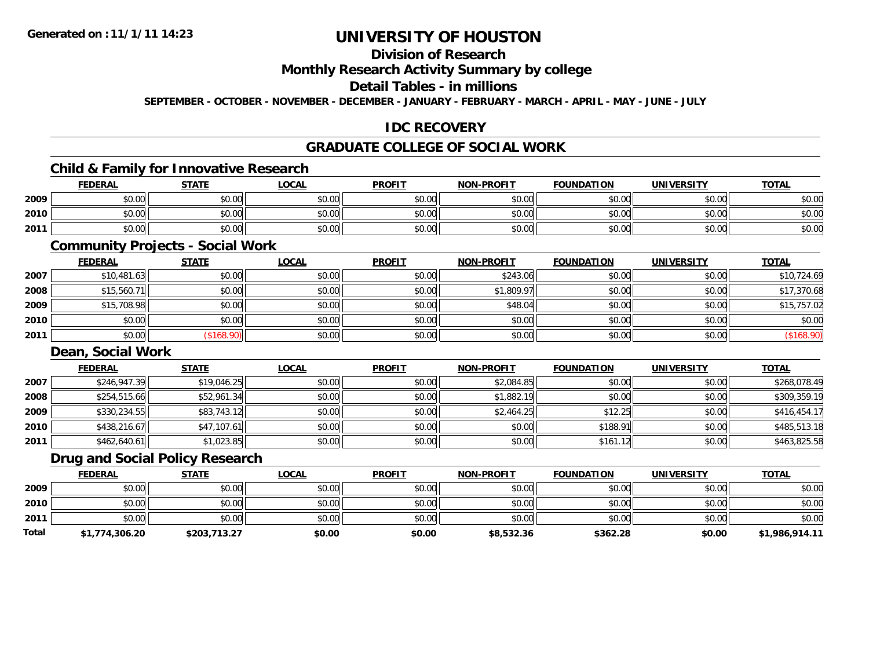# **Division of Research**

## **Monthly Research Activity Summary by college**

#### **Detail Tables - in millions**

**SEPTEMBER - OCTOBER - NOVEMBER - DECEMBER - JANUARY - FEBRUARY - MARCH - APRIL - MAY - JUNE - JULY**

## **IDC RECOVERY**

## **GRADUATE COLLEGE OF SOCIAL WORK**

## **Child & Family for Innovative Research**

|      | <b>FEDERAL</b> | <b>STATE</b> | <u>LOCAL</u> | <b>PROFIT</b> | <b>NON-PROFIT</b> | <b>FOUNDATION</b> | <b>UNIVERSITY</b> | <b>TOTAL</b> |
|------|----------------|--------------|--------------|---------------|-------------------|-------------------|-------------------|--------------|
| 2009 | \$0.00         | \$0.00       | \$0.00       | \$0.00        | \$0.00            | \$0.00            | \$0.00            | \$0.00       |
| 2010 | \$0.00         | \$0.00       | \$0.00       | \$0.00        | \$0.00            | \$0.00            | \$0.00            | \$0.00       |
| 2011 | \$0.00         | \$0.00       | \$0.00       | \$0.00        | \$0.00            | \$0.00            | \$0.00            | \$0.00       |

## **Community Projects - Social Work**

|      | <b>FEDERAL</b> | <b>STATE</b> | <u>LOCAL</u> | <b>PROFIT</b> | <b>NON-PROFIT</b> | <b>FOUNDATION</b> | <b>UNIVERSITY</b> | <b>TOTAL</b> |
|------|----------------|--------------|--------------|---------------|-------------------|-------------------|-------------------|--------------|
| 2007 | \$10,481.63    | \$0.00       | \$0.00       | \$0.00        | \$243.06          | \$0.00            | \$0.00            | \$10,724.69  |
| 2008 | \$15,560.71    | \$0.00       | \$0.00       | \$0.00        | \$1,809.97        | \$0.00            | \$0.00            | \$17,370.68  |
| 2009 | \$15,708.98    | \$0.00       | \$0.00       | \$0.00        | \$48.04           | \$0.00            | \$0.00            | \$15,757.02  |
| 2010 | \$0.00         | \$0.00       | \$0.00       | \$0.00        | \$0.00            | \$0.00            | \$0.00            | \$0.00       |
| 2011 | \$0.00         | \$168.90     | \$0.00       | \$0.00        | \$0.00            | \$0.00            | \$0.00            | (\$168.90)   |

#### **Dean, Social Work**

|      | <b>FEDERAL</b> | <b>STATE</b> | <b>LOCAL</b> | <b>PROFIT</b> | <b>NON-PROFIT</b> | <b>FOUNDATION</b> | <b>UNIVERSITY</b> | <b>TOTAL</b> |
|------|----------------|--------------|--------------|---------------|-------------------|-------------------|-------------------|--------------|
| 2007 | \$246,947.39   | \$19,046.25  | \$0.00       | \$0.00        | \$2,084.85        | \$0.00            | \$0.00            | \$268,078.49 |
| 2008 | \$254,515.66   | \$52,961.34  | \$0.00       | \$0.00        | \$1,882.19        | \$0.00            | \$0.00            | \$309,359.19 |
| 2009 | \$330,234.55   | \$83,743.12  | \$0.00       | \$0.00        | \$2,464.25        | \$12.25           | \$0.00            | \$416,454.17 |
| 2010 | \$438,216.67   | \$47,107.61  | \$0.00       | \$0.00        | \$0.00            | \$188.91          | \$0.00            | \$485,513.18 |
| 2011 | \$462,640.61   | \$1,023.85   | \$0.00       | \$0.00        | \$0.00            | \$161.12          | \$0.00            | \$463,825.58 |

### **Drug and Social Policy Research**

|       | <b>FEDERAL</b> | <b>STATE</b> | <b>LOCAL</b> | <b>PROFIT</b> | <b>NON-PROFIT</b> | <b>FOUNDATION</b> | <b>UNIVERSITY</b> | <b>TOTAL</b>   |
|-------|----------------|--------------|--------------|---------------|-------------------|-------------------|-------------------|----------------|
| 2009  | \$0.00         | \$0.00       | \$0.00       | \$0.00        | \$0.00            | \$0.00            | \$0.00            | \$0.00         |
| 2010  | \$0.00         | \$0.00       | \$0.00       | \$0.00        | \$0.00            | \$0.00            | \$0.00            | \$0.00         |
| 2011  | \$0.00         | \$0.00       | \$0.00       | \$0.00        | \$0.00            | \$0.00            | \$0.00            | \$0.00         |
| Total | \$1,774,306.20 | \$203,713.27 | \$0.00       | \$0.00        | \$8,532.36        | \$362.28          | \$0.00            | \$1,986,914.11 |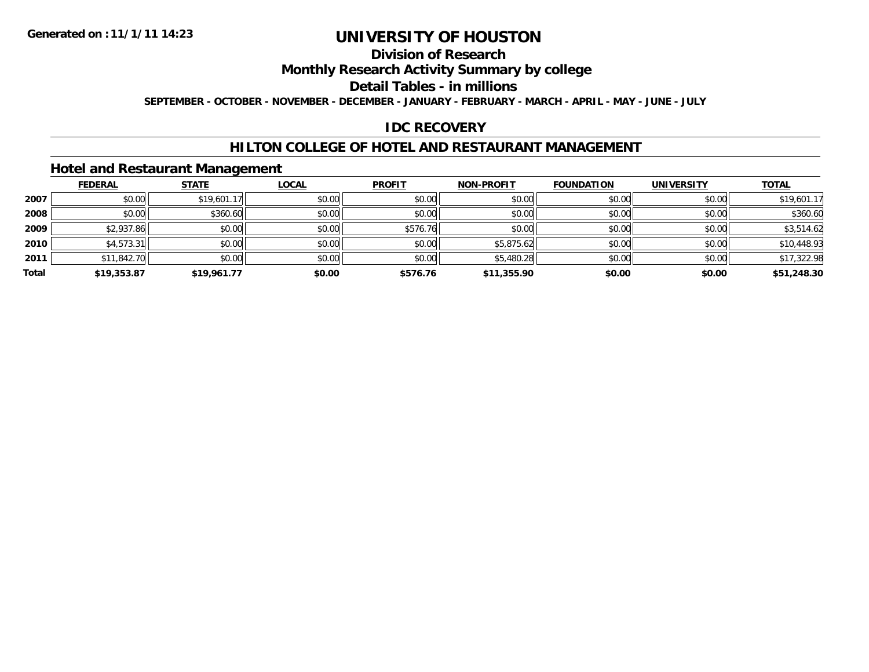## **Division of Research**

## **Monthly Research Activity Summary by college**

## **Detail Tables - in millions**

**SEPTEMBER - OCTOBER - NOVEMBER - DECEMBER - JANUARY - FEBRUARY - MARCH - APRIL - MAY - JUNE - JULY**

## **IDC RECOVERY**

### **HILTON COLLEGE OF HOTEL AND RESTAURANT MANAGEMENT**

## **Hotel and Restaurant Management**

|       | <b>FEDERAL</b> | <b>STATE</b> | <b>LOCAL</b> | <b>PROFIT</b> | <b>NON-PROFIT</b> | <b>FOUNDATION</b> | <b>UNIVERSITY</b> | <b>TOTAL</b> |
|-------|----------------|--------------|--------------|---------------|-------------------|-------------------|-------------------|--------------|
| 2007  | \$0.00         | \$19,601.17  | \$0.00       | \$0.00        | \$0.00            | \$0.00            | \$0.00            | \$19,601.17  |
| 2008  | \$0.00         | \$360.60     | \$0.00       | \$0.00        | \$0.00            | \$0.00            | \$0.00            | \$360.60     |
| 2009  | \$2,937.86     | \$0.00       | \$0.00       | \$576.76      | \$0.00            | \$0.00            | \$0.00            | \$3,514.62   |
| 2010  | \$4,573.31     | \$0.00       | \$0.00       | \$0.00        | \$5,875.62        | \$0.00            | \$0.00            | \$10,448.93  |
| 2011  | \$11,842.70    | \$0.00       | \$0.00       | \$0.00        | \$5,480.28        | \$0.00            | \$0.00            | \$17,322.98  |
| Total | \$19,353.87    | \$19,961.77  | \$0.00       | \$576.76      | \$11,355.90       | \$0.00            | \$0.00            | \$51,248.30  |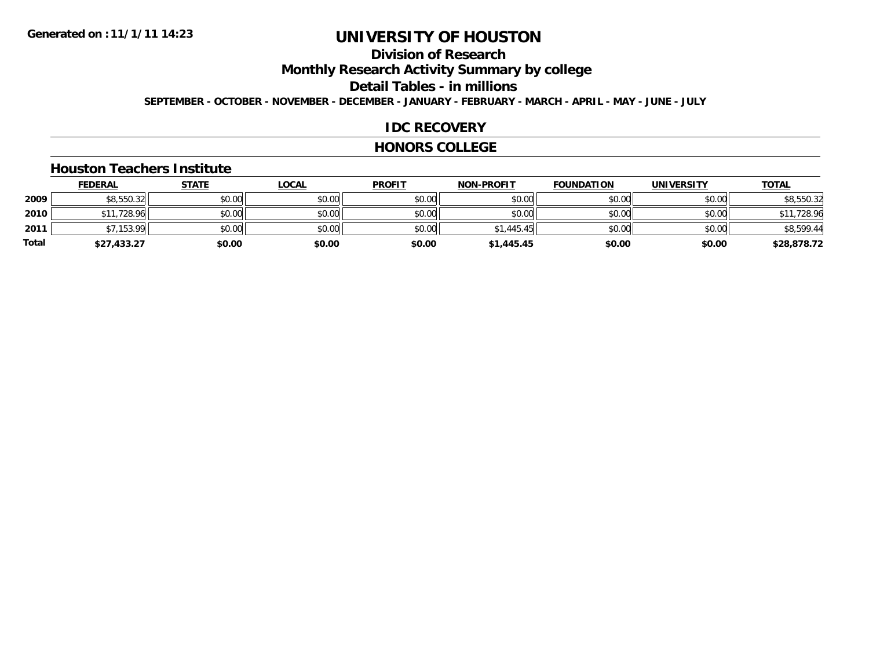# **Division of Research**

**Monthly Research Activity Summary by college**

**Detail Tables - in millions**

**SEPTEMBER - OCTOBER - NOVEMBER - DECEMBER - JANUARY - FEBRUARY - MARCH - APRIL - MAY - JUNE - JULY**

### **IDC RECOVERY**

#### **HONORS COLLEGE**

#### **Houston Teachers Institute**

|       | <b>FEDERAL</b> | <b>STATE</b> | <b>LOCAL</b> | <b>PROFIT</b> | <b>NON-PROFIT</b> | <b>FOUNDATION</b> | <b>UNIVERSITY</b> | <b>TOTAL</b> |
|-------|----------------|--------------|--------------|---------------|-------------------|-------------------|-------------------|--------------|
| 2009  | \$8,550.32     | \$0.00       | \$0.00       | \$0.00        | \$0.00            | \$0.00            | \$0.00            | \$8,550.32   |
| 2010  | \$11,728.96    | \$0.00       | \$0.00       | \$0.00        | \$0.00            | \$0.00            | \$0.00            | \$11,728.96  |
| 2011  | \$7.153.99     | \$0.00       | \$0.00       | \$0.00        | \$1,445.45        | \$0.00            | \$0.00            | \$8,599.44   |
| Total | \$27,433.27    | \$0.00       | \$0.00       | \$0.00        | \$1,445.45        | \$0.00            | \$0.00            | \$28,878.72  |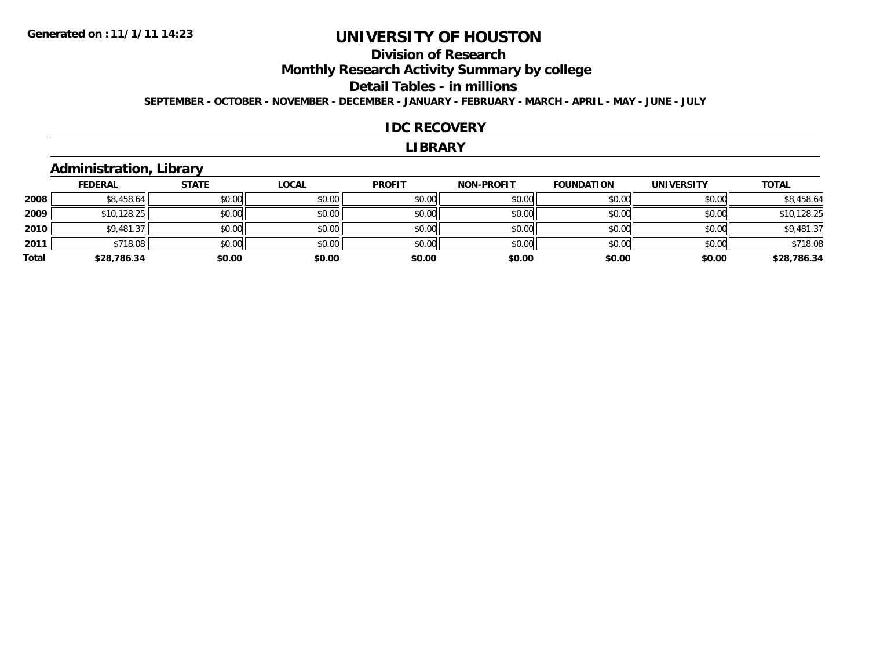# **Division of ResearchMonthly Research Activity Summary by college Detail Tables - in millions**

**SEPTEMBER - OCTOBER - NOVEMBER - DECEMBER - JANUARY - FEBRUARY - MARCH - APRIL - MAY - JUNE - JULY**

#### **IDC RECOVERY**

#### **LIBRARY**

## **Administration, Library**

|       | <b>FEDERAL</b> | <b>STATE</b> | <b>LOCAL</b> | <b>PROFIT</b> | <b>NON-PROFIT</b> | <b>FOUNDATION</b> | <b>UNIVERSITY</b> | <b>TOTAL</b> |
|-------|----------------|--------------|--------------|---------------|-------------------|-------------------|-------------------|--------------|
| 2008  | \$8,458.64     | \$0.00       | \$0.00       | \$0.00        | \$0.00            | \$0.00            | \$0.00            | \$8,458.64   |
| 2009  | \$10,128.25    | \$0.00       | \$0.00       | \$0.00        | \$0.00            | \$0.00            | \$0.00            | \$10,128.25  |
| 2010  | \$9,481.37     | \$0.00       | \$0.00       | \$0.00        | \$0.00            | \$0.00            | \$0.00            | \$9,481.37   |
| 2011  | \$718.08       | \$0.00       | \$0.00       | \$0.00        | \$0.00            | \$0.00            | \$0.00            | \$718.08     |
| Total | \$28,786.34    | \$0.00       | \$0.00       | \$0.00        | \$0.00            | \$0.00            | \$0.00            | \$28,786.34  |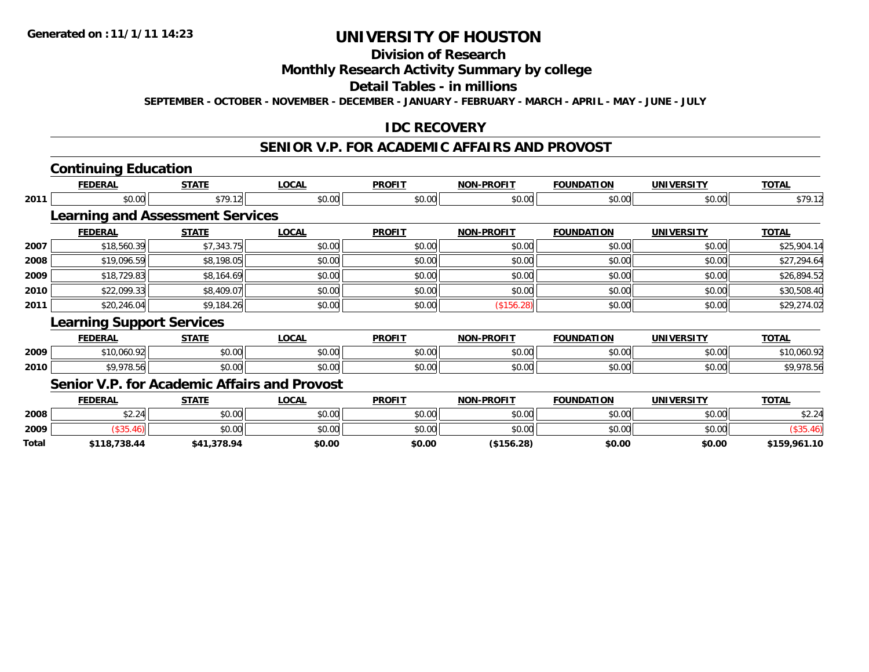# **Division of Research**

## **Monthly Research Activity Summary by college**

#### **Detail Tables - in millions**

**SEPTEMBER - OCTOBER - NOVEMBER - DECEMBER - JANUARY - FEBRUARY - MARCH - APRIL - MAY - JUNE - JULY**

## **IDC RECOVERY**

#### **SENIOR V.P. FOR ACADEMIC AFFAIRS AND PROVOST**

## **Continuing Education**

| \$79.12<br><b>Learning and Assessment Services</b><br><b>STATE</b><br>\$7,343.75 | \$0.00<br><b>LOCAL</b><br>\$0.00 | \$0.00<br><b>PROFIT</b>                             | \$0.00<br><b>NON-PROFIT</b> | \$0.00<br><b>FOUNDATION</b> | \$0.00            | \$79.12      |
|----------------------------------------------------------------------------------|----------------------------------|-----------------------------------------------------|-----------------------------|-----------------------------|-------------------|--------------|
|                                                                                  |                                  |                                                     |                             |                             |                   |              |
|                                                                                  |                                  |                                                     |                             |                             |                   |              |
|                                                                                  |                                  |                                                     |                             |                             | <b>UNIVERSITY</b> | <b>TOTAL</b> |
|                                                                                  |                                  | \$0.00                                              | \$0.00                      | \$0.00                      | \$0.00            | \$25,904.14  |
| \$8,198.05                                                                       | \$0.00                           | \$0.00                                              | \$0.00                      | \$0.00                      | \$0.00            | \$27,294.64  |
| \$8,164.69                                                                       | \$0.00                           | \$0.00                                              | \$0.00                      | \$0.00                      | \$0.00            | \$26,894.52  |
| \$8,409.07                                                                       | \$0.00                           | \$0.00                                              | \$0.00                      | \$0.00                      | \$0.00            | \$30,508.40  |
| \$9,184.26                                                                       | \$0.00                           | \$0.00                                              | (\$156.28)                  | \$0.00                      | \$0.00            | \$29,274.02  |
|                                                                                  |                                  |                                                     |                             |                             |                   |              |
| <b>STATE</b>                                                                     | <b>LOCAL</b>                     | <b>PROFIT</b>                                       | <b>NON-PROFIT</b>           | <b>FOUNDATION</b>           | <b>UNIVERSITY</b> | <b>TOTAL</b> |
| \$0.00                                                                           | \$0.00                           | \$0.00                                              | \$0.00                      | \$0.00                      | \$0.00            | \$10,060.92  |
| \$0.00                                                                           | \$0.00                           | \$0.00                                              | \$0.00                      | \$0.00                      | \$0.00            | \$9,978.56   |
|                                                                                  | <b>Learning Support Services</b> | <b>Senior V.P. for Academic Affairs and Provost</b> |                             |                             |                   |              |

|       | <b>FEDERAL</b> | <b>STATE</b> | LOCAL  | <b>PROFIT</b> | <b>NON-PROFIT</b> | <b>FOUNDATION</b> | <b>UNIVERSITY</b> | <b>TOTAL</b> |
|-------|----------------|--------------|--------|---------------|-------------------|-------------------|-------------------|--------------|
| 2008  | \$2.24         | \$0.00       | JU.UU  | \$0.00        | \$0.00            | \$0.00            | \$0.00            | \$2.24       |
| 2009  |                | \$0.00       | JU.UU  | \$0.00        | \$0.00            | \$0.00            | \$0.00            |              |
| Total | \$118,738.44   | \$41,378.94  | \$0.00 | \$0.00        | \$156.28          | \$0.00            | \$0.00            | \$159,961.10 |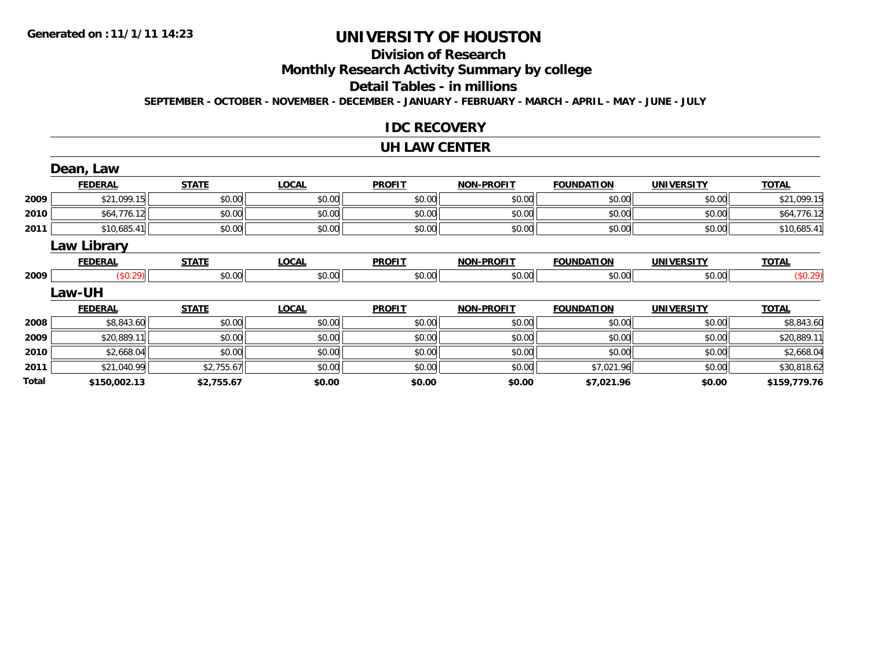# **Division of Research**

**Monthly Research Activity Summary by college**

#### **Detail Tables - in millions**

**SEPTEMBER - OCTOBER - NOVEMBER - DECEMBER - JANUARY - FEBRUARY - MARCH - APRIL - MAY - JUNE - JULY**

### **IDC RECOVERY**

#### **UH LAW CENTER**

|       | Dean, Law          |              |              |               |                   |                   |                   |              |
|-------|--------------------|--------------|--------------|---------------|-------------------|-------------------|-------------------|--------------|
|       | <b>FEDERAL</b>     | <b>STATE</b> | <b>LOCAL</b> | <b>PROFIT</b> | <b>NON-PROFIT</b> | <b>FOUNDATION</b> | <b>UNIVERSITY</b> | <b>TOTAL</b> |
| 2009  | \$21,099.15        | \$0.00       | \$0.00       | \$0.00        | \$0.00            | \$0.00            | \$0.00            | \$21,099.15  |
| 2010  | \$64,776.12        | \$0.00       | \$0.00       | \$0.00        | \$0.00            | \$0.00            | \$0.00            | \$64,776.12  |
| 2011  | \$10,685.41        | \$0.00       | \$0.00       | \$0.00        | \$0.00            | \$0.00            | \$0.00            | \$10,685.41  |
|       | <b>Law Library</b> |              |              |               |                   |                   |                   |              |
|       | <b>FEDERAL</b>     | <b>STATE</b> | <b>LOCAL</b> | <b>PROFIT</b> | <b>NON-PROFIT</b> | <b>FOUNDATION</b> | <b>UNIVERSITY</b> | <b>TOTAL</b> |
| 2009  | (\$0.29)           | \$0.00       | \$0.00       | \$0.00        | \$0.00            | \$0.00            | \$0.00            | (\$0.29)     |
|       | <b>Law-UH</b>      |              |              |               |                   |                   |                   |              |
|       | <b>FEDERAL</b>     | <b>STATE</b> | <b>LOCAL</b> | <b>PROFIT</b> | <b>NON-PROFIT</b> | <b>FOUNDATION</b> | <b>UNIVERSITY</b> | <b>TOTAL</b> |
| 2008  | \$8,843.60         | \$0.00       | \$0.00       | \$0.00        | \$0.00            | \$0.00            | \$0.00            | \$8,843.60   |
| 2009  | \$20,889.11        | \$0.00       | \$0.00       | \$0.00        | \$0.00            | \$0.00            | \$0.00            | \$20,889.11  |
| 2010  | \$2,668.04         | \$0.00       | \$0.00       | \$0.00        | \$0.00            | \$0.00            | \$0.00            | \$2,668.04   |
| 2011  | \$21,040.99        | \$2,755.67   | \$0.00       | \$0.00        | \$0.00            | \$7,021.96        | \$0.00            | \$30,818.62  |
| Total | \$150,002.13       | \$2,755.67   | \$0.00       | \$0.00        | \$0.00            | \$7,021.96        | \$0.00            | \$159,779.76 |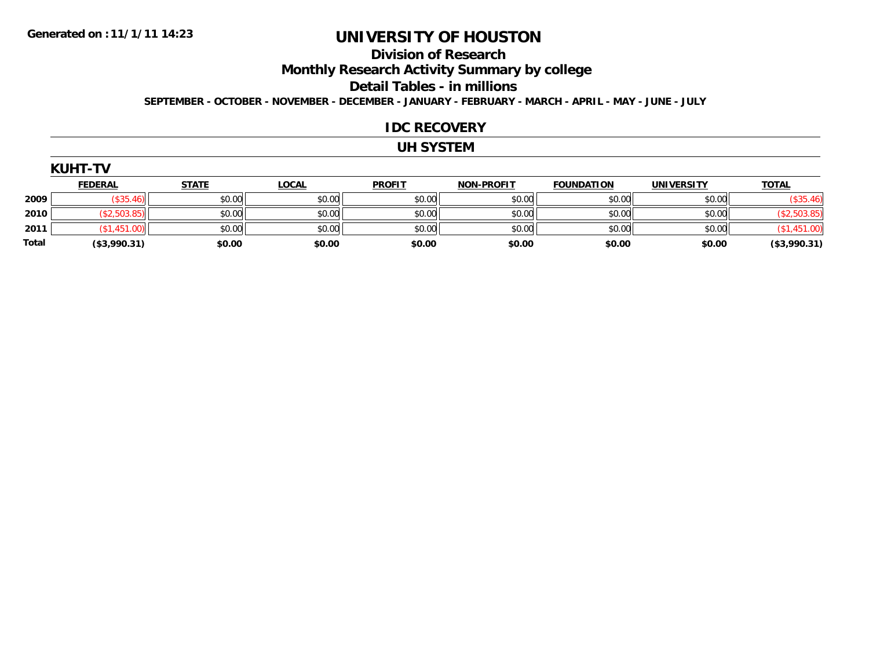# **Division of Research**

**Monthly Research Activity Summary by college**

**Detail Tables - in millions**

**SEPTEMBER - OCTOBER - NOVEMBER - DECEMBER - JANUARY - FEBRUARY - MARCH - APRIL - MAY - JUNE - JULY**

#### **IDC RECOVERY**

### **UH SYSTEM**

| <b>YUH1</b> |  |
|-------------|--|
|             |  |
|             |  |

|              | <b>FEDERAL</b> | <b>STATE</b> | <b>LOCAL</b> | <b>PROFIT</b> | <b>NON-PROFIT</b> | <b>FOUNDATION</b> | <b>UNIVERSITY</b> | <b>TOTAL</b>  |
|--------------|----------------|--------------|--------------|---------------|-------------------|-------------------|-------------------|---------------|
| 2009         |                | \$0.00       | \$0.00       | \$0.00        | \$0.00            | \$0.00            | \$0.00            | \$35          |
| 2010         |                | \$0.00       | \$0.00       | \$0.00        | \$0.00            | \$0.00            | \$0.00            |               |
| 2011         |                | \$0.00       | \$0.00       | \$0.00        | \$0.00            | \$0.00            | \$0.00            |               |
| <b>Total</b> | ( \$3,990.31)  | \$0.00       | \$0.00       | \$0.00        | \$0.00            | \$0.00            | \$0.00            | ( \$3,990.31) |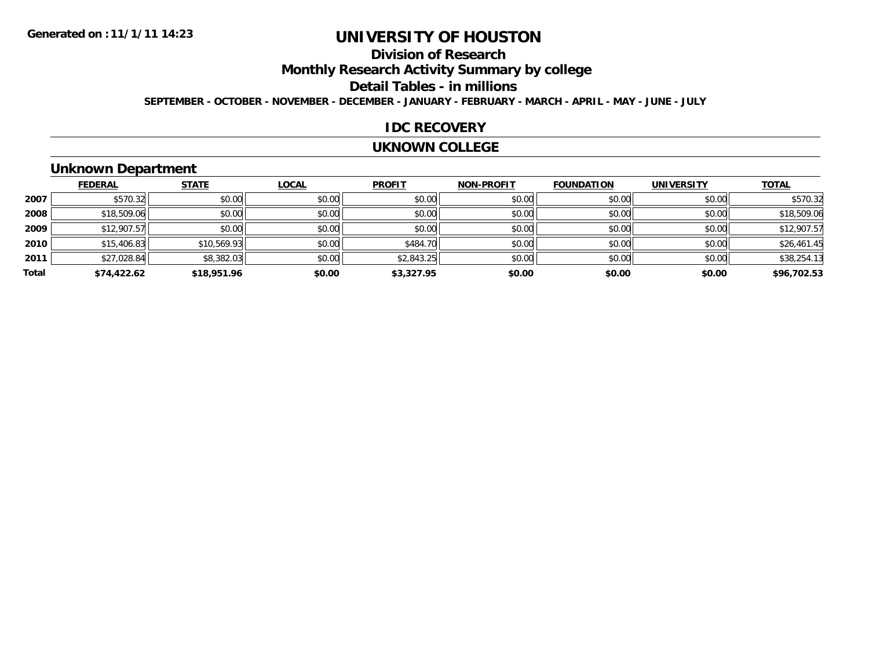# **Division of Research**

**Monthly Research Activity Summary by college**

#### **Detail Tables - in millions**

**SEPTEMBER - OCTOBER - NOVEMBER - DECEMBER - JANUARY - FEBRUARY - MARCH - APRIL - MAY - JUNE - JULY**

#### **IDC RECOVERY**

#### **UKNOWN COLLEGE**

## **Unknown Department**

|       | <b>FEDERAL</b> | <b>STATE</b> | <b>LOCAL</b> | <b>PROFIT</b> | <b>NON-PROFIT</b> | <b>FOUNDATION</b> | <b>UNIVERSITY</b> | <b>TOTAL</b> |
|-------|----------------|--------------|--------------|---------------|-------------------|-------------------|-------------------|--------------|
| 2007  | \$570.32       | \$0.00       | \$0.00       | \$0.00        | \$0.00            | \$0.00            | \$0.00            | \$570.32     |
| 2008  | \$18,509.06    | \$0.00       | \$0.00       | \$0.00        | \$0.00            | \$0.00            | \$0.00            | \$18,509.06  |
| 2009  | \$12,907.57    | \$0.00       | \$0.00       | \$0.00        | \$0.00            | \$0.00            | \$0.00            | \$12,907.57  |
| 2010  | \$15,406.83    | \$10,569.93  | \$0.00       | \$484.70      | \$0.00            | \$0.00            | \$0.00            | \$26,461.45  |
| 2011  | \$27,028.84    | \$8,382.03   | \$0.00       | \$2,843.25    | \$0.00            | \$0.00            | \$0.00            | \$38,254.13  |
| Total | \$74,422.62    | \$18,951.96  | \$0.00       | \$3,327.95    | \$0.00            | \$0.00            | \$0.00            | \$96,702.53  |